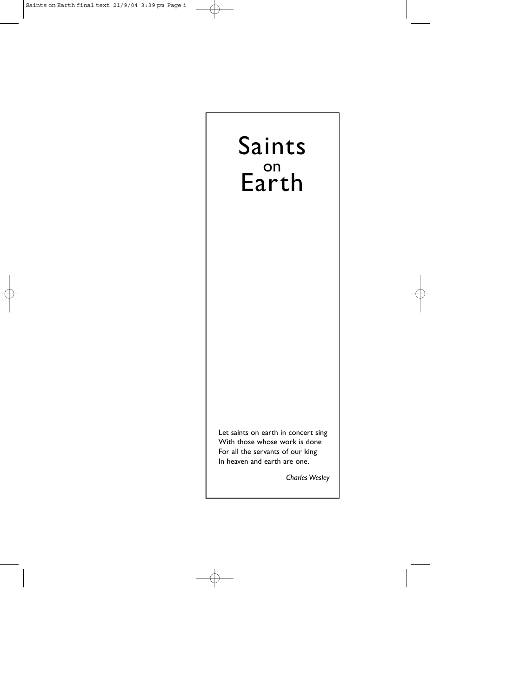# Saints on Earth

Let saints on earth in concert sing With those whose work is done For all the servants of our king In heaven and earth are one.

*Charles Wesley*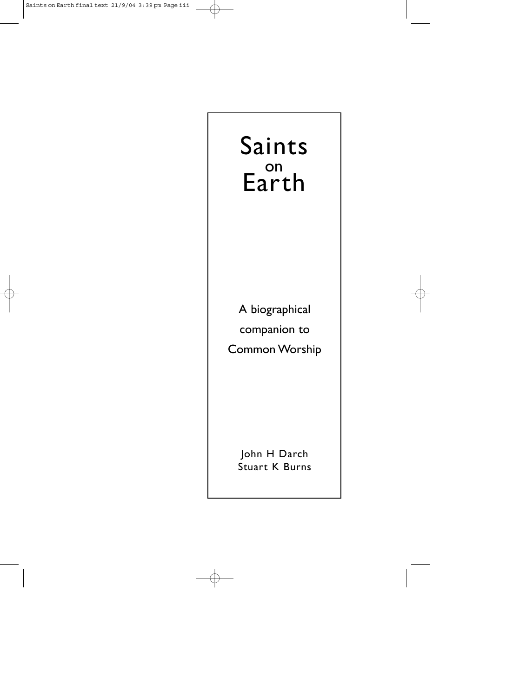# Saints on Earth

A biographical companion to Common Worship

> John H Darch Stuart K Burns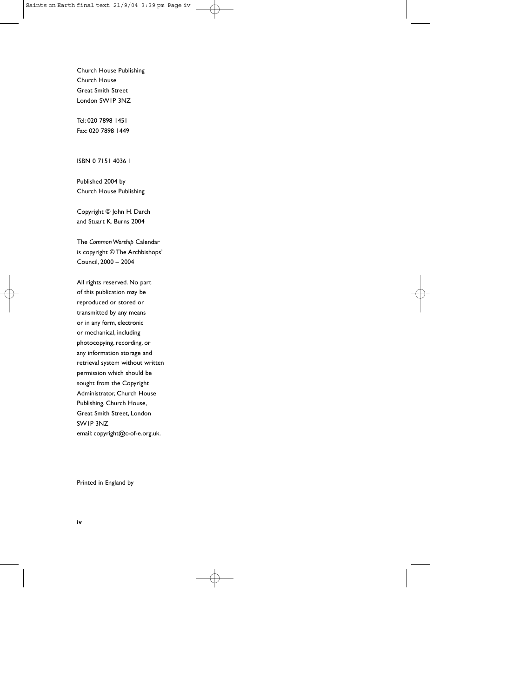Church House Publishing Church House Great Smith Street London SW1P 3NZ

Tel: 020 7898 1451 Fax: 020 7898 1449

ISBN 0 7151 4036 1

Published 2004 by Church House Publishing

Copyright © John H. Darch and Stuart K. Burns 2004

The *Common Worship* Calendar is copyright © The Archbishops' Council, 2000 – 2004

All rights reserved. No part of this publication may be reproduced or stored or transmitted by any means or in any form, electronic or mechanical, including photocopying, recording, or any information storage and retrieval system without written permission which should be sought from the Copyright Administrator, Church House Publishing, Church House, Great Smith Street, London SW1P 3NZ email: copyright@c-of-e.org.uk.

Printed in England by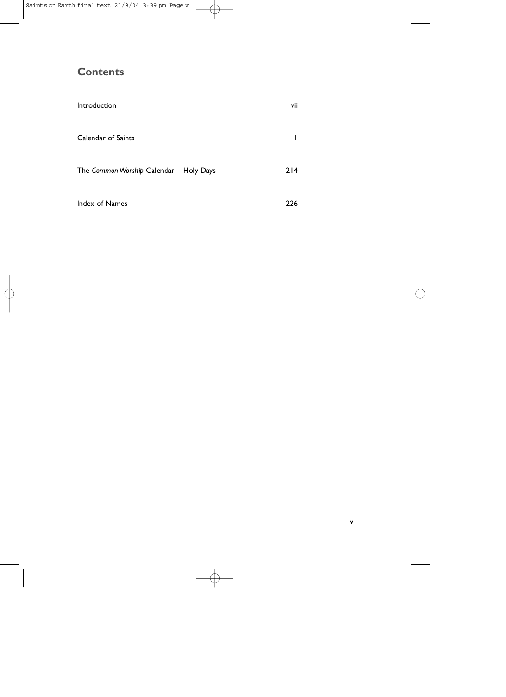# **Contents**

| Introduction                            | vii |
|-----------------------------------------|-----|
| Calendar of Saints                      |     |
| The Common Worship Calendar - Holy Days | 214 |
| Index of Names                          | 226 |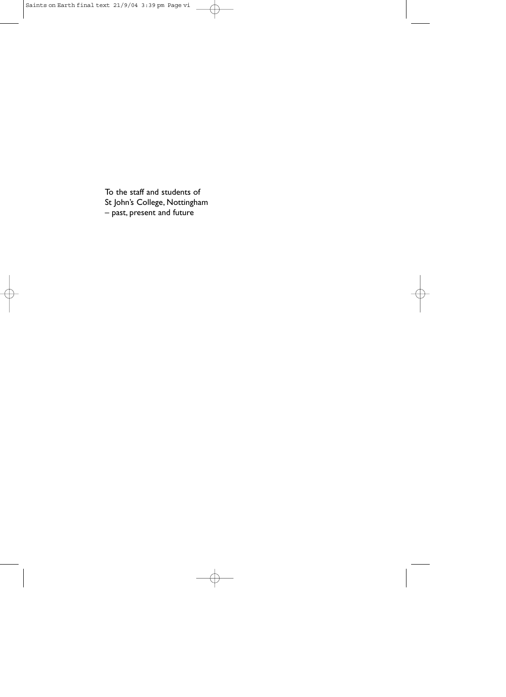To the staff and students of St John's College, Nottingham – past, present and future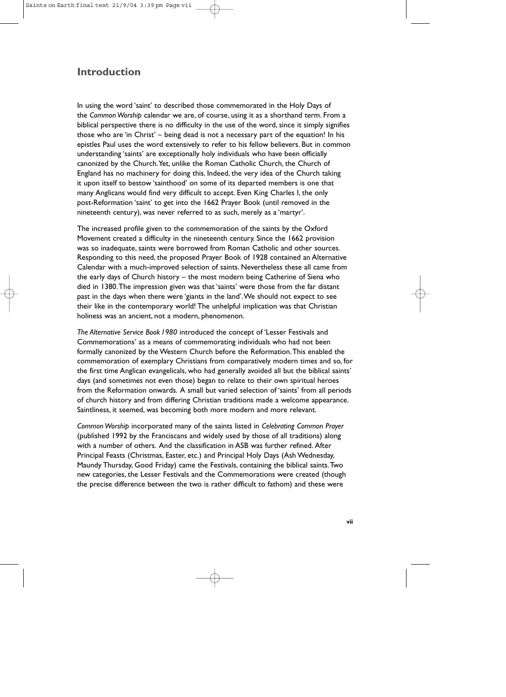# **Introduction**

In using the word 'saint' to described those commemorated in the Holy Days of the *Common Worship* calendar we are, of course, using it as a shorthand term. From a biblical perspective there is no difficulty in the use of the word, since it simply signifies those who are 'in Christ' – being dead is not a necessary part of the equation! In his epistles Paul uses the word extensively to refer to his fellow believers. But in common understanding 'saints' are exceptionally holy individuals who have been officially canonized by the Church.Yet, unlike the Roman Catholic Church, the Church of England has no machinery for doing this. Indeed, the very idea of the Church taking it upon itself to bestow 'sainthood' on some of its departed members is one that many Anglicans would find very difficult to accept. Even King Charles I, the only post-Reformation 'saint' to get into the 1662 Prayer Book (until removed in the nineteenth century), was never referred to as such, merely as a 'martyr'.

The increased profile given to the commemoration of the saints by the Oxford Movement created a difficulty in the nineteenth century. Since the 1662 provision was so inadequate, saints were borrowed from Roman Catholic and other sources. Responding to this need, the proposed Prayer Book of 1928 contained an Alternative Calendar with a much-improved selection of saints. Nevertheless these all came from the early days of Church history – the most modern being Catherine of Siena who died in 1380.The impression given was that 'saints' were those from the far distant past in the days when there were 'giants in the land'.We should not expect to see their like in the contemporary world! The unhelpful implication was that Christian holiness was an ancient, not a modern, phenomenon.

*The Alternative Service Book1980* introduced the concept of 'Lesser Festivals and Commemorations' as a means of commemorating individuals who had not been formally canonized by the Western Church before the Reformation.This enabled the commemoration of exemplary Christians from comparatively modern times and so, for the first time Anglican evangelicals, who had generally avoided all but the biblical saints' days (and sometimes not even those) began to relate to their own spiritual heroes from the Reformation onwards. A small but varied selection of 'saints' from all periods of church history and from differing Christian traditions made a welcome appearance. Saintliness, it seemed, was becoming both more modern and more relevant.

*Common Worship* incorporated many of the saints listed in *Celebrating Common Prayer* (published 1992 by the Franciscans and widely used by those of all traditions) along with a number of others. And the classification in ASB was further refined. After Principal Feasts (Christmas, Easter, etc.) and Principal Holy Days (Ash Wednesday, Maundy Thursday, Good Friday) came the Festivals, containing the biblical saints.Two new categories, the Lesser Festivals and the Commemorations were created (though the precise difference between the two is rather difficult to fathom) and these were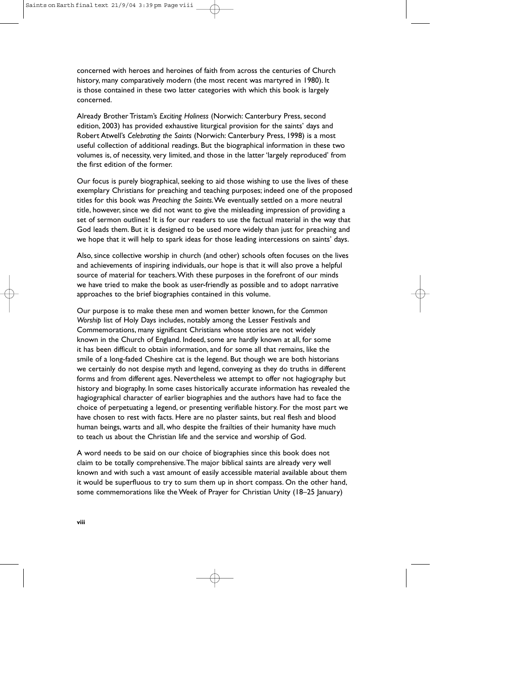concerned with heroes and heroines of faith from across the centuries of Church history, many comparatively modern (the most recent was martyred in 1980). It is those contained in these two latter categories with which this book is largely concerned.

Already Brother Tristam's *Exciting Holiness* (Norwich: Canterbury Press, second edition, 2003) has provided exhaustive liturgical provision for the saints' days and Robert Atwell's *Celebrating the Saints* (Norwich: Canterbury Press, 1998) is a most useful collection of additional readings. But the biographical information in these two volumes is, of necessity, very limited, and those in the latter 'largely reproduced' from the first edition of the former.

Our focus is purely biographical, seeking to aid those wishing to use the lives of these exemplary Christians for preaching and teaching purposes; indeed one of the proposed titles for this book was *Preaching the Saints*.We eventually settled on a more neutral title, however, since we did not want to give the misleading impression of providing a set of sermon outlines! It is for our readers to use the factual material in the way that God leads them. But it is designed to be used more widely than just for preaching and we hope that it will help to spark ideas for those leading intercessions on saints' days.

Also, since collective worship in church (and other) schools often focuses on the lives and achievements of inspiring individuals, our hope is that it will also prove a helpful source of material for teachers.With these purposes in the forefront of our minds we have tried to make the book as user-friendly as possible and to adopt narrative approaches to the brief biographies contained in this volume.

Our purpose is to make these men and women better known, for the *Common Worship* list of Holy Days includes, notably among the Lesser Festivals and Commemorations, many significant Christians whose stories are not widely known in the Church of England. Indeed, some are hardly known at all, for some it has been difficult to obtain information, and for some all that remains, like the smile of a long-faded Cheshire cat is the legend. But though we are both historians we certainly do not despise myth and legend, conveying as they do truths in different forms and from different ages. Nevertheless we attempt to offer not hagiography but history and biography. In some cases historically accurate information has revealed the hagiographical character of earlier biographies and the authors have had to face the choice of perpetuating a legend, or presenting verifiable history. For the most part we have chosen to rest with facts. Here are no plaster saints, but real flesh and blood human beings, warts and all, who despite the frailties of their humanity have much to teach us about the Christian life and the service and worship of God.

A word needs to be said on our choice of biographies since this book does not claim to be totally comprehensive.The major biblical saints are already very well known and with such a vast amount of easily accessible material available about them it would be superfluous to try to sum them up in short compass. On the other hand, some commemorations like the Week of Prayer for Christian Unity (18–25 January)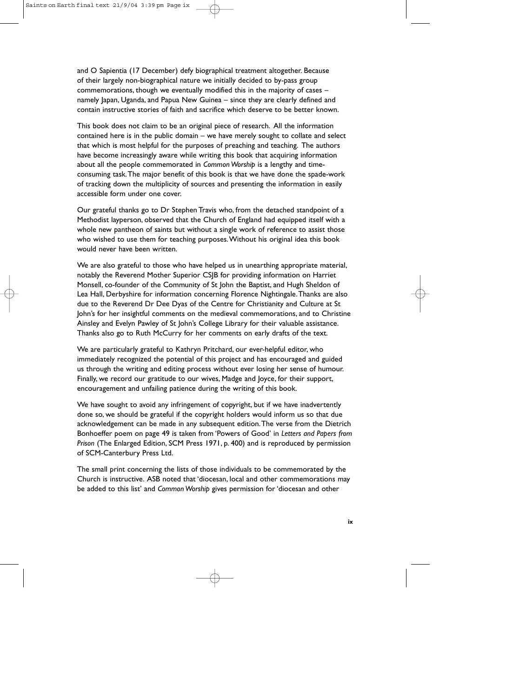and O Sapientia (17 December) defy biographical treatment altogether. Because of their largely non-biographical nature we initially decided to by-pass group commemorations, though we eventually modified this in the majority of cases – namely Japan, Uganda, and Papua New Guinea – since they are clearly defined and contain instructive stories of faith and sacrifice which deserve to be better known.

This book does not claim to be an original piece of research. All the information contained here is in the public domain – we have merely sought to collate and select that which is most helpful for the purposes of preaching and teaching. The authors have become increasingly aware while writing this book that acquiring information about all the people commemorated in *Common Worship* is a lengthy and timeconsuming task.The major benefit of this book is that we have done the spade-work of tracking down the multiplicity of sources and presenting the information in easily accessible form under one cover.

Our grateful thanks go to Dr Stephen Travis who, from the detached standpoint of a Methodist layperson, observed that the Church of England had equipped itself with a whole new pantheon of saints but without a single work of reference to assist those who wished to use them for teaching purposes.Without his original idea this book would never have been written.

We are also grateful to those who have helped us in unearthing appropriate material, notably the Reverend Mother Superior CSJB for providing information on Harriet Monsell, co-founder of the Community of St John the Baptist, and Hugh Sheldon of Lea Hall, Derbyshire for information concerning Florence Nightingale.Thanks are also due to the Reverend Dr Dee Dyas of the Centre for Christianity and Culture at St John's for her insightful comments on the medieval commemorations, and to Christine Ainsley and Evelyn Pawley of St John's College Library for their valuable assistance. Thanks also go to Ruth McCurry for her comments on early drafts of the text.

We are particularly grateful to Kathryn Pritchard, our ever-helpful editor, who immediately recognized the potential of this project and has encouraged and guided us through the writing and editing process without ever losing her sense of humour. Finally, we record our gratitude to our wives, Madge and Joyce, for their support, encouragement and unfailing patience during the writing of this book.

We have sought to avoid any infringement of copyright, but if we have inadvertently done so, we should be grateful if the copyright holders would inform us so that due acknowledgement can be made in any subsequent edition.The verse from the Dietrich Bonhoeffer poem on page 49 is taken from 'Powers of Good' in *Letters and Papers from Prison* (The Enlarged Edition, SCM Press 1971, p. 400) and is reproduced by permission of SCM-Canterbury Press Ltd.

The small print concerning the lists of those individuals to be commemorated by the Church is instructive. ASB noted that 'diocesan, local and other commemorations may be added to this list' and *Common Worship* gives permission for 'diocesan and other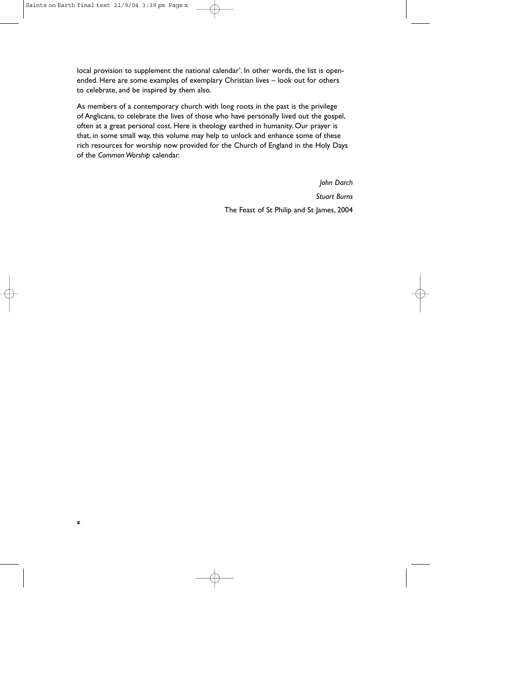local provision to supplement the national calendar'. In other words, the list is openended. Here are some examples of exemplary Christian lives – look out for others to celebrate, and be inspired by them also.

As members of a contemporary church with long roots in the past is the privilege of Anglicans, to celebrate the lives of those who have personally lived out the gospel, often at a great personal cost. Here is theology earthed in humanity. Our prayer is that, in some small way, this volume may help to unlock and enhance some of these rich resources for worship now provided for the Church of England in the Holy Days of the *Common Worship* calendar.

> *John Darch Stuart Burns* The Feast of St Philip and St James, 2004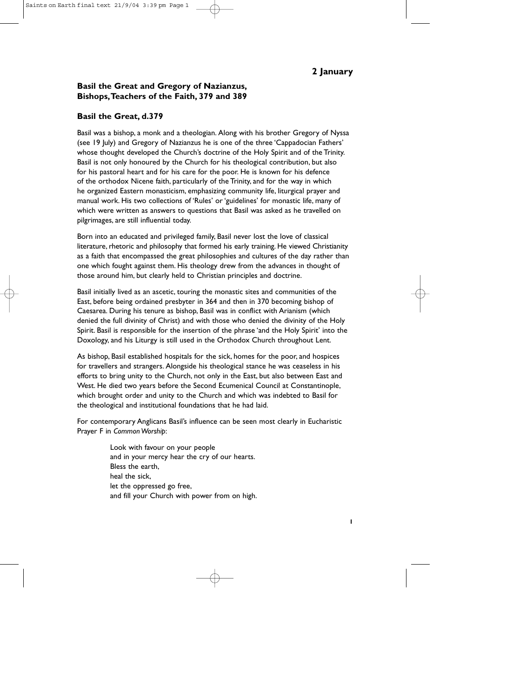#### **Basil the Great and Gregory of Nazianzus, Bishops,Teachers of the Faith, 379 and 389**

#### **Basil the Great, d.379**

Basil was a bishop, a monk and a theologian. Along with his brother Gregory of Nyssa (see 19 July) and Gregory of Nazianzus he is one of the three 'Cappadocian Fathers' whose thought developed the Church's doctrine of the Holy Spirit and of the Trinity. Basil is not only honoured by the Church for his theological contribution, but also for his pastoral heart and for his care for the poor. He is known for his defence of the orthodox Nicene faith, particularly of the Trinity, and for the way in which he organized Eastern monasticism, emphasizing community life, liturgical prayer and manual work. His two collections of 'Rules' or 'guidelines' for monastic life, many of which were written as answers to questions that Basil was asked as he travelled on pilgrimages, are still influential today.

Born into an educated and privileged family, Basil never lost the love of classical literature, rhetoric and philosophy that formed his early training. He viewed Christianity as a faith that encompassed the great philosophies and cultures of the day rather than one which fought against them. His theology drew from the advances in thought of those around him, but clearly held to Christian principles and doctrine.

Basil initially lived as an ascetic, touring the monastic sites and communities of the East, before being ordained presbyter in 364 and then in 370 becoming bishop of Caesarea. During his tenure as bishop, Basil was in conflict with Arianism (which denied the full divinity of Christ) and with those who denied the divinity of the Holy Spirit. Basil is responsible for the insertion of the phrase 'and the Holy Spirit' into the Doxology, and his Liturgy is still used in the Orthodox Church throughout Lent.

As bishop, Basil established hospitals for the sick, homes for the poor, and hospices for travellers and strangers. Alongside his theological stance he was ceaseless in his efforts to bring unity to the Church, not only in the East, but also between East and West. He died two years before the Second Ecumenical Council at Constantinople, which brought order and unity to the Church and which was indebted to Basil for the theological and institutional foundations that he had laid.

For contemporary Anglicans Basil's influence can be seen most clearly in Eucharistic Prayer F in *Common Worship*:

> Look with favour on your people and in your mercy hear the cry of our hearts. Bless the earth, heal the sick, let the oppressed go free, and fill your Church with power from on high.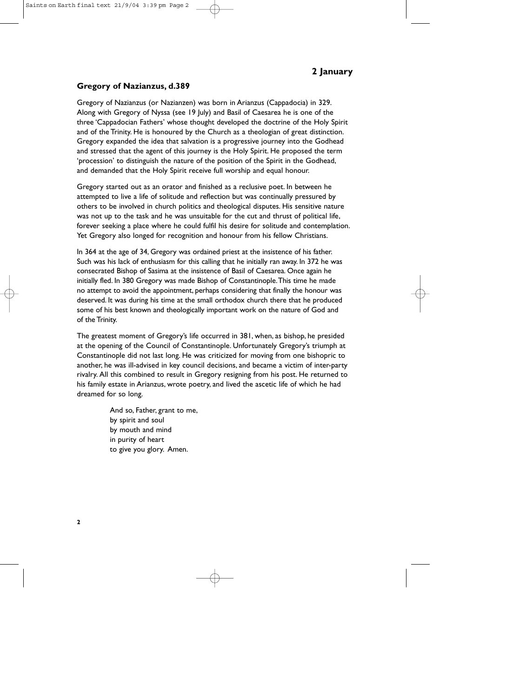#### **Gregory of Nazianzus, d.389**

Gregory of Nazianzus (or Nazianzen) was born in Arianzus (Cappadocia) in 329. Along with Gregory of Nyssa (see 19 July) and Basil of Caesarea he is one of the three 'Cappadocian Fathers' whose thought developed the doctrine of the Holy Spirit and of the Trinity. He is honoured by the Church as a theologian of great distinction. Gregory expanded the idea that salvation is a progressive journey into the Godhead and stressed that the agent of this journey is the Holy Spirit. He proposed the term 'procession' to distinguish the nature of the position of the Spirit in the Godhead, and demanded that the Holy Spirit receive full worship and equal honour.

Gregory started out as an orator and finished as a reclusive poet. In between he attempted to live a life of solitude and reflection but was continually pressured by others to be involved in church politics and theological disputes. His sensitive nature was not up to the task and he was unsuitable for the cut and thrust of political life, forever seeking a place where he could fulfil his desire for solitude and contemplation. Yet Gregory also longed for recognition and honour from his fellow Christians.

In 364 at the age of 34, Gregory was ordained priest at the insistence of his father. Such was his lack of enthusiasm for this calling that he initially ran away. In 372 he was consecrated Bishop of Sasima at the insistence of Basil of Caesarea. Once again he initially fled. In 380 Gregory was made Bishop of Constantinople.This time he made no attempt to avoid the appointment, perhaps considering that finally the honour was deserved. It was during his time at the small orthodox church there that he produced some of his best known and theologically important work on the nature of God and of the Trinity.

The greatest moment of Gregory's life occurred in 381, when, as bishop, he presided at the opening of the Council of Constantinople. Unfortunately Gregory's triumph at Constantinople did not last long. He was criticized for moving from one bishopric to another, he was ill-advised in key council decisions, and became a victim of inter-party rivalry. All this combined to result in Gregory resigning from his post. He returned to his family estate in Arianzus, wrote poetry, and lived the ascetic life of which he had dreamed for so long.

> And so, Father, grant to me, by spirit and soul by mouth and mind in purity of heart to give you glory. Amen.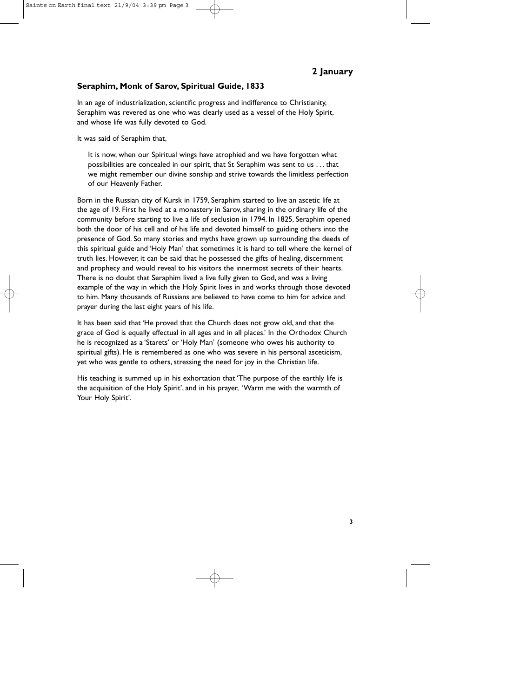#### **Seraphim, Monk of Sarov, Spiritual Guide, 1833**

In an age of industrialization, scientific progress and indifference to Christianity, Seraphim was revered as one who was clearly used as a vessel of the Holy Spirit, and whose life was fully devoted to God.

It was said of Seraphim that,

It is now, when our Spiritual wings have atrophied and we have forgotten what possibilities are concealed in our spirit, that St Seraphim was sent to us . . . that we might remember our divine sonship and strive towards the limitless perfection of our Heavenly Father.

Born in the Russian city of Kursk in 1759, Seraphim started to live an ascetic life at the age of 19. First he lived at a monastery in Sarov, sharing in the ordinary life of the community before starting to live a life of seclusion in 1794. In 1825, Seraphim opened both the door of his cell and of his life and devoted himself to guiding others into the presence of God. So many stories and myths have grown up surrounding the deeds of this spiritual guide and 'Holy Man' that sometimes it is hard to tell where the kernel of truth lies. However, it can be said that he possessed the gifts of healing, discernment and prophecy and would reveal to his visitors the innermost secrets of their hearts. There is no doubt that Seraphim lived a live fully given to God, and was a living example of the way in which the Holy Spirit lives in and works through those devoted to him. Many thousands of Russians are believed to have come to him for advice and prayer during the last eight years of his life.

It has been said that 'He proved that the Church does not grow old, and that the grace of God is equally effectual in all ages and in all places.' In the Orthodox Church he is recognized as a 'Starets' or 'Holy Man' (someone who owes his authority to spiritual gifts). He is remembered as one who was severe in his personal asceticism, yet who was gentle to others, stressing the need for joy in the Christian life.

His teaching is summed up in his exhortation that 'The purpose of the earthly life is the acquisition of the Holy Spirit', and in his prayer, 'Warm me with the warmth of Your Holy Spirit'.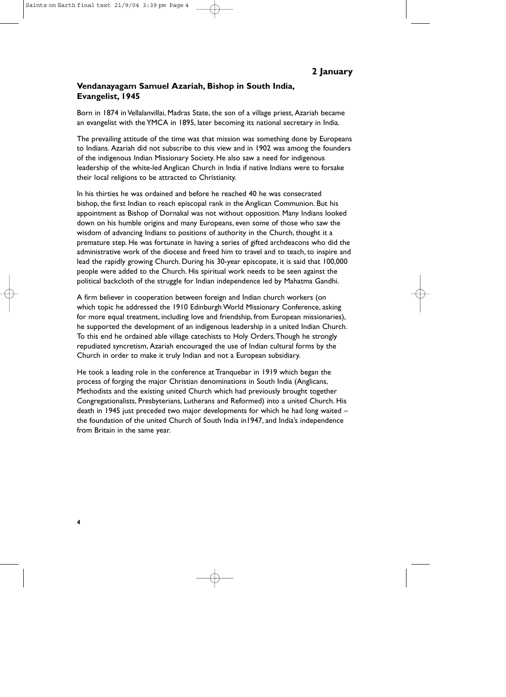#### **Vendanayagam Samuel Azariah, Bishop in South India, Evangelist, 1945**

Born in 1874 in Vellalanvillai, Madras State, the son of a village priest, Azariah became an evangelist with the YMCA in 1895, later becoming its national secretary in India.

The prevailing attitude of the time was that mission was something done by Europeans to Indians. Azariah did not subscribe to this view and in 1902 was among the founders of the indigenous Indian Missionary Society. He also saw a need for indigenous leadership of the white-led Anglican Church in India if native Indians were to forsake their local religions to be attracted to Christianity.

In his thirties he was ordained and before he reached 40 he was consecrated bishop, the first Indian to reach episcopal rank in the Anglican Communion. But his appointment as Bishop of Dornakal was not without opposition. Many Indians looked down on his humble origins and many Europeans, even some of those who saw the wisdom of advancing Indians to positions of authority in the Church, thought it a premature step. He was fortunate in having a series of gifted archdeacons who did the administrative work of the diocese and freed him to travel and to teach, to inspire and lead the rapidly growing Church. During his 30-year episcopate, it is said that 100,000 people were added to the Church. His spiritual work needs to be seen against the political backcloth of the struggle for Indian independence led by Mahatma Gandhi.

A firm believer in cooperation between foreign and Indian church workers (on which topic he addressed the 1910 Edinburgh World Missionary Conference, asking for more equal treatment, including love and friendship, from European missionaries), he supported the development of an indigenous leadership in a united Indian Church. To this end he ordained able village catechists to Holy Orders.Though he strongly repudiated syncretism, Azariah encouraged the use of Indian cultural forms by the Church in order to make it truly Indian and not a European subsidiary.

He took a leading role in the conference at Tranquebar in 1919 which began the process of forging the major Christian denominations in South India (Anglicans, Methodists and the existing united Church which had previously brought together Congregationalists, Presbyterians, Lutherans and Reformed) into a united Church. His death in 1945 just preceded two major developments for which he had long waited – the foundation of the united Church of South India in1947, and India's independence from Britain in the same year.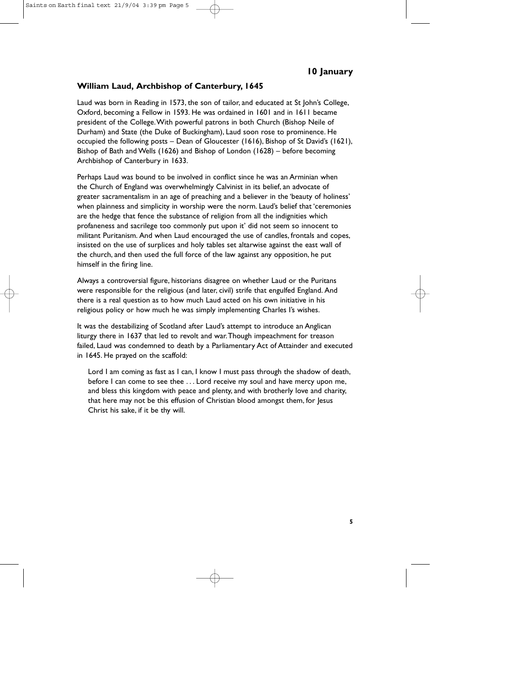#### **William Laud, Archbishop of Canterbury, 1645**

Laud was born in Reading in 1573, the son of tailor, and educated at St John's College, Oxford, becoming a Fellow in 1593. He was ordained in 1601 and in 1611 became president of the College.With powerful patrons in both Church (Bishop Neile of Durham) and State (the Duke of Buckingham), Laud soon rose to prominence. He occupied the following posts – Dean of Gloucester (1616), Bishop of St David's (1621), Bishop of Bath and Wells (1626) and Bishop of London (1628) – before becoming Archbishop of Canterbury in 1633.

Perhaps Laud was bound to be involved in conflict since he was an Arminian when the Church of England was overwhelmingly Calvinist in its belief, an advocate of greater sacramentalism in an age of preaching and a believer in the 'beauty of holiness' when plainness and simplicity in worship were the norm. Laud's belief that 'ceremonies are the hedge that fence the substance of religion from all the indignities which profaneness and sacrilege too commonly put upon it' did not seem so innocent to militant Puritanism. And when Laud encouraged the use of candles, frontals and copes, insisted on the use of surplices and holy tables set altarwise against the east wall of the church, and then used the full force of the law against any opposition, he put himself in the firing line.

Always a controversial figure, historians disagree on whether Laud or the Puritans were responsible for the religious (and later, civil) strife that engulfed England. And there is a real question as to how much Laud acted on his own initiative in his religious policy or how much he was simply implementing Charles I's wishes.

It was the destabilizing of Scotland after Laud's attempt to introduce an Anglican liturgy there in 1637 that led to revolt and war.Though impeachment for treason failed, Laud was condemned to death by a Parliamentary Act of Attainder and executed in 1645. He prayed on the scaffold:

Lord I am coming as fast as I can, I know I must pass through the shadow of death, before I can come to see thee . . . Lord receive my soul and have mercy upon me, and bless this kingdom with peace and plenty, and with brotherly love and charity, that here may not be this effusion of Christian blood amongst them, for Jesus Christ his sake, if it be thy will.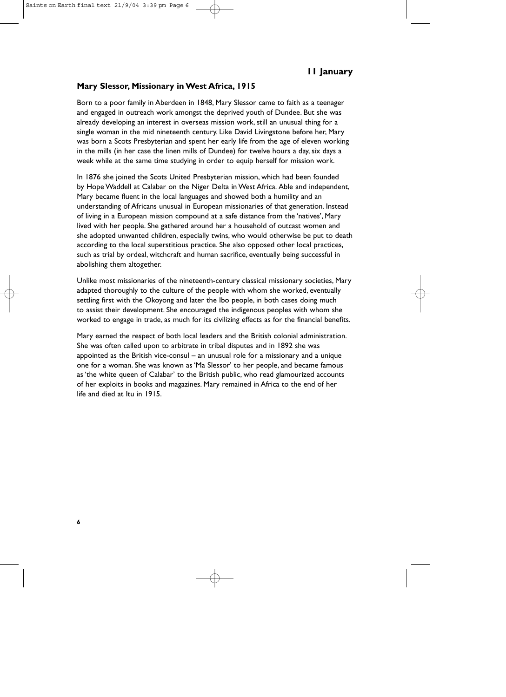#### **Mary Slessor, Missionary in West Africa, 1915**

Born to a poor family in Aberdeen in 1848, Mary Slessor came to faith as a teenager and engaged in outreach work amongst the deprived youth of Dundee. But she was already developing an interest in overseas mission work, still an unusual thing for a single woman in the mid nineteenth century. Like David Livingstone before her, Mary was born a Scots Presbyterian and spent her early life from the age of eleven working in the mills (in her case the linen mills of Dundee) for twelve hours a day, six days a week while at the same time studying in order to equip herself for mission work.

In 1876 she joined the Scots United Presbyterian mission, which had been founded by Hope Waddell at Calabar on the Niger Delta in West Africa. Able and independent, Mary became fluent in the local languages and showed both a humility and an understanding of Africans unusual in European missionaries of that generation. Instead of living in a European mission compound at a safe distance from the 'natives', Mary lived with her people. She gathered around her a household of outcast women and she adopted unwanted children, especially twins, who would otherwise be put to death according to the local superstitious practice. She also opposed other local practices, such as trial by ordeal, witchcraft and human sacrifice, eventually being successful in abolishing them altogether.

Unlike most missionaries of the nineteenth-century classical missionary societies, Mary adapted thoroughly to the culture of the people with whom she worked, eventually settling first with the Okoyong and later the Ibo people, in both cases doing much to assist their development. She encouraged the indigenous peoples with whom she worked to engage in trade, as much for its civilizing effects as for the financial benefits.

Mary earned the respect of both local leaders and the British colonial administration. She was often called upon to arbitrate in tribal disputes and in 1892 she was appointed as the British vice-consul – an unusual role for a missionary and a unique one for a woman. She was known as 'Ma Slessor' to her people, and became famous as 'the white queen of Calabar' to the British public, who read glamourized accounts of her exploits in books and magazines. Mary remained in Africa to the end of her life and died at Itu in 1915.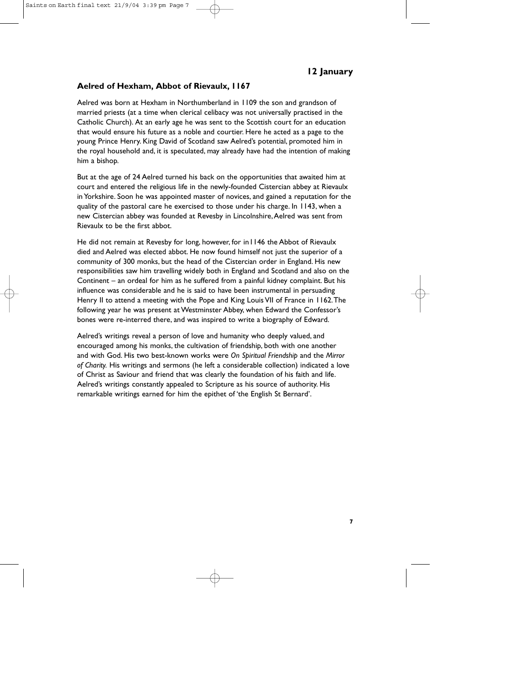#### **Aelred of Hexham, Abbot of Rievaulx, 1167**

Aelred was born at Hexham in Northumberland in 1109 the son and grandson of married priests (at a time when clerical celibacy was not universally practised in the Catholic Church). At an early age he was sent to the Scottish court for an education that would ensure his future as a noble and courtier. Here he acted as a page to the young Prince Henry. King David of Scotland saw Aelred's potential, promoted him in the royal household and, it is speculated, may already have had the intention of making him a bishop.

But at the age of 24 Aelred turned his back on the opportunities that awaited him at court and entered the religious life in the newly-founded Cistercian abbey at Rievaulx in Yorkshire. Soon he was appointed master of novices, and gained a reputation for the quality of the pastoral care he exercised to those under his charge. In 1143, when a new Cistercian abbey was founded at Revesby in Lincolnshire,Aelred was sent from Rievaulx to be the first abbot.

He did not remain at Revesby for long, however, for in1146 the Abbot of Rievaulx died and Aelred was elected abbot. He now found himself not just the superior of a community of 300 monks, but the head of the Cistercian order in England. His new responsibilities saw him travelling widely both in England and Scotland and also on the Continent – an ordeal for him as he suffered from a painful kidney complaint. But his influence was considerable and he is said to have been instrumental in persuading Henry II to attend a meeting with the Pope and King Louis VII of France in 1162.The following year he was present at Westminster Abbey, when Edward the Confessor's bones were re-interred there, and was inspired to write a biography of Edward.

Aelred's writings reveal a person of love and humanity who deeply valued, and encouraged among his monks, the cultivation of friendship, both with one another and with God. His two best-known works were *On Spiritual Friendship* and the *Mirror of Charity.* His writings and sermons (he left a considerable collection) indicated a love of Christ as Saviour and friend that was clearly the foundation of his faith and life. Aelred's writings constantly appealed to Scripture as his source of authority. His remarkable writings earned for him the epithet of 'the English St Bernard'.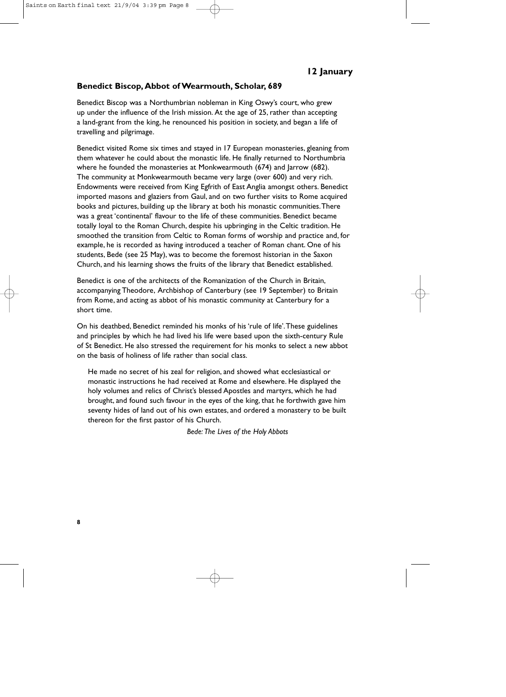#### **Benedict Biscop, Abbot of Wearmouth, Scholar, 689**

Benedict Biscop was a Northumbrian nobleman in King Oswy's court, who grew up under the influence of the Irish mission. At the age of 25, rather than accepting a land-grant from the king, he renounced his position in society, and began a life of travelling and pilgrimage.

Benedict visited Rome six times and stayed in 17 European monasteries, gleaning from them whatever he could about the monastic life. He finally returned to Northumbria where he founded the monasteries at Monkwearmouth (674) and Jarrow (682). The community at Monkwearmouth became very large (over 600) and very rich. Endowments were received from King Egfrith of East Anglia amongst others. Benedict imported masons and glaziers from Gaul, and on two further visits to Rome acquired books and pictures, building up the library at both his monastic communities.There was a great 'continental' flavour to the life of these communities. Benedict became totally loyal to the Roman Church, despite his upbringing in the Celtic tradition. He smoothed the transition from Celtic to Roman forms of worship and practice and, for example, he is recorded as having introduced a teacher of Roman chant. One of his students, Bede (see 25 May), was to become the foremost historian in the Saxon Church, and his learning shows the fruits of the library that Benedict established.

Benedict is one of the architects of the Romanization of the Church in Britain, accompanying Theodore, Archbishop of Canterbury (see 19 September) to Britain from Rome, and acting as abbot of his monastic community at Canterbury for a short time.

On his deathbed, Benedict reminded his monks of his 'rule of life'.These guidelines and principles by which he had lived his life were based upon the sixth-century Rule of St Benedict. He also stressed the requirement for his monks to select a new abbot on the basis of holiness of life rather than social class.

He made no secret of his zeal for religion, and showed what ecclesiastical or monastic instructions he had received at Rome and elsewhere. He displayed the holy volumes and relics of Christ's blessed Apostles and martyrs, which he had brought, and found such favour in the eyes of the king, that he forthwith gave him seventy hides of land out of his own estates, and ordered a monastery to be built thereon for the first pastor of his Church.

*Bede: The Lives of the Holy Abbots*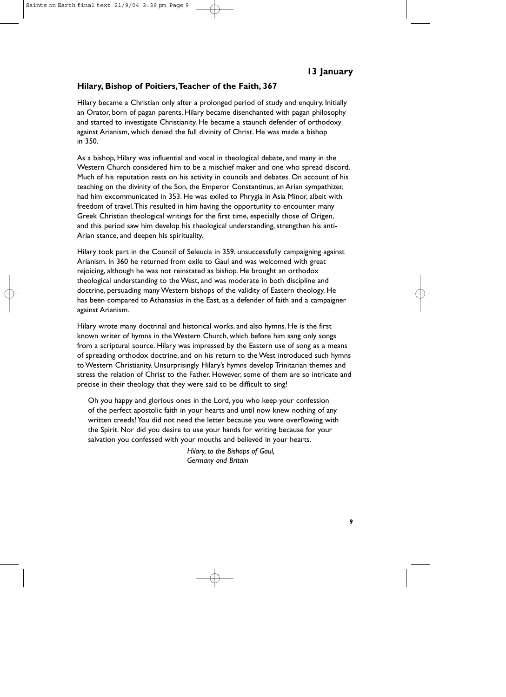# **Hilary, Bishop of Poitiers,Teacher of the Faith, 367**

Hilary became a Christian only after a prolonged period of study and enquiry. Initially an Orator, born of pagan parents, Hilary became disenchanted with pagan philosophy and started to investigate Christianity. He became a staunch defender of orthodoxy against Arianism, which denied the full divinity of Christ. He was made a bishop in 350.

As a bishop, Hilary was influential and vocal in theological debate, and many in the Western Church considered him to be a mischief maker and one who spread discord. Much of his reputation rests on his activity in councils and debates. On account of his teaching on the divinity of the Son, the Emperor Constantinus, an Arian sympathizer, had him excommunicated in 353. He was exiled to Phrygia in Asia Minor, albeit with freedom of travel.This resulted in him having the opportunity to encounter many Greek Christian theological writings for the first time, especially those of Origen, and this period saw him develop his theological understanding, strengthen his anti-Arian stance, and deepen his spirituality.

Hilary took part in the Council of Seleucia in 359, unsuccessfully campaigning against Arianism. In 360 he returned from exile to Gaul and was welcomed with great rejoicing, although he was not reinstated as bishop. He brought an orthodox theological understanding to the West, and was moderate in both discipline and doctrine, persuading many Western bishops of the validity of Eastern theology. He has been compared to Athanasius in the East, as a defender of faith and a campaigner against Arianism.

Hilary wrote many doctrinal and historical works, and also hymns. He is the first known writer of hymns in the Western Church, which before him sang only songs from a scriptural source. Hilary was impressed by the Eastern use of song as a means of spreading orthodox doctrine, and on his return to the West introduced such hymns to Western Christianity. Unsurprisingly Hilary's hymns develop Trinitarian themes and stress the relation of Christ to the Father. However, some of them are so intricate and precise in their theology that they were said to be difficult to sing!

Oh you happy and glorious ones in the Lord, you who keep your confession of the perfect apostolic faith in your hearts and until now knew nothing of any written creeds! You did not need the letter because you were overflowing with the Spirit. Nor did you desire to use your hands for writing because for your salvation you confessed with your mouths and believed in your hearts.

> *Hilary, to the Bishops of Gaul, Germany and Britain*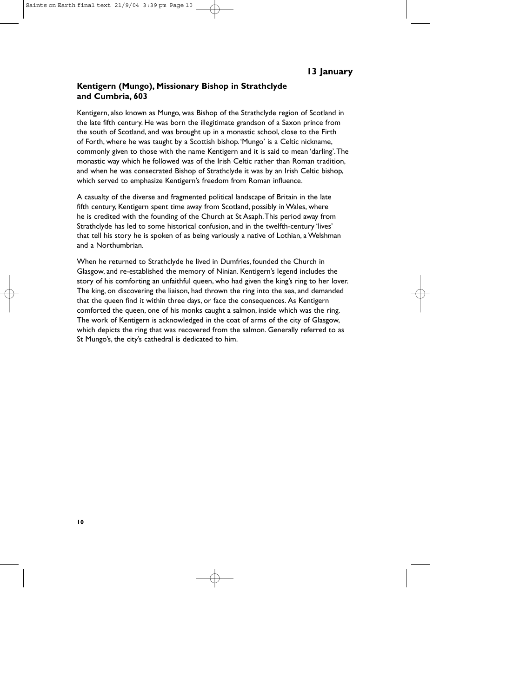## **Kentigern (Mungo), Missionary Bishop in Strathclyde and Cumbria, 603**

Kentigern, also known as Mungo, was Bishop of the Strathclyde region of Scotland in the late fifth century. He was born the illegitimate grandson of a Saxon prince from the south of Scotland, and was brought up in a monastic school, close to the Firth of Forth, where he was taught by a Scottish bishop.'Mungo' is a Celtic nickname, commonly given to those with the name Kentigern and it is said to mean 'darling'.The monastic way which he followed was of the Irish Celtic rather than Roman tradition, and when he was consecrated Bishop of Strathclyde it was by an Irish Celtic bishop, which served to emphasize Kentigern's freedom from Roman influence.

A casualty of the diverse and fragmented political landscape of Britain in the late fifth century, Kentigern spent time away from Scotland, possibly in Wales, where he is credited with the founding of the Church at St Asaph.This period away from Strathclyde has led to some historical confusion, and in the twelfth-century 'lives' that tell his story he is spoken of as being variously a native of Lothian, a Welshman and a Northumbrian.

When he returned to Strathclyde he lived in Dumfries, founded the Church in Glasgow, and re-established the memory of Ninian. Kentigern's legend includes the story of his comforting an unfaithful queen, who had given the king's ring to her lover. The king, on discovering the liaison, had thrown the ring into the sea, and demanded that the queen find it within three days, or face the consequences. As Kentigern comforted the queen, one of his monks caught a salmon, inside which was the ring. The work of Kentigern is acknowledged in the coat of arms of the city of Glasgow, which depicts the ring that was recovered from the salmon. Generally referred to as St Mungo's, the city's cathedral is dedicated to him.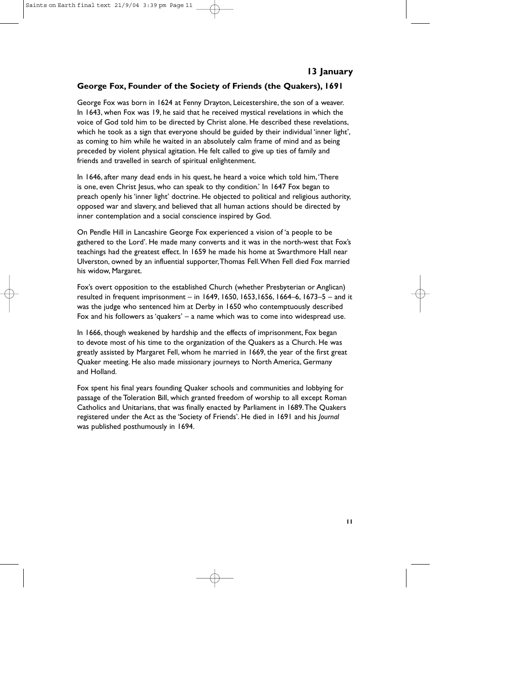# **George Fox, Founder of the Society of Friends (the Quakers), 1691**

George Fox was born in 1624 at Fenny Drayton, Leicestershire, the son of a weaver. In 1643, when Fox was 19, he said that he received mystical revelations in which the voice of God told him to be directed by Christ alone. He described these revelations, which he took as a sign that everyone should be guided by their individual 'inner light', as coming to him while he waited in an absolutely calm frame of mind and as being preceded by violent physical agitation. He felt called to give up ties of family and friends and travelled in search of spiritual enlightenment.

In 1646, after many dead ends in his quest, he heard a voice which told him,'There is one, even Christ Jesus, who can speak to thy condition.' In 1647 Fox began to preach openly his 'inner light' doctrine. He objected to political and religious authority, opposed war and slavery, and believed that all human actions should be directed by inner contemplation and a social conscience inspired by God.

On Pendle Hill in Lancashire George Fox experienced a vision of 'a people to be gathered to the Lord'. He made many converts and it was in the north-west that Fox's teachings had the greatest effect. In 1659 he made his home at Swarthmore Hall near Ulverston, owned by an influential supporter,Thomas Fell.When Fell died Fox married his widow, Margaret.

Fox's overt opposition to the established Church (whether Presbyterian or Anglican) resulted in frequent imprisonment – in 1649, 1650, 1653,1656, 1664–6, 1673–5 – and it was the judge who sentenced him at Derby in 1650 who contemptuously described Fox and his followers as 'quakers' – a name which was to come into widespread use.

In 1666, though weakened by hardship and the effects of imprisonment, Fox began to devote most of his time to the organization of the Quakers as a Church. He was greatly assisted by Margaret Fell, whom he married in 1669, the year of the first great Quaker meeting. He also made missionary journeys to North America, Germany and Holland.

Fox spent his final years founding Quaker schools and communities and lobbying for passage of the Toleration Bill, which granted freedom of worship to all except Roman Catholics and Unitarians, that was finally enacted by Parliament in 1689.The Quakers registered under the Act as the 'Society of Friends'. He died in 1691 and his *Journal* was published posthumously in 1694.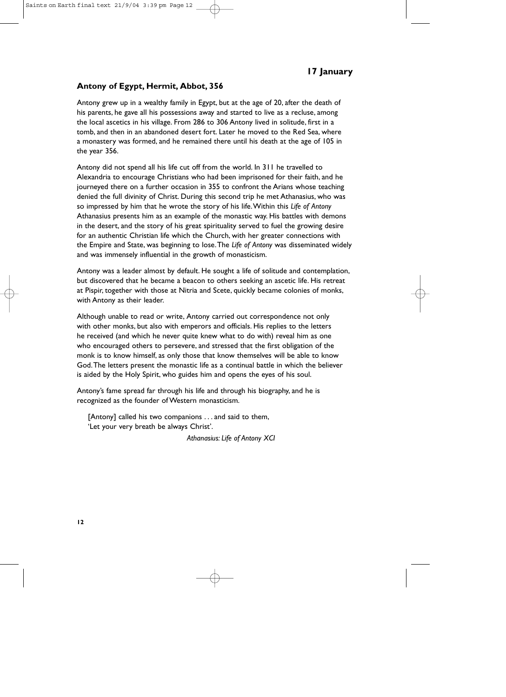#### **Antony of Egypt, Hermit, Abbot, 356**

Antony grew up in a wealthy family in Egypt, but at the age of 20, after the death of his parents, he gave all his possessions away and started to live as a recluse, among the local ascetics in his village. From 286 to 306 Antony lived in solitude, first in a tomb, and then in an abandoned desert fort. Later he moved to the Red Sea, where a monastery was formed, and he remained there until his death at the age of 105 in the year 356.

Antony did not spend all his life cut off from the world. In 311 he travelled to Alexandria to encourage Christians who had been imprisoned for their faith, and he journeyed there on a further occasion in 355 to confront the Arians whose teaching denied the full divinity of Christ. During this second trip he met Athanasius, who was so impressed by him that he wrote the story of his life.Within this *Life of Antony* Athanasius presents him as an example of the monastic way. His battles with demons in the desert, and the story of his great spirituality served to fuel the growing desire for an authentic Christian life which the Church, with her greater connections with the Empire and State, was beginning to lose.The *Life of Antony* was disseminated widely and was immensely influential in the growth of monasticism.

Antony was a leader almost by default. He sought a life of solitude and contemplation, but discovered that he became a beacon to others seeking an ascetic life. His retreat at Pispir, together with those at Nitria and Scete, quickly became colonies of monks, with Antony as their leader.

Although unable to read or write, Antony carried out correspondence not only with other monks, but also with emperors and officials. His replies to the letters he received (and which he never quite knew what to do with) reveal him as one who encouraged others to persevere, and stressed that the first obligation of the monk is to know himself, as only those that know themselves will be able to know God.The letters present the monastic life as a continual battle in which the believer is aided by the Holy Spirit, who guides him and opens the eyes of his soul.

Antony's fame spread far through his life and through his biography, and he is recognized as the founder of Western monasticism.

[Antony] called his two companions . . . and said to them, 'Let your very breath be always Christ'.

*Athanasius: Life of Antony XCI*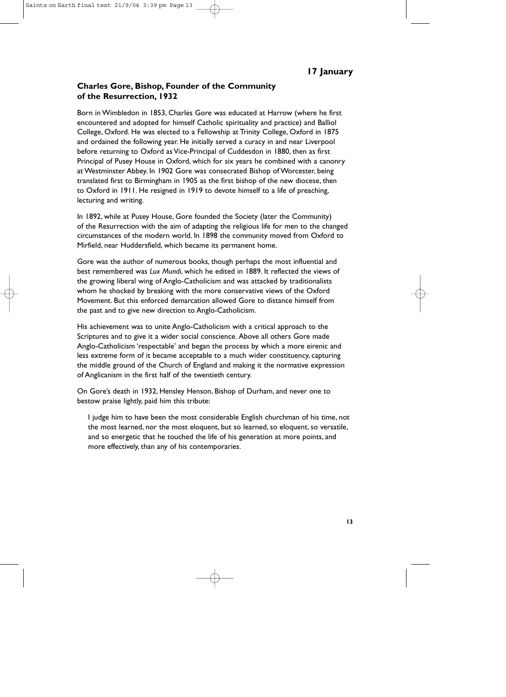# **Charles Gore, Bishop, Founder of the Community of the Resurrection, 1932**

Born in Wimbledon in 1853, Charles Gore was educated at Harrow (where he first encountered and adopted for himself Catholic spirituality and practice) and Balliol College, Oxford. He was elected to a Fellowship at Trinity College, Oxford in 1875 and ordained the following year. He initially served a curacy in and near Liverpool before returning to Oxford as Vice-Principal of Cuddesdon in 1880, then as first Principal of Pusey House in Oxford, which for six years he combined with a canonry at Westminster Abbey. In 1902 Gore was consecrated Bishop of Worcester, being translated first to Birmingham in 1905 as the first bishop of the new diocese, then to Oxford in 1911. He resigned in 1919 to devote himself to a life of preaching, lecturing and writing.

In 1892, while at Pusey House, Gore founded the Society (later the Community) of the Resurrection with the aim of adapting the religious life for men to the changed circumstances of the modern world. In 1898 the community moved from Oxford to Mirfield, near Huddersfield, which became its permanent home.

Gore was the author of numerous books, though perhaps the most influential and best remembered was *Lux Mundi*, which he edited in 1889. It reflected the views of the growing liberal wing of Anglo-Catholicism and was attacked by traditionalists whom he shocked by breaking with the more conservative views of the Oxford Movement. But this enforced demarcation allowed Gore to distance himself from the past and to give new direction to Anglo-Catholicism.

His achievement was to unite Anglo-Catholicism with a critical approach to the Scriptures and to give it a wider social conscience. Above all others Gore made Anglo-Catholicism 'respectable' and began the process by which a more eirenic and less extreme form of it became acceptable to a much wider constituency, capturing the middle ground of the Church of England and making it the normative expression of Anglicanism in the first half of the twentieth century.

On Gore's death in 1932, Hensley Henson, Bishop of Durham, and never one to bestow praise lightly, paid him this tribute:

I judge him to have been the most considerable English churchman of his time, not the most learned, nor the most eloquent, but so learned, so eloquent, so versatile, and so energetic that he touched the life of his generation at more points, and more effectively, than any of his contemporaries.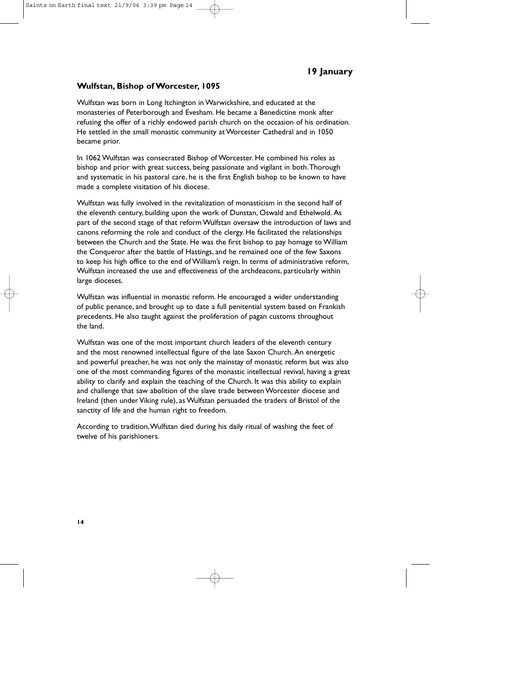#### **Wulfstan, Bishop of Worcester, 1095**

Wulfstan was born in Long Itchington in Warwickshire, and educated at the monasteries of Peterborough and Evesham. He became a Benedictine monk after refusing the offer of a richly endowed parish church on the occasion of his ordination. He settled in the small monastic community at Worcester Cathedral and in 1050 became prior.

In 1062 Wulfstan was consecrated Bishop of Worcester. He combined his roles as bishop and prior with great success, being passionate and vigilant in both.Thorough and systematic in his pastoral care, he is the first English bishop to be known to have made a complete visitation of his diocese.

Wulfstan was fully involved in the revitalization of monasticism in the second half of the eleventh century, building upon the work of Dunstan, Oswald and Ethelwold. As part of the second stage of that reform Wulfstan oversaw the introduction of laws and canons reforming the role and conduct of the clergy. He facilitated the relationships between the Church and the State. He was the first bishop to pay homage to William the Conqueror after the battle of Hastings, and he remained one of the few Saxons to keep his high office to the end of William's reign. In terms of administrative reform, Wulfstan increased the use and effectiveness of the archdeacons, particularly within large dioceses.

Wulfstan was influential in monastic reform. He encouraged a wider understanding of public penance, and brought up to date a full penitential system based on Frankish precedents. He also taught against the proliferation of pagan customs throughout the land.

Wulfstan was one of the most important church leaders of the eleventh century and the most renowned intellectual figure of the late Saxon Church. An energetic and powerful preacher, he was not only the mainstay of monastic reform but was also one of the most commanding figures of the monastic intellectual revival, having a great ability to clarify and explain the teaching of the Church. It was this ability to explain and challenge that saw abolition of the slave trade between Worcester diocese and Ireland (then under Viking rule), as Wulfstan persuaded the traders of Bristol of the sanctity of life and the human right to freedom.

According to tradition,Wulfstan died during his daily ritual of washing the feet of twelve of his parishioners.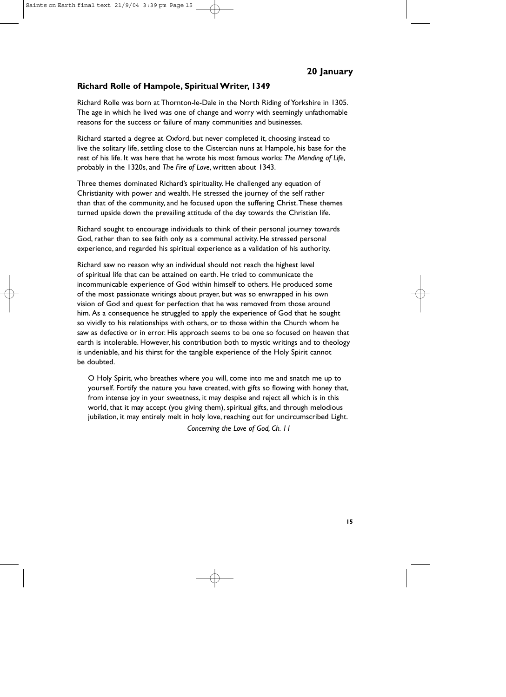### **Richard Rolle of Hampole, Spiritual Writer, 1349**

Richard Rolle was born at Thornton-le-Dale in the North Riding of Yorkshire in 1305. The age in which he lived was one of change and worry with seemingly unfathomable reasons for the success or failure of many communities and businesses.

Richard started a degree at Oxford, but never completed it, choosing instead to live the solitary life, settling close to the Cistercian nuns at Hampole, his base for the rest of his life. It was here that he wrote his most famous works: *The Mending of Life*, probably in the 1320s, and *The Fire of Love*, written about 1343.

Three themes dominated Richard's spirituality. He challenged any equation of Christianity with power and wealth. He stressed the journey of the self rather than that of the community, and he focused upon the suffering Christ.These themes turned upside down the prevailing attitude of the day towards the Christian life.

Richard sought to encourage individuals to think of their personal journey towards God, rather than to see faith only as a communal activity. He stressed personal experience, and regarded his spiritual experience as a validation of his authority.

Richard saw no reason why an individual should not reach the highest level of spiritual life that can be attained on earth. He tried to communicate the incommunicable experience of God within himself to others. He produced some of the most passionate writings about prayer, but was so enwrapped in his own vision of God and quest for perfection that he was removed from those around him. As a consequence he struggled to apply the experience of God that he sought so vividly to his relationships with others, or to those within the Church whom he saw as defective or in error. His approach seems to be one so focused on heaven that earth is intolerable. However, his contribution both to mystic writings and to theology is undeniable, and his thirst for the tangible experience of the Holy Spirit cannot be doubted.

O Holy Spirit, who breathes where you will, come into me and snatch me up to yourself. Fortify the nature you have created, with gifts so flowing with honey that, from intense joy in your sweetness, it may despise and reject all which is in this world, that it may accept (you giving them), spiritual gifts, and through melodious jubilation, it may entirely melt in holy love, reaching out for uncircumscribed Light. *Concerning the Love of God, Ch. 11*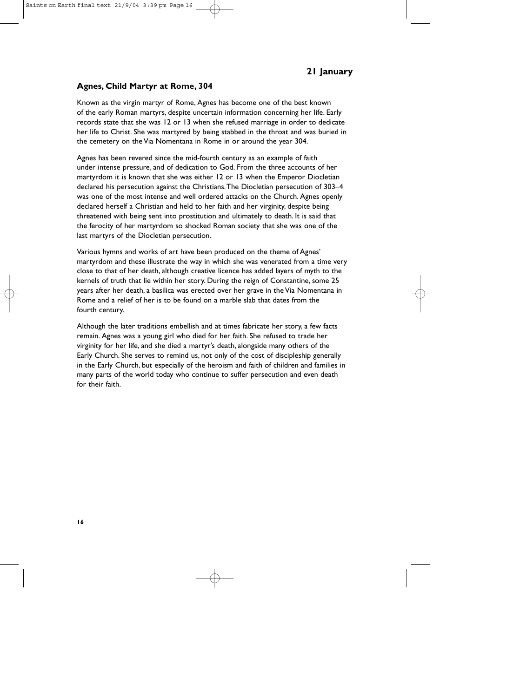#### **Agnes, Child Martyr at Rome, 304**

Known as the virgin martyr of Rome, Agnes has become one of the best known of the early Roman martyrs, despite uncertain information concerning her life. Early records state that she was 12 or 13 when she refused marriage in order to dedicate her life to Christ. She was martyred by being stabbed in the throat and was buried in the cemetery on the Via Nomentana in Rome in or around the year 304.

Agnes has been revered since the mid-fourth century as an example of faith under intense pressure, and of dedication to God. From the three accounts of her martyrdom it is known that she was either 12 or 13 when the Emperor Diocletian declared his persecution against the Christians.The Diocletian persecution of 303–4 was one of the most intense and well ordered attacks on the Church. Agnes openly declared herself a Christian and held to her faith and her virginity, despite being threatened with being sent into prostitution and ultimately to death. It is said that the ferocity of her martyrdom so shocked Roman society that she was one of the last martyrs of the Diocletian persecution.

Various hymns and works of art have been produced on the theme of Agnes' martyrdom and these illustrate the way in which she was venerated from a time very close to that of her death, although creative licence has added layers of myth to the kernels of truth that lie within her story. During the reign of Constantine, some 25 years after her death, a basilica was erected over her grave in the Via Nomentana in Rome and a relief of her is to be found on a marble slab that dates from the fourth century.

Although the later traditions embellish and at times fabricate her story, a few facts remain. Agnes was a young girl who died for her faith. She refused to trade her virginity for her life, and she died a martyr's death, alongside many others of the Early Church. She serves to remind us, not only of the cost of discipleship generally in the Early Church, but especially of the heroism and faith of children and families in many parts of the world today who continue to suffer persecution and even death for their faith.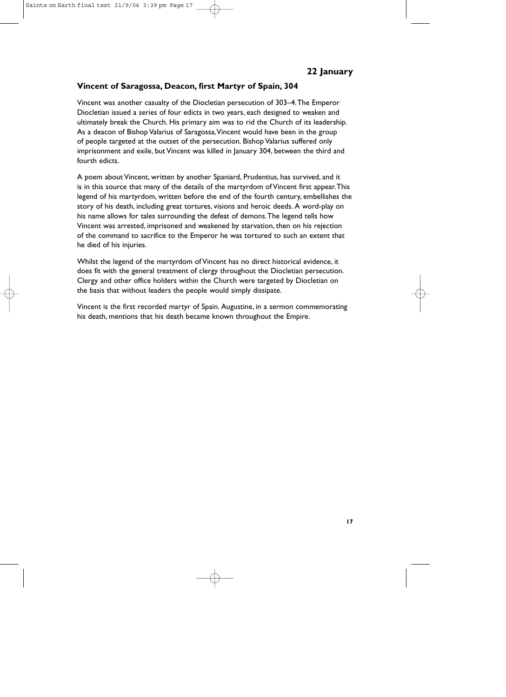#### **Vincent of Saragossa, Deacon, first Martyr of Spain, 304**

Vincent was another casualty of the Diocletian persecution of 303–4.The Emperor Diocletian issued a series of four edicts in two years, each designed to weaken and ultimately break the Church. His primary aim was to rid the Church of its leadership. As a deacon of Bishop Valarius of Saragossa,Vincent would have been in the group of people targeted at the outset of the persecution. Bishop Valarius suffered only imprisonment and exile, but Vincent was killed in January 304, between the third and fourth edicts.

A poem about Vincent, written by another Spaniard, Prudentius, has survived, and it is in this source that many of the details of the martyrdom of Vincent first appear.This legend of his martyrdom, written before the end of the fourth century, embellishes the story of his death, including great tortures, visions and heroic deeds. A word-play on his name allows for tales surrounding the defeat of demons.The legend tells how Vincent was arrested, imprisoned and weakened by starvation, then on his rejection of the command to sacrifice to the Emperor he was tortured to such an extent that he died of his injuries.

Whilst the legend of the martyrdom of Vincent has no direct historical evidence, it does fit with the general treatment of clergy throughout the Diocletian persecution. Clergy and other office holders within the Church were targeted by Diocletian on the basis that without leaders the people would simply dissipate.

Vincent is the first recorded martyr of Spain. Augustine, in a sermon commemorating his death, mentions that his death became known throughout the Empire.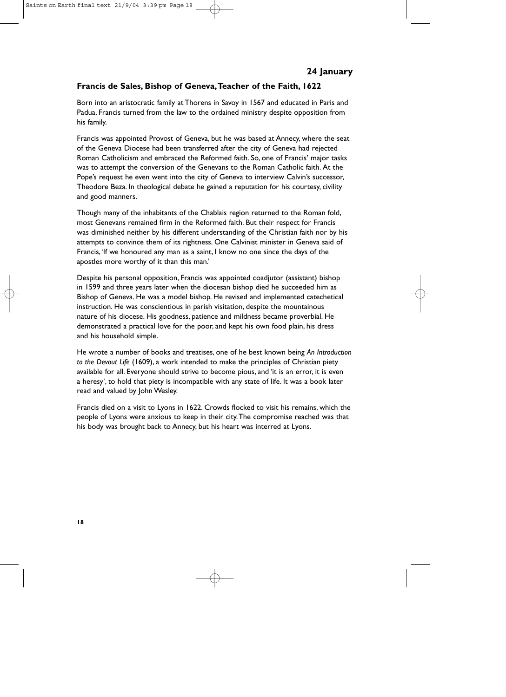# **Francis de Sales, Bishop of Geneva,Teacher of the Faith, 1622**

Born into an aristocratic family at Thorens in Savoy in 1567 and educated in Paris and Padua, Francis turned from the law to the ordained ministry despite opposition from his family.

Francis was appointed Provost of Geneva, but he was based at Annecy, where the seat of the Geneva Diocese had been transferred after the city of Geneva had rejected Roman Catholicism and embraced the Reformed faith. So, one of Francis' major tasks was to attempt the conversion of the Genevans to the Roman Catholic faith. At the Pope's request he even went into the city of Geneva to interview Calvin's successor, Theodore Beza. In theological debate he gained a reputation for his courtesy, civility and good manners.

Though many of the inhabitants of the Chablais region returned to the Roman fold, most Genevans remained firm in the Reformed faith. But their respect for Francis was diminished neither by his different understanding of the Christian faith nor by his attempts to convince them of its rightness. One Calvinist minister in Geneva said of Francis, 'If we honoured any man as a saint, I know no one since the days of the apostles more worthy of it than this man.'

Despite his personal opposition, Francis was appointed coadjutor (assistant) bishop in 1599 and three years later when the diocesan bishop died he succeeded him as Bishop of Geneva. He was a model bishop. He revised and implemented catechetical instruction. He was conscientious in parish visitation, despite the mountainous nature of his diocese. His goodness, patience and mildness became proverbial. He demonstrated a practical love for the poor, and kept his own food plain, his dress and his household simple.

He wrote a number of books and treatises, one of he best known being *An Introduction to the Devout Life* (1609), a work intended to make the principles of Christian piety available for all. Everyone should strive to become pious, and 'it is an error, it is even a heresy', to hold that piety is incompatible with any state of life. It was a book later read and valued by John Wesley.

Francis died on a visit to Lyons in 1622. Crowds flocked to visit his remains, which the people of Lyons were anxious to keep in their city.The compromise reached was that his body was brought back to Annecy, but his heart was interred at Lyons.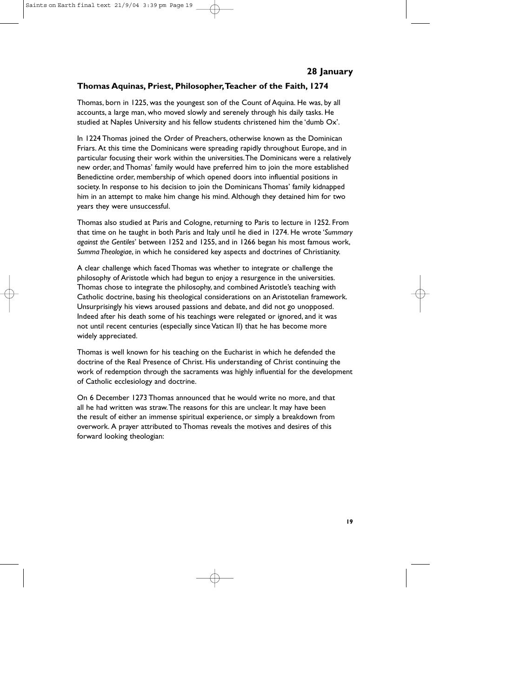# **Thomas Aquinas, Priest, Philosopher,Teacher of the Faith, 1274**

Thomas, born in 1225, was the youngest son of the Count of Aquina. He was, by all accounts, a large man, who moved slowly and serenely through his daily tasks. He studied at Naples University and his fellow students christened him the 'dumb Ox'.

In 1224 Thomas joined the Order of Preachers, otherwise known as the Dominican Friars. At this time the Dominicans were spreading rapidly throughout Europe, and in particular focusing their work within the universities.The Dominicans were a relatively new order, and Thomas' family would have preferred him to join the more established Benedictine order, membership of which opened doors into influential positions in society. In response to his decision to join the Dominicans Thomas' family kidnapped him in an attempt to make him change his mind. Although they detained him for two years they were unsuccessful.

Thomas also studied at Paris and Cologne, returning to Paris to lecture in 1252. From that time on he taught in both Paris and Italy until he died in 1274. He wrote '*Summary against the Gentiles*' between 1252 and 1255, and in 1266 began his most famous work, *Summa Theologiae*, in which he considered key aspects and doctrines of Christianity.

A clear challenge which faced Thomas was whether to integrate or challenge the philosophy of Aristotle which had begun to enjoy a resurgence in the universities. Thomas chose to integrate the philosophy, and combined Aristotle's teaching with Catholic doctrine, basing his theological considerations on an Aristotelian framework. Unsurprisingly his views aroused passions and debate, and did not go unopposed. Indeed after his death some of his teachings were relegated or ignored, and it was not until recent centuries (especially since Vatican II) that he has become more widely appreciated.

Thomas is well known for his teaching on the Eucharist in which he defended the doctrine of the Real Presence of Christ. His understanding of Christ continuing the work of redemption through the sacraments was highly influential for the development of Catholic ecclesiology and doctrine.

On 6 December 1273 Thomas announced that he would write no more, and that all he had written was straw.The reasons for this are unclear. It may have been the result of either an immense spiritual experience, or simply a breakdown from overwork. A prayer attributed to Thomas reveals the motives and desires of this forward looking theologian: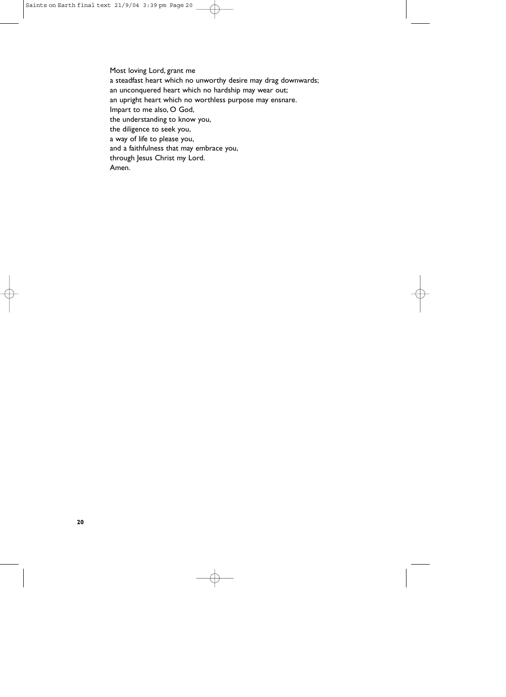Most loving Lord, grant me a steadfast heart which no unworthy desire may drag downwards; an unconquered heart which no hardship may wear out; an upright heart which no worthless purpose may ensnare. Impart to me also, O God, the understanding to know you, the diligence to seek you, a way of life to please you, and a faithfulness that may embrace you, through Jesus Christ my Lord. Amen.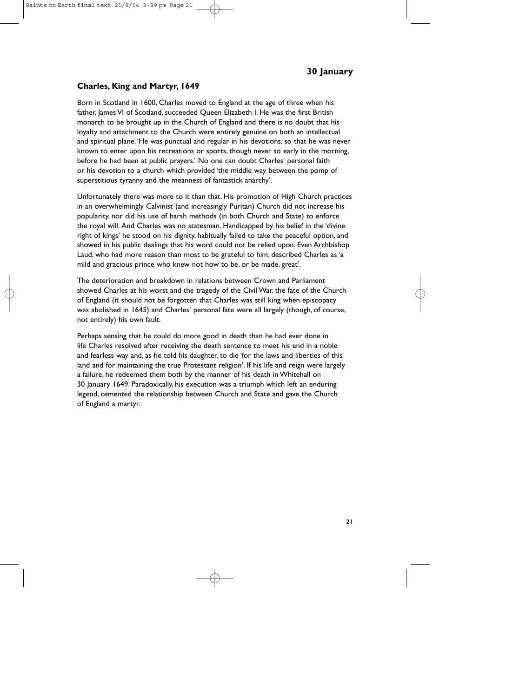#### **Charles, King and Martyr, 1649**

Born in Scotland in 1600, Charles moved to England at the age of three when his father, James VI of Scotland, succeeded Queen Elizabeth I. He was the first British monarch to be brought up in the Church of England and there is no doubt that his loyalty and attachment to the Church were entirely genuine on both an intellectual and spiritual plane.'He was punctual and regular in his devotions, so that he was never known to enter upon his recreations or sports, though never so early in the morning, before he had been at public prayers.' No one can doubt Charles' personal faith or his devotion to a church which provided 'the middle way between the pomp of superstitious tyranny and the meanness of fantastick anarchy'.

Unfortunately there was more to it than that. His promotion of High Church practices in an overwhelmingly Calvinist (and increasingly Puritan) Church did not increase his popularity, nor did his use of harsh methods (in both Church and State) to enforce the royal will. And Charles was no statesman. Handicapped by his belief in the 'divine right of kings' he stood on his dignity, habitually failed to take the peaceful option, and showed in his public dealings that his word could not be relied upon. Even Archbishop Laud, who had more reason than most to be grateful to him, described Charles as 'a mild and gracious prince who knew not how to be, or be made, great'.

The deterioration and breakdown in relations between Crown and Parliament showed Charles at his worst and the tragedy of the Civil War, the fate of the Church of England (it should not be forgotten that Charles was still king when episcopacy was abolished in 1645) and Charles' personal fate were all largely (though, of course, not entirely) his own fault.

Perhaps sensing that he could do more good in death than he had ever done in life Charles resolved after receiving the death sentence to meet his end in a noble and fearless way and, as he told his daughter, to die 'for the laws and liberties of this land and for maintaining the true Protestant religion'. If his life and reign were largely a failure, he redeemed them both by the manner of his death in Whitehall on 30 January 1649. Paradoxically, his execution was a triumph which left an enduring legend, cemented the relationship between Church and State and gave the Church of England a martyr.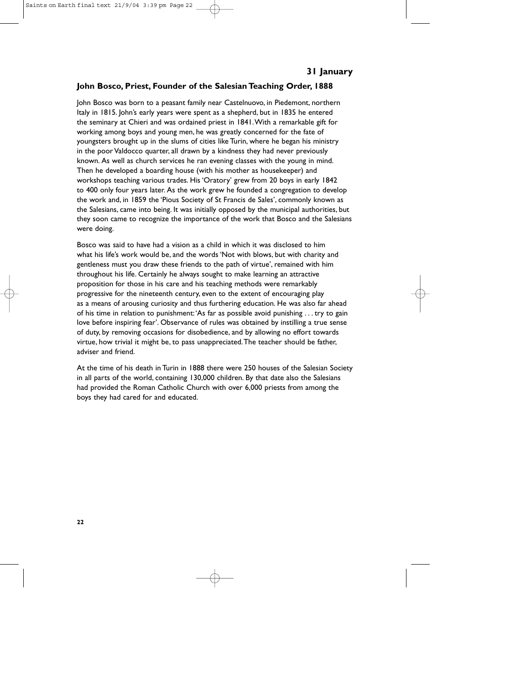#### **John Bosco, Priest, Founder of the Salesian Teaching Order, 1888**

John Bosco was born to a peasant family near Castelnuovo, in Piedemont, northern Italy in 1815. John's early years were spent as a shepherd, but in 1835 he entered the seminary at Chieri and was ordained priest in 1841.With a remarkable gift for working among boys and young men, he was greatly concerned for the fate of youngsters brought up in the slums of cities like Turin, where he began his ministry in the poor Valdocco quarter, all drawn by a kindness they had never previously known. As well as church services he ran evening classes with the young in mind. Then he developed a boarding house (with his mother as housekeeper) and workshops teaching various trades. His 'Oratory' grew from 20 boys in early 1842 to 400 only four years later. As the work grew he founded a congregation to develop the work and, in 1859 the 'Pious Society of St Francis de Sales', commonly known as the Salesians, came into being. It was initially opposed by the municipal authorities, but they soon came to recognize the importance of the work that Bosco and the Salesians were doing.

Bosco was said to have had a vision as a child in which it was disclosed to him what his life's work would be, and the words 'Not with blows, but with charity and gentleness must you draw these friends to the path of virtue', remained with him throughout his life. Certainly he always sought to make learning an attractive proposition for those in his care and his teaching methods were remarkably progressive for the nineteenth century, even to the extent of encouraging play as a means of arousing curiosity and thus furthering education. He was also far ahead of his time in relation to punishment:'As far as possible avoid punishing . . . try to gain love before inspiring fear'. Observance of rules was obtained by instilling a true sense of duty, by removing occasions for disobedience, and by allowing no effort towards virtue, how trivial it might be, to pass unappreciated.The teacher should be father, adviser and friend.

At the time of his death in Turin in 1888 there were 250 houses of the Salesian Society in all parts of the world, containing 130,000 children. By that date also the Salesians had provided the Roman Catholic Church with over 6,000 priests from among the boys they had cared for and educated.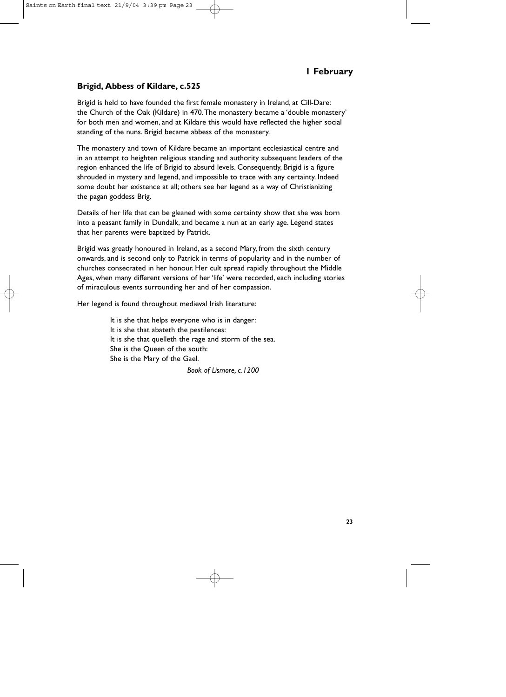# **1 February**

#### **Brigid, Abbess of Kildare, c.525**

Brigid is held to have founded the first female monastery in Ireland, at Cill-Dare: the Church of the Oak (Kildare) in 470.The monastery became a 'double monastery' for both men and women, and at Kildare this would have reflected the higher social standing of the nuns. Brigid became abbess of the monastery.

The monastery and town of Kildare became an important ecclesiastical centre and in an attempt to heighten religious standing and authority subsequent leaders of the region enhanced the life of Brigid to absurd levels. Consequently, Brigid is a figure shrouded in mystery and legend, and impossible to trace with any certainty. Indeed some doubt her existence at all; others see her legend as a way of Christianizing the pagan goddess Brig.

Details of her life that can be gleaned with some certainty show that she was born into a peasant family in Dundalk, and became a nun at an early age. Legend states that her parents were baptized by Patrick.

Brigid was greatly honoured in Ireland, as a second Mary, from the sixth century onwards, and is second only to Patrick in terms of popularity and in the number of churches consecrated in her honour. Her cult spread rapidly throughout the Middle Ages, when many different versions of her 'life' were recorded, each including stories of miraculous events surrounding her and of her compassion.

Her legend is found throughout medieval Irish literature:

It is she that helps everyone who is in danger: It is she that abateth the pestilences: It is she that quelleth the rage and storm of the sea. She is the Queen of the south: She is the Mary of the Gael.

*Book of Lismore, c.1200*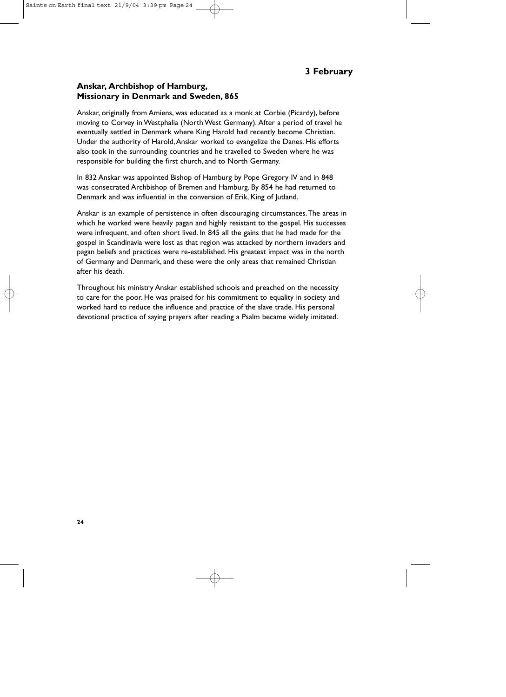# **3 February**

#### **Anskar, Archbishop of Hamburg, Missionary in Denmark and Sweden, 865**

Anskar, originally from Amiens, was educated as a monk at Corbie (Picardy), before moving to Corvey in Westphalia (North West Germany). After a period of travel he eventually settled in Denmark where King Harold had recently become Christian. Under the authority of Harold,Anskar worked to evangelize the Danes. His efforts also took in the surrounding countries and he travelled to Sweden where he was responsible for building the first church, and to North Germany.

In 832 Anskar was appointed Bishop of Hamburg by Pope Gregory IV and in 848 was consecrated Archbishop of Bremen and Hamburg. By 854 he had returned to Denmark and was influential in the conversion of Erik, King of Jutland.

Anskar is an example of persistence in often discouraging circumstances.The areas in which he worked were heavily pagan and highly resistant to the gospel. His successes were infrequent, and often short lived. In 845 all the gains that he had made for the gospel in Scandinavia were lost as that region was attacked by northern invaders and pagan beliefs and practices were re-established. His greatest impact was in the north of Germany and Denmark, and these were the only areas that remained Christian after his death.

Throughout his ministry Anskar established schools and preached on the necessity to care for the poor. He was praised for his commitment to equality in society and worked hard to reduce the influence and practice of the slave trade. His personal devotional practice of saying prayers after reading a Psalm became widely imitated.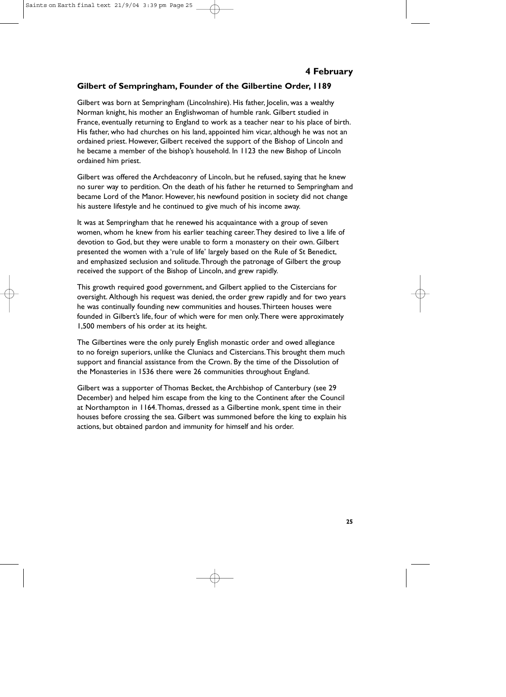# **Gilbert of Sempringham, Founder of the Gilbertine Order, 1189**

Gilbert was born at Sempringham (Lincolnshire). His father, Jocelin, was a wealthy Norman knight, his mother an Englishwoman of humble rank. Gilbert studied in France, eventually returning to England to work as a teacher near to his place of birth. His father, who had churches on his land, appointed him vicar, although he was not an ordained priest. However, Gilbert received the support of the Bishop of Lincoln and he became a member of the bishop's household. In 1123 the new Bishop of Lincoln ordained him priest.

Gilbert was offered the Archdeaconry of Lincoln, but he refused, saying that he knew no surer way to perdition. On the death of his father he returned to Sempringham and became Lord of the Manor. However, his newfound position in society did not change his austere lifestyle and he continued to give much of his income away.

It was at Sempringham that he renewed his acquaintance with a group of seven women, whom he knew from his earlier teaching career.They desired to live a life of devotion to God, but they were unable to form a monastery on their own. Gilbert presented the women with a 'rule of life' largely based on the Rule of St Benedict, and emphasized seclusion and solitude.Through the patronage of Gilbert the group received the support of the Bishop of Lincoln, and grew rapidly.

This growth required good government, and Gilbert applied to the Cistercians for oversight. Although his request was denied, the order grew rapidly and for two years he was continually founding new communities and houses.Thirteen houses were founded in Gilbert's life, four of which were for men only.There were approximately 1,500 members of his order at its height.

The Gilbertines were the only purely English monastic order and owed allegiance to no foreign superiors, unlike the Cluniacs and Cistercians.This brought them much support and financial assistance from the Crown. By the time of the Dissolution of the Monasteries in 1536 there were 26 communities throughout England.

Gilbert was a supporter of Thomas Becket, the Archbishop of Canterbury (see 29 December) and helped him escape from the king to the Continent after the Council at Northampton in 1164.Thomas, dressed as a Gilbertine monk, spent time in their houses before crossing the sea. Gilbert was summoned before the king to explain his actions, but obtained pardon and immunity for himself and his order.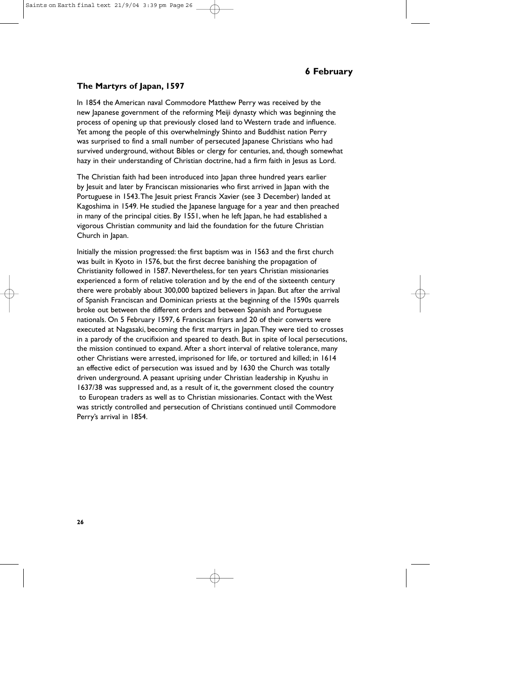# **6 February**

#### **The Martyrs of Japan, 1597**

In 1854 the American naval Commodore Matthew Perry was received by the new Japanese government of the reforming Meiji dynasty which was beginning the process of opening up that previously closed land to Western trade and influence. Yet among the people of this overwhelmingly Shinto and Buddhist nation Perry was surprised to find a small number of persecuted Japanese Christians who had survived underground, without Bibles or clergy for centuries, and, though somewhat hazy in their understanding of Christian doctrine, had a firm faith in Jesus as Lord.

The Christian faith had been introduced into Japan three hundred years earlier by Jesuit and later by Franciscan missionaries who first arrived in Japan with the Portuguese in 1543. The Jesuit priest Francis Xavier (see 3 December) landed at Kagoshima in 1549. He studied the Japanese language for a year and then preached in many of the principal cities. By 1551, when he left Japan, he had established a vigorous Christian community and laid the foundation for the future Christian Church in Japan.

Initially the mission progressed: the first baptism was in 1563 and the first church was built in Kyoto in 1576, but the first decree banishing the propagation of Christianity followed in 1587. Nevertheless, for ten years Christian missionaries experienced a form of relative toleration and by the end of the sixteenth century there were probably about 300,000 baptized believers in Japan. But after the arrival of Spanish Franciscan and Dominican priests at the beginning of the 1590s quarrels broke out between the different orders and between Spanish and Portuguese nationals. On 5 February 1597, 6 Franciscan friars and 20 of their converts were executed at Nagasaki, becoming the first martyrs in Japan.They were tied to crosses in a parody of the crucifixion and speared to death. But in spite of local persecutions, the mission continued to expand. After a short interval of relative tolerance, many other Christians were arrested, imprisoned for life, or tortured and killed; in 1614 an effective edict of persecution was issued and by 1630 the Church was totally driven underground. A peasant uprising under Christian leadership in Kyushu in 1637/38 was suppressed and, as a result of it, the government closed the country to European traders as well as to Christian missionaries. Contact with the West was strictly controlled and persecution of Christians continued until Commodore Perry's arrival in 1854.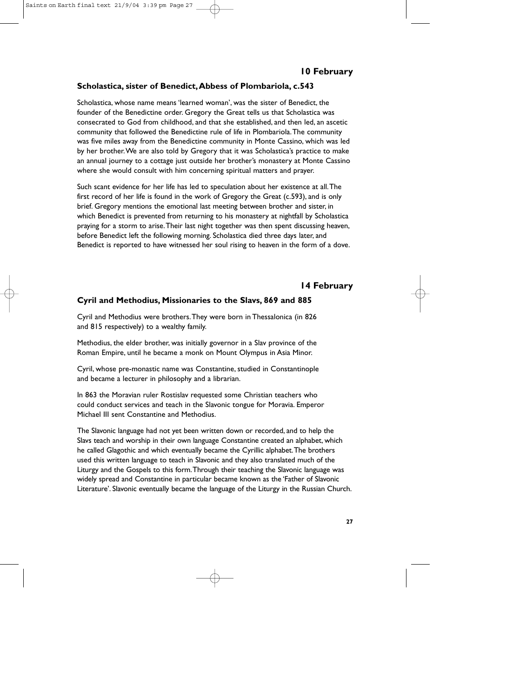# **Scholastica, sister of Benedict,Abbess of Plombariola, c.543**

Scholastica, whose name means 'learned woman', was the sister of Benedict, the founder of the Benedictine order. Gregory the Great tells us that Scholastica was consecrated to God from childhood, and that she established, and then led, an ascetic community that followed the Benedictine rule of life in Plombariola.The community was five miles away from the Benedictine community in Monte Cassino, which was led by her brother.We are also told by Gregory that it was Scholastica's practice to make an annual journey to a cottage just outside her brother's monastery at Monte Cassino where she would consult with him concerning spiritual matters and prayer.

Such scant evidence for her life has led to speculation about her existence at all.The first record of her life is found in the work of Gregory the Great (c.593), and is only brief. Gregory mentions the emotional last meeting between brother and sister, in which Benedict is prevented from returning to his monastery at nightfall by Scholastica praying for a storm to arise.Their last night together was then spent discussing heaven, before Benedict left the following morning. Scholastica died three days later, and Benedict is reported to have witnessed her soul rising to heaven in the form of a dove.

# **14 February**

# **Cyril and Methodius, Missionaries to the Slavs, 869 and 885**

Cyril and Methodius were brothers.They were born in Thessalonica (in 826 and 815 respectively) to a wealthy family.

Methodius, the elder brother, was initially governor in a Slav province of the Roman Empire, until he became a monk on Mount Olympus in Asia Minor.

Cyril, whose pre-monastic name was Constantine, studied in Constantinople and became a lecturer in philosophy and a librarian.

In 863 the Moravian ruler Rostislav requested some Christian teachers who could conduct services and teach in the Slavonic tongue for Moravia. Emperor Michael III sent Constantine and Methodius.

The Slavonic language had not yet been written down or recorded, and to help the Slavs teach and worship in their own language Constantine created an alphabet, which he called Glagothic and which eventually became the Cyrillic alphabet.The brothers used this written language to teach in Slavonic and they also translated much of the Liturgy and the Gospels to this form.Through their teaching the Slavonic language was widely spread and Constantine in particular became known as the 'Father of Slavonic Literature'. Slavonic eventually became the language of the Liturgy in the Russian Church.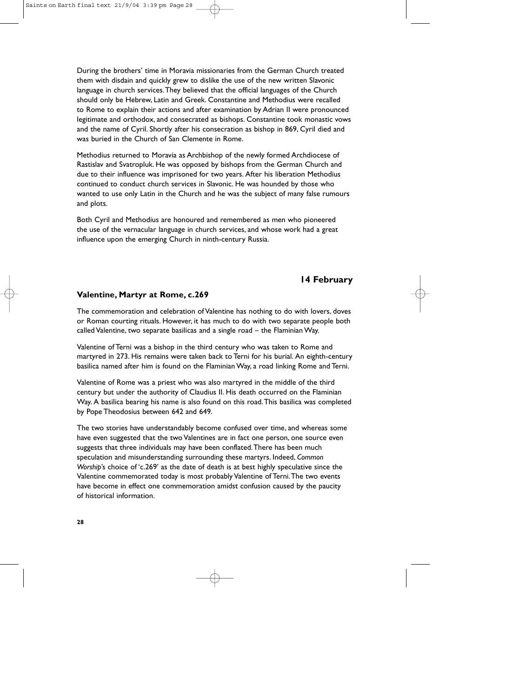During the brothers' time in Moravia missionaries from the German Church treated them with disdain and quickly grew to dislike the use of the new written Slavonic language in church services.They believed that the official languages of the Church should only be Hebrew, Latin and Greek. Constantine and Methodius were recalled to Rome to explain their actions and after examination by Adrian II were pronounced legitimate and orthodox, and consecrated as bishops. Constantine took monastic vows and the name of Cyril. Shortly after his consecration as bishop in 869, Cyril died and was buried in the Church of San Clemente in Rome.

Methodius returned to Moravia as Archbishop of the newly formed Archdiocese of Rastislav and Svatropluk. He was opposed by bishops from the German Church and due to their influence was imprisoned for two years. After his liberation Methodius continued to conduct church services in Slavonic. He was hounded by those who wanted to use only Latin in the Church and he was the subject of many false rumours and plots.

Both Cyril and Methodius are honoured and remembered as men who pioneered the use of the vernacular language in church services, and whose work had a great influence upon the emerging Church in ninth-century Russia.

# **14 February**

#### **Valentine, Martyr at Rome, c.269**

The commemoration and celebration of Valentine has nothing to do with lovers, doves or Roman courting rituals. However, it has much to do with two separate people both called Valentine, two separate basilicas and a single road – the Flaminian Way.

Valentine of Terni was a bishop in the third century who was taken to Rome and martyred in 273. His remains were taken back to Terni for his burial. An eighth-century basilica named after him is found on the Flaminian Way, a road linking Rome and Terni.

Valentine of Rome was a priest who was also martyred in the middle of the third century but under the authority of Claudius II. His death occurred on the Flaminian Way. A basilica bearing his name is also found on this road.This basilica was completed by Pope Theodosius between 642 and 649.

The two stories have understandably become confused over time, and whereas some have even suggested that the two Valentines are in fact one person, one source even suggests that three individuals may have been conflated.There has been much speculation and misunderstanding surrounding these martyrs. Indeed, *Common Worship*'s choice of 'c.269' as the date of death is at best highly speculative since the Valentine commemorated today is most probably Valentine of Terni.The two events have become in effect one commemoration amidst confusion caused by the paucity of historical information.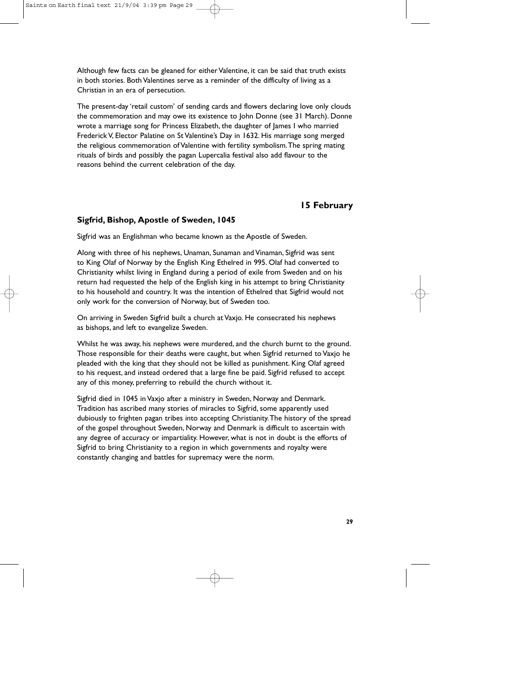Although few facts can be gleaned for either Valentine, it can be said that truth exists in both stories. Both Valentines serve as a reminder of the difficulty of living as a Christian in an era of persecution.

The present-day 'retail custom' of sending cards and flowers declaring love only clouds the commemoration and may owe its existence to John Donne (see 31 March). Donne wrote a marriage song for Princess Elizabeth, the daughter of lames I who married Frederick V, Elector Palatine on St Valentine's Day in 1632. His marriage song merged the religious commemoration of Valentine with fertility symbolism.The spring mating rituals of birds and possibly the pagan Lupercalia festival also add flavour to the reasons behind the current celebration of the day.

# **15 February**

# **Sigfrid, Bishop, Apostle of Sweden, 1045**

Sigfrid was an Englishman who became known as the Apostle of Sweden.

Along with three of his nephews, Unaman, Sunaman and Vinaman, Sigfrid was sent to King Olaf of Norway by the English King Ethelred in 995. Olaf had converted to Christianity whilst living in England during a period of exile from Sweden and on his return had requested the help of the English king in his attempt to bring Christianity to his household and country. It was the intention of Ethelred that Sigfrid would not only work for the conversion of Norway, but of Sweden too.

On arriving in Sweden Sigfrid built a church at Vaxjo. He consecrated his nephews as bishops, and left to evangelize Sweden.

Whilst he was away, his nephews were murdered, and the church burnt to the ground. Those responsible for their deaths were caught, but when Sigfrid returned to Vaxjo he pleaded with the king that they should not be killed as punishment. King Olaf agreed to his request, and instead ordered that a large fine be paid. Sigfrid refused to accept any of this money, preferring to rebuild the church without it.

Sigfrid died in 1045 in Vaxjo after a ministry in Sweden, Norway and Denmark. Tradition has ascribed many stories of miracles to Sigfrid, some apparently used dubiously to frighten pagan tribes into accepting Christianity.The history of the spread of the gospel throughout Sweden, Norway and Denmark is difficult to ascertain with any degree of accuracy or impartiality. However, what is not in doubt is the efforts of Sigfrid to bring Christianity to a region in which governments and royalty were constantly changing and battles for supremacy were the norm.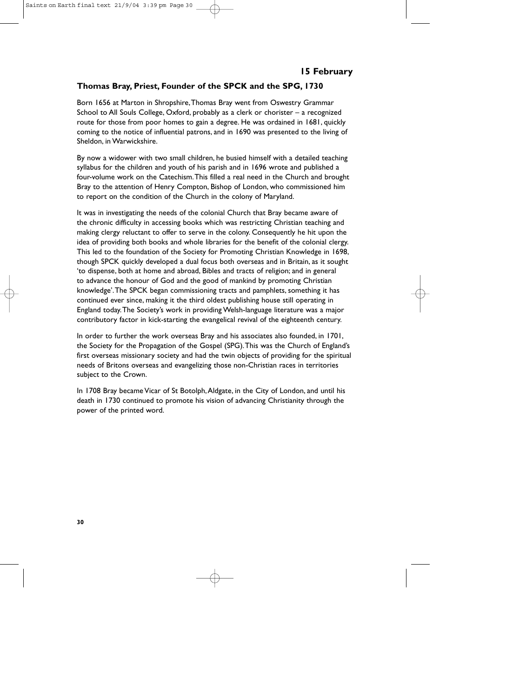# **15 February**

### **Thomas Bray, Priest, Founder of the SPCK and the SPG, 1730**

Born 1656 at Marton in Shropshire,Thomas Bray went from Oswestry Grammar School to All Souls College, Oxford, probably as a clerk or chorister – a recognized route for those from poor homes to gain a degree. He was ordained in 1681, quickly coming to the notice of influential patrons, and in 1690 was presented to the living of Sheldon, in Warwickshire.

By now a widower with two small children, he busied himself with a detailed teaching syllabus for the children and youth of his parish and in 1696 wrote and published a four-volume work on the Catechism.This filled a real need in the Church and brought Bray to the attention of Henry Compton, Bishop of London, who commissioned him to report on the condition of the Church in the colony of Maryland.

It was in investigating the needs of the colonial Church that Bray became aware of the chronic difficulty in accessing books which was restricting Christian teaching and making clergy reluctant to offer to serve in the colony. Consequently he hit upon the idea of providing both books and whole libraries for the benefit of the colonial clergy. This led to the foundation of the Society for Promoting Christian Knowledge in 1698, though SPCK quickly developed a dual focus both overseas and in Britain, as it sought 'to dispense, both at home and abroad, Bibles and tracts of religion; and in general to advance the honour of God and the good of mankind by promoting Christian knowledge'.The SPCK began commissioning tracts and pamphlets, something it has continued ever since, making it the third oldest publishing house still operating in England today.The Society's work in providing Welsh-language literature was a major contributory factor in kick-starting the evangelical revival of the eighteenth century.

In order to further the work overseas Bray and his associates also founded, in 1701, the Society for the Propagation of the Gospel (SPG).This was the Church of England's first overseas missionary society and had the twin objects of providing for the spiritual needs of Britons overseas and evangelizing those non-Christian races in territories subject to the Crown.

In 1708 Bray became Vicar of St Botolph,Aldgate, in the City of London, and until his death in 1730 continued to promote his vision of advancing Christianity through the power of the printed word.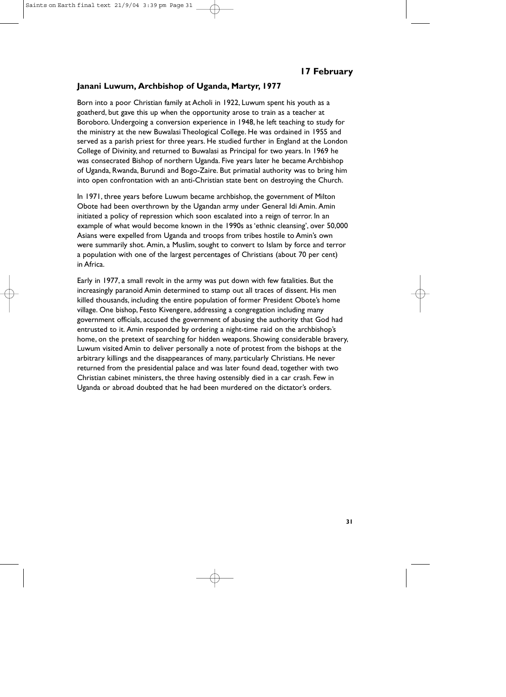### **Janani Luwum, Archbishop of Uganda, Martyr, 1977**

Born into a poor Christian family at Acholi in 1922, Luwum spent his youth as a goatherd, but gave this up when the opportunity arose to train as a teacher at Boroboro. Undergoing a conversion experience in 1948, he left teaching to study for the ministry at the new Buwalasi Theological College. He was ordained in 1955 and served as a parish priest for three years. He studied further in England at the London College of Divinity, and returned to Buwalasi as Principal for two years. In 1969 he was consecrated Bishop of northern Uganda. Five years later he became Archbishop of Uganda, Rwanda, Burundi and Bogo-Zaire. But primatial authority was to bring him into open confrontation with an anti-Christian state bent on destroying the Church.

In 1971, three years before Luwum became archbishop, the government of Milton Obote had been overthrown by the Ugandan army under General Idi Amin. Amin initiated a policy of repression which soon escalated into a reign of terror. In an example of what would become known in the 1990s as 'ethnic cleansing', over 50,000 Asians were expelled from Uganda and troops from tribes hostile to Amin's own were summarily shot. Amin, a Muslim, sought to convert to Islam by force and terror a population with one of the largest percentages of Christians (about 70 per cent) in Africa.

Early in 1977, a small revolt in the army was put down with few fatalities. But the increasingly paranoid Amin determined to stamp out all traces of dissent. His men killed thousands, including the entire population of former President Obote's home village. One bishop, Festo Kivengere, addressing a congregation including many government officials, accused the government of abusing the authority that God had entrusted to it. Amin responded by ordering a night-time raid on the archbishop's home, on the pretext of searching for hidden weapons. Showing considerable bravery, Luwum visited Amin to deliver personally a note of protest from the bishops at the arbitrary killings and the disappearances of many, particularly Christians. He never returned from the presidential palace and was later found dead, together with two Christian cabinet ministers, the three having ostensibly died in a car crash. Few in Uganda or abroad doubted that he had been murdered on the dictator's orders.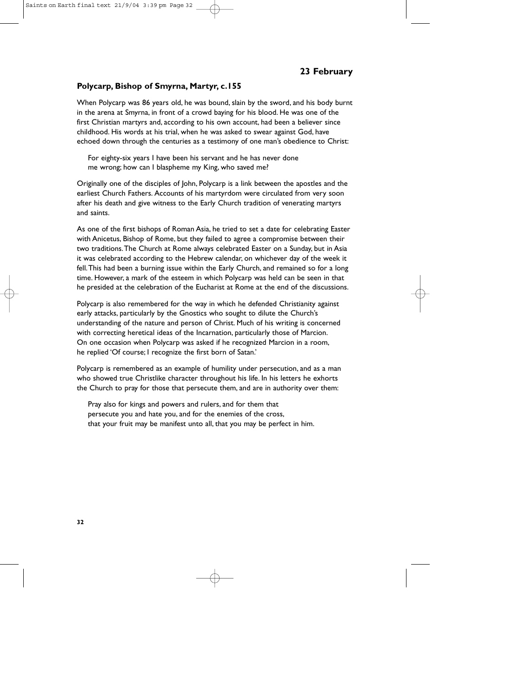# **23 February**

### **Polycarp, Bishop of Smyrna, Martyr, c.155**

When Polycarp was 86 years old, he was bound, slain by the sword, and his body burnt in the arena at Smyrna, in front of a crowd baying for his blood. He was one of the first Christian martyrs and, according to his own account, had been a believer since childhood. His words at his trial, when he was asked to swear against God, have echoed down through the centuries as a testimony of one man's obedience to Christ:

For eighty-six years I have been his servant and he has never done me wrong; how can I blaspheme my King, who saved me?

Originally one of the disciples of John, Polycarp is a link between the apostles and the earliest Church Fathers. Accounts of his martyrdom were circulated from very soon after his death and give witness to the Early Church tradition of venerating martyrs and saints.

As one of the first bishops of Roman Asia, he tried to set a date for celebrating Easter with Anicetus, Bishop of Rome, but they failed to agree a compromise between their two traditions.The Church at Rome always celebrated Easter on a Sunday, but in Asia it was celebrated according to the Hebrew calendar, on whichever day of the week it fell.This had been a burning issue within the Early Church, and remained so for a long time. However, a mark of the esteem in which Polycarp was held can be seen in that he presided at the celebration of the Eucharist at Rome at the end of the discussions.

Polycarp is also remembered for the way in which he defended Christianity against early attacks, particularly by the Gnostics who sought to dilute the Church's understanding of the nature and person of Christ. Much of his writing is concerned with correcting heretical ideas of the Incarnation, particularly those of Marcion. On one occasion when Polycarp was asked if he recognized Marcion in a room, he replied 'Of course; I recognize the first born of Satan.'

Polycarp is remembered as an example of humility under persecution, and as a man who showed true Christlike character throughout his life. In his letters he exhorts the Church to pray for those that persecute them, and are in authority over them:

Pray also for kings and powers and rulers, and for them that persecute you and hate you, and for the enemies of the cross, that your fruit may be manifest unto all, that you may be perfect in him.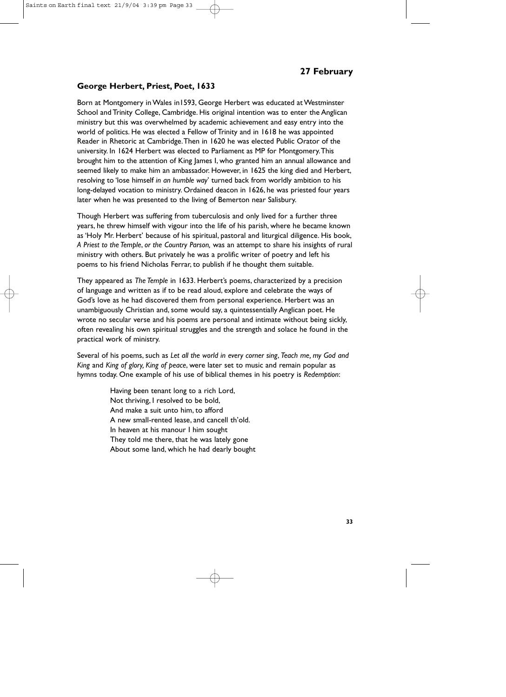# **27 February**

### **George Herbert, Priest, Poet, 1633**

Born at Montgomery in Wales in1593, George Herbert was educated at Westminster School and Trinity College, Cambridge. His original intention was to enter the Anglican ministry but this was overwhelmed by academic achievement and easy entry into the world of politics. He was elected a Fellow of Trinity and in 1618 he was appointed Reader in Rhetoric at Cambridge.Then in 1620 he was elected Public Orator of the university. In 1624 Herbert was elected to Parliament as MP for Montgomery.This brought him to the attention of King James I, who granted him an annual allowance and seemed likely to make him an ambassador. However, in 1625 the king died and Herbert, resolving to 'lose himself *in an humble way*' turned back from worldly ambition to his long-delayed vocation to ministry. Ordained deacon in 1626, he was priested four years later when he was presented to the living of Bemerton near Salisbury.

Though Herbert was suffering from tuberculosis and only lived for a further three years, he threw himself with vigour into the life of his parish, where he became known as 'Holy Mr. Herbert' because of his spiritual, pastoral and liturgical diligence. His book, *A Priest to the Temple*, *or the Country Parson,* was an attempt to share his insights of rural ministry with others. But privately he was a prolific writer of poetry and left his poems to his friend Nicholas Ferrar, to publish if he thought them suitable.

They appeared as *The Temple* in 1633. Herbert's poems, characterized by a precision of language and written as if to be read aloud, explore and celebrate the ways of God's love as he had discovered them from personal experience. Herbert was an unambiguously Christian and, some would say, a quintessentially Anglican poet. He wrote no secular verse and his poems are personal and intimate without being sickly, often revealing his own spiritual struggles and the strength and solace he found in the practical work of ministry.

Several of his poems, such as *Let all the world in every corner sing*, *Teach me, my God and King* and *King of glory, King of peace*, were later set to music and remain popular as hymns today. One example of his use of biblical themes in his poetry is *Redemption*:

> Having been tenant long to a rich Lord, Not thriving, I resolved to be bold, And make a suit unto him, to afford A new small-rented lease, and cancell th'old. In heaven at his manour I him sought They told me there, that he was lately gone About some land, which he had dearly bought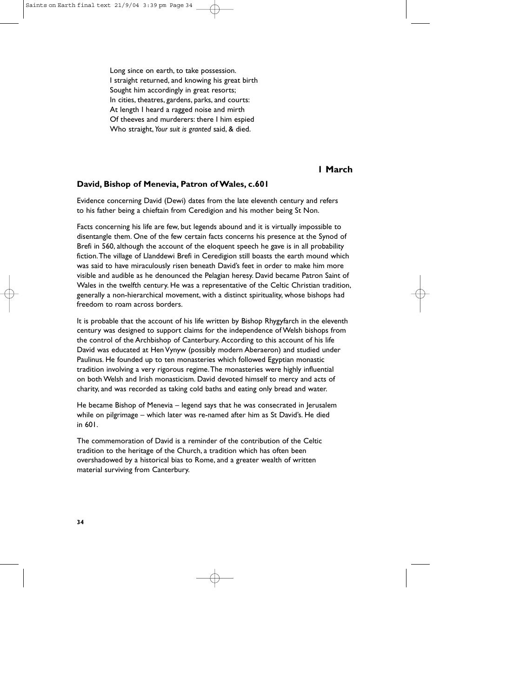Long since on earth, to take possession. I straight returned, and knowing his great birth Sought him accordingly in great resorts; In cities, theatres, gardens, parks, and courts: At length I heard a ragged noise and mirth Of theeves and murderers: there I him espied Who straight, *Your suit is granted* said, & died.

# **1 March**

#### **David, Bishop of Menevia, Patron of Wales, c.601**

Evidence concerning David (Dewi) dates from the late eleventh century and refers to his father being a chieftain from Ceredigion and his mother being St Non.

Facts concerning his life are few, but legends abound and it is virtually impossible to disentangle them. One of the few certain facts concerns his presence at the Synod of Brefi in 560, although the account of the eloquent speech he gave is in all probability fiction.The village of Llanddewi Brefi in Ceredigion still boasts the earth mound which was said to have miraculously risen beneath David's feet in order to make him more visible and audible as he denounced the Pelagian heresy. David became Patron Saint of Wales in the twelfth century. He was a representative of the Celtic Christian tradition, generally a non-hierarchical movement, with a distinct spirituality, whose bishops had freedom to roam across borders.

It is probable that the account of his life written by Bishop Rhygyfarch in the eleventh century was designed to support claims for the independence of Welsh bishops from the control of the Archbishop of Canterbury. According to this account of his life David was educated at Hen Vynyw (possibly modern Aberaeron) and studied under Paulinus. He founded up to ten monasteries which followed Egyptian monastic tradition involving a very rigorous regime.The monasteries were highly influential on both Welsh and Irish monasticism. David devoted himself to mercy and acts of charity, and was recorded as taking cold baths and eating only bread and water.

He became Bishop of Menevia – legend says that he was consecrated in Jerusalem while on pilgrimage – which later was re-named after him as St David's. He died in 601.

The commemoration of David is a reminder of the contribution of the Celtic tradition to the heritage of the Church, a tradition which has often been overshadowed by a historical bias to Rome, and a greater wealth of written material surviving from Canterbury.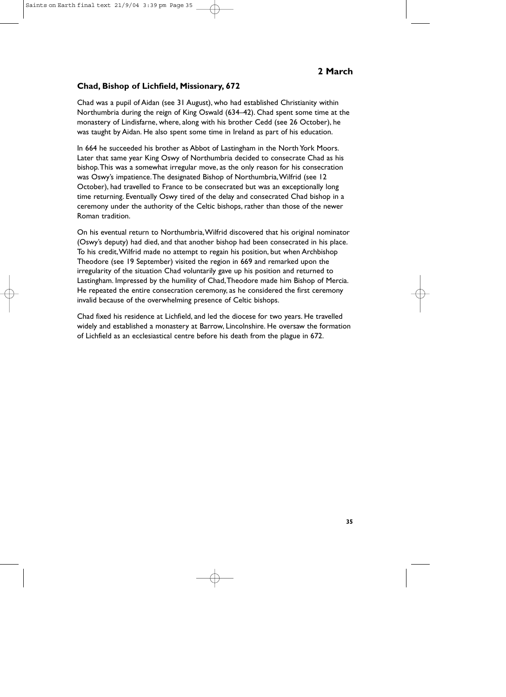# **Chad, Bishop of Lichfield, Missionary, 672**

Chad was a pupil of Aidan (see 31 August), who had established Christianity within Northumbria during the reign of King Oswald (634–42). Chad spent some time at the monastery of Lindisfarne, where, along with his brother Cedd (see 26 October), he was taught by Aidan. He also spent some time in Ireland as part of his education.

In 664 he succeeded his brother as Abbot of Lastingham in the North York Moors. Later that same year King Oswy of Northumbria decided to consecrate Chad as his bishop.This was a somewhat irregular move, as the only reason for his consecration was Oswy's impatience.The designated Bishop of Northumbria,Wilfrid (see 12 October), had travelled to France to be consecrated but was an exceptionally long time returning. Eventually Oswy tired of the delay and consecrated Chad bishop in a ceremony under the authority of the Celtic bishops, rather than those of the newer Roman tradition.

On his eventual return to Northumbria,Wilfrid discovered that his original nominator (Oswy's deputy) had died, and that another bishop had been consecrated in his place. To his credit,Wilfrid made no attempt to regain his position, but when Archbishop Theodore (see 19 September) visited the region in 669 and remarked upon the irregularity of the situation Chad voluntarily gave up his position and returned to Lastingham. Impressed by the humility of Chad,Theodore made him Bishop of Mercia. He repeated the entire consecration ceremony, as he considered the first ceremony invalid because of the overwhelming presence of Celtic bishops.

Chad fixed his residence at Lichfield, and led the diocese for two years. He travelled widely and established a monastery at Barrow, Lincolnshire. He oversaw the formation of Lichfield as an ecclesiastical centre before his death from the plague in 672.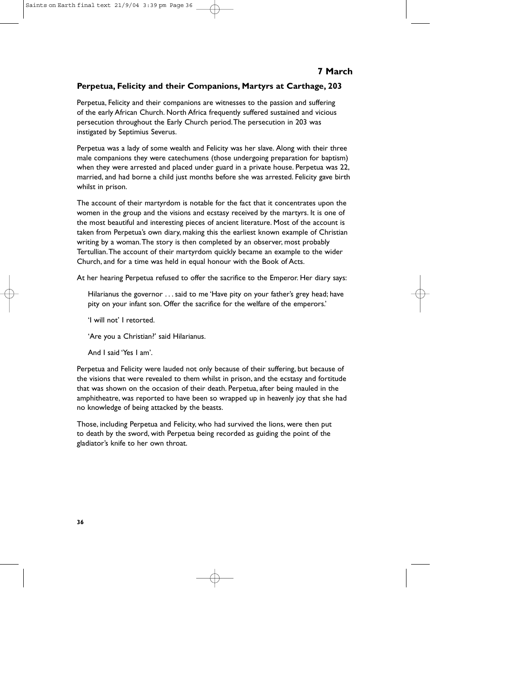# **7 March**

# **Perpetua, Felicity and their Companions, Martyrs at Carthage, 203**

Perpetua, Felicity and their companions are witnesses to the passion and suffering of the early African Church. North Africa frequently suffered sustained and vicious persecution throughout the Early Church period.The persecution in 203 was instigated by Septimius Severus.

Perpetua was a lady of some wealth and Felicity was her slave. Along with their three male companions they were catechumens (those undergoing preparation for baptism) when they were arrested and placed under guard in a private house. Perpetua was 22, married, and had borne a child just months before she was arrested. Felicity gave birth whilst in prison.

The account of their martyrdom is notable for the fact that it concentrates upon the women in the group and the visions and ecstasy received by the martyrs. It is one of the most beautiful and interesting pieces of ancient literature. Most of the account is taken from Perpetua's own diary, making this the earliest known example of Christian writing by a woman.The story is then completed by an observer, most probably Tertullian.The account of their martyrdom quickly became an example to the wider Church, and for a time was held in equal honour with the Book of Acts.

At her hearing Perpetua refused to offer the sacrifice to the Emperor. Her diary says:

Hilarianus the governor . . . said to me 'Have pity on your father's grey head; have pity on your infant son. Offer the sacrifice for the welfare of the emperors.'

'I will not' I retorted.

'Are you a Christian?' said Hilarianus.

And I said 'Yes I am'.

Perpetua and Felicity were lauded not only because of their suffering, but because of the visions that were revealed to them whilst in prison, and the ecstasy and fortitude that was shown on the occasion of their death. Perpetua, after being mauled in the amphitheatre, was reported to have been so wrapped up in heavenly joy that she had no knowledge of being attacked by the beasts.

Those, including Perpetua and Felicity, who had survived the lions, were then put to death by the sword, with Perpetua being recorded as guiding the point of the gladiator's knife to her own throat.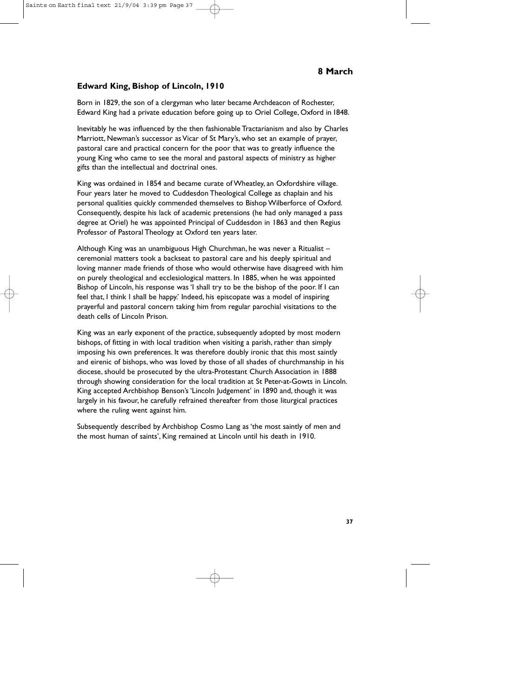# **Edward King, Bishop of Lincoln, 1910**

Born in 1829, the son of a clergyman who later became Archdeacon of Rochester, Edward King had a private education before going up to Oriel College, Oxford in 1848.

Inevitably he was influenced by the then fashionable Tractarianism and also by Charles Marriott, Newman's successor as Vicar of St Mary's, who set an example of prayer, pastoral care and practical concern for the poor that was to greatly influence the young King who came to see the moral and pastoral aspects of ministry as higher gifts than the intellectual and doctrinal ones.

King was ordained in 1854 and became curate of Wheatley, an Oxfordshire village. Four years later he moved to Cuddesdon Theological College as chaplain and his personal qualities quickly commended themselves to Bishop Wilberforce of Oxford. Consequently, despite his lack of academic pretensions (he had only managed a pass degree at Oriel) he was appointed Principal of Cuddesdon in 1863 and then Regius Professor of Pastoral Theology at Oxford ten years later.

Although King was an unambiguous High Churchman, he was never a Ritualist – ceremonial matters took a backseat to pastoral care and his deeply spiritual and loving manner made friends of those who would otherwise have disagreed with him on purely theological and ecclesiological matters. In 1885, when he was appointed Bishop of Lincoln, his response was 'I shall try to be the bishop of the poor. If I can feel that, I think I shall be happy.' Indeed, his episcopate was a model of inspiring prayerful and pastoral concern taking him from regular parochial visitations to the death cells of Lincoln Prison.

King was an early exponent of the practice, subsequently adopted by most modern bishops, of fitting in with local tradition when visiting a parish, rather than simply imposing his own preferences. It was therefore doubly ironic that this most saintly and eirenic of bishops, who was loved by those of all shades of churchmanship in his diocese, should be prosecuted by the ultra-Protestant Church Association in 1888 through showing consideration for the local tradition at St Peter-at-Gowts in Lincoln. King accepted Archbishop Benson's 'Lincoln Judgement' in 1890 and, though it was largely in his favour, he carefully refrained thereafter from those liturgical practices where the ruling went against him.

Subsequently described by Archbishop Cosmo Lang as 'the most saintly of men and the most human of saints', King remained at Lincoln until his death in 1910.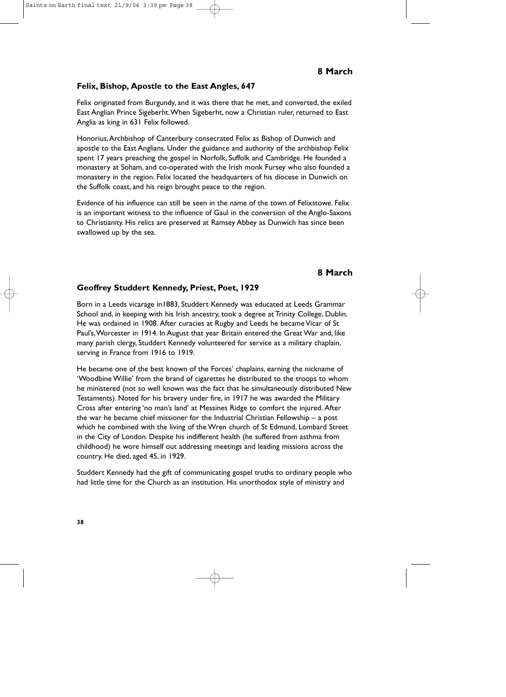### **Felix, Bishop, Apostle to the East Angles, 647**

Felix originated from Burgundy, and it was there that he met, and converted, the exiled East Anglian Prince Sigeberht.When Sigeberht, now a Christian ruler, returned to East Anglia as king in 631 Felix followed.

Honorius,Archbishop of Canterbury consecrated Felix as Bishop of Dunwich and apostle to the East Anglians. Under the guidance and authority of the archbishop Felix spent 17 years preaching the gospel in Norfolk, Suffolk and Cambridge. He founded a monastery at Soham, and co-operated with the Irish monk Fursey who also founded a monastery in the region. Felix located the headquarters of his diocese in Dunwich on the Suffolk coast, and his reign brought peace to the region.

Evidence of his influence can still be seen in the name of the town of Felixstowe. Felix is an important witness to the influence of Gaul in the conversion of the Anglo-Saxons to Christianity. His relics are preserved at Ramsey Abbey as Dunwich has since been swallowed up by the sea.

# **8 March**

#### **Geoffrey Studdert Kennedy, Priest, Poet, 1929**

Born in a Leeds vicarage in1883, Studdert Kennedy was educated at Leeds Grammar School and, in keeping with his Irish ancestry, took a degree at Trinity College, Dublin. He was ordained in 1908. After curacies at Rugby and Leeds he became Vicar of St Paul's,Worcester in 1914. In August that year Britain entered the Great War and, like many parish clergy, Studdert Kennedy volunteered for service as a military chaplain, serving in France from 1916 to 1919.

He became one of the best known of the Forces' chaplains, earning the nickname of 'Woodbine Willie' from the brand of cigarettes he distributed to the troops to whom he ministered (not so well known was the fact that he simultaneously distributed New Testaments). Noted for his bravery under fire, in 1917 he was awarded the Military Cross after entering 'no man's land' at Messines Ridge to comfort the injured. After the war he became chief missioner for the Industrial Christian Fellowship – a post which he combined with the living of the Wren church of St Edmund, Lombard Street in the City of London. Despite his indifferent health (he suffered from asthma from childhood) he wore himself out addressing meetings and leading missions across the country. He died, aged 45, in 1929.

Studdert Kennedy had the gift of communicating gospel truths to ordinary people who had little time for the Church as an institution. His unorthodox style of ministry and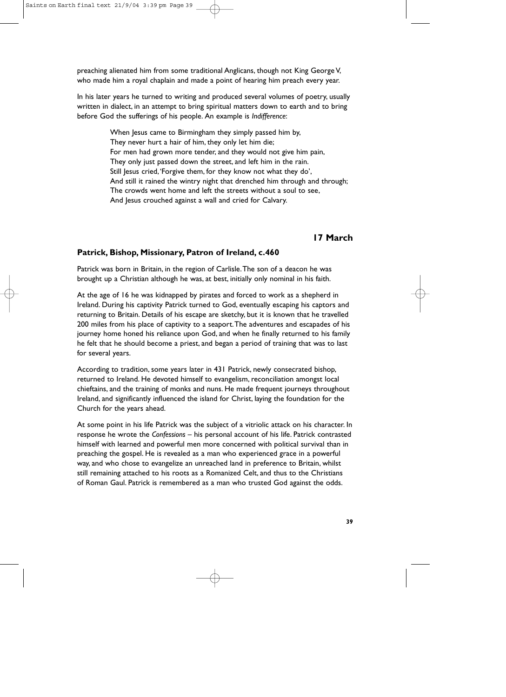preaching alienated him from some traditional Anglicans, though not King George V, who made him a royal chaplain and made a point of hearing him preach every year.

In his later years he turned to writing and produced several volumes of poetry, usually written in dialect, in an attempt to bring spiritual matters down to earth and to bring before God the sufferings of his people. An example is *Indifference*:

> When Jesus came to Birmingham they simply passed him by, They never hurt a hair of him, they only let him die; For men had grown more tender, and they would not give him pain, They only just passed down the street, and left him in the rain. Still lesus cried, 'Forgive them, for they know not what they do', And still it rained the wintry night that drenched him through and through; The crowds went home and left the streets without a soul to see, And lesus crouched against a wall and cried for Calvary.

# **17 March**

#### **Patrick, Bishop, Missionary, Patron of Ireland, c.460**

Patrick was born in Britain, in the region of Carlisle.The son of a deacon he was brought up a Christian although he was, at best, initially only nominal in his faith.

At the age of 16 he was kidnapped by pirates and forced to work as a shepherd in Ireland. During his captivity Patrick turned to God, eventually escaping his captors and returning to Britain. Details of his escape are sketchy, but it is known that he travelled 200 miles from his place of captivity to a seaport.The adventures and escapades of his journey home honed his reliance upon God, and when he finally returned to his family he felt that he should become a priest, and began a period of training that was to last for several years.

According to tradition, some years later in 431 Patrick, newly consecrated bishop, returned to Ireland. He devoted himself to evangelism, reconciliation amongst local chieftains, and the training of monks and nuns. He made frequent journeys throughout Ireland, and significantly influenced the island for Christ, laying the foundation for the Church for the years ahead.

At some point in his life Patrick was the subject of a vitriolic attack on his character. In response he wrote the *Confessions* – his personal account of his life. Patrick contrasted himself with learned and powerful men more concerned with political survival than in preaching the gospel. He is revealed as a man who experienced grace in a powerful way, and who chose to evangelize an unreached land in preference to Britain, whilst still remaining attached to his roots as a Romanized Celt, and thus to the Christians of Roman Gaul. Patrick is remembered as a man who trusted God against the odds.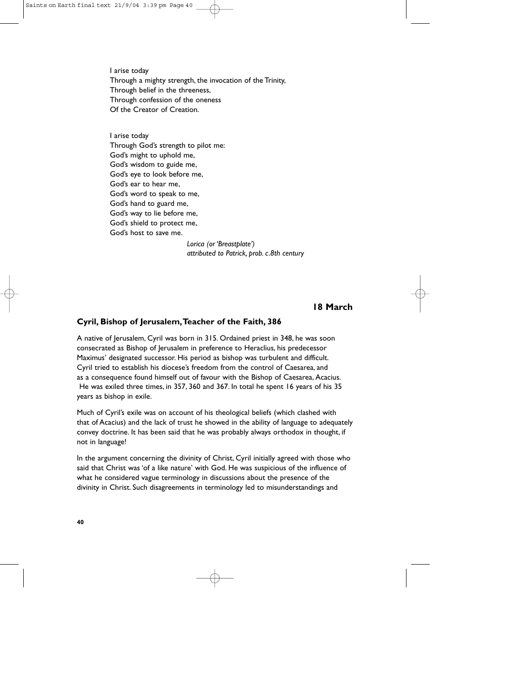I arise today Through a mighty strength, the invocation of the Trinity, Through belief in the threeness, Through confession of the oneness Of the Creator of Creation.

I arise today Through God's strength to pilot me: God's might to uphold me, God's wisdom to guide me, God's eye to look before me, God's ear to hear me, God's word to speak to me, God's hand to guard me, God's way to lie before me, God's shield to protect me, God's host to save me.

*Lorica (or 'Breastplate') attributed to Patrick, prob. c.8th century*

# **18 March**

#### **Cyril, Bishop of Jerusalem,Teacher of the Faith, 386**

A native of Jerusalem, Cyril was born in 315. Ordained priest in 348, he was soon consecrated as Bishop of Jerusalem in preference to Heraclius, his predecessor Maximus' designated successor. His period as bishop was turbulent and difficult. Cyril tried to establish his diocese's freedom from the control of Caesarea, and as a consequence found himself out of favour with the Bishop of Caesarea, Acacius. He was exiled three times, in 357, 360 and 367. In total he spent 16 years of his 35 years as bishop in exile.

Much of Cyril's exile was on account of his theological beliefs (which clashed with that of Acacius) and the lack of trust he showed in the ability of language to adequately convey doctrine. It has been said that he was probably always orthodox in thought, if not in language!

In the argument concerning the divinity of Christ, Cyril initially agreed with those who said that Christ was 'of a like nature' with God. He was suspicious of the influence of what he considered vague terminology in discussions about the presence of the divinity in Christ. Such disagreements in terminology led to misunderstandings and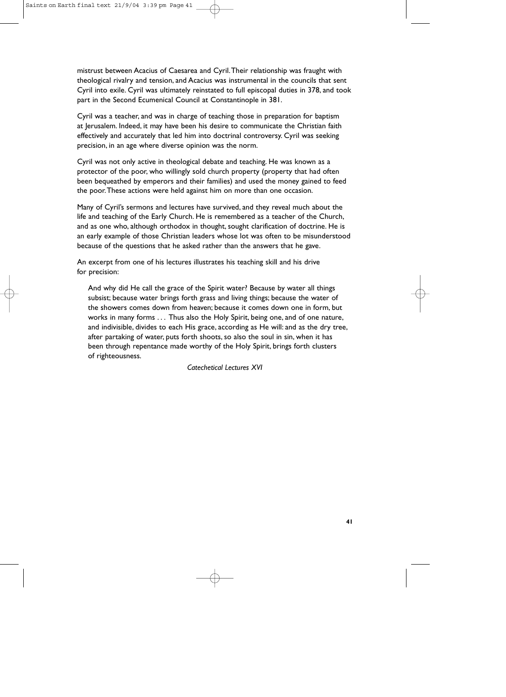mistrust between Acacius of Caesarea and Cyril.Their relationship was fraught with theological rivalry and tension, and Acacius was instrumental in the councils that sent Cyril into exile. Cyril was ultimately reinstated to full episcopal duties in 378, and took part in the Second Ecumenical Council at Constantinople in 381.

Cyril was a teacher, and was in charge of teaching those in preparation for baptism at Jerusalem. Indeed, it may have been his desire to communicate the Christian faith effectively and accurately that led him into doctrinal controversy. Cyril was seeking precision, in an age where diverse opinion was the norm.

Cyril was not only active in theological debate and teaching. He was known as a protector of the poor, who willingly sold church property (property that had often been bequeathed by emperors and their families) and used the money gained to feed the poor.These actions were held against him on more than one occasion.

Many of Cyril's sermons and lectures have survived, and they reveal much about the life and teaching of the Early Church. He is remembered as a teacher of the Church, and as one who, although orthodox in thought, sought clarification of doctrine. He is an early example of those Christian leaders whose lot was often to be misunderstood because of the questions that he asked rather than the answers that he gave.

An excerpt from one of his lectures illustrates his teaching skill and his drive for precision:

And why did He call the grace of the Spirit water? Because by water all things subsist; because water brings forth grass and living things; because the water of the showers comes down from heaven; because it comes down one in form, but works in many forms . . . Thus also the Holy Spirit, being one, and of one nature, and indivisible, divides to each His grace, according as He will: and as the dry tree, after partaking of water, puts forth shoots, so also the soul in sin, when it has been through repentance made worthy of the Holy Spirit, brings forth clusters of righteousness.

*Catechetical Lectures XVI*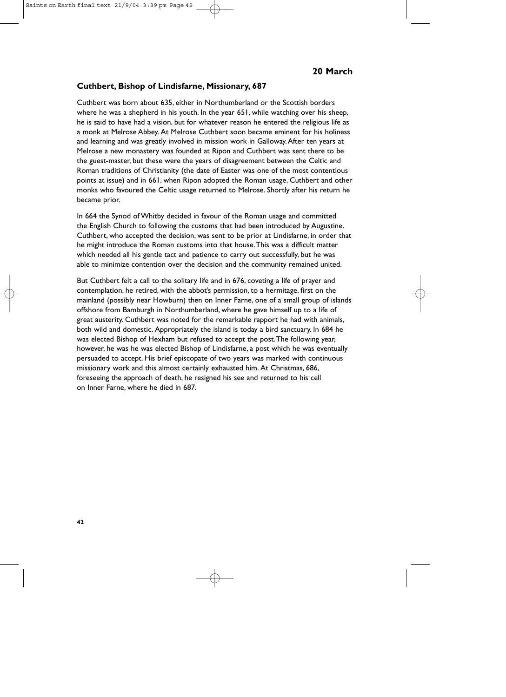#### **Cuthbert, Bishop of Lindisfarne, Missionary, 687**

Cuthbert was born about 635, either in Northumberland or the Scottish borders where he was a shepherd in his youth. In the year 651, while watching over his sheep, he is said to have had a vision, but for whatever reason he entered the religious life as a monk at Melrose Abbey. At Melrose Cuthbert soon became eminent for his holiness and learning and was greatly involved in mission work in Galloway.After ten years at Melrose a new monastery was founded at Ripon and Cuthbert was sent there to be the guest-master, but these were the years of disagreement between the Celtic and Roman traditions of Christianity (the date of Easter was one of the most contentious points at issue) and in 661, when Ripon adopted the Roman usage, Cuthbert and other monks who favoured the Celtic usage returned to Melrose. Shortly after his return he became prior.

In 664 the Synod of Whitby decided in favour of the Roman usage and committed the English Church to following the customs that had been introduced by Augustine. Cuthbert, who accepted the decision, was sent to be prior at Lindisfarne, in order that he might introduce the Roman customs into that house.This was a difficult matter which needed all his gentle tact and patience to carry out successfully, but he was able to minimize contention over the decision and the community remained united.

But Cuthbert felt a call to the solitary life and in 676, coveting a life of prayer and contemplation, he retired, with the abbot's permission, to a hermitage, first on the mainland (possibly near Howburn) then on Inner Farne, one of a small group of islands offshore from Bamburgh in Northumberland, where he gave himself up to a life of great austerity. Cuthbert was noted for the remarkable rapport he had with animals, both wild and domestic. Appropriately the island is today a bird sanctuary. In 684 he was elected Bishop of Hexham but refused to accept the post.The following year, however, he was he was elected Bishop of Lindisfarne, a post which he was eventually persuaded to accept. His brief episcopate of two years was marked with continuous missionary work and this almost certainly exhausted him. At Christmas, 686, foreseeing the approach of death, he resigned his see and returned to his cell on Inner Farne, where he died in 687.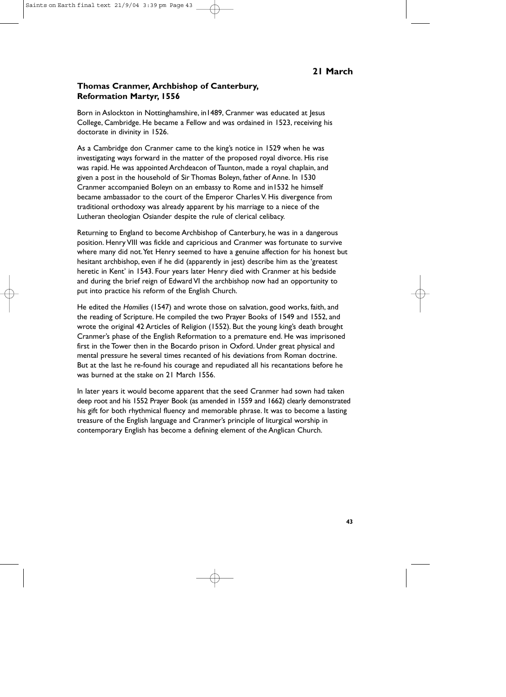# **Thomas Cranmer, Archbishop of Canterbury, Reformation Martyr, 1556**

Born in Aslockton in Nottinghamshire, in1489, Cranmer was educated at Jesus College, Cambridge. He became a Fellow and was ordained in 1523, receiving his doctorate in divinity in 1526.

As a Cambridge don Cranmer came to the king's notice in 1529 when he was investigating ways forward in the matter of the proposed royal divorce. His rise was rapid. He was appointed Archdeacon of Taunton, made a royal chaplain, and given a post in the household of Sir Thomas Boleyn, father of Anne. In 1530 Cranmer accompanied Boleyn on an embassy to Rome and in1532 he himself became ambassador to the court of the Emperor Charles V. His divergence from traditional orthodoxy was already apparent by his marriage to a niece of the Lutheran theologian Osiander despite the rule of clerical celibacy.

Returning to England to become Archbishop of Canterbury, he was in a dangerous position. Henry VIII was fickle and capricious and Cranmer was fortunate to survive where many did not.Yet Henry seemed to have a genuine affection for his honest but hesitant archbishop, even if he did (apparently in jest) describe him as the 'greatest heretic in Kent' in 1543. Four years later Henry died with Cranmer at his bedside and during the brief reign of Edward VI the archbishop now had an opportunity to put into practice his reform of the English Church.

He edited the *Homilies* (1547) and wrote those on salvation, good works, faith, and the reading of Scripture. He compiled the two Prayer Books of 1549 and 1552, and wrote the original 42 Articles of Religion (1552). But the young king's death brought Cranmer's phase of the English Reformation to a premature end. He was imprisoned first in the Tower then in the Bocardo prison in Oxford. Under great physical and mental pressure he several times recanted of his deviations from Roman doctrine. But at the last he re-found his courage and repudiated all his recantations before he was burned at the stake on 21 March 1556.

In later years it would become apparent that the seed Cranmer had sown had taken deep root and his 1552 Prayer Book (as amended in 1559 and 1662) clearly demonstrated his gift for both rhythmical fluency and memorable phrase. It was to become a lasting treasure of the English language and Cranmer's principle of liturgical worship in contemporary English has become a defining element of the Anglican Church.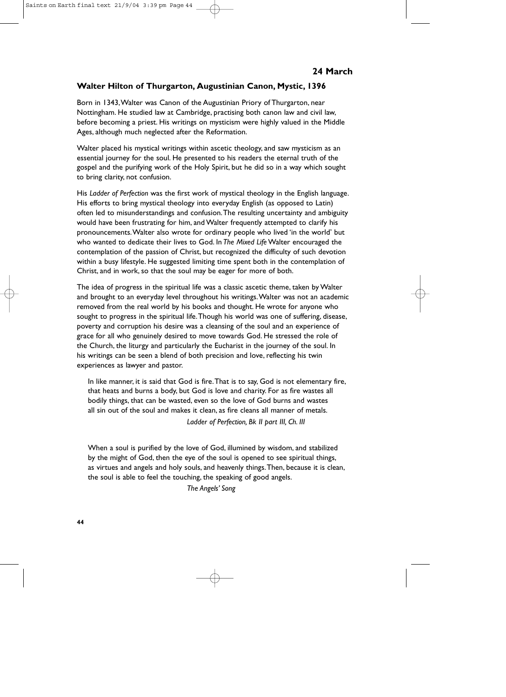# **Walter Hilton of Thurgarton, Augustinian Canon, Mystic, 1396**

Born in 1343,Walter was Canon of the Augustinian Priory of Thurgarton, near Nottingham. He studied law at Cambridge, practising both canon law and civil law, before becoming a priest. His writings on mysticism were highly valued in the Middle Ages, although much neglected after the Reformation.

Walter placed his mystical writings within ascetic theology, and saw mysticism as an essential journey for the soul. He presented to his readers the eternal truth of the gospel and the purifying work of the Holy Spirit, but he did so in a way which sought to bring clarity, not confusion.

His *Ladder of Perfection* was the first work of mystical theology in the English language. His efforts to bring mystical theology into everyday English (as opposed to Latin) often led to misunderstandings and confusion.The resulting uncertainty and ambiguity would have been frustrating for him, and Walter frequently attempted to clarify his pronouncements.Walter also wrote for ordinary people who lived 'in the world' but who wanted to dedicate their lives to God. In *The Mixed Life* Walter encouraged the contemplation of the passion of Christ, but recognized the difficulty of such devotion within a busy lifestyle. He suggested limiting time spent both in the contemplation of Christ, and in work, so that the soul may be eager for more of both.

The idea of progress in the spiritual life was a classic ascetic theme, taken by Walter and brought to an everyday level throughout his writings.Walter was not an academic removed from the real world by his books and thought. He wrote for anyone who sought to progress in the spiritual life.Though his world was one of suffering, disease, poverty and corruption his desire was a cleansing of the soul and an experience of grace for all who genuinely desired to move towards God. He stressed the role of the Church, the liturgy and particularly the Eucharist in the journey of the soul. In his writings can be seen a blend of both precision and love, reflecting his twin experiences as lawyer and pastor.

In like manner, it is said that God is fire.That is to say, God is not elementary fire, that heats and burns a body, but God is love and charity. For as fire wastes all bodily things, that can be wasted, even so the love of God burns and wastes all sin out of the soul and makes it clean, as fire cleans all manner of metals.

*Ladder of Perfection, Bk II part III, Ch. III*

When a soul is purified by the love of God, illumined by wisdom, and stabilized by the might of God, then the eye of the soul is opened to see spiritual things, as virtues and angels and holy souls, and heavenly things.Then, because it is clean, the soul is able to feel the touching, the speaking of good angels.

*The Angels' Song*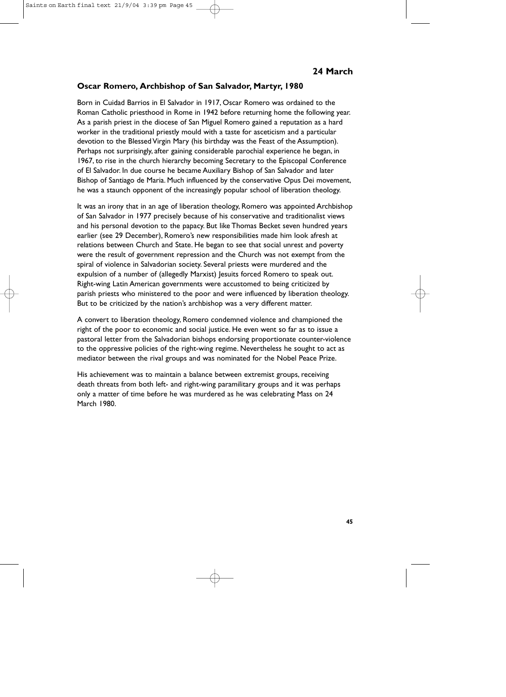# **Oscar Romero, Archbishop of San Salvador, Martyr, 1980**

Born in Cuidad Barrios in El Salvador in 1917, Oscar Romero was ordained to the Roman Catholic priesthood in Rome in 1942 before returning home the following year. As a parish priest in the diocese of San Miguel Romero gained a reputation as a hard worker in the traditional priestly mould with a taste for asceticism and a particular devotion to the Blessed Virgin Mary (his birthday was the Feast of the Assumption). Perhaps not surprisingly, after gaining considerable parochial experience he began, in 1967, to rise in the church hierarchy becoming Secretary to the Episcopal Conference of El Salvador. In due course he became Auxiliary Bishop of San Salvador and later Bishop of Santiago de Maria. Much influenced by the conservative Opus Dei movement, he was a staunch opponent of the increasingly popular school of liberation theology.

It was an irony that in an age of liberation theology, Romero was appointed Archbishop of San Salvador in 1977 precisely because of his conservative and traditionalist views and his personal devotion to the papacy. But like Thomas Becket seven hundred years earlier (see 29 December), Romero's new responsibilities made him look afresh at relations between Church and State. He began to see that social unrest and poverty were the result of government repression and the Church was not exempt from the spiral of violence in Salvadorian society. Several priests were murdered and the expulsion of a number of (allegedly Marxist) Jesuits forced Romero to speak out. Right-wing Latin American governments were accustomed to being criticized by parish priests who ministered to the poor and were influenced by liberation theology. But to be criticized by the nation's archbishop was a very different matter.

A convert to liberation theology, Romero condemned violence and championed the right of the poor to economic and social justice. He even went so far as to issue a pastoral letter from the Salvadorian bishops endorsing proportionate counter-violence to the oppressive policies of the right-wing regime. Nevertheless he sought to act as mediator between the rival groups and was nominated for the Nobel Peace Prize.

His achievement was to maintain a balance between extremist groups, receiving death threats from both left- and right-wing paramilitary groups and it was perhaps only a matter of time before he was murdered as he was celebrating Mass on 24 March 1980.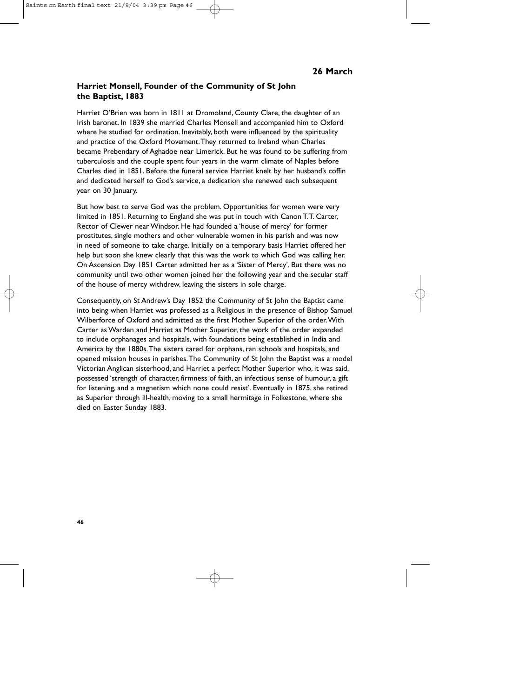# **Harriet Monsell, Founder of the Community of St John the Baptist, 1883**

Harriet O'Brien was born in 1811 at Dromoland, County Clare, the daughter of an Irish baronet. In 1839 she married Charles Monsell and accompanied him to Oxford where he studied for ordination. Inevitably, both were influenced by the spirituality and practice of the Oxford Movement.They returned to Ireland when Charles became Prebendary of Aghadoe near Limerick. But he was found to be suffering from tuberculosis and the couple spent four years in the warm climate of Naples before Charles died in 1851. Before the funeral service Harriet knelt by her husband's coffin and dedicated herself to God's service, a dedication she renewed each subsequent year on 30 January.

But how best to serve God was the problem. Opportunities for women were very limited in 1851. Returning to England she was put in touch with Canon T.T. Carter, Rector of Clewer near Windsor. He had founded a 'house of mercy' for former prostitutes, single mothers and other vulnerable women in his parish and was now in need of someone to take charge. Initially on a temporary basis Harriet offered her help but soon she knew clearly that this was the work to which God was calling her. On Ascension Day 1851 Carter admitted her as a 'Sister of Mercy'. But there was no community until two other women joined her the following year and the secular staff of the house of mercy withdrew, leaving the sisters in sole charge.

Consequently, on St Andrew's Day 1852 the Community of St John the Baptist came into being when Harriet was professed as a Religious in the presence of Bishop Samuel Wilberforce of Oxford and admitted as the first Mother Superior of the order.With Carter as Warden and Harriet as Mother Superior, the work of the order expanded to include orphanages and hospitals, with foundations being established in India and America by the 1880s.The sisters cared for orphans, ran schools and hospitals, and opened mission houses in parishes.The Community of St John the Baptist was a model Victorian Anglican sisterhood, and Harriet a perfect Mother Superior who, it was said, possessed 'strength of character, firmness of faith, an infectious sense of humour, a gift for listening, and a magnetism which none could resist'. Eventually in 1875, she retired as Superior through ill-health, moving to a small hermitage in Folkestone, where she died on Easter Sunday 1883.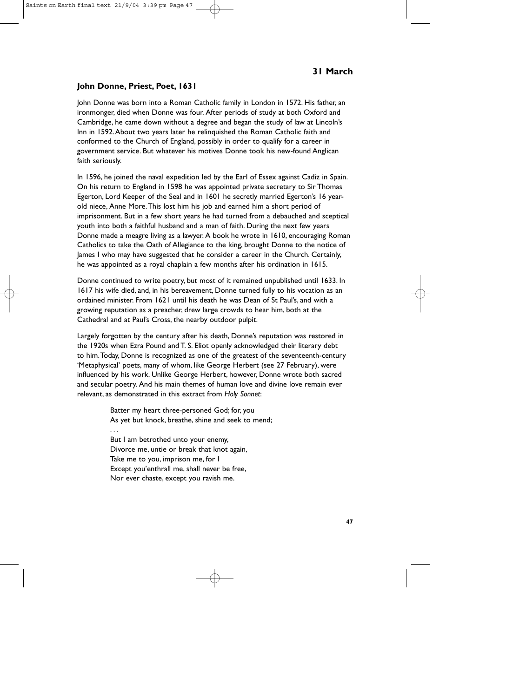# **John Donne, Priest, Poet, 1631**

John Donne was born into a Roman Catholic family in London in 1572. His father, an ironmonger, died when Donne was four. After periods of study at both Oxford and Cambridge, he came down without a degree and began the study of law at Lincoln's Inn in 1592.About two years later he relinquished the Roman Catholic faith and conformed to the Church of England, possibly in order to qualify for a career in government service. But whatever his motives Donne took his new-found Anglican faith seriously.

In 1596, he joined the naval expedition led by the Earl of Essex against Cadiz in Spain. On his return to England in 1598 he was appointed private secretary to Sir Thomas Egerton, Lord Keeper of the Seal and in 1601 he secretly married Egerton's 16 yearold niece, Anne More.This lost him his job and earned him a short period of imprisonment. But in a few short years he had turned from a debauched and sceptical youth into both a faithful husband and a man of faith. During the next few years Donne made a meagre living as a lawyer. A book he wrote in 1610, encouraging Roman Catholics to take the Oath of Allegiance to the king, brought Donne to the notice of James I who may have suggested that he consider a career in the Church. Certainly, he was appointed as a royal chaplain a few months after his ordination in 1615.

Donne continued to write poetry, but most of it remained unpublished until 1633. In 1617 his wife died, and, in his bereavement, Donne turned fully to his vocation as an ordained minister. From 1621 until his death he was Dean of St Paul's, and with a growing reputation as a preacher, drew large crowds to hear him, both at the Cathedral and at Paul's Cross, the nearby outdoor pulpit.

Largely forgotten by the century after his death, Donne's reputation was restored in the 1920s when Ezra Pound and T. S. Eliot openly acknowledged their literary debt to him.Today, Donne is recognized as one of the greatest of the seventeenth-century 'Metaphysical' poets, many of whom, like George Herbert (see 27 February), were influenced by his work. Unlike George Herbert, however, Donne wrote both sacred and secular poetry. And his main themes of human love and divine love remain ever relevant, as demonstrated in this extract from *Holy Sonnet*:

> Batter my heart three-personed God; for, you As yet but knock, breathe, shine and seek to mend;

... But I am betrothed unto your enemy, Divorce me, untie or break that knot again, Take me to you, imprison me, for I Except you'enthrall me, shall never be free, Nor ever chaste, except you ravish me.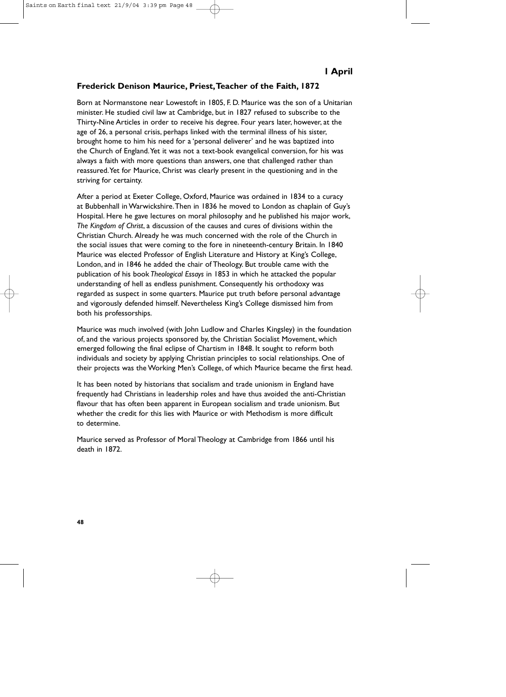# **Frederick Denison Maurice, Priest,Teacher of the Faith, 1872**

Born at Normanstone near Lowestoft in 1805, F. D. Maurice was the son of a Unitarian minister. He studied civil law at Cambridge, but in 1827 refused to subscribe to the Thirty-Nine Articles in order to receive his degree. Four years later, however, at the age of 26, a personal crisis, perhaps linked with the terminal illness of his sister, brought home to him his need for a 'personal deliverer' and he was baptized into the Church of England.Yet it was not a text-book evangelical conversion, for his was always a faith with more questions than answers, one that challenged rather than reassured.Yet for Maurice, Christ was clearly present in the questioning and in the striving for certainty.

After a period at Exeter College, Oxford, Maurice was ordained in 1834 to a curacy at Bubbenhall in Warwickshire.Then in 1836 he moved to London as chaplain of Guy's Hospital. Here he gave lectures on moral philosophy and he published his major work, *The Kingdom of Christ*, a discussion of the causes and cures of divisions within the Christian Church. Already he was much concerned with the role of the Church in the social issues that were coming to the fore in nineteenth-century Britain. In 1840 Maurice was elected Professor of English Literature and History at King's College, London, and in 1846 he added the chair of Theology. But trouble came with the publication of his book *Theological Essays* in 1853 in which he attacked the popular understanding of hell as endless punishment. Consequently his orthodoxy was regarded as suspect in some quarters. Maurice put truth before personal advantage and vigorously defended himself. Nevertheless King's College dismissed him from both his professorships.

Maurice was much involved (with John Ludlow and Charles Kingsley) in the foundation of, and the various projects sponsored by, the Christian Socialist Movement, which emerged following the final eclipse of Chartism in 1848. It sought to reform both individuals and society by applying Christian principles to social relationships. One of their projects was the Working Men's College, of which Maurice became the first head.

It has been noted by historians that socialism and trade unionism in England have frequently had Christians in leadership roles and have thus avoided the anti-Christian flavour that has often been apparent in European socialism and trade unionism. But whether the credit for this lies with Maurice or with Methodism is more difficult to determine.

Maurice served as Professor of Moral Theology at Cambridge from 1866 until his death in 1872.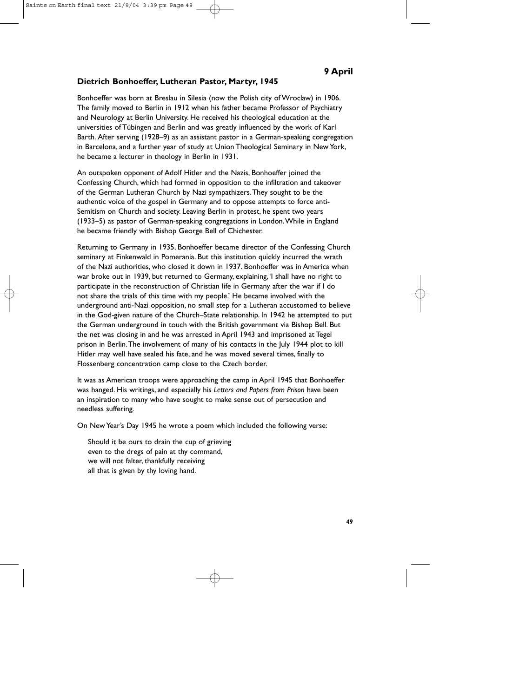# **Dietrich Bonhoeffer, Lutheran Pastor, Martyr, 1945**

Bonhoeffer was born at Breslau in Silesia (now the Polish city of Wroclaw) in 1906. The family moved to Berlin in 1912 when his father became Professor of Psychiatry and Neurology at Berlin University. He received his theological education at the universities of Tübingen and Berlin and was greatly influenced by the work of Karl Barth. After serving (1928–9) as an assistant pastor in a German-speaking congregation in Barcelona, and a further year of study at Union Theological Seminary in New York, he became a lecturer in theology in Berlin in 1931.

An outspoken opponent of Adolf Hitler and the Nazis, Bonhoeffer joined the Confessing Church, which had formed in opposition to the infiltration and takeover of the German Lutheran Church by Nazi sympathizers.They sought to be the authentic voice of the gospel in Germany and to oppose attempts to force anti-Semitism on Church and society. Leaving Berlin in protest, he spent two years (1933–5) as pastor of German-speaking congregations in London.While in England he became friendly with Bishop George Bell of Chichester.

Returning to Germany in 1935, Bonhoeffer became director of the Confessing Church seminary at Finkenwald in Pomerania. But this institution quickly incurred the wrath of the Nazi authorities, who closed it down in 1937. Bonhoeffer was in America when war broke out in 1939, but returned to Germany, explaining,'I shall have no right to participate in the reconstruction of Christian life in Germany after the war if I do not share the trials of this time with my people.' He became involved with the underground anti-Nazi opposition, no small step for a Lutheran accustomed to believe in the God-given nature of the Church–State relationship. In 1942 he attempted to put the German underground in touch with the British government via Bishop Bell. But the net was closing in and he was arrested in April 1943 and imprisoned at Tegel prison in Berlin.The involvement of many of his contacts in the July 1944 plot to kill Hitler may well have sealed his fate, and he was moved several times, finally to Flossenberg concentration camp close to the Czech border.

It was as American troops were approaching the camp in April 1945 that Bonhoeffer was hanged. His writings, and especially his *Letters and Papers from Prison* have been an inspiration to many who have sought to make sense out of persecution and needless suffering.

On New Year's Day 1945 he wrote a poem which included the following verse:

Should it be ours to drain the cup of grieving even to the dregs of pain at thy command, we will not falter, thankfully receiving all that is given by thy loving hand.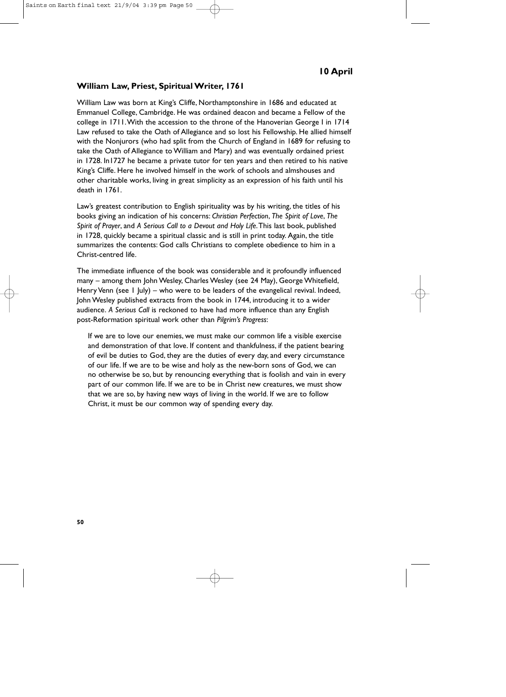#### **William Law, Priest, Spiritual Writer, 1761**

William Law was born at King's Cliffe, Northamptonshire in 1686 and educated at Emmanuel College, Cambridge. He was ordained deacon and became a Fellow of the college in 1711.With the accession to the throne of the Hanoverian George I in 1714 Law refused to take the Oath of Allegiance and so lost his Fellowship. He allied himself with the Nonjurors (who had split from the Church of England in 1689 for refusing to take the Oath of Allegiance to William and Mary) and was eventually ordained priest in 1728. In1727 he became a private tutor for ten years and then retired to his native King's Cliffe. Here he involved himself in the work of schools and almshouses and other charitable works, living in great simplicity as an expression of his faith until his death in 1761.

Law's greatest contribution to English spirituality was by his writing, the titles of his books giving an indication of his concerns: *Christian Perfection*, *The Spirit of Love*, *The Spirit of Prayer*, and *A Serious Call to a Devout and Holy Life*.This last book, published in 1728, quickly became a spiritual classic and is still in print today. Again, the title summarizes the contents: God calls Christians to complete obedience to him in a Christ-centred life.

The immediate influence of the book was considerable and it profoundly influenced many – among them John Wesley, Charles Wesley (see 24 May), George Whitefield, Henry Venn (see 1 July) – who were to be leaders of the evangelical revival. Indeed, John Wesley published extracts from the book in 1744, introducing it to a wider audience. *A Serious Call* is reckoned to have had more influence than any English post-Reformation spiritual work other than *Pilgrim's Progress*:

If we are to love our enemies, we must make our common life a visible exercise and demonstration of that love. If content and thankfulness, if the patient bearing of evil be duties to God, they are the duties of every day, and every circumstance of our life. If we are to be wise and holy as the new-born sons of God, we can no otherwise be so, but by renouncing everything that is foolish and vain in every part of our common life. If we are to be in Christ new creatures, we must show that we are so, by having new ways of living in the world. If we are to follow Christ, it must be our common way of spending every day.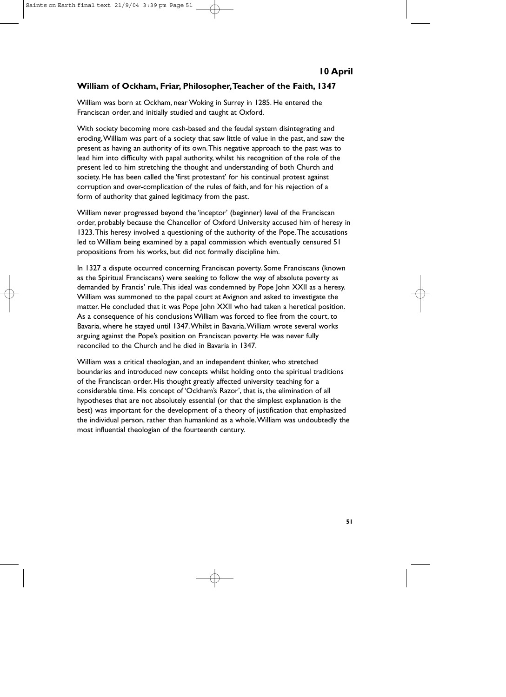# **William of Ockham, Friar, Philosopher,Teacher of the Faith, 1347**

William was born at Ockham, near Woking in Surrey in 1285. He entered the Franciscan order, and initially studied and taught at Oxford.

With society becoming more cash-based and the feudal system disintegrating and eroding,William was part of a society that saw little of value in the past, and saw the present as having an authority of its own.This negative approach to the past was to lead him into difficulty with papal authority, whilst his recognition of the role of the present led to him stretching the thought and understanding of both Church and society. He has been called the 'first protestant' for his continual protest against corruption and over-complication of the rules of faith, and for his rejection of a form of authority that gained legitimacy from the past.

William never progressed beyond the 'inceptor' (beginner) level of the Franciscan order, probably because the Chancellor of Oxford University accused him of heresy in 1323.This heresy involved a questioning of the authority of the Pope.The accusations led to William being examined by a papal commission which eventually censured 51 propositions from his works, but did not formally discipline him.

In 1327 a dispute occurred concerning Franciscan poverty. Some Franciscans (known as the Spiritual Franciscans) were seeking to follow the way of absolute poverty as demanded by Francis' rule.This ideal was condemned by Pope John XXII as a heresy. William was summoned to the papal court at Avignon and asked to investigate the matter. He concluded that it was Pope John XXII who had taken a heretical position. As a consequence of his conclusions William was forced to flee from the court, to Bavaria, where he stayed until 1347.Whilst in Bavaria,William wrote several works arguing against the Pope's position on Franciscan poverty. He was never fully reconciled to the Church and he died in Bavaria in 1347.

William was a critical theologian, and an independent thinker, who stretched boundaries and introduced new concepts whilst holding onto the spiritual traditions of the Franciscan order. His thought greatly affected university teaching for a considerable time. His concept of 'Ockham's Razor', that is, the elimination of all hypotheses that are not absolutely essential (or that the simplest explanation is the best) was important for the development of a theory of justification that emphasized the individual person, rather than humankind as a whole.William was undoubtedly the most influential theologian of the fourteenth century.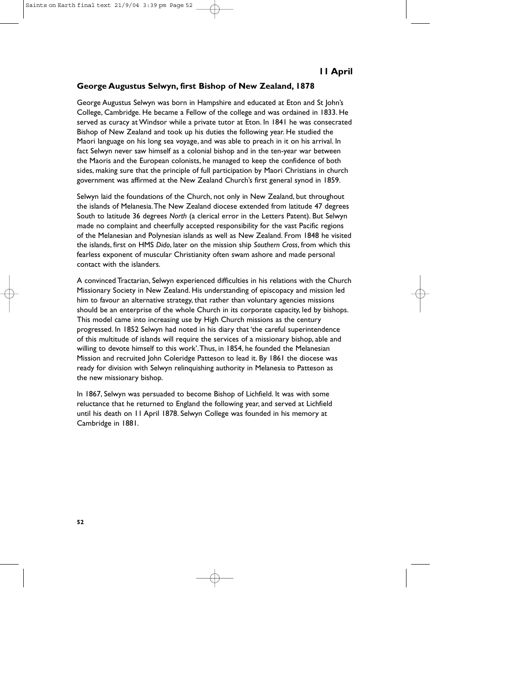# **George Augustus Selwyn, first Bishop of New Zealand, 1878**

George Augustus Selwyn was born in Hampshire and educated at Eton and St John's College, Cambridge. He became a Fellow of the college and was ordained in 1833. He served as curacy at Windsor while a private tutor at Eton. In 1841 he was consecrated Bishop of New Zealand and took up his duties the following year. He studied the Maori language on his long sea voyage, and was able to preach in it on his arrival. In fact Selwyn never saw himself as a colonial bishop and in the ten-year war between the Maoris and the European colonists, he managed to keep the confidence of both sides, making sure that the principle of full participation by Maori Christians in church government was affirmed at the New Zealand Church's first general synod in 1859.

Selwyn laid the foundations of the Church, not only in New Zealand, but throughout the islands of Melanesia.The New Zealand diocese extended from latitude 47 degrees South to latitude 36 degrees *North* (a clerical error in the Letters Patent). But Selwyn made no complaint and cheerfully accepted responsibility for the vast Pacific regions of the Melanesian and Polynesian islands as well as New Zealand. From 1848 he visited the islands, first on HMS *Dido*, later on the mission ship *Southern Cross*, from which this fearless exponent of muscular Christianity often swam ashore and made personal contact with the islanders.

A convinced Tractarian, Selwyn experienced difficulties in his relations with the Church Missionary Society in New Zealand. His understanding of episcopacy and mission led him to favour an alternative strategy, that rather than voluntary agencies missions should be an enterprise of the whole Church in its corporate capacity, led by bishops. This model came into increasing use by High Church missions as the century progressed. In 1852 Selwyn had noted in his diary that 'the careful superintendence of this multitude of islands will require the services of a missionary bishop, able and willing to devote himself to this work'.Thus, in 1854, he founded the Melanesian Mission and recruited John Coleridge Patteson to lead it. By 1861 the diocese was ready for division with Selwyn relinquishing authority in Melanesia to Patteson as the new missionary bishop.

In 1867, Selwyn was persuaded to become Bishop of Lichfield. It was with some reluctance that he returned to England the following year, and served at Lichfield until his death on 11 April 1878. Selwyn College was founded in his memory at Cambridge in 1881.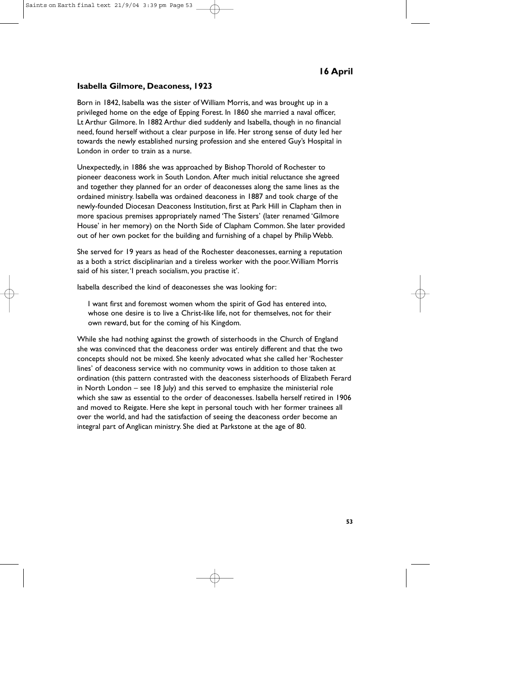# **Isabella Gilmore, Deaconess, 1923**

Born in 1842, Isabella was the sister of William Morris, and was brought up in a privileged home on the edge of Epping Forest. In 1860 she married a naval officer, Lt Arthur Gilmore. In 1882 Arthur died suddenly and Isabella, though in no financial need, found herself without a clear purpose in life. Her strong sense of duty led her towards the newly established nursing profession and she entered Guy's Hospital in London in order to train as a nurse.

Unexpectedly, in 1886 she was approached by Bishop Thorold of Rochester to pioneer deaconess work in South London. After much initial reluctance she agreed and together they planned for an order of deaconesses along the same lines as the ordained ministry. Isabella was ordained deaconess in 1887 and took charge of the newly-founded Diocesan Deaconess Institution, first at Park Hill in Clapham then in more spacious premises appropriately named 'The Sisters' (later renamed 'Gilmore House' in her memory) on the North Side of Clapham Common. She later provided out of her own pocket for the building and furnishing of a chapel by Philip Webb.

She served for 19 years as head of the Rochester deaconesses, earning a reputation as a both a strict disciplinarian and a tireless worker with the poor.William Morris said of his sister,'I preach socialism, you practise it'.

Isabella described the kind of deaconesses she was looking for:

I want first and foremost women whom the spirit of God has entered into, whose one desire is to live a Christ-like life, not for themselves, not for their own reward, but for the coming of his Kingdom.

While she had nothing against the growth of sisterhoods in the Church of England she was convinced that the deaconess order was entirely different and that the two concepts should not be mixed. She keenly advocated what she called her 'Rochester lines' of deaconess service with no community vows in addition to those taken at ordination (this pattern contrasted with the deaconess sisterhoods of Elizabeth Ferard in North London – see 18 July) and this served to emphasize the ministerial role which she saw as essential to the order of deaconesses. Isabella herself retired in 1906 and moved to Reigate. Here she kept in personal touch with her former trainees all over the world, and had the satisfaction of seeing the deaconess order become an integral part of Anglican ministry. She died at Parkstone at the age of 80.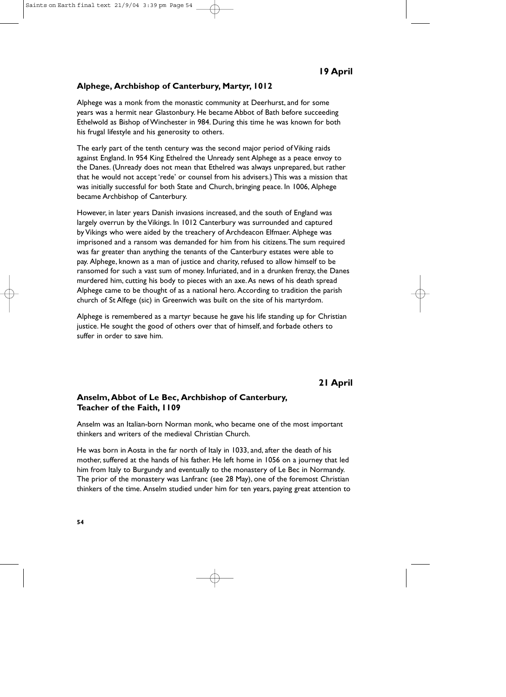# **Alphege, Archbishop of Canterbury, Martyr, 1012**

Alphege was a monk from the monastic community at Deerhurst, and for some years was a hermit near Glastonbury. He became Abbot of Bath before succeeding Ethelwold as Bishop of Winchester in 984. During this time he was known for both his frugal lifestyle and his generosity to others.

The early part of the tenth century was the second major period of Viking raids against England. In 954 King Ethelred the Unready sent Alphege as a peace envoy to the Danes. (Unready does not mean that Ethelred was always unprepared, but rather that he would not accept 'rede' or counsel from his advisers.) This was a mission that was initially successful for both State and Church, bringing peace. In 1006, Alphege became Archbishop of Canterbury.

However, in later years Danish invasions increased, and the south of England was largely overrun by the Vikings. In 1012 Canterbury was surrounded and captured by Vikings who were aided by the treachery of Archdeacon Elfmaer. Alphege was imprisoned and a ransom was demanded for him from his citizens.The sum required was far greater than anything the tenants of the Canterbury estates were able to pay. Alphege, known as a man of justice and charity, refused to allow himself to be ransomed for such a vast sum of money. Infuriated, and in a drunken frenzy, the Danes murdered him, cutting his body to pieces with an axe.As news of his death spread Alphege came to be thought of as a national hero. According to tradition the parish church of St Alfege (sic) in Greenwich was built on the site of his martyrdom.

Alphege is remembered as a martyr because he gave his life standing up for Christian justice. He sought the good of others over that of himself, and forbade others to suffer in order to save him.

# **21 April**

# **Anselm, Abbot of Le Bec, Archbishop of Canterbury, Teacher of the Faith, 1109**

Anselm was an Italian-born Norman monk, who became one of the most important thinkers and writers of the medieval Christian Church.

He was born in Aosta in the far north of Italy in 1033, and, after the death of his mother, suffered at the hands of his father. He left home in 1056 on a journey that led him from Italy to Burgundy and eventually to the monastery of Le Bec in Normandy. The prior of the monastery was Lanfranc (see 28 May), one of the foremost Christian thinkers of the time. Anselm studied under him for ten years, paying great attention to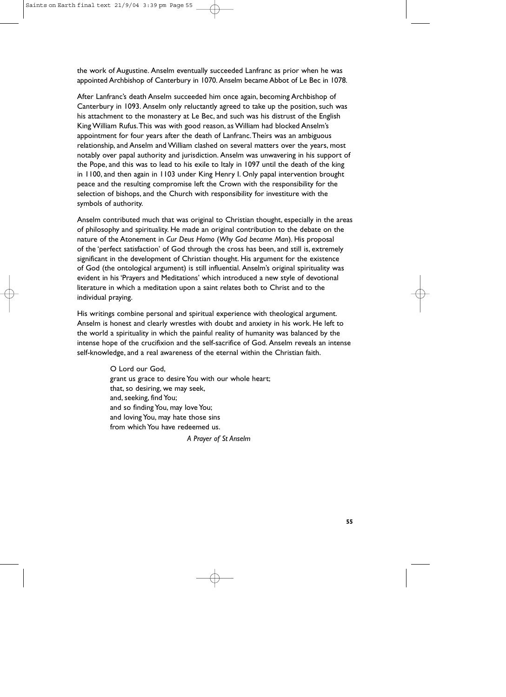the work of Augustine. Anselm eventually succeeded Lanfranc as prior when he was appointed Archbishop of Canterbury in 1070. Anselm became Abbot of Le Bec in 1078.

After Lanfranc's death Anselm succeeded him once again, becoming Archbishop of Canterbury in 1093. Anselm only reluctantly agreed to take up the position, such was his attachment to the monastery at Le Bec, and such was his distrust of the English King William Rufus.This was with good reason, as William had blocked Anselm's appointment for four years after the death of Lanfranc.Theirs was an ambiguous relationship, and Anselm and William clashed on several matters over the years, most notably over papal authority and jurisdiction. Anselm was unwavering in his support of the Pope, and this was to lead to his exile to Italy in 1097 until the death of the king in 1100, and then again in 1103 under King Henry I. Only papal intervention brought peace and the resulting compromise left the Crown with the responsibility for the selection of bishops, and the Church with responsibility for investiture with the symbols of authority.

Anselm contributed much that was original to Christian thought, especially in the areas of philosophy and spirituality. He made an original contribution to the debate on the nature of the Atonement in *Cur Deus Homo* (*Why God became Man*). His proposal of the 'perfect satisfaction' of God through the cross has been, and still is, extremely significant in the development of Christian thought. His argument for the existence of God (the ontological argument) is still influential. Anselm's original spirituality was evident in his 'Prayers and Meditations' which introduced a new style of devotional literature in which a meditation upon a saint relates both to Christ and to the individual praying.

His writings combine personal and spiritual experience with theological argument. Anselm is honest and clearly wrestles with doubt and anxiety in his work. He left to the world a spirituality in which the painful reality of humanity was balanced by the intense hope of the crucifixion and the self-sacrifice of God. Anselm reveals an intense self-knowledge, and a real awareness of the eternal within the Christian faith.

> O Lord our God, grant us grace to desire You with our whole heart; that, so desiring, we may seek, and, seeking, find You; and so finding You, may love You; and loving You, may hate those sins from which You have redeemed us.

> > *A Prayer of St Anselm*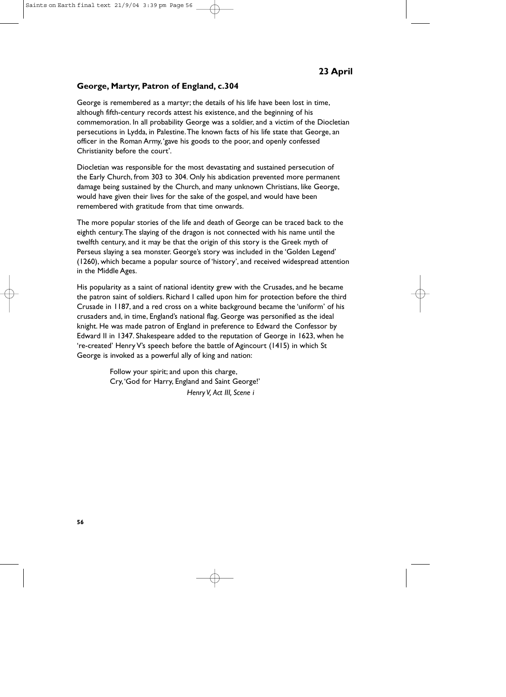# **George, Martyr, Patron of England, c.304**

George is remembered as a martyr; the details of his life have been lost in time, although fifth-century records attest his existence, and the beginning of his commemoration. In all probability George was a soldier, and a victim of the Diocletian persecutions in Lydda, in Palestine.The known facts of his life state that George, an officer in the Roman Army,'gave his goods to the poor, and openly confessed Christianity before the court'.

Diocletian was responsible for the most devastating and sustained persecution of the Early Church, from 303 to 304. Only his abdication prevented more permanent damage being sustained by the Church, and many unknown Christians, like George, would have given their lives for the sake of the gospel, and would have been remembered with gratitude from that time onwards.

The more popular stories of the life and death of George can be traced back to the eighth century.The slaying of the dragon is not connected with his name until the twelfth century, and it may be that the origin of this story is the Greek myth of Perseus slaying a sea monster. George's story was included in the 'Golden Legend' (1260), which became a popular source of 'history', and received widespread attention in the Middle Ages.

His popularity as a saint of national identity grew with the Crusades, and he became the patron saint of soldiers. Richard I called upon him for protection before the third Crusade in 1187, and a red cross on a white background became the 'uniform' of his crusaders and, in time, England's national flag. George was personified as the ideal knight. He was made patron of England in preference to Edward the Confessor by Edward II in 1347. Shakespeare added to the reputation of George in 1623, when he 're-created' Henry V's speech before the battle of Agincourt (1415) in which St George is invoked as a powerful ally of king and nation:

> Follow your spirit; and upon this charge, Cry,'God for Harry, England and Saint George!' *Henry V, Act III, Scene i*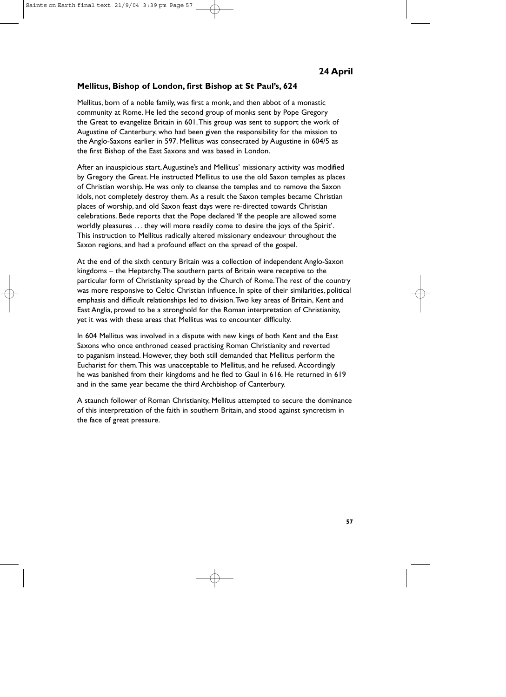### **Mellitus, Bishop of London, first Bishop at St Paul's, 624**

Mellitus, born of a noble family, was first a monk, and then abbot of a monastic community at Rome. He led the second group of monks sent by Pope Gregory the Great to evangelize Britain in 601.This group was sent to support the work of Augustine of Canterbury, who had been given the responsibility for the mission to the Anglo-Saxons earlier in 597. Mellitus was consecrated by Augustine in 604/5 as the first Bishop of the East Saxons and was based in London.

After an inauspicious start,Augustine's and Mellitus' missionary activity was modified by Gregory the Great. He instructed Mellitus to use the old Saxon temples as places of Christian worship. He was only to cleanse the temples and to remove the Saxon idols, not completely destroy them. As a result the Saxon temples became Christian places of worship, and old Saxon feast days were re-directed towards Christian celebrations. Bede reports that the Pope declared 'If the people are allowed some worldly pleasures . . . they will more readily come to desire the joys of the Spirit'. This instruction to Mellitus radically altered missionary endeavour throughout the Saxon regions, and had a profound effect on the spread of the gospel.

At the end of the sixth century Britain was a collection of independent Anglo-Saxon kingdoms – the Heptarchy.The southern parts of Britain were receptive to the particular form of Christianity spread by the Church of Rome.The rest of the country was more responsive to Celtic Christian influence. In spite of their similarities, political emphasis and difficult relationships led to division.Two key areas of Britain, Kent and East Anglia, proved to be a stronghold for the Roman interpretation of Christianity, yet it was with these areas that Mellitus was to encounter difficulty.

In 604 Mellitus was involved in a dispute with new kings of both Kent and the East Saxons who once enthroned ceased practising Roman Christianity and reverted to paganism instead. However, they both still demanded that Mellitus perform the Eucharist for them.This was unacceptable to Mellitus, and he refused. Accordingly he was banished from their kingdoms and he fled to Gaul in 616. He returned in 619 and in the same year became the third Archbishop of Canterbury.

A staunch follower of Roman Christianity, Mellitus attempted to secure the dominance of this interpretation of the faith in southern Britain, and stood against syncretism in the face of great pressure.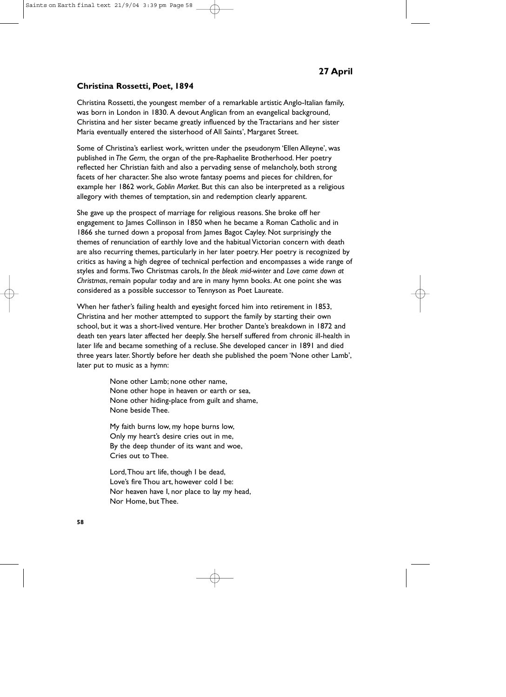### **Christina Rossetti, Poet, 1894**

Christina Rossetti, the youngest member of a remarkable artistic Anglo-Italian family, was born in London in 1830. A devout Anglican from an evangelical background, Christina and her sister became greatly influenced by the Tractarians and her sister Maria eventually entered the sisterhood of All Saints', Margaret Street.

Some of Christina's earliest work, written under the pseudonym 'Ellen Alleyne', was published in *The Germ,* the organ of the pre-Raphaelite Brotherhood. Her poetry reflected her Christian faith and also a pervading sense of melancholy, both strong facets of her character. She also wrote fantasy poems and pieces for children, for example her 1862 work, *Goblin Market*. But this can also be interpreted as a religious allegory with themes of temptation, sin and redemption clearly apparent.

She gave up the prospect of marriage for religious reasons. She broke off her engagement to James Collinson in 1850 when he became a Roman Catholic and in 1866 she turned down a proposal from James Bagot Cayley. Not surprisingly the themes of renunciation of earthly love and the habitual Victorian concern with death are also recurring themes, particularly in her later poetry. Her poetry is recognized by critics as having a high degree of technical perfection and encompasses a wide range of styles and forms.Two Christmas carols, *In the bleak mid-winter* and *Love came down at Christmas*, remain popular today and are in many hymn books. At one point she was considered as a possible successor to Tennyson as Poet Laureate.

When her father's failing health and eyesight forced him into retirement in 1853, Christina and her mother attempted to support the family by starting their own school, but it was a short-lived venture. Her brother Dante's breakdown in 1872 and death ten years later affected her deeply. She herself suffered from chronic ill-health in later life and became something of a recluse. She developed cancer in 1891 and died three years later. Shortly before her death she published the poem 'None other Lamb', later put to music as a hymn:

> None other Lamb; none other name, None other hope in heaven or earth or sea, None other hiding-place from guilt and shame, None beside Thee.

My faith burns low, my hope burns low, Only my heart's desire cries out in me, By the deep thunder of its want and woe, Cries out to Thee.

Lord,Thou art life, though I be dead, Love's fire Thou art, however cold I be: Nor heaven have I, nor place to lay my head, Nor Home, but Thee.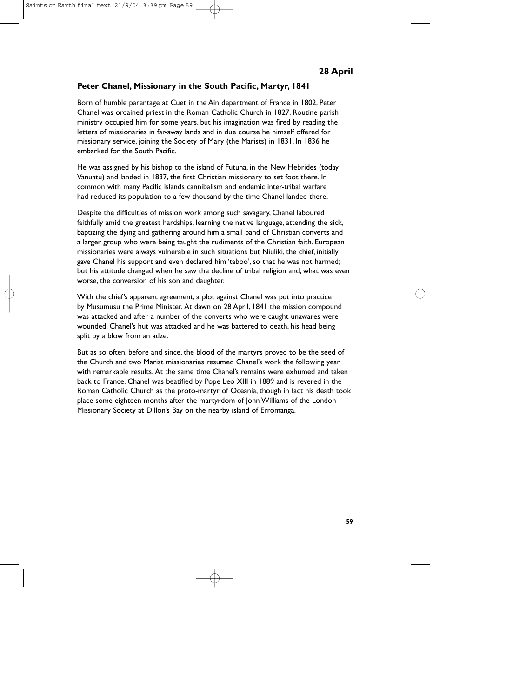# **Peter Chanel, Missionary in the South Pacific, Martyr, 1841**

Born of humble parentage at Cuet in the Ain department of France in 1802, Peter Chanel was ordained priest in the Roman Catholic Church in 1827. Routine parish ministry occupied him for some years, but his imagination was fired by reading the letters of missionaries in far-away lands and in due course he himself offered for missionary service, joining the Society of Mary (the Marists) in 1831. In 1836 he embarked for the South Pacific.

He was assigned by his bishop to the island of Futuna, in the New Hebrides (today Vanuatu) and landed in 1837, the first Christian missionary to set foot there. In common with many Pacific islands cannibalism and endemic inter-tribal warfare had reduced its population to a few thousand by the time Chanel landed there.

Despite the difficulties of mission work among such savagery, Chanel laboured faithfully amid the greatest hardships, learning the native language, attending the sick, baptizing the dying and gathering around him a small band of Christian converts and a larger group who were being taught the rudiments of the Christian faith. European missionaries were always vulnerable in such situations but Niuliki, the chief, initially gave Chanel his support and even declared him 'taboo', so that he was not harmed; but his attitude changed when he saw the decline of tribal religion and, what was even worse, the conversion of his son and daughter.

With the chief's apparent agreement, a plot against Chanel was put into practice by Musumusu the Prime Minister. At dawn on 28 April, 1841 the mission compound was attacked and after a number of the converts who were caught unawares were wounded, Chanel's hut was attacked and he was battered to death, his head being split by a blow from an adze.

But as so often, before and since, the blood of the martyrs proved to be the seed of the Church and two Marist missionaries resumed Chanel's work the following year with remarkable results. At the same time Chanel's remains were exhumed and taken back to France. Chanel was beatified by Pope Leo XIII in 1889 and is revered in the Roman Catholic Church as the proto-martyr of Oceania, though in fact his death took place some eighteen months after the martyrdom of John Williams of the London Missionary Society at Dillon's Bay on the nearby island of Erromanga.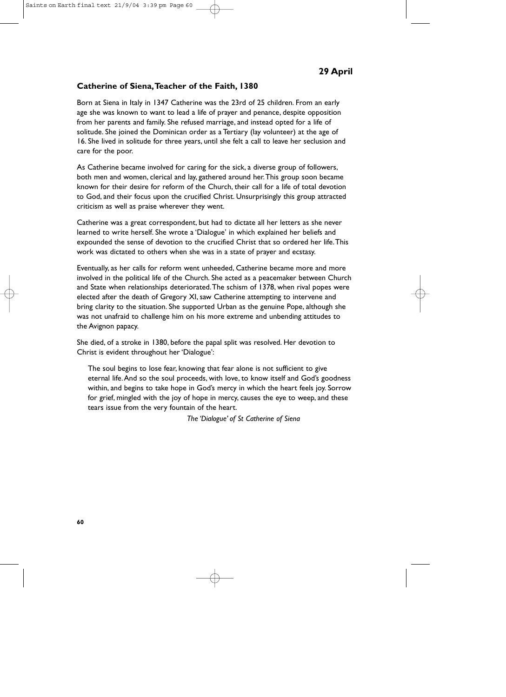### **Catherine of Siena,Teacher of the Faith, 1380**

Born at Siena in Italy in 1347 Catherine was the 23rd of 25 children. From an early age she was known to want to lead a life of prayer and penance, despite opposition from her parents and family. She refused marriage, and instead opted for a life of solitude. She joined the Dominican order as a Tertiary (lay volunteer) at the age of 16. She lived in solitude for three years, until she felt a call to leave her seclusion and care for the poor.

As Catherine became involved for caring for the sick, a diverse group of followers, both men and women, clerical and lay, gathered around her.This group soon became known for their desire for reform of the Church, their call for a life of total devotion to God, and their focus upon the crucified Christ. Unsurprisingly this group attracted criticism as well as praise wherever they went.

Catherine was a great correspondent, but had to dictate all her letters as she never learned to write herself. She wrote a 'Dialogue' in which explained her beliefs and expounded the sense of devotion to the crucified Christ that so ordered her life.This work was dictated to others when she was in a state of prayer and ecstasy.

Eventually, as her calls for reform went unheeded, Catherine became more and more involved in the political life of the Church. She acted as a peacemaker between Church and State when relationships deteriorated.The schism of 1378, when rival popes were elected after the death of Gregory XI, saw Catherine attempting to intervene and bring clarity to the situation. She supported Urban as the genuine Pope, although she was not unafraid to challenge him on his more extreme and unbending attitudes to the Avignon papacy.

She died, of a stroke in 1380, before the papal split was resolved. Her devotion to Christ is evident throughout her 'Dialogue':

The soul begins to lose fear, knowing that fear alone is not sufficient to give eternal life.And so the soul proceeds, with love, to know itself and God's goodness within, and begins to take hope in God's mercy in which the heart feels joy. Sorrow for grief, mingled with the joy of hope in mercy, causes the eye to weep, and these tears issue from the very fountain of the heart.

*The 'Dialogue' of St Catherine of Siena*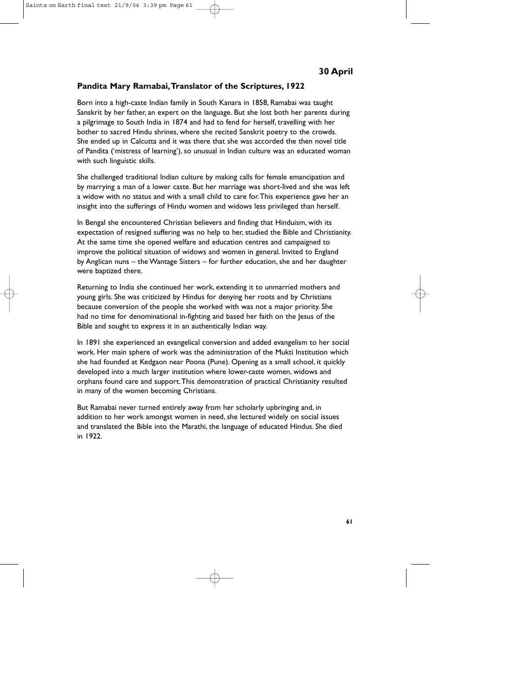# **Pandita Mary Ramabai,Translator of the Scriptures, 1922**

Born into a high-caste Indian family in South Kanara in 1858, Ramabai was taught Sanskrit by her father, an expert on the language. But she lost both her parents during a pilgrimage to South India in 1874 and had to fend for herself, travelling with her bother to sacred Hindu shrines, where she recited Sanskrit poetry to the crowds. She ended up in Calcutta and it was there that she was accorded the then novel title of Pandita ('mistress of learning'), so unusual in Indian culture was an educated woman with such linguistic skills.

She challenged traditional Indian culture by making calls for female emancipation and by marrying a man of a lower caste. But her marriage was short-lived and she was left a widow with no status and with a small child to care for.This experience gave her an insight into the sufferings of Hindu women and widows less privileged than herself.

In Bengal she encountered Christian believers and finding that Hinduism, with its expectation of resigned suffering was no help to her, studied the Bible and Christianity. At the same time she opened welfare and education centres and campaigned to improve the political situation of widows and women in general. Invited to England by Anglican nuns – the Wantage Sisters – for further education, she and her daughter were baptized there.

Returning to India she continued her work, extending it to unmarried mothers and young girls. She was criticized by Hindus for denying her roots and by Christians because conversion of the people she worked with was not a major priority. She had no time for denominational in-fighting and based her faith on the lesus of the Bible and sought to express it in an authentically Indian way.

In 1891 she experienced an evangelical conversion and added evangelism to her social work. Her main sphere of work was the administration of the Mukti Institution which she had founded at Kedgaon near Poona (Pune). Opening as a small school, it quickly developed into a much larger institution where lower-caste women, widows and orphans found care and support.This demonstration of practical Christianity resulted in many of the women becoming Christians.

But Ramabai never turned entirely away from her scholarly upbringing and, in addition to her work amongst women in need, she lectured widely on social issues and translated the Bible into the Marathi, the language of educated Hindus. She died in 1922.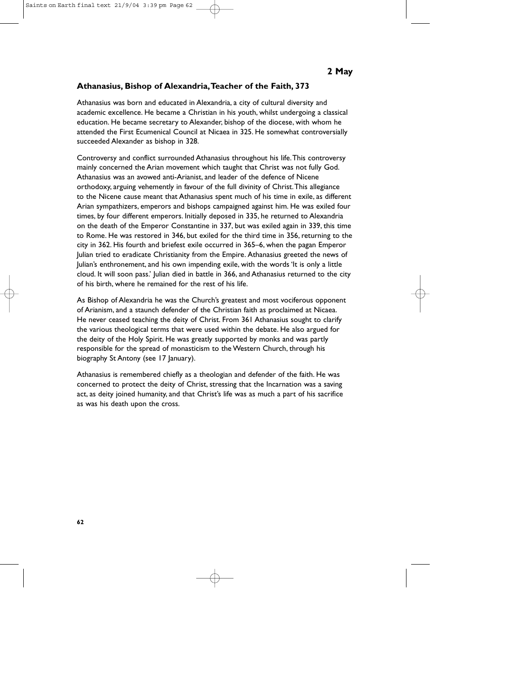# **Athanasius, Bishop of Alexandria,Teacher of the Faith, 373**

Athanasius was born and educated in Alexandria, a city of cultural diversity and academic excellence. He became a Christian in his youth, whilst undergoing a classical education. He became secretary to Alexander, bishop of the diocese, with whom he attended the First Ecumenical Council at Nicaea in 325. He somewhat controversially succeeded Alexander as bishop in 328.

Controversy and conflict surrounded Athanasius throughout his life.This controversy mainly concerned the Arian movement which taught that Christ was not fully God. Athanasius was an avowed anti-Arianist, and leader of the defence of Nicene orthodoxy, arguing vehemently in favour of the full divinity of Christ.This allegiance to the Nicene cause meant that Athanasius spent much of his time in exile, as different Arian sympathizers, emperors and bishops campaigned against him. He was exiled four times, by four different emperors. Initially deposed in 335, he returned to Alexandria on the death of the Emperor Constantine in 337, but was exiled again in 339, this time to Rome. He was restored in 346, but exiled for the third time in 356, returning to the city in 362. His fourth and briefest exile occurred in 365–6, when the pagan Emperor Julian tried to eradicate Christianity from the Empire. Athanasius greeted the news of Julian's enthronement, and his own impending exile, with the words 'It is only a little cloud. It will soon pass.' Julian died in battle in 366, and Athanasius returned to the city of his birth, where he remained for the rest of his life.

As Bishop of Alexandria he was the Church's greatest and most vociferous opponent of Arianism, and a staunch defender of the Christian faith as proclaimed at Nicaea. He never ceased teaching the deity of Christ. From 361 Athanasius sought to clarify the various theological terms that were used within the debate. He also argued for the deity of the Holy Spirit. He was greatly supported by monks and was partly responsible for the spread of monasticism to the Western Church, through his biography St Antony (see 17 January).

Athanasius is remembered chiefly as a theologian and defender of the faith. He was concerned to protect the deity of Christ, stressing that the Incarnation was a saving act, as deity joined humanity, and that Christ's life was as much a part of his sacrifice as was his death upon the cross.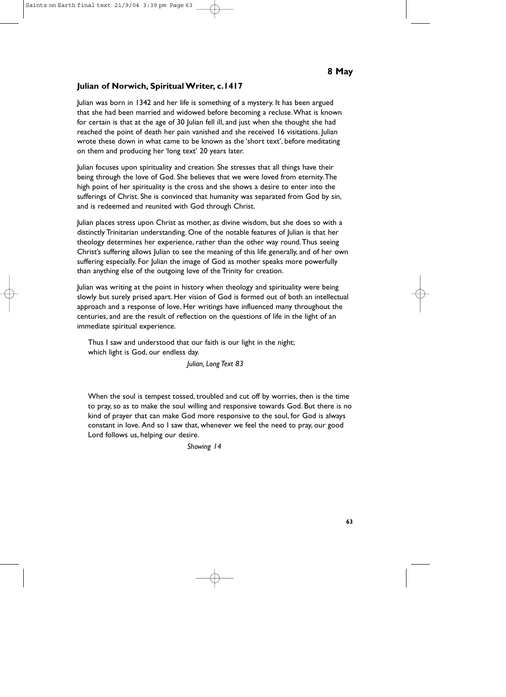## **Julian of Norwich, Spiritual Writer, c.1417**

Julian was born in 1342 and her life is something of a mystery. It has been argued that she had been married and widowed before becoming a recluse.What is known for certain is that at the age of 30 Julian fell ill, and just when she thought she had reached the point of death her pain vanished and she received 16 visitations. Julian wrote these down in what came to be known as the 'short text', before meditating on them and producing her 'long text' 20 years later.

Julian focuses upon spirituality and creation. She stresses that all things have their being through the love of God. She believes that we were loved from eternity.The high point of her spirituality is the cross and she shows a desire to enter into the sufferings of Christ. She is convinced that humanity was separated from God by sin, and is redeemed and reunited with God through Christ.

Julian places stress upon Christ as mother, as divine wisdom, but she does so with a distinctly Trinitarian understanding. One of the notable features of Julian is that her theology determines her experience, rather than the other way round.Thus seeing Christ's suffering allows Julian to see the meaning of this life generally, and of her own suffering especially. For Julian the image of God as mother speaks more powerfully than anything else of the outgoing love of the Trinity for creation.

Julian was writing at the point in history when theology and spirituality were being slowly but surely prised apart. Her vision of God is formed out of both an intellectual approach and a response of love. Her writings have influenced many throughout the centuries, and are the result of reflection on the questions of life in the light of an immediate spiritual experience.

Thus I saw and understood that our faith is our light in the night; which light is God, our endless day.

*Julian, Long Text 83*

When the soul is tempest tossed, troubled and cut off by worries, then is the time to pray, so as to make the soul willing and responsive towards God. But there is no kind of prayer that can make God more responsive to the soul, for God is always constant in love. And so I saw that, whenever we feel the need to pray, our good Lord follows us, helping our desire.

#### *Showing 14*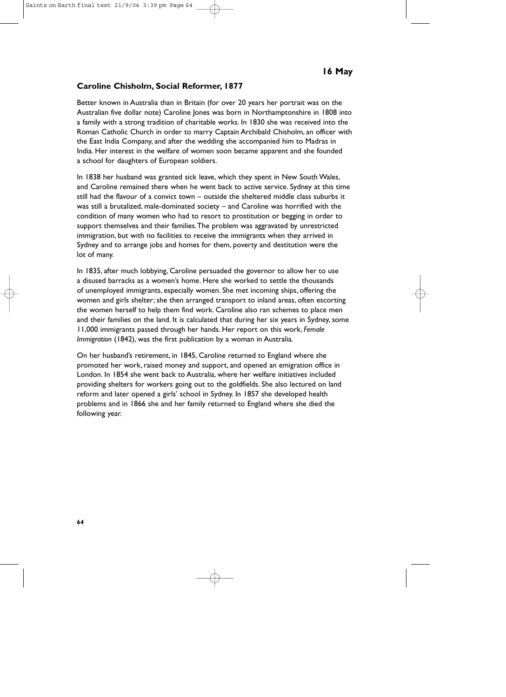#### **Caroline Chisholm, Social Reformer, 1877**

Better known in Australia than in Britain (for over 20 years her portrait was on the Australian five dollar note) Caroline Jones was born in Northamptonshire in 1808 into a family with a strong tradition of charitable works. In 1830 she was received into the Roman Catholic Church in order to marry Captain Archibald Chisholm, an officer with the East India Company, and after the wedding she accompanied him to Madras in India. Her interest in the welfare of women soon became apparent and she founded a school for daughters of European soldiers.

In 1838 her husband was granted sick leave, which they spent in New South Wales, and Caroline remained there when he went back to active service. Sydney at this time still had the flavour of a convict town – outside the sheltered middle class suburbs it was still a brutalized, male-dominated society – and Caroline was horrified with the condition of many women who had to resort to prostitution or begging in order to support themselves and their families.The problem was aggravated by unrestricted immigration, but with no facilities to receive the immigrants when they arrived in Sydney and to arrange jobs and homes for them, poverty and destitution were the lot of many.

In 1835, after much lobbying, Caroline persuaded the governor to allow her to use a disused barracks as a women's home. Here she worked to settle the thousands of unemployed immigrants, especially women. She met incoming ships, offering the women and girls shelter; she then arranged transport to inland areas, often escorting the women herself to help them find work. Caroline also ran schemes to place men and their families on the land. It is calculated that during her six years in Sydney, some 11,000 immigrants passed through her hands. Her report on this work, *Female Immigration* (1842), was the first publication by a woman in Australia.

On her husband's retirement, in 1845, Caroline returned to England where she promoted her work, raised money and support, and opened an emigration office in London. In 1854 she went back to Australia, where her welfare initiatives included providing shelters for workers going out to the goldfields. She also lectured on land reform and later opened a girls' school in Sydney. In 1857 she developed health problems and in 1866 she and her family returned to England where she died the following year.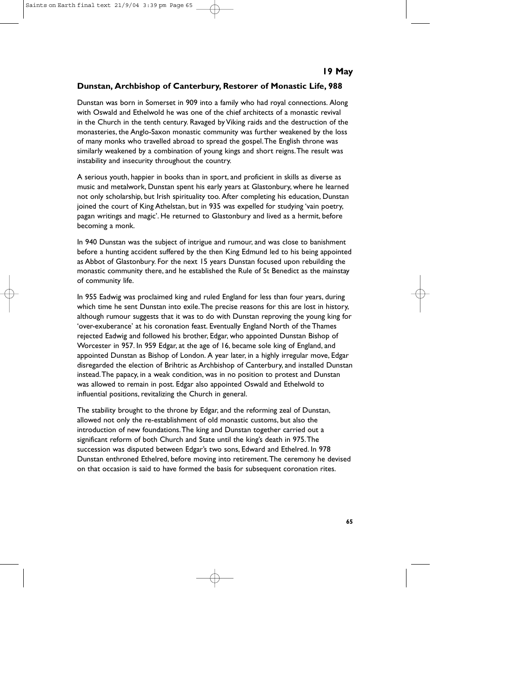### **Dunstan, Archbishop of Canterbury, Restorer of Monastic Life, 988**

Dunstan was born in Somerset in 909 into a family who had royal connections. Along with Oswald and Ethelwold he was one of the chief architects of a monastic revival in the Church in the tenth century. Ravaged by Viking raids and the destruction of the monasteries, the Anglo-Saxon monastic community was further weakened by the loss of many monks who travelled abroad to spread the gospel.The English throne was similarly weakened by a combination of young kings and short reigns.The result was instability and insecurity throughout the country.

A serious youth, happier in books than in sport, and proficient in skills as diverse as music and metalwork, Dunstan spent his early years at Glastonbury, where he learned not only scholarship, but Irish spirituality too. After completing his education, Dunstan joined the court of King Athelstan, but in 935 was expelled for studying 'vain poetry, pagan writings and magic'. He returned to Glastonbury and lived as a hermit, before becoming a monk.

In 940 Dunstan was the subject of intrigue and rumour, and was close to banishment before a hunting accident suffered by the then King Edmund led to his being appointed as Abbot of Glastonbury. For the next 15 years Dunstan focused upon rebuilding the monastic community there, and he established the Rule of St Benedict as the mainstay of community life.

In 955 Eadwig was proclaimed king and ruled England for less than four years, during which time he sent Dunstan into exile.The precise reasons for this are lost in history, although rumour suggests that it was to do with Dunstan reproving the young king for 'over-exuberance' at his coronation feast. Eventually England North of the Thames rejected Eadwig and followed his brother, Edgar, who appointed Dunstan Bishop of Worcester in 957. In 959 Edgar, at the age of 16, became sole king of England, and appointed Dunstan as Bishop of London. A year later, in a highly irregular move, Edgar disregarded the election of Brihtric as Archbishop of Canterbury, and installed Dunstan instead.The papacy, in a weak condition, was in no position to protest and Dunstan was allowed to remain in post. Edgar also appointed Oswald and Ethelwold to influential positions, revitalizing the Church in general.

The stability brought to the throne by Edgar, and the reforming zeal of Dunstan, allowed not only the re-establishment of old monastic customs, but also the introduction of new foundations.The king and Dunstan together carried out a significant reform of both Church and State until the king's death in 975.The succession was disputed between Edgar's two sons, Edward and Ethelred. In 978 Dunstan enthroned Ethelred, before moving into retirement.The ceremony he devised on that occasion is said to have formed the basis for subsequent coronation rites.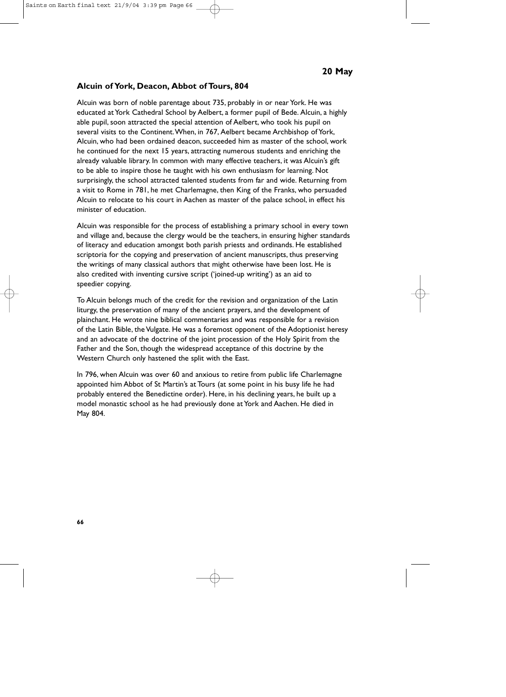#### **Alcuin of York, Deacon, Abbot of Tours, 804**

Alcuin was born of noble parentage about 735, probably in or near York. He was educated at York Cathedral School by Aelbert, a former pupil of Bede. Alcuin, a highly able pupil, soon attracted the special attention of Aelbert, who took his pupil on several visits to the Continent.When, in 767, Aelbert became Archbishop of York, Alcuin, who had been ordained deacon, succeeded him as master of the school, work he continued for the next 15 years, attracting numerous students and enriching the already valuable library. In common with many effective teachers, it was Alcuin's gift to be able to inspire those he taught with his own enthusiasm for learning. Not surprisingly, the school attracted talented students from far and wide. Returning from a visit to Rome in 781, he met Charlemagne, then King of the Franks, who persuaded Alcuin to relocate to his court in Aachen as master of the palace school, in effect his minister of education.

Alcuin was responsible for the process of establishing a primary school in every town and village and, because the clergy would be the teachers, in ensuring higher standards of literacy and education amongst both parish priests and ordinands. He established scriptoria for the copying and preservation of ancient manuscripts, thus preserving the writings of many classical authors that might otherwise have been lost. He is also credited with inventing cursive script ('joined-up writing') as an aid to speedier copying.

To Alcuin belongs much of the credit for the revision and organization of the Latin liturgy, the preservation of many of the ancient prayers, and the development of plainchant. He wrote nine biblical commentaries and was responsible for a revision of the Latin Bible, the Vulgate. He was a foremost opponent of the Adoptionist heresy and an advocate of the doctrine of the joint procession of the Holy Spirit from the Father and the Son, though the widespread acceptance of this doctrine by the Western Church only hastened the split with the East.

In 796, when Alcuin was over 60 and anxious to retire from public life Charlemagne appointed him Abbot of St Martin's at Tours (at some point in his busy life he had probably entered the Benedictine order). Here, in his declining years, he built up a model monastic school as he had previously done at York and Aachen. He died in May 804.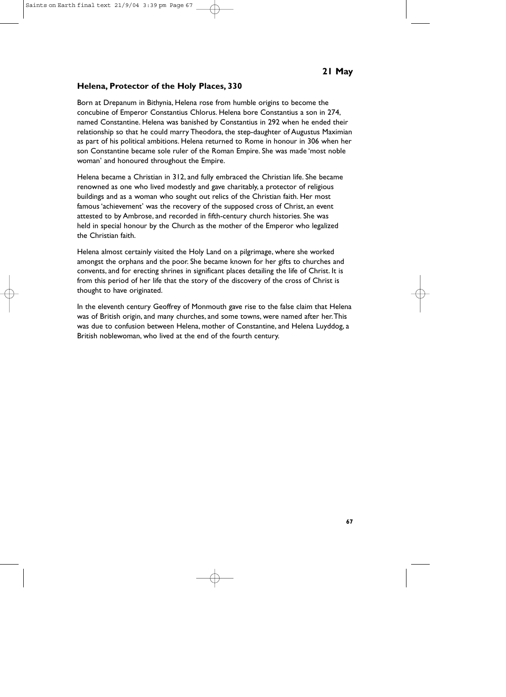### **Helena, Protector of the Holy Places, 330**

Born at Drepanum in Bithynia, Helena rose from humble origins to become the concubine of Emperor Constantius Chlorus. Helena bore Constantius a son in 274, named Constantine. Helena was banished by Constantius in 292 when he ended their relationship so that he could marry Theodora, the step-daughter of Augustus Maximian as part of his political ambitions. Helena returned to Rome in honour in 306 when her son Constantine became sole ruler of the Roman Empire. She was made 'most noble woman' and honoured throughout the Empire.

Helena became a Christian in 312, and fully embraced the Christian life. She became renowned as one who lived modestly and gave charitably, a protector of religious buildings and as a woman who sought out relics of the Christian faith. Her most famous 'achievement' was the recovery of the supposed cross of Christ, an event attested to by Ambrose, and recorded in fifth-century church histories. She was held in special honour by the Church as the mother of the Emperor who legalized the Christian faith.

Helena almost certainly visited the Holy Land on a pilgrimage, where she worked amongst the orphans and the poor. She became known for her gifts to churches and convents, and for erecting shrines in significant places detailing the life of Christ. It is from this period of her life that the story of the discovery of the cross of Christ is thought to have originated.

In the eleventh century Geoffrey of Monmouth gave rise to the false claim that Helena was of British origin, and many churches, and some towns, were named after her.This was due to confusion between Helena, mother of Constantine, and Helena Luyddog, a British noblewoman, who lived at the end of the fourth century.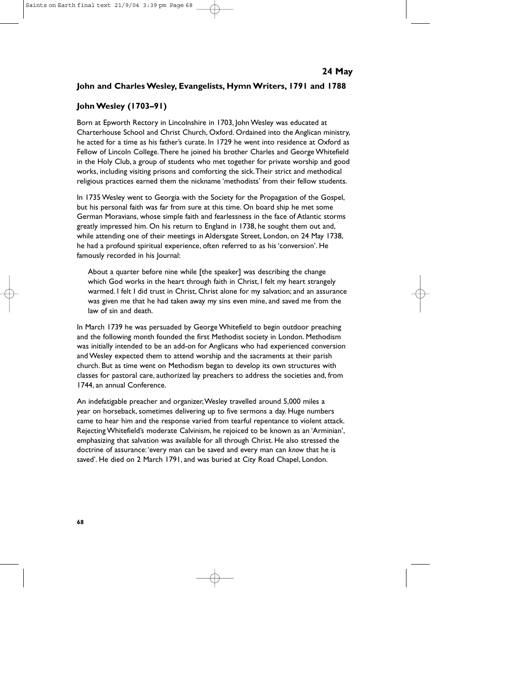### **John and Charles Wesley, Evangelists, Hymn Writers, 1791 and 1788**

### **John Wesley (1703–91)**

Born at Epworth Rectory in Lincolnshire in 1703, John Wesley was educated at Charterhouse School and Christ Church, Oxford. Ordained into the Anglican ministry, he acted for a time as his father's curate. In 1729 he went into residence at Oxford as Fellow of Lincoln College.There he joined his brother Charles and George Whitefield in the Holy Club, a group of students who met together for private worship and good works, including visiting prisons and comforting the sick.Their strict and methodical religious practices earned them the nickname 'methodists' from their fellow students.

In 1735 Wesley went to Georgia with the Society for the Propagation of the Gospel, but his personal faith was far from sure at this time. On board ship he met some German Moravians, whose simple faith and fearlessness in the face of Atlantic storms greatly impressed him. On his return to England in 1738, he sought them out and, while attending one of their meetings in Aldersgate Street, London, on 24 May 1738, he had a profound spiritual experience, often referred to as his 'conversion'. He famously recorded in his Journal:

About a quarter before nine while [the speaker] was describing the change which God works in the heart through faith in Christ, I felt my heart strangely warmed. I felt I did trust in Christ, Christ alone for my salvation; and an assurance was given me that he had taken away my sins even mine, and saved me from the law of sin and death.

In March 1739 he was persuaded by George Whitefield to begin outdoor preaching and the following month founded the first Methodist society in London. Methodism was initially intended to be an add-on for Anglicans who had experienced conversion and Wesley expected them to attend worship and the sacraments at their parish church. But as time went on Methodism began to develop its own structures with classes for pastoral care, authorized lay preachers to address the societies and, from 1744, an annual Conference.

An indefatigable preacher and organizer,Wesley travelled around 5,000 miles a year on horseback, sometimes delivering up to five sermons a day. Huge numbers came to hear him and the response varied from tearful repentance to violent attack. Rejecting Whitefield's moderate Calvinism, he rejoiced to be known as an 'Arminian', emphasizing that salvation was available for all through Christ. He also stressed the doctrine of assurance:'every man can be saved and every man can *know* that he is saved'. He died on 2 March 1791, and was buried at City Road Chapel, London.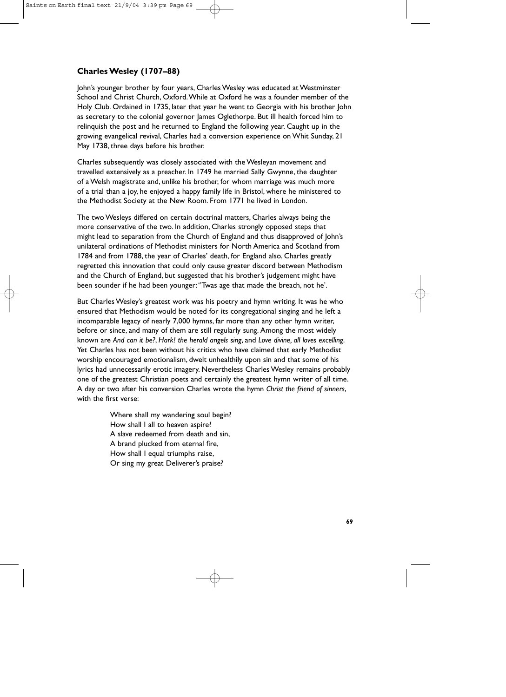# **Charles Wesley (1707–88)**

John's younger brother by four years, Charles Wesley was educated at Westminster School and Christ Church, Oxford.While at Oxford he was a founder member of the Holy Club. Ordained in 1735, later that year he went to Georgia with his brother John as secretary to the colonial governor James Oglethorpe. But ill health forced him to relinquish the post and he returned to England the following year. Caught up in the growing evangelical revival, Charles had a conversion experience on Whit Sunday, 21 May 1738, three days before his brother.

Charles subsequently was closely associated with the Wesleyan movement and travelled extensively as a preacher. In 1749 he married Sally Gwynne, the daughter of a Welsh magistrate and, unlike his brother, for whom marriage was much more of a trial than a joy, he enjoyed a happy family life in Bristol, where he ministered to the Methodist Society at the New Room. From 1771 he lived in London.

The two Wesleys differed on certain doctrinal matters, Charles always being the more conservative of the two. In addition, Charles strongly opposed steps that might lead to separation from the Church of England and thus disapproved of John's unilateral ordinations of Methodist ministers for North America and Scotland from 1784 and from 1788, the year of Charles' death, for England also. Charles greatly regretted this innovation that could only cause greater discord between Methodism and the Church of England, but suggested that his brother's judgement might have been sounder if he had been younger:''Twas age that made the breach, not he'.

But Charles Wesley's greatest work was his poetry and hymn writing. It was he who ensured that Methodism would be noted for its congregational singing and he left a incomparable legacy of nearly 7,000 hymns, far more than any other hymn writer, before or since, and many of them are still regularly sung. Among the most widely known are *And can it be?*, *Hark! the herald angels sing*, and *Love divine, all loves excelling*. Yet Charles has not been without his critics who have claimed that early Methodist worship encouraged emotionalism, dwelt unhealthily upon sin and that some of his lyrics had unnecessarily erotic imagery. Nevertheless Charles Wesley remains probably one of the greatest Christian poets and certainly the greatest hymn writer of all time. A day or two after his conversion Charles wrote the hymn *Christ the friend of sinners*, with the first verse:

> Where shall my wandering soul begin? How shall I all to heaven aspire? A slave redeemed from death and sin, A brand plucked from eternal fire, How shall I equal triumphs raise, Or sing my great Deliverer's praise?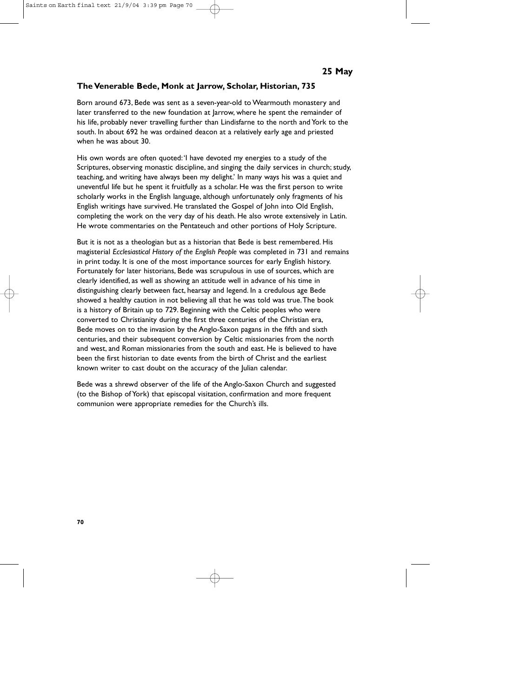#### **The Venerable Bede, Monk at Jarrow, Scholar, Historian, 735**

Born around 673, Bede was sent as a seven-year-old to Wearmouth monastery and later transferred to the new foundation at Jarrow, where he spent the remainder of his life, probably never travelling further than Lindisfarne to the north and York to the south. In about 692 he was ordained deacon at a relatively early age and priested when he was about 30.

His own words are often quoted:'I have devoted my energies to a study of the Scriptures, observing monastic discipline, and singing the daily services in church; study, teaching, and writing have always been my delight.' In many ways his was a quiet and uneventful life but he spent it fruitfully as a scholar. He was the first person to write scholarly works in the English language, although unfortunately only fragments of his English writings have survived. He translated the Gospel of John into Old English, completing the work on the very day of his death. He also wrote extensively in Latin. He wrote commentaries on the Pentateuch and other portions of Holy Scripture.

But it is not as a theologian but as a historian that Bede is best remembered. His magisterial *Ecclesiastical History of the English People* was completed in 731 and remains in print today. It is one of the most importance sources for early English history. Fortunately for later historians, Bede was scrupulous in use of sources, which are clearly identified, as well as showing an attitude well in advance of his time in distinguishing clearly between fact, hearsay and legend. In a credulous age Bede showed a healthy caution in not believing all that he was told was true.The book is a history of Britain up to 729. Beginning with the Celtic peoples who were converted to Christianity during the first three centuries of the Christian era, Bede moves on to the invasion by the Anglo-Saxon pagans in the fifth and sixth centuries, and their subsequent conversion by Celtic missionaries from the north and west, and Roman missionaries from the south and east. He is believed to have been the first historian to date events from the birth of Christ and the earliest known writer to cast doubt on the accuracy of the Julian calendar.

Bede was a shrewd observer of the life of the Anglo-Saxon Church and suggested (to the Bishop of York) that episcopal visitation, confirmation and more frequent communion were appropriate remedies for the Church's ills.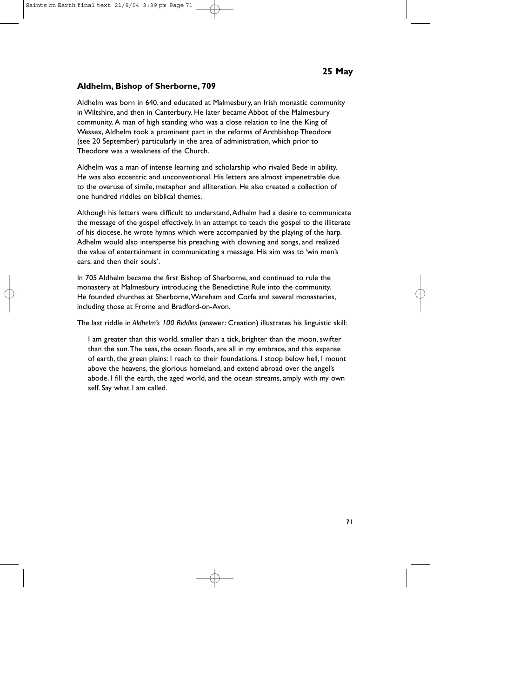## **Aldhelm, Bishop of Sherborne, 709**

Aldhelm was born in 640, and educated at Malmesbury, an Irish monastic community in Wiltshire, and then in Canterbury. He later became Abbot of the Malmesbury community. A man of high standing who was a close relation to Ine the King of Wessex, Aldhelm took a prominent part in the reforms of Archbishop Theodore (see 20 September) particularly in the area of administration, which prior to Theodore was a weakness of the Church.

Aldhelm was a man of intense learning and scholarship who rivaled Bede in ability. He was also eccentric and unconventional. His letters are almost impenetrable due to the overuse of simile, metaphor and alliteration. He also created a collection of one hundred riddles on biblical themes.

Although his letters were difficult to understand,Adhelm had a desire to communicate the message of the gospel effectively. In an attempt to teach the gospel to the illiterate of his diocese, he wrote hymns which were accompanied by the playing of the harp. Adhelm would also intersperse his preaching with clowning and songs, and realized the value of entertainment in communicating a message. His aim was to 'win men's ears, and then their souls'.

In 705 Aldhelm became the first Bishop of Sherborne, and continued to rule the monastery at Malmesbury introducing the Benedictine Rule into the community. He founded churches at Sherborne,Wareham and Corfe and several monasteries, including those at Frome and Bradford-on-Avon.

The last riddle in *Aldhelm's 100 Riddles* (answer: Creation) illustrates his linguistic skill:

I am greater than this world, smaller than a tick, brighter than the moon, swifter than the sun.The seas, the ocean floods, are all in my embrace, and this expanse of earth, the green plains: I reach to their foundations. I stoop below hell, I mount above the heavens, the glorious homeland, and extend abroad over the angel's abode. I fill the earth, the aged world, and the ocean streams, amply with my own self. Say what I am called.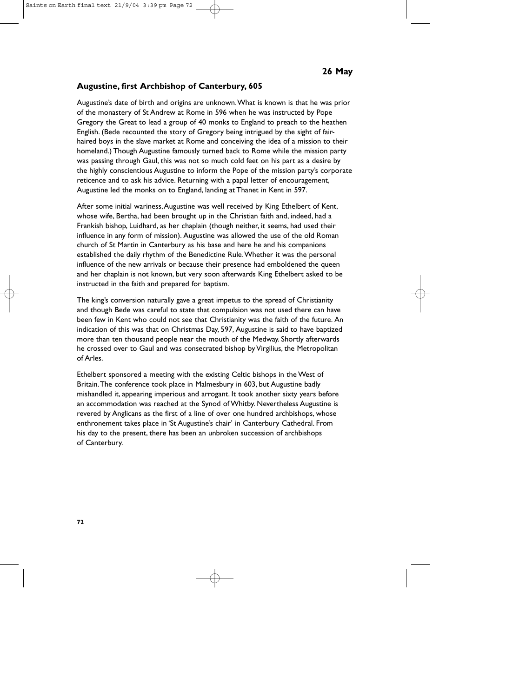#### **Augustine, first Archbishop of Canterbury, 605**

Augustine's date of birth and origins are unknown.What is known is that he was prior of the monastery of St Andrew at Rome in 596 when he was instructed by Pope Gregory the Great to lead a group of 40 monks to England to preach to the heathen English. (Bede recounted the story of Gregory being intrigued by the sight of fairhaired boys in the slave market at Rome and conceiving the idea of a mission to their homeland.) Though Augustine famously turned back to Rome while the mission party was passing through Gaul, this was not so much cold feet on his part as a desire by the highly conscientious Augustine to inform the Pope of the mission party's corporate reticence and to ask his advice. Returning with a papal letter of encouragement, Augustine led the monks on to England, landing at Thanet in Kent in 597.

After some initial wariness,Augustine was well received by King Ethelbert of Kent, whose wife, Bertha, had been brought up in the Christian faith and, indeed, had a Frankish bishop, Luidhard, as her chaplain (though neither, it seems, had used their influence in any form of mission). Augustine was allowed the use of the old Roman church of St Martin in Canterbury as his base and here he and his companions established the daily rhythm of the Benedictine Rule.Whether it was the personal influence of the new arrivals or because their presence had emboldened the queen and her chaplain is not known, but very soon afterwards King Ethelbert asked to be instructed in the faith and prepared for baptism.

The king's conversion naturally gave a great impetus to the spread of Christianity and though Bede was careful to state that compulsion was not used there can have been few in Kent who could not see that Christianity was the faith of the future. An indication of this was that on Christmas Day, 597, Augustine is said to have baptized more than ten thousand people near the mouth of the Medway. Shortly afterwards he crossed over to Gaul and was consecrated bishop by Virgilius, the Metropolitan of Arles.

Ethelbert sponsored a meeting with the existing Celtic bishops in the West of Britain.The conference took place in Malmesbury in 603, but Augustine badly mishandled it, appearing imperious and arrogant. It took another sixty years before an accommodation was reached at the Synod of Whitby. Nevertheless Augustine is revered by Anglicans as the first of a line of over one hundred archbishops, whose enthronement takes place in 'St Augustine's chair' in Canterbury Cathedral. From his day to the present, there has been an unbroken succession of archbishops of Canterbury.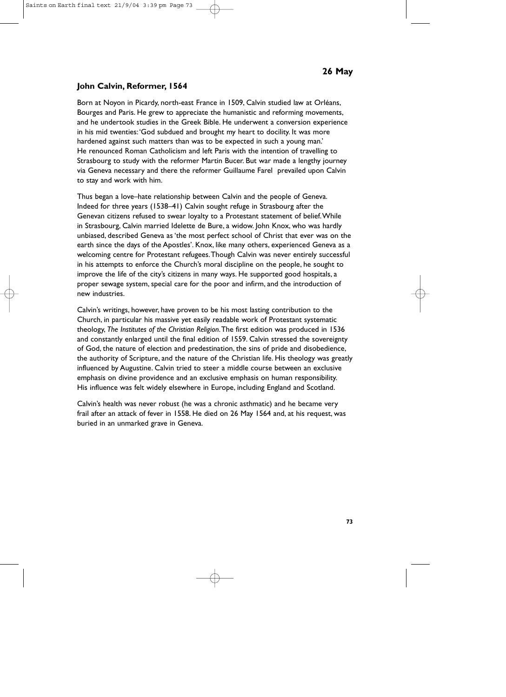# **John Calvin, Reformer, 1564**

Born at Noyon in Picardy, north-east France in 1509, Calvin studied law at Orléans, Bourges and Paris. He grew to appreciate the humanistic and reforming movements, and he undertook studies in the Greek Bible. He underwent a conversion experience in his mid twenties:'God subdued and brought my heart to docility. It was more hardened against such matters than was to be expected in such a young man.' He renounced Roman Catholicism and left Paris with the intention of travelling to Strasbourg to study with the reformer Martin Bucer. But war made a lengthy journey via Geneva necessary and there the reformer Guillaume Farel prevailed upon Calvin to stay and work with him.

Thus began a love–hate relationship between Calvin and the people of Geneva. Indeed for three years (1538–41) Calvin sought refuge in Strasbourg after the Genevan citizens refused to swear loyalty to a Protestant statement of belief.While in Strasbourg, Calvin married Idelette de Bure, a widow. John Knox, who was hardly unbiased, described Geneva as 'the most perfect school of Christ that ever was on the earth since the days of the Apostles'. Knox, like many others, experienced Geneva as a welcoming centre for Protestant refugees.Though Calvin was never entirely successful in his attempts to enforce the Church's moral discipline on the people, he sought to improve the life of the city's citizens in many ways. He supported good hospitals, a proper sewage system, special care for the poor and infirm, and the introduction of new industries.

Calvin's writings, however, have proven to be his most lasting contribution to the Church, in particular his massive yet easily readable work of Protestant systematic theology, *The Institutes of the Christian Religion*.The first edition was produced in 1536 and constantly enlarged until the final edition of 1559. Calvin stressed the sovereignty of God, the nature of election and predestination, the sins of pride and disobedience, the authority of Scripture, and the nature of the Christian life. His theology was greatly influenced by Augustine. Calvin tried to steer a middle course between an exclusive emphasis on divine providence and an exclusive emphasis on human responsibility. His influence was felt widely elsewhere in Europe, including England and Scotland.

Calvin's health was never robust (he was a chronic asthmatic) and he became very frail after an attack of fever in 1558. He died on 26 May 1564 and, at his request, was buried in an unmarked grave in Geneva.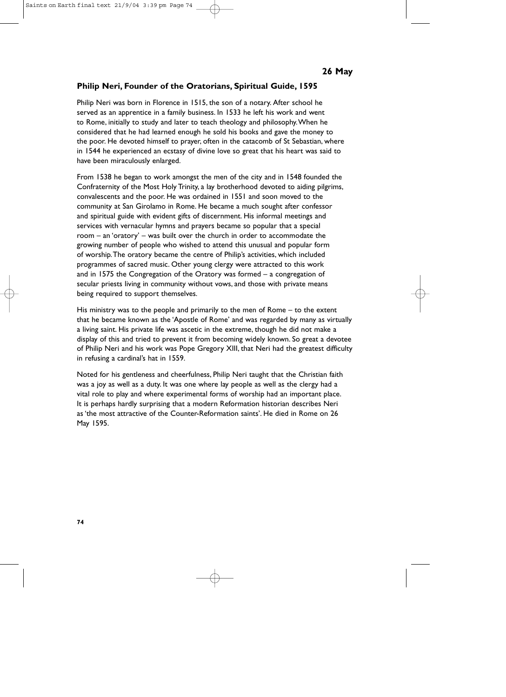## **Philip Neri, Founder of the Oratorians, Spiritual Guide, 1595**

Philip Neri was born in Florence in 1515, the son of a notary. After school he served as an apprentice in a family business. In 1533 he left his work and went to Rome, initially to study and later to teach theology and philosophy.When he considered that he had learned enough he sold his books and gave the money to the poor. He devoted himself to prayer, often in the catacomb of St Sebastian, where in 1544 he experienced an ecstasy of divine love so great that his heart was said to have been miraculously enlarged.

From 1538 he began to work amongst the men of the city and in 1548 founded the Confraternity of the Most Holy Trinity, a lay brotherhood devoted to aiding pilgrims, convalescents and the poor. He was ordained in 1551 and soon moved to the community at San Girolamo in Rome. He became a much sought after confessor and spiritual guide with evident gifts of discernment. His informal meetings and services with vernacular hymns and prayers became so popular that a special room – an 'oratory' – was built over the church in order to accommodate the growing number of people who wished to attend this unusual and popular form of worship.The oratory became the centre of Philip's activities, which included programmes of sacred music. Other young clergy were attracted to this work and in 1575 the Congregation of the Oratory was formed – a congregation of secular priests living in community without vows, and those with private means being required to support themselves.

His ministry was to the people and primarily to the men of Rome – to the extent that he became known as the 'Apostle of Rome' and was regarded by many as virtually a living saint. His private life was ascetic in the extreme, though he did not make a display of this and tried to prevent it from becoming widely known. So great a devotee of Philip Neri and his work was Pope Gregory XIII, that Neri had the greatest difficulty in refusing a cardinal's hat in 1559.

Noted for his gentleness and cheerfulness, Philip Neri taught that the Christian faith was a joy as well as a duty. It was one where lay people as well as the clergy had a vital role to play and where experimental forms of worship had an important place. It is perhaps hardly surprising that a modern Reformation historian describes Neri as 'the most attractive of the Counter-Reformation saints'. He died in Rome on 26 May 1595.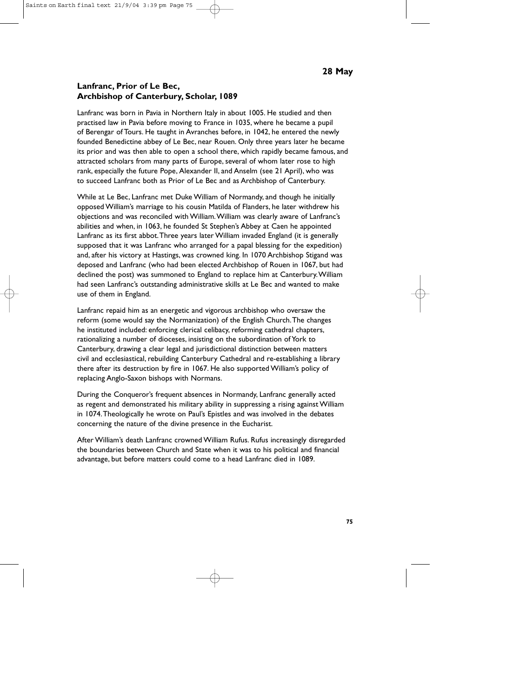### **Lanfranc, Prior of Le Bec, Archbishop of Canterbury, Scholar, 1089**

Lanfranc was born in Pavia in Northern Italy in about 1005. He studied and then practised law in Pavia before moving to France in 1035, where he became a pupil of Berengar of Tours. He taught in Avranches before, in 1042, he entered the newly founded Benedictine abbey of Le Bec, near Rouen. Only three years later he became its prior and was then able to open a school there, which rapidly became famous, and attracted scholars from many parts of Europe, several of whom later rose to high rank, especially the future Pope, Alexander II, and Anselm (see 21 April), who was to succeed Lanfranc both as Prior of Le Bec and as Archbishop of Canterbury.

While at Le Bec, Lanfranc met Duke William of Normandy, and though he initially opposed William's marriage to his cousin Matilda of Flanders, he later withdrew his objections and was reconciled with William.William was clearly aware of Lanfranc's abilities and when, in 1063, he founded St Stephen's Abbey at Caen he appointed Lanfranc as its first abbot.Three years later William invaded England (it is generally supposed that it was Lanfranc who arranged for a papal blessing for the expedition) and, after his victory at Hastings, was crowned king. In 1070 Archbishop Stigand was deposed and Lanfranc (who had been elected Archbishop of Rouen in 1067, but had declined the post) was summoned to England to replace him at Canterbury.William had seen Lanfranc's outstanding administrative skills at Le Bec and wanted to make use of them in England.

Lanfranc repaid him as an energetic and vigorous archbishop who oversaw the reform (some would say the Normanization) of the English Church.The changes he instituted included: enforcing clerical celibacy, reforming cathedral chapters, rationalizing a number of dioceses, insisting on the subordination of York to Canterbury, drawing a clear legal and jurisdictional distinction between matters civil and ecclesiastical, rebuilding Canterbury Cathedral and re-establishing a library there after its destruction by fire in 1067. He also supported William's policy of replacing Anglo-Saxon bishops with Normans.

During the Conqueror's frequent absences in Normandy, Lanfranc generally acted as regent and demonstrated his military ability in suppressing a rising against William in 1074.Theologically he wrote on Paul's Epistles and was involved in the debates concerning the nature of the divine presence in the Eucharist.

After William's death Lanfranc crowned William Rufus. Rufus increasingly disregarded the boundaries between Church and State when it was to his political and financial advantage, but before matters could come to a head Lanfranc died in 1089.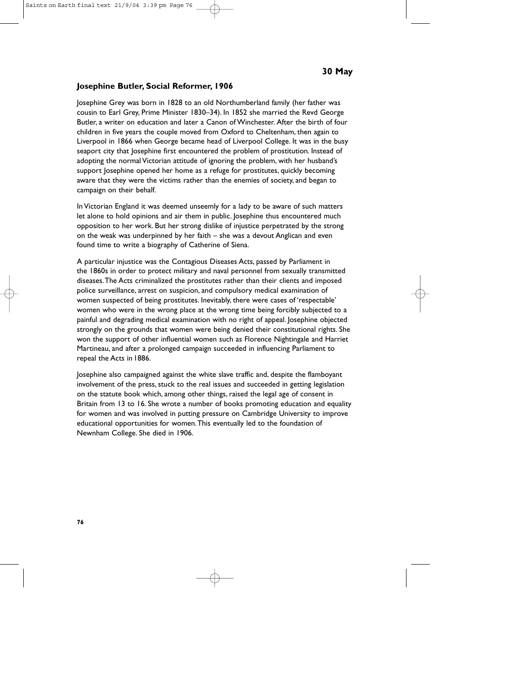#### **Josephine Butler, Social Reformer, 1906**

Josephine Grey was born in 1828 to an old Northumberland family (her father was cousin to Earl Grey, Prime Minister 1830–34). In 1852 she married the Revd George Butler, a writer on education and later a Canon of Winchester. After the birth of four children in five years the couple moved from Oxford to Cheltenham, then again to Liverpool in 1866 when George became head of Liverpool College. It was in the busy seaport city that Josephine first encountered the problem of prostitution. Instead of adopting the normal Victorian attitude of ignoring the problem, with her husband's support Josephine opened her home as a refuge for prostitutes, quickly becoming aware that they were the victims rather than the enemies of society, and began to campaign on their behalf.

In Victorian England it was deemed unseemly for a lady to be aware of such matters let alone to hold opinions and air them in public. Josephine thus encountered much opposition to her work. But her strong dislike of injustice perpetrated by the strong on the weak was underpinned by her faith – she was a devout Anglican and even found time to write a biography of Catherine of Siena.

A particular injustice was the Contagious Diseases Acts, passed by Parliament in the 1860s in order to protect military and naval personnel from sexually transmitted diseases.The Acts criminalized the prostitutes rather than their clients and imposed police surveillance, arrest on suspicion, and compulsory medical examination of women suspected of being prostitutes. Inevitably, there were cases of 'respectable' women who were in the wrong place at the wrong time being forcibly subjected to a painful and degrading medical examination with no right of appeal. Josephine objected strongly on the grounds that women were being denied their constitutional rights. She won the support of other influential women such as Florence Nightingale and Harriet Martineau, and after a prolonged campaign succeeded in influencing Parliament to repeal the Acts in 1886.

Josephine also campaigned against the white slave traffic and, despite the flamboyant involvement of the press, stuck to the real issues and succeeded in getting legislation on the statute book which, among other things, raised the legal age of consent in Britain from 13 to 16. She wrote a number of books promoting education and equality for women and was involved in putting pressure on Cambridge University to improve educational opportunities for women.This eventually led to the foundation of Newnham College. She died in 1906.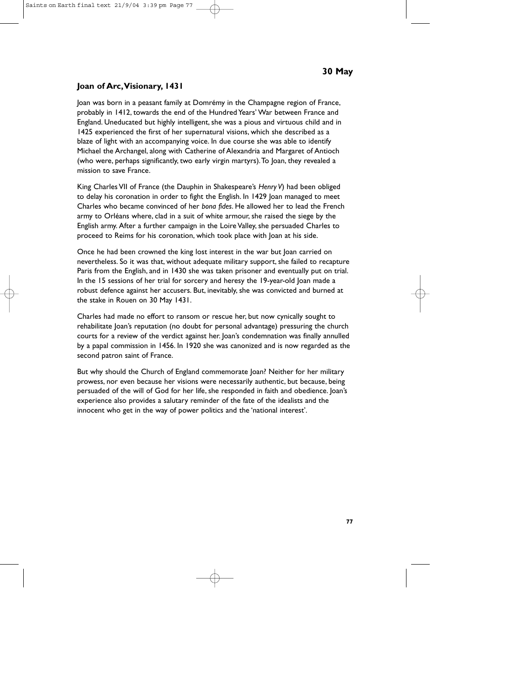# **Joan of Arc,Visionary, 1431**

Joan was born in a peasant family at Domrémy in the Champagne region of France, probably in 1412, towards the end of the Hundred Years' War between France and England. Uneducated but highly intelligent, she was a pious and virtuous child and in 1425 experienced the first of her supernatural visions, which she described as a blaze of light with an accompanying voice. In due course she was able to identify Michael the Archangel, along with Catherine of Alexandria and Margaret of Antioch (who were, perhaps significantly, two early virgin martyrs).To Joan, they revealed a mission to save France.

King Charles VII of France (the Dauphin in Shakespeare's *Henry V*) had been obliged to delay his coronation in order to fight the English. In 1429 Joan managed to meet Charles who became convinced of her *bona fides*. He allowed her to lead the French army to Orléans where, clad in a suit of white armour, she raised the siege by the English army. After a further campaign in the Loire Valley, she persuaded Charles to proceed to Reims for his coronation, which took place with Joan at his side.

Once he had been crowned the king lost interest in the war but Joan carried on nevertheless. So it was that, without adequate military support, she failed to recapture Paris from the English, and in 1430 she was taken prisoner and eventually put on trial. In the 15 sessions of her trial for sorcery and heresy the 19-year-old Joan made a robust defence against her accusers. But, inevitably, she was convicted and burned at the stake in Rouen on 30 May 1431.

Charles had made no effort to ransom or rescue her, but now cynically sought to rehabilitate Joan's reputation (no doubt for personal advantage) pressuring the church courts for a review of the verdict against her. Joan's condemnation was finally annulled by a papal commission in 1456. In 1920 she was canonized and is now regarded as the second patron saint of France.

But why should the Church of England commemorate Joan? Neither for her military prowess, nor even because her visions were necessarily authentic, but because, being persuaded of the will of God for her life, she responded in faith and obedience. Joan's experience also provides a salutary reminder of the fate of the idealists and the innocent who get in the way of power politics and the 'national interest'.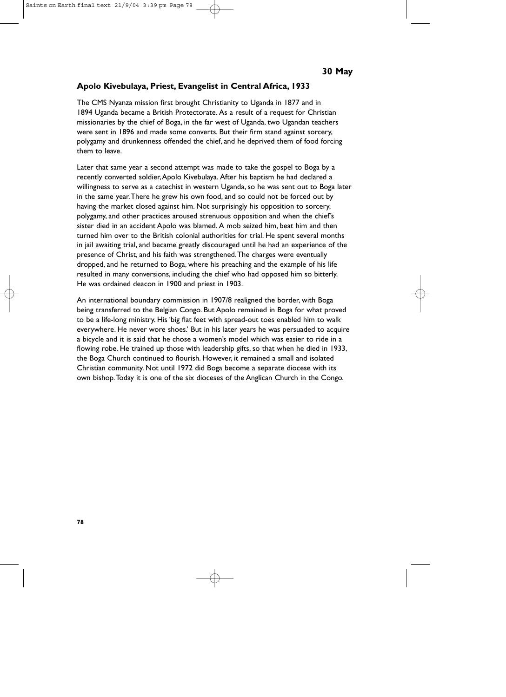## **Apolo Kivebulaya, Priest, Evangelist in Central Africa, 1933**

The CMS Nyanza mission first brought Christianity to Uganda in 1877 and in 1894 Uganda became a British Protectorate. As a result of a request for Christian missionaries by the chief of Boga, in the far west of Uganda, two Ugandan teachers were sent in 1896 and made some converts. But their firm stand against sorcery, polygamy and drunkenness offended the chief, and he deprived them of food forcing them to leave.

Later that same year a second attempt was made to take the gospel to Boga by a recently converted soldier,Apolo Kivebulaya. After his baptism he had declared a willingness to serve as a catechist in western Uganda, so he was sent out to Boga later in the same year.There he grew his own food, and so could not be forced out by having the market closed against him. Not surprisingly his opposition to sorcery, polygamy, and other practices aroused strenuous opposition and when the chief's sister died in an accident Apolo was blamed. A mob seized him, beat him and then turned him over to the British colonial authorities for trial. He spent several months in jail awaiting trial, and became greatly discouraged until he had an experience of the presence of Christ, and his faith was strengthened.The charges were eventually dropped, and he returned to Boga, where his preaching and the example of his life resulted in many conversions, including the chief who had opposed him so bitterly. He was ordained deacon in 1900 and priest in 1903.

An international boundary commission in 1907/8 realigned the border, with Boga being transferred to the Belgian Congo. But Apolo remained in Boga for what proved to be a life-long ministry. His 'big flat feet with spread-out toes enabled him to walk everywhere. He never wore shoes.' But in his later years he was persuaded to acquire a bicycle and it is said that he chose a women's model which was easier to ride in a flowing robe. He trained up those with leadership gifts, so that when he died in 1933, the Boga Church continued to flourish. However, it remained a small and isolated Christian community. Not until 1972 did Boga become a separate diocese with its own bishop.Today it is one of the six dioceses of the Anglican Church in the Congo.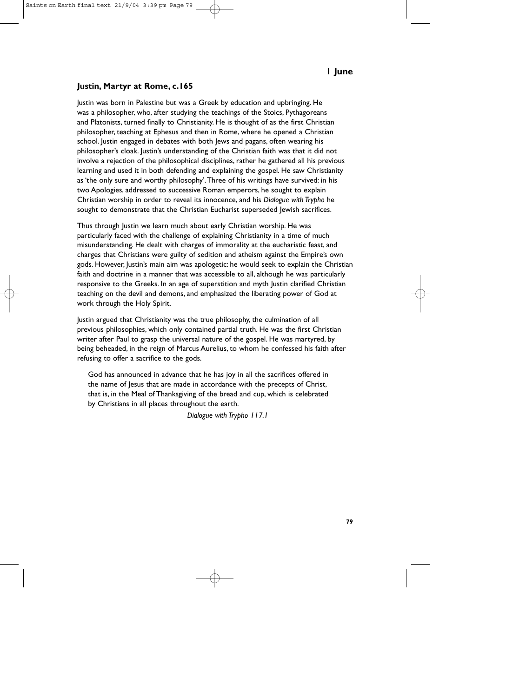## **Justin, Martyr at Rome, c.165**

Justin was born in Palestine but was a Greek by education and upbringing. He was a philosopher, who, after studying the teachings of the Stoics, Pythagoreans and Platonists, turned finally to Christianity. He is thought of as the first Christian philosopher, teaching at Ephesus and then in Rome, where he opened a Christian school. Justin engaged in debates with both Jews and pagans, often wearing his philosopher's cloak. Justin's understanding of the Christian faith was that it did not involve a rejection of the philosophical disciplines, rather he gathered all his previous learning and used it in both defending and explaining the gospel. He saw Christianity as 'the only sure and worthy philosophy'.Three of his writings have survived: in his two Apologies, addressed to successive Roman emperors, he sought to explain Christian worship in order to reveal its innocence, and his *Dialogue with Trypho* he sought to demonstrate that the Christian Eucharist superseded Jewish sacrifices.

Thus through Justin we learn much about early Christian worship. He was particularly faced with the challenge of explaining Christianity in a time of much misunderstanding. He dealt with charges of immorality at the eucharistic feast, and charges that Christians were guilty of sedition and atheism against the Empire's own gods. However, Justin's main aim was apologetic: he would seek to explain the Christian faith and doctrine in a manner that was accessible to all, although he was particularly responsive to the Greeks. In an age of superstition and myth Justin clarified Christian teaching on the devil and demons, and emphasized the liberating power of God at work through the Holy Spirit.

Justin argued that Christianity was the true philosophy, the culmination of all previous philosophies, which only contained partial truth. He was the first Christian writer after Paul to grasp the universal nature of the gospel. He was martyred, by being beheaded, in the reign of Marcus Aurelius, to whom he confessed his faith after refusing to offer a sacrifice to the gods.

God has announced in advance that he has joy in all the sacrifices offered in the name of Jesus that are made in accordance with the precepts of Christ, that is, in the Meal of Thanksgiving of the bread and cup, which is celebrated by Christians in all places throughout the earth.

*Dialogue with Trypho 117.1*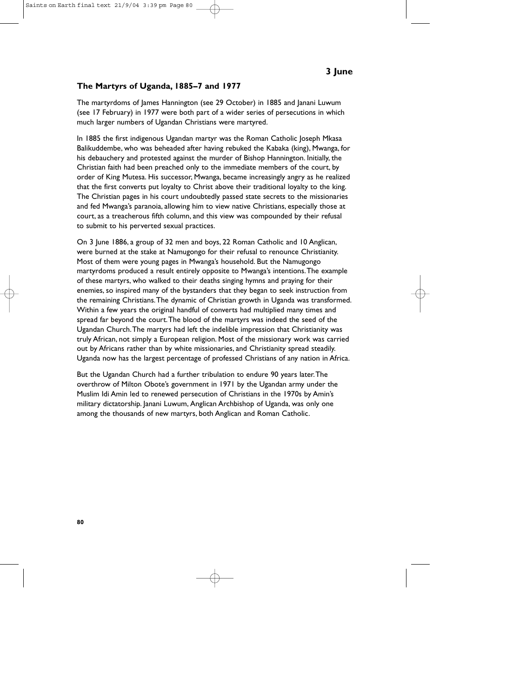#### **The Martyrs of Uganda, 1885–7 and 1977**

The martyrdoms of James Hannington (see 29 October) in 1885 and Janani Luwum (see 17 February) in 1977 were both part of a wider series of persecutions in which much larger numbers of Ugandan Christians were martyred.

In 1885 the first indigenous Ugandan martyr was the Roman Catholic Joseph Mkasa Balikuddembe, who was beheaded after having rebuked the Kabaka (king), Mwanga, for his debauchery and protested against the murder of Bishop Hannington. Initially, the Christian faith had been preached only to the immediate members of the court, by order of King Mutesa. His successor, Mwanga, became increasingly angry as he realized that the first converts put loyalty to Christ above their traditional loyalty to the king. The Christian pages in his court undoubtedly passed state secrets to the missionaries and fed Mwanga's paranoia, allowing him to view native Christians, especially those at court, as a treacherous fifth column, and this view was compounded by their refusal to submit to his perverted sexual practices.

On 3 June 1886, a group of 32 men and boys, 22 Roman Catholic and 10 Anglican, were burned at the stake at Namugongo for their refusal to renounce Christianity. Most of them were young pages in Mwanga's household. But the Namugongo martyrdoms produced a result entirely opposite to Mwanga's intentions.The example of these martyrs, who walked to their deaths singing hymns and praying for their enemies, so inspired many of the bystanders that they began to seek instruction from the remaining Christians.The dynamic of Christian growth in Uganda was transformed. Within a few years the original handful of converts had multiplied many times and spread far beyond the court.The blood of the martyrs was indeed the seed of the Ugandan Church.The martyrs had left the indelible impression that Christianity was truly African, not simply a European religion. Most of the missionary work was carried out by Africans rather than by white missionaries, and Christianity spread steadily. Uganda now has the largest percentage of professed Christians of any nation in Africa.

But the Ugandan Church had a further tribulation to endure 90 years later.The overthrow of Milton Obote's government in 1971 by the Ugandan army under the Muslim Idi Amin led to renewed persecution of Christians in the 1970s by Amin's military dictatorship. Janani Luwum, Anglican Archbishop of Uganda, was only one among the thousands of new martyrs, both Anglican and Roman Catholic.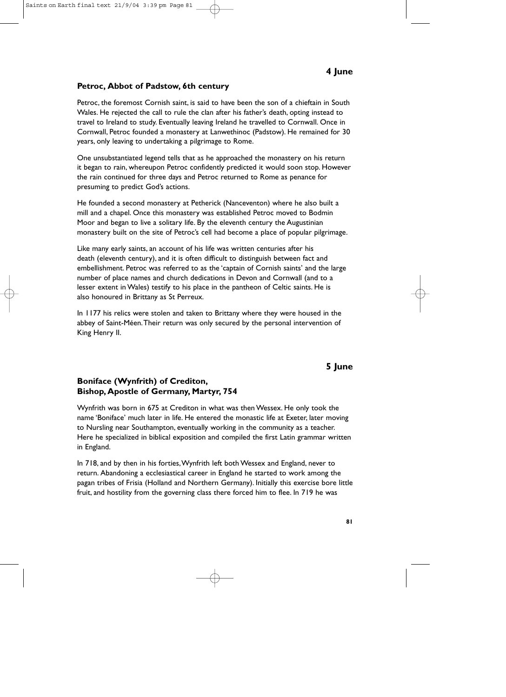### **Petroc, Abbot of Padstow, 6th century**

Petroc, the foremost Cornish saint, is said to have been the son of a chieftain in South Wales. He rejected the call to rule the clan after his father's death, opting instead to travel to Ireland to study. Eventually leaving Ireland he travelled to Cornwall. Once in Cornwall, Petroc founded a monastery at Lanwethinoc (Padstow). He remained for 30 years, only leaving to undertaking a pilgrimage to Rome.

One unsubstantiated legend tells that as he approached the monastery on his return it began to rain, whereupon Petroc confidently predicted it would soon stop. However the rain continued for three days and Petroc returned to Rome as penance for presuming to predict God's actions.

He founded a second monastery at Petherick (Nanceventon) where he also built a mill and a chapel. Once this monastery was established Petroc moved to Bodmin Moor and began to live a solitary life. By the eleventh century the Augustinian monastery built on the site of Petroc's cell had become a place of popular pilgrimage.

Like many early saints, an account of his life was written centuries after his death (eleventh century), and it is often difficult to distinguish between fact and embellishment. Petroc was referred to as the 'captain of Cornish saints' and the large number of place names and church dedications in Devon and Cornwall (and to a lesser extent in Wales) testify to his place in the pantheon of Celtic saints. He is also honoured in Brittany as St Perreux.

In 1177 his relics were stolen and taken to Brittany where they were housed in the abbey of Saint-Méen.Their return was only secured by the personal intervention of King Henry II.

# **5 June**

### **Boniface (Wynfrith) of Crediton, Bishop, Apostle of Germany, Martyr, 754**

Wynfrith was born in 675 at Crediton in what was then Wessex. He only took the name 'Boniface' much later in life. He entered the monastic life at Exeter, later moving to Nursling near Southampton, eventually working in the community as a teacher. Here he specialized in biblical exposition and compiled the first Latin grammar written in England.

In 718, and by then in his forties,Wynfrith left both Wessex and England, never to return. Abandoning a ecclesiastical career in England he started to work among the pagan tribes of Frisia (Holland and Northern Germany). Initially this exercise bore little fruit, and hostility from the governing class there forced him to flee. In 719 he was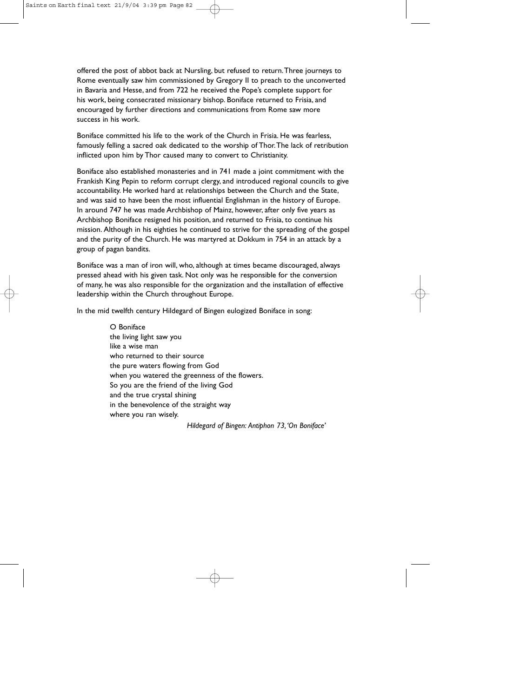offered the post of abbot back at Nursling, but refused to return.Three journeys to Rome eventually saw him commissioned by Gregory II to preach to the unconverted in Bavaria and Hesse, and from 722 he received the Pope's complete support for his work, being consecrated missionary bishop. Boniface returned to Frisia, and encouraged by further directions and communications from Rome saw more success in his work.

Boniface committed his life to the work of the Church in Frisia. He was fearless, famously felling a sacred oak dedicated to the worship of Thor.The lack of retribution inflicted upon him by Thor caused many to convert to Christianity.

Boniface also established monasteries and in 741 made a joint commitment with the Frankish King Pepin to reform corrupt clergy, and introduced regional councils to give accountability. He worked hard at relationships between the Church and the State, and was said to have been the most influential Englishman in the history of Europe. In around 747 he was made Archbishop of Mainz, however, after only five years as Archbishop Boniface resigned his position, and returned to Frisia, to continue his mission. Although in his eighties he continued to strive for the spreading of the gospel and the purity of the Church. He was martyred at Dokkum in 754 in an attack by a group of pagan bandits.

Boniface was a man of iron will, who, although at times became discouraged, always pressed ahead with his given task. Not only was he responsible for the conversion of many, he was also responsible for the organization and the installation of effective leadership within the Church throughout Europe.

In the mid twelfth century Hildegard of Bingen eulogized Boniface in song:

O Boniface the living light saw you like a wise man who returned to their source the pure waters flowing from God when you watered the greenness of the flowers. So you are the friend of the living God and the true crystal shining in the benevolence of the straight way where you ran wisely.

*Hildegard of Bingen: Antiphon 73,'On Boniface'*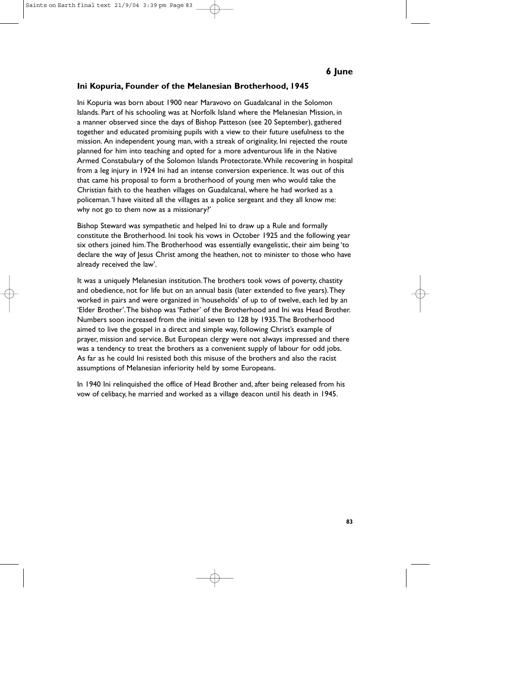### **Ini Kopuria, Founder of the Melanesian Brotherhood, 1945**

Ini Kopuria was born about 1900 near Maravovo on Guadalcanal in the Solomon Islands. Part of his schooling was at Norfolk Island where the Melanesian Mission, in a manner observed since the days of Bishop Patteson (see 20 September), gathered together and educated promising pupils with a view to their future usefulness to the mission. An independent young man, with a streak of originality, Ini rejected the route planned for him into teaching and opted for a more adventurous life in the Native Armed Constabulary of the Solomon Islands Protectorate.While recovering in hospital from a leg injury in 1924 Ini had an intense conversion experience. It was out of this that came his proposal to form a brotherhood of young men who would take the Christian faith to the heathen villages on Guadalcanal, where he had worked as a policeman.'I have visited all the villages as a police sergeant and they all know me: why not go to them now as a missionary?'

Bishop Steward was sympathetic and helped Ini to draw up a Rule and formally constitute the Brotherhood. Ini took his vows in October 1925 and the following year six others joined him.The Brotherhood was essentially evangelistic, their aim being 'to declare the way of Jesus Christ among the heathen, not to minister to those who have already received the law'.

It was a uniquely Melanesian institution.The brothers took vows of poverty, chastity and obedience, not for life but on an annual basis (later extended to five years).They worked in pairs and were organized in 'households' of up to of twelve, each led by an 'Elder Brother'.The bishop was 'Father' of the Brotherhood and Ini was Head Brother. Numbers soon increased from the initial seven to 128 by 1935.The Brotherhood aimed to live the gospel in a direct and simple way, following Christ's example of prayer, mission and service. But European clergy were not always impressed and there was a tendency to treat the brothers as a convenient supply of labour for odd jobs. As far as he could Ini resisted both this misuse of the brothers and also the racist assumptions of Melanesian inferiority held by some Europeans.

In 1940 Ini relinquished the office of Head Brother and, after being released from his vow of celibacy, he married and worked as a village deacon until his death in 1945.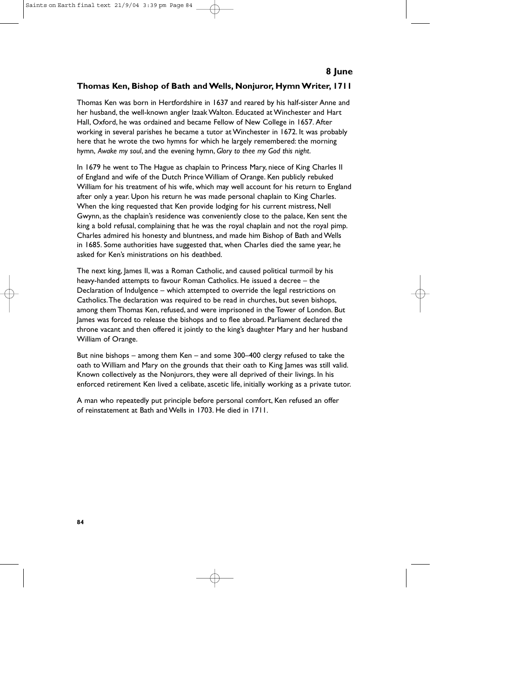## **Thomas Ken, Bishop of Bath and Wells, Nonjuror, Hymn Writer, 1711**

Thomas Ken was born in Hertfordshire in 1637 and reared by his half-sister Anne and her husband, the well-known angler Izaak Walton. Educated at Winchester and Hart Hall, Oxford, he was ordained and became Fellow of New College in 1657. After working in several parishes he became a tutor at Winchester in 1672. It was probably here that he wrote the two hymns for which he largely remembered: the morning hymn, *Awake my soul*, and the evening hymn, *Glory to thee my God this night*.

In 1679 he went to The Hague as chaplain to Princess Mary, niece of King Charles II of England and wife of the Dutch Prince William of Orange. Ken publicly rebuked William for his treatment of his wife, which may well account for his return to England after only a year. Upon his return he was made personal chaplain to King Charles. When the king requested that Ken provide lodging for his current mistress, Nell Gwynn, as the chaplain's residence was conveniently close to the palace, Ken sent the king a bold refusal, complaining that he was the royal chaplain and not the royal pimp. Charles admired his honesty and bluntness, and made him Bishop of Bath and Wells in 1685. Some authorities have suggested that, when Charles died the same year, he asked for Ken's ministrations on his deathbed.

The next king, James II, was a Roman Catholic, and caused political turmoil by his heavy-handed attempts to favour Roman Catholics. He issued a decree – the Declaration of Indulgence – which attempted to override the legal restrictions on Catholics.The declaration was required to be read in churches, but seven bishops, among them Thomas Ken, refused, and were imprisoned in the Tower of London. But James was forced to release the bishops and to flee abroad. Parliament declared the throne vacant and then offered it jointly to the king's daughter Mary and her husband William of Orange.

But nine bishops – among them Ken – and some 300–400 clergy refused to take the oath to William and Mary on the grounds that their oath to King lames was still valid. Known collectively as the Nonjurors, they were all deprived of their livings. In his enforced retirement Ken lived a celibate, ascetic life, initially working as a private tutor.

A man who repeatedly put principle before personal comfort, Ken refused an offer of reinstatement at Bath and Wells in 1703. He died in 1711.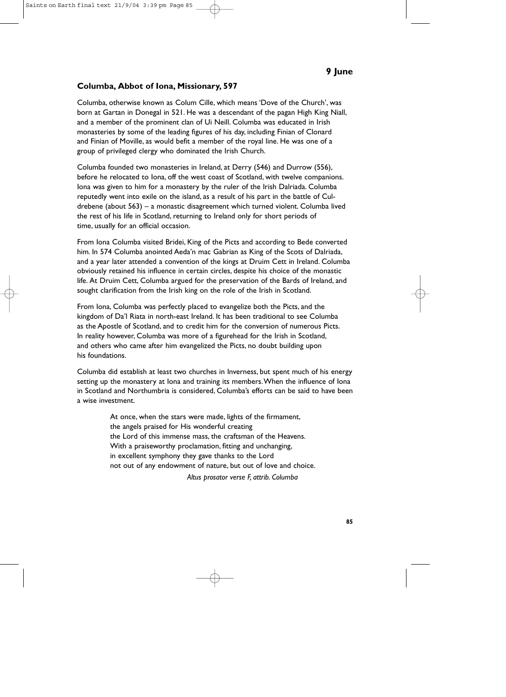## **Columba, Abbot of Iona, Missionary, 597**

Columba, otherwise known as Colum Cille, which means 'Dove of the Church', was born at Gartan in Donegal in 521. He was a descendant of the pagan High King Niall, and a member of the prominent clan of Ui Neill. Columba was educated in Irish monasteries by some of the leading figures of his day, including Finian of Clonard and Finian of Moville, as would befit a member of the royal line. He was one of a group of privileged clergy who dominated the Irish Church.

Columba founded two monasteries in Ireland, at Derry (546) and Durrow (556), before he relocated to Iona, off the west coast of Scotland, with twelve companions. Iona was given to him for a monastery by the ruler of the Irish Dalriada. Columba reputedly went into exile on the island, as a result of his part in the battle of Culdrebene (about 563) – a monastic disagreement which turned violent. Columba lived the rest of his life in Scotland, returning to Ireland only for short periods of time, usually for an official occasion.

From Iona Columba visited Bridei, King of the Picts and according to Bede converted him. In 574 Columba anointed Aeda'n mac Gabrian as King of the Scots of Dalriada, and a year later attended a convention of the kings at Druim Cett in Ireland. Columba obviously retained his influence in certain circles, despite his choice of the monastic life. At Druim Cett, Columba argued for the preservation of the Bards of Ireland, and sought clarification from the Irish king on the role of the Irish in Scotland.

From Iona, Columba was perfectly placed to evangelize both the Picts, and the kingdom of Da'l Riata in north-east Ireland. It has been traditional to see Columba as the Apostle of Scotland, and to credit him for the conversion of numerous Picts. In reality however, Columba was more of a figurehead for the Irish in Scotland, and others who came after him evangelized the Picts, no doubt building upon his foundations.

Columba did establish at least two churches in Inverness, but spent much of his energy setting up the monastery at Iona and training its members.When the influence of Iona in Scotland and Northumbria is considered, Columba's efforts can be said to have been a wise investment.

> At once, when the stars were made, lights of the firmament, the angels praised for His wonderful creating the Lord of this immense mass, the craftsman of the Heavens. With a praiseworthy proclamation, fitting and unchanging, in excellent symphony they gave thanks to the Lord not out of any endowment of nature, but out of love and choice.

> > *Altus prosator verse F, attrib. Columba*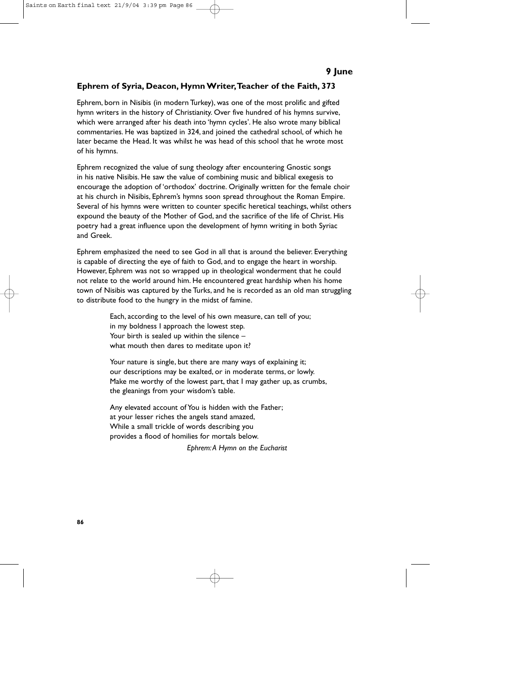## **Ephrem of Syria, Deacon, Hymn Writer,Teacher of the Faith, 373**

Ephrem, born in Nisibis (in modern Turkey), was one of the most prolific and gifted hymn writers in the history of Christianity. Over five hundred of his hymns survive, which were arranged after his death into 'hymn cycles'. He also wrote many biblical commentaries. He was baptized in 324, and joined the cathedral school, of which he later became the Head. It was whilst he was head of this school that he wrote most of his hymns.

Ephrem recognized the value of sung theology after encountering Gnostic songs in his native Nisibis. He saw the value of combining music and biblical exegesis to encourage the adoption of 'orthodox' doctrine. Originally written for the female choir at his church in Nisibis, Ephrem's hymns soon spread throughout the Roman Empire. Several of his hymns were written to counter specific heretical teachings, whilst others expound the beauty of the Mother of God, and the sacrifice of the life of Christ. His poetry had a great influence upon the development of hymn writing in both Syriac and Greek.

Ephrem emphasized the need to see God in all that is around the believer. Everything is capable of directing the eye of faith to God, and to engage the heart in worship. However, Ephrem was not so wrapped up in theological wonderment that he could not relate to the world around him. He encountered great hardship when his home town of Nisibis was captured by the Turks, and he is recorded as an old man struggling to distribute food to the hungry in the midst of famine.

> Each, according to the level of his own measure, can tell of you; in my boldness I approach the lowest step. Your birth is sealed up within the silence – what mouth then dares to meditate upon it?

Your nature is single, but there are many ways of explaining it; our descriptions may be exalted, or in moderate terms, or lowly. Make me worthy of the lowest part, that I may gather up, as crumbs, the gleanings from your wisdom's table.

Any elevated account of You is hidden with the Father; at your lesser riches the angels stand amazed, While a small trickle of words describing you provides a flood of homilies for mortals below.

*Ephrem:A Hymn on the Eucharist*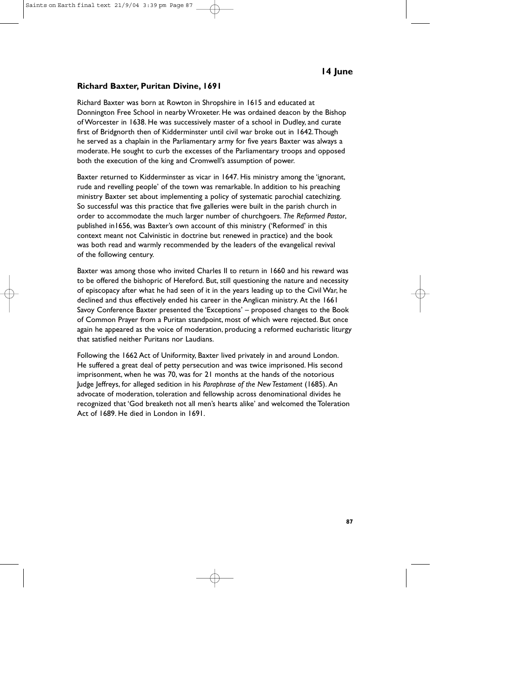### **Richard Baxter, Puritan Divine, 1691**

Richard Baxter was born at Rowton in Shropshire in 1615 and educated at Donnington Free School in nearby Wroxeter. He was ordained deacon by the Bishop of Worcester in 1638. He was successively master of a school in Dudley, and curate first of Bridgnorth then of Kidderminster until civil war broke out in 1642.Though he served as a chaplain in the Parliamentary army for five years Baxter was always a moderate. He sought to curb the excesses of the Parliamentary troops and opposed both the execution of the king and Cromwell's assumption of power.

Baxter returned to Kidderminster as vicar in 1647. His ministry among the 'ignorant, rude and revelling people' of the town was remarkable. In addition to his preaching ministry Baxter set about implementing a policy of systematic parochial catechizing. So successful was this practice that five galleries were built in the parish church in order to accommodate the much larger number of churchgoers. *The Reformed Pastor*, published in1656, was Baxter's own account of this ministry ('Reformed' in this context meant not Calvinistic in doctrine but renewed in practice) and the book was both read and warmly recommended by the leaders of the evangelical revival of the following century.

Baxter was among those who invited Charles II to return in 1660 and his reward was to be offered the bishopric of Hereford. But, still questioning the nature and necessity of episcopacy after what he had seen of it in the years leading up to the Civil War, he declined and thus effectively ended his career in the Anglican ministry. At the 1661 Savoy Conference Baxter presented the 'Exceptions' – proposed changes to the Book of Common Prayer from a Puritan standpoint, most of which were rejected. But once again he appeared as the voice of moderation, producing a reformed eucharistic liturgy that satisfied neither Puritans nor Laudians.

Following the 1662 Act of Uniformity, Baxter lived privately in and around London. He suffered a great deal of petty persecution and was twice imprisoned. His second imprisonment, when he was 70, was for 21 months at the hands of the notorious Judge Jeffreys, for alleged sedition in his *Paraphrase of the New Testament* (1685). An advocate of moderation, toleration and fellowship across denominational divides he recognized that 'God breaketh not all men's hearts alike' and welcomed the Toleration Act of 1689. He died in London in 1691.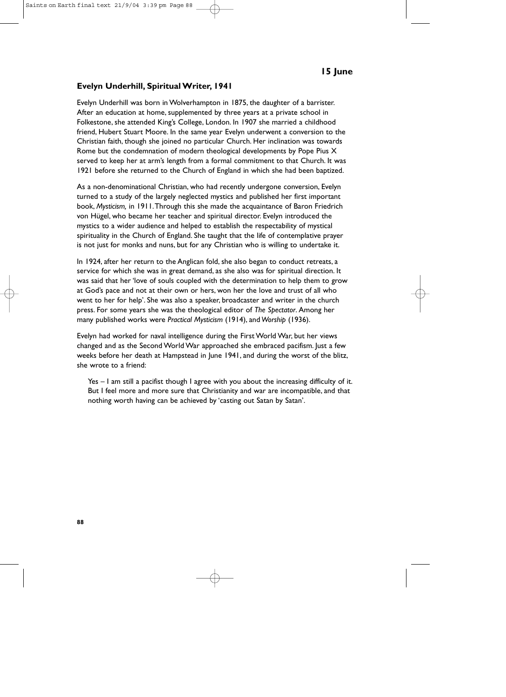#### **Evelyn Underhill, Spiritual Writer, 1941**

Evelyn Underhill was born in Wolverhampton in 1875, the daughter of a barrister. After an education at home, supplemented by three years at a private school in Folkestone, she attended King's College, London. In 1907 she married a childhood friend, Hubert Stuart Moore. In the same year Evelyn underwent a conversion to the Christian faith, though she joined no particular Church. Her inclination was towards Rome but the condemnation of modern theological developments by Pope Pius X served to keep her at arm's length from a formal commitment to that Church. It was 1921 before she returned to the Church of England in which she had been baptized.

As a non-denominational Christian, who had recently undergone conversion, Evelyn turned to a study of the largely neglected mystics and published her first important book, *Mysticism,* in 1911.Through this she made the acquaintance of Baron Friedrich von Hügel, who became her teacher and spiritual director. Evelyn introduced the mystics to a wider audience and helped to establish the respectability of mystical spirituality in the Church of England. She taught that the life of contemplative prayer is not just for monks and nuns, but for any Christian who is willing to undertake it.

In 1924, after her return to the Anglican fold, she also began to conduct retreats, a service for which she was in great demand, as she also was for spiritual direction. It was said that her 'love of souls coupled with the determination to help them to grow at God's pace and not at their own or hers, won her the love and trust of all who went to her for help'. She was also a speaker, broadcaster and writer in the church press. For some years she was the theological editor of *The Spectator*. Among her many published works were *Practical Mysticism* (1914), and *Worship* (1936).

Evelyn had worked for naval intelligence during the First World War, but her views changed and as the Second World War approached she embraced pacifism. Just a few weeks before her death at Hampstead in June 1941, and during the worst of the blitz, she wrote to a friend:

Yes – I am still a pacifist though I agree with you about the increasing difficulty of it. But I feel more and more sure that Christianity and war are incompatible, and that nothing worth having can be achieved by 'casting out Satan by Satan'.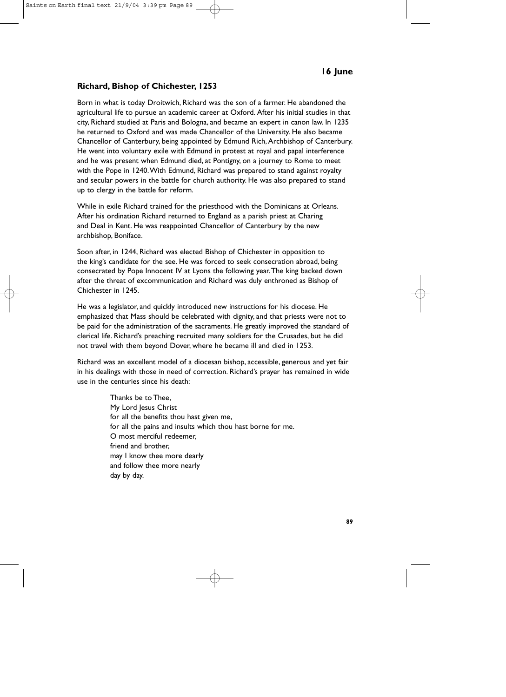### **Richard, Bishop of Chichester, 1253**

Born in what is today Droitwich, Richard was the son of a farmer. He abandoned the agricultural life to pursue an academic career at Oxford. After his initial studies in that city, Richard studied at Paris and Bologna, and became an expert in canon law. In 1235 he returned to Oxford and was made Chancellor of the University. He also became Chancellor of Canterbury, being appointed by Edmund Rich, Archbishop of Canterbury. He went into voluntary exile with Edmund in protest at royal and papal interference and he was present when Edmund died, at Pontigny, on a journey to Rome to meet with the Pope in 1240.With Edmund, Richard was prepared to stand against royalty and secular powers in the battle for church authority. He was also prepared to stand up to clergy in the battle for reform.

While in exile Richard trained for the priesthood with the Dominicans at Orleans. After his ordination Richard returned to England as a parish priest at Charing and Deal in Kent. He was reappointed Chancellor of Canterbury by the new archbishop, Boniface.

Soon after, in 1244, Richard was elected Bishop of Chichester in opposition to the king's candidate for the see. He was forced to seek consecration abroad, being consecrated by Pope Innocent IV at Lyons the following year.The king backed down after the threat of excommunication and Richard was duly enthroned as Bishop of Chichester in 1245.

He was a legislator, and quickly introduced new instructions for his diocese. He emphasized that Mass should be celebrated with dignity, and that priests were not to be paid for the administration of the sacraments. He greatly improved the standard of clerical life. Richard's preaching recruited many soldiers for the Crusades, but he did not travel with them beyond Dover, where he became ill and died in 1253.

Richard was an excellent model of a diocesan bishop, accessible, generous and yet fair in his dealings with those in need of correction. Richard's prayer has remained in wide use in the centuries since his death:

> Thanks be to Thee, My Lord Jesus Christ for all the benefits thou hast given me, for all the pains and insults which thou hast borne for me. O most merciful redeemer, friend and brother, may I know thee more dearly and follow thee more nearly day by day.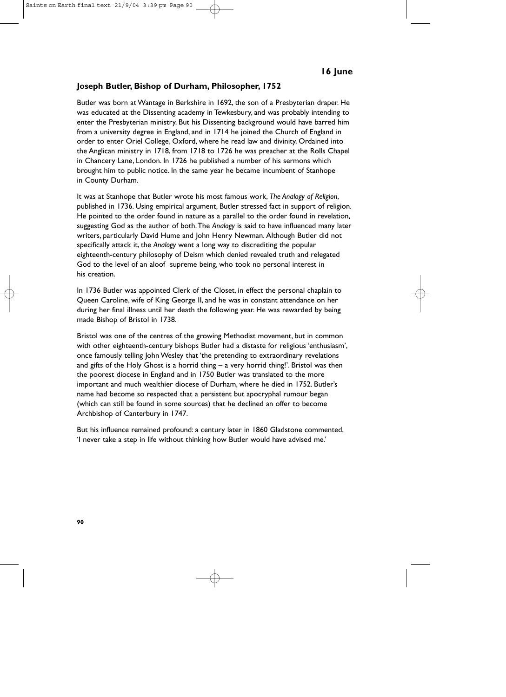### **Joseph Butler, Bishop of Durham, Philosopher, 1752**

Butler was born at Wantage in Berkshire in 1692, the son of a Presbyterian draper. He was educated at the Dissenting academy in Tewkesbury, and was probably intending to enter the Presbyterian ministry. But his Dissenting background would have barred him from a university degree in England, and in 1714 he joined the Church of England in order to enter Oriel College, Oxford, where he read law and divinity. Ordained into the Anglican ministry in 1718, from 1718 to 1726 he was preacher at the Rolls Chapel in Chancery Lane, London. In 1726 he published a number of his sermons which brought him to public notice. In the same year he became incumbent of Stanhope in County Durham.

It was at Stanhope that Butler wrote his most famous work, *The Analogy of Religion*, published in 1736. Using empirical argument, Butler stressed fact in support of religion. He pointed to the order found in nature as a parallel to the order found in revelation, suggesting God as the author of both.The *Analogy* is said to have influenced many later writers, particularly David Hume and John Henry Newman. Although Butler did not specifically attack it, the *Analogy* went a long way to discrediting the popular eighteenth-century philosophy of Deism which denied revealed truth and relegated God to the level of an aloof supreme being, who took no personal interest in his creation.

In 1736 Butler was appointed Clerk of the Closet, in effect the personal chaplain to Queen Caroline, wife of King George II, and he was in constant attendance on her during her final illness until her death the following year. He was rewarded by being made Bishop of Bristol in 1738.

Bristol was one of the centres of the growing Methodist movement, but in common with other eighteenth-century bishops Butler had a distaste for religious 'enthusiasm', once famously telling John Wesley that 'the pretending to extraordinary revelations and gifts of the Holy Ghost is a horrid thing  $-$  a very horrid thing!'. Bristol was then the poorest diocese in England and in 1750 Butler was translated to the more important and much wealthier diocese of Durham, where he died in 1752. Butler's name had become so respected that a persistent but apocryphal rumour began (which can still be found in some sources) that he declined an offer to become Archbishop of Canterbury in 1747.

But his influence remained profound: a century later in 1860 Gladstone commented, 'I never take a step in life without thinking how Butler would have advised me.'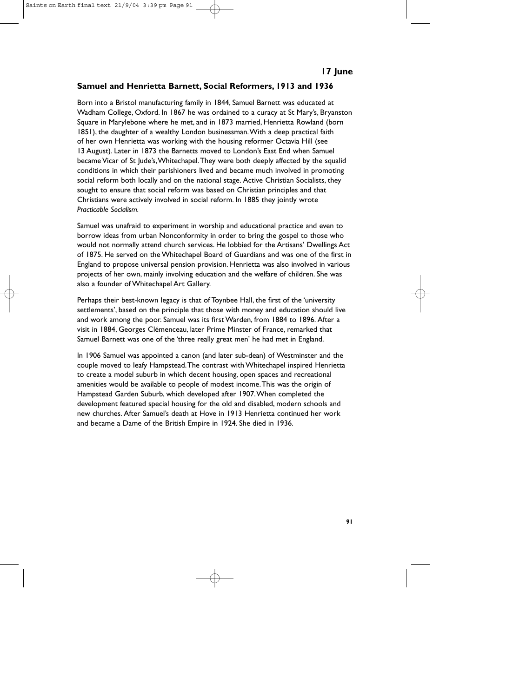## **Samuel and Henrietta Barnett, Social Reformers, 1913 and 1936**

Born into a Bristol manufacturing family in 1844, Samuel Barnett was educated at Wadham College, Oxford. In 1867 he was ordained to a curacy at St Mary's, Bryanston Square in Marylebone where he met, and in 1873 married, Henrietta Rowland (born 1851), the daughter of a wealthy London businessman.With a deep practical faith of her own Henrietta was working with the housing reformer Octavia Hill (see 13 August). Later in 1873 the Barnetts moved to London's East End when Samuel became Vicar of St Jude's,Whitechapel.They were both deeply affected by the squalid conditions in which their parishioners lived and became much involved in promoting social reform both locally and on the national stage. Active Christian Socialists, they sought to ensure that social reform was based on Christian principles and that Christians were actively involved in social reform. In 1885 they jointly wrote *Practicable Socialism.*

Samuel was unafraid to experiment in worship and educational practice and even to borrow ideas from urban Nonconformity in order to bring the gospel to those who would not normally attend church services. He lobbied for the Artisans' Dwellings Act of 1875. He served on the Whitechapel Board of Guardians and was one of the first in England to propose universal pension provision. Henrietta was also involved in various projects of her own, mainly involving education and the welfare of children. She was also a founder of Whitechapel Art Gallery.

Perhaps their best-known legacy is that of Toynbee Hall, the first of the 'university settlements', based on the principle that those with money and education should live and work among the poor. Samuel was its first Warden, from 1884 to 1896. After a visit in 1884, Georges Clémenceau, later Prime Minster of France, remarked that Samuel Barnett was one of the 'three really great men' he had met in England.

In 1906 Samuel was appointed a canon (and later sub-dean) of Westminster and the couple moved to leafy Hampstead.The contrast with Whitechapel inspired Henrietta to create a model suburb in which decent housing, open spaces and recreational amenities would be available to people of modest income.This was the origin of Hampstead Garden Suburb, which developed after 1907.When completed the development featured special housing for the old and disabled, modern schools and new churches. After Samuel's death at Hove in 1913 Henrietta continued her work and became a Dame of the British Empire in 1924. She died in 1936.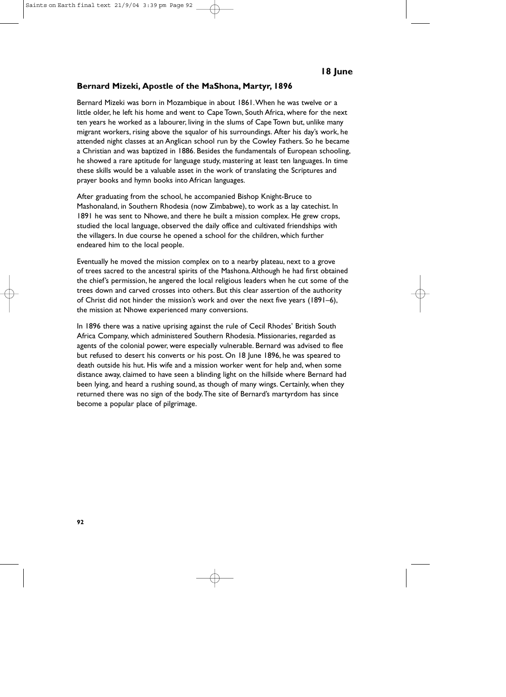#### **Bernard Mizeki, Apostle of the MaShona, Martyr, 1896**

Bernard Mizeki was born in Mozambique in about 1861.When he was twelve or a little older, he left his home and went to Cape Town, South Africa, where for the next ten years he worked as a labourer, living in the slums of Cape Town but, unlike many migrant workers, rising above the squalor of his surroundings. After his day's work, he attended night classes at an Anglican school run by the Cowley Fathers. So he became a Christian and was baptized in 1886. Besides the fundamentals of European schooling, he showed a rare aptitude for language study, mastering at least ten languages. In time these skills would be a valuable asset in the work of translating the Scriptures and prayer books and hymn books into African languages.

After graduating from the school, he accompanied Bishop Knight-Bruce to Mashonaland, in Southern Rhodesia (now Zimbabwe), to work as a lay catechist. In 1891 he was sent to Nhowe, and there he built a mission complex. He grew crops, studied the local language, observed the daily office and cultivated friendships with the villagers. In due course he opened a school for the children, which further endeared him to the local people.

Eventually he moved the mission complex on to a nearby plateau, next to a grove of trees sacred to the ancestral spirits of the Mashona.Although he had first obtained the chief's permission, he angered the local religious leaders when he cut some of the trees down and carved crosses into others. But this clear assertion of the authority of Christ did not hinder the mission's work and over the next five years (1891–6), the mission at Nhowe experienced many conversions.

In 1896 there was a native uprising against the rule of Cecil Rhodes' British South Africa Company, which administered Southern Rhodesia. Missionaries, regarded as agents of the colonial power, were especially vulnerable. Bernard was advised to flee but refused to desert his converts or his post. On 18 June 1896, he was speared to death outside his hut. His wife and a mission worker went for help and, when some distance away, claimed to have seen a blinding light on the hillside where Bernard had been lying, and heard a rushing sound, as though of many wings. Certainly, when they returned there was no sign of the body.The site of Bernard's martyrdom has since become a popular place of pilgrimage.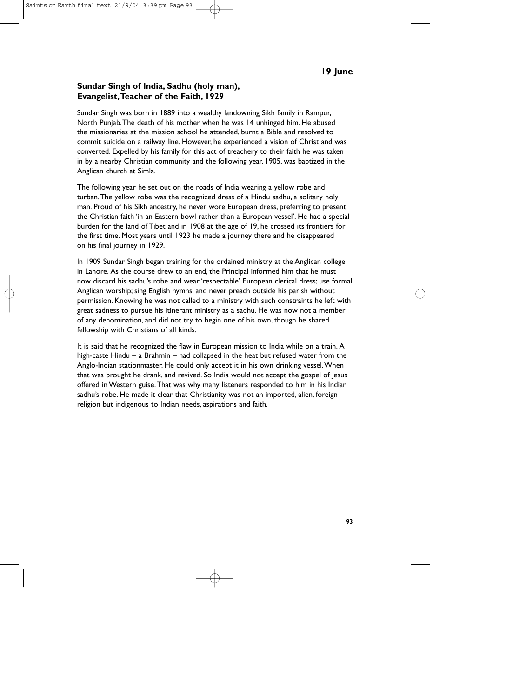### **Sundar Singh of India, Sadhu (holy man), Evangelist,Teacher of the Faith, 1929**

Sundar Singh was born in 1889 into a wealthy landowning Sikh family in Rampur, North Punjab.The death of his mother when he was 14 unhinged him. He abused the missionaries at the mission school he attended, burnt a Bible and resolved to commit suicide on a railway line. However, he experienced a vision of Christ and was converted. Expelled by his family for this act of treachery to their faith he was taken in by a nearby Christian community and the following year, 1905, was baptized in the Anglican church at Simla.

The following year he set out on the roads of India wearing a yellow robe and turban.The yellow robe was the recognized dress of a Hindu sadhu, a solitary holy man. Proud of his Sikh ancestry, he never wore European dress, preferring to present the Christian faith 'in an Eastern bowl rather than a European vessel'. He had a special burden for the land of Tibet and in 1908 at the age of 19, he crossed its frontiers for the first time. Most years until 1923 he made a journey there and he disappeared on his final journey in 1929.

In 1909 Sundar Singh began training for the ordained ministry at the Anglican college in Lahore. As the course drew to an end, the Principal informed him that he must now discard his sadhu's robe and wear 'respectable' European clerical dress; use formal Anglican worship; sing English hymns; and never preach outside his parish without permission. Knowing he was not called to a ministry with such constraints he left with great sadness to pursue his itinerant ministry as a sadhu. He was now not a member of any denomination, and did not try to begin one of his own, though he shared fellowship with Christians of all kinds.

It is said that he recognized the flaw in European mission to India while on a train. A high-caste Hindu – a Brahmin – had collapsed in the heat but refused water from the Anglo-Indian stationmaster. He could only accept it in his own drinking vessel.When that was brought he drank, and revived. So India would not accept the gospel of Jesus offered in Western guise.That was why many listeners responded to him in his Indian sadhu's robe. He made it clear that Christianity was not an imported, alien, foreign religion but indigenous to Indian needs, aspirations and faith.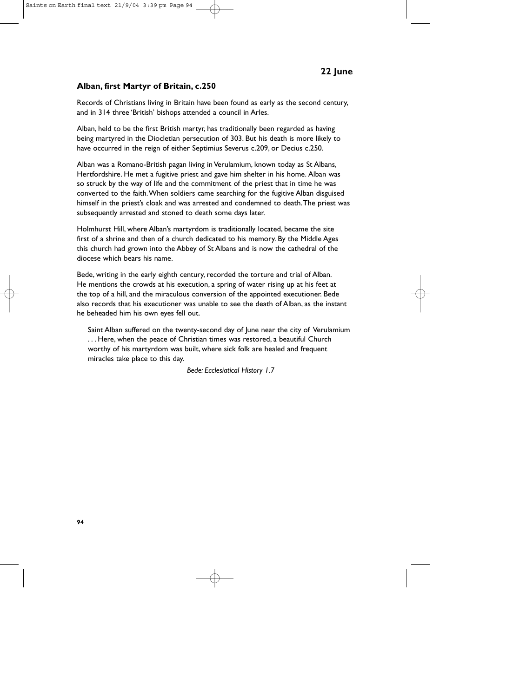### **Alban, first Martyr of Britain, c.250**

Records of Christians living in Britain have been found as early as the second century, and in 314 three 'British' bishops attended a council in Arles.

Alban, held to be the first British martyr, has traditionally been regarded as having being martyred in the Diocletian persecution of 303. But his death is more likely to have occurred in the reign of either Septimius Severus c.209, or Decius c.250.

Alban was a Romano-British pagan living in Verulamium, known today as St Albans, Hertfordshire. He met a fugitive priest and gave him shelter in his home. Alban was so struck by the way of life and the commitment of the priest that in time he was converted to the faith.When soldiers came searching for the fugitive Alban disguised himself in the priest's cloak and was arrested and condemned to death.The priest was subsequently arrested and stoned to death some days later.

Holmhurst Hill, where Alban's martyrdom is traditionally located, became the site first of a shrine and then of a church dedicated to his memory. By the Middle Ages this church had grown into the Abbey of St Albans and is now the cathedral of the diocese which bears his name.

Bede, writing in the early eighth century, recorded the torture and trial of Alban. He mentions the crowds at his execution, a spring of water rising up at his feet at the top of a hill, and the miraculous conversion of the appointed executioner. Bede also records that his executioner was unable to see the death of Alban, as the instant he beheaded him his own eyes fell out.

Saint Alban suffered on the twenty-second day of June near the city of Verulamium . . . Here, when the peace of Christian times was restored, a beautiful Church worthy of his martyrdom was built, where sick folk are healed and frequent miracles take place to this day.

*Bede: Ecclesiatical History 1.7*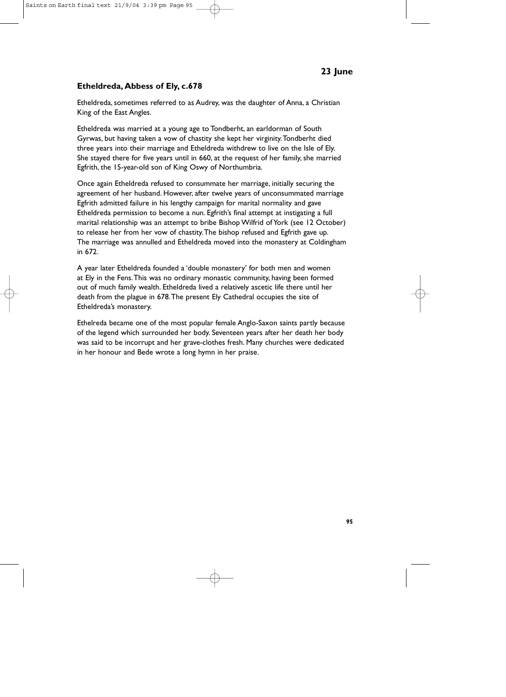# **Etheldreda, Abbess of Ely, c.678**

Etheldreda, sometimes referred to as Audrey, was the daughter of Anna, a Christian King of the East Angles.

Etheldreda was married at a young age to Tondberht, an earldorman of South Gyrwas, but having taken a vow of chastity she kept her virginity.Tondberht died three years into their marriage and Etheldreda withdrew to live on the Isle of Ely. She stayed there for five years until in 660, at the request of her family, she married Egfrith, the 15-year-old son of King Oswy of Northumbria.

Once again Etheldreda refused to consummate her marriage, initially securing the agreement of her husband. However, after twelve years of unconsummated marriage Egfrith admitted failure in his lengthy campaign for marital normality and gave Etheldreda permission to become a nun. Egfrith's final attempt at instigating a full marital relationship was an attempt to bribe Bishop Wilfrid of York (see 12 October) to release her from her vow of chastity.The bishop refused and Egfrith gave up. The marriage was annulled and Etheldreda moved into the monastery at Coldingham in 672.

A year later Etheldreda founded a 'double monastery' for both men and women at Ely in the Fens.This was no ordinary monastic community, having been formed out of much family wealth. Etheldreda lived a relatively ascetic life there until her death from the plague in 678.The present Ely Cathedral occupies the site of Etheldreda's monastery.

Ethelreda became one of the most popular female Anglo-Saxon saints partly because of the legend which surrounded her body. Seventeen years after her death her body was said to be incorrupt and her grave-clothes fresh. Many churches were dedicated in her honour and Bede wrote a long hymn in her praise.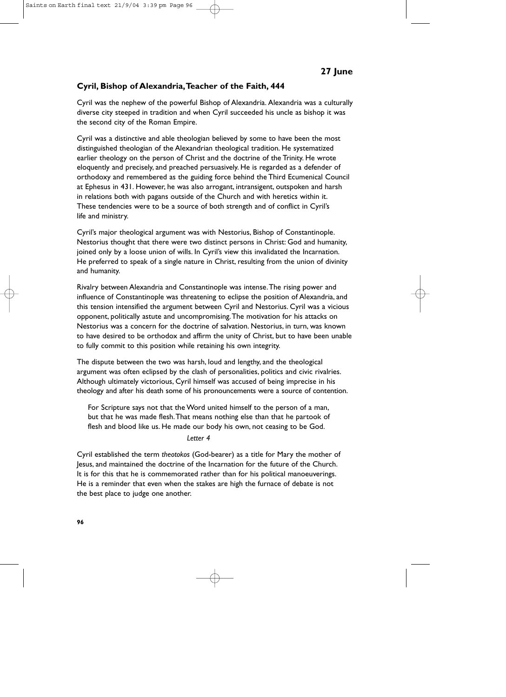## **Cyril, Bishop of Alexandria,Teacher of the Faith, 444**

Cyril was the nephew of the powerful Bishop of Alexandria. Alexandria was a culturally diverse city steeped in tradition and when Cyril succeeded his uncle as bishop it was the second city of the Roman Empire.

Cyril was a distinctive and able theologian believed by some to have been the most distinguished theologian of the Alexandrian theological tradition. He systematized earlier theology on the person of Christ and the doctrine of the Trinity. He wrote eloquently and precisely, and preached persuasively. He is regarded as a defender of orthodoxy and remembered as the guiding force behind the Third Ecumenical Council at Ephesus in 431. However, he was also arrogant, intransigent, outspoken and harsh in relations both with pagans outside of the Church and with heretics within it. These tendencies were to be a source of both strength and of conflict in Cyril's life and ministry.

Cyril's major theological argument was with Nestorius, Bishop of Constantinople. Nestorius thought that there were two distinct persons in Christ: God and humanity, joined only by a loose union of wills. In Cyril's view this invalidated the Incarnation. He preferred to speak of a single nature in Christ, resulting from the union of divinity and humanity.

Rivalry between Alexandria and Constantinople was intense.The rising power and influence of Constantinople was threatening to eclipse the position of Alexandria, and this tension intensified the argument between Cyril and Nestorius. Cyril was a vicious opponent, politically astute and uncompromising.The motivation for his attacks on Nestorius was a concern for the doctrine of salvation. Nestorius, in turn, was known to have desired to be orthodox and affirm the unity of Christ, but to have been unable to fully commit to this position while retaining his own integrity.

The dispute between the two was harsh, loud and lengthy, and the theological argument was often eclipsed by the clash of personalities, politics and civic rivalries. Although ultimately victorious, Cyril himself was accused of being imprecise in his theology and after his death some of his pronouncements were a source of contention.

For Scripture says not that the Word united himself to the person of a man, but that he was made flesh.That means nothing else than that he partook of flesh and blood like us. He made our body his own, not ceasing to be God.

*Letter 4*

Cyril established the term *theotokos* (God-bearer) as a title for Mary the mother of Jesus, and maintained the doctrine of the Incarnation for the future of the Church. It is for this that he is commemorated rather than for his political manoeuverings. He is a reminder that even when the stakes are high the furnace of debate is not the best place to judge one another.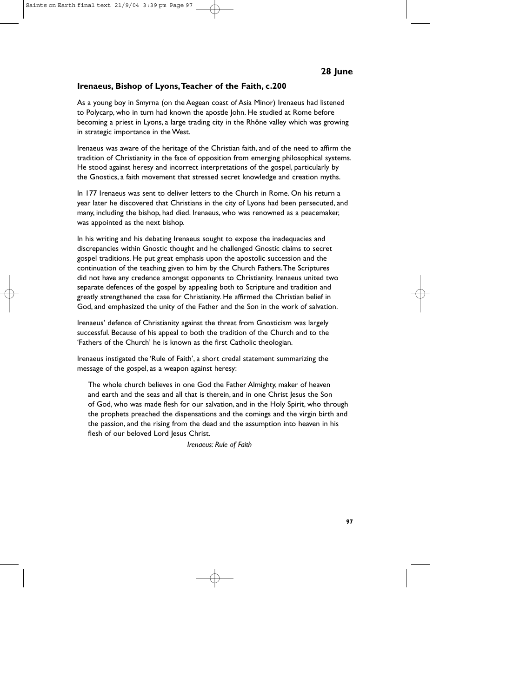## **Irenaeus, Bishop of Lyons,Teacher of the Faith, c.200**

As a young boy in Smyrna (on the Aegean coast of Asia Minor) Irenaeus had listened to Polycarp, who in turn had known the apostle John. He studied at Rome before becoming a priest in Lyons, a large trading city in the Rhône valley which was growing in strategic importance in the West.

Irenaeus was aware of the heritage of the Christian faith, and of the need to affirm the tradition of Christianity in the face of opposition from emerging philosophical systems. He stood against heresy and incorrect interpretations of the gospel, particularly by the Gnostics, a faith movement that stressed secret knowledge and creation myths.

In 177 Irenaeus was sent to deliver letters to the Church in Rome. On his return a year later he discovered that Christians in the city of Lyons had been persecuted, and many, including the bishop, had died. Irenaeus, who was renowned as a peacemaker, was appointed as the next bishop.

In his writing and his debating Irenaeus sought to expose the inadequacies and discrepancies within Gnostic thought and he challenged Gnostic claims to secret gospel traditions. He put great emphasis upon the apostolic succession and the continuation of the teaching given to him by the Church Fathers.The Scriptures did not have any credence amongst opponents to Christianity. Irenaeus united two separate defences of the gospel by appealing both to Scripture and tradition and greatly strengthened the case for Christianity. He affirmed the Christian belief in God, and emphasized the unity of the Father and the Son in the work of salvation.

Irenaeus' defence of Christianity against the threat from Gnosticism was largely successful. Because of his appeal to both the tradition of the Church and to the 'Fathers of the Church' he is known as the first Catholic theologian.

Irenaeus instigated the 'Rule of Faith', a short credal statement summarizing the message of the gospel, as a weapon against heresy:

The whole church believes in one God the Father Almighty, maker of heaven and earth and the seas and all that is therein, and in one Christ Jesus the Son of God, who was made flesh for our salvation, and in the Holy Spirit, who through the prophets preached the dispensations and the comings and the virgin birth and the passion, and the rising from the dead and the assumption into heaven in his flesh of our beloved Lord Jesus Christ.

*Irenaeus: Rule of Faith*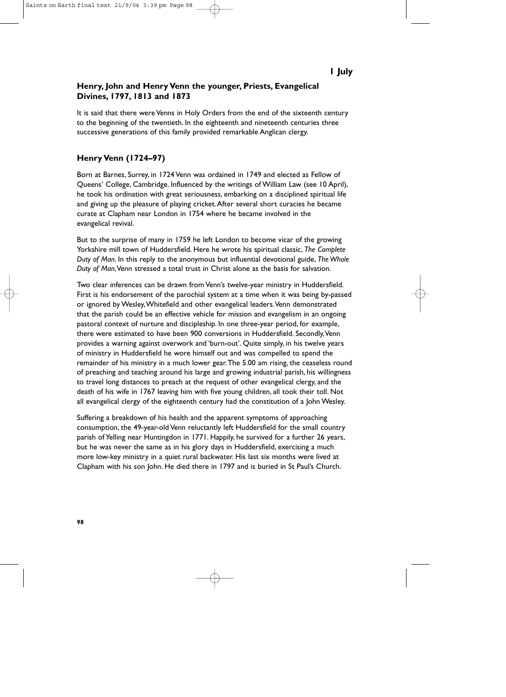# **Henry, John and Henry Venn the younger, Priests, Evangelical Divines, 1797, 1813 and 1873**

It is said that there were Venns in Holy Orders from the end of the sixteenth century to the beginning of the twentieth. In the eighteenth and nineteenth centuries three successive generations of this family provided remarkable Anglican clergy.

# **Henry Venn (1724–97)**

Born at Barnes, Surrey, in 1724 Venn was ordained in 1749 and elected as Fellow of Queens' College, Cambridge. Influenced by the writings of William Law (see 10 April), he took his ordination with great seriousness, embarking on a disciplined spiritual life and giving up the pleasure of playing cricket.After several short curacies he became curate at Clapham near London in 1754 where he became involved in the evangelical revival.

But to the surprise of many in 1759 he left London to become vicar of the growing Yorkshire mill town of Huddersfield. Here he wrote his spiritual classic, *The Complete Duty of Man*. In this reply to the anonymous but influential devotional guide, *The Whole Duty of Man*,Venn stressed a total trust in Christ alone as the basis for salvation.

Two clear inferences can be drawn from Venn's twelve-year ministry in Huddersfield. First is his endorsement of the parochial system at a time when it was being by-passed or ignored by Wesley,Whitefield and other evangelical leaders.Venn demonstrated that the parish could be an effective vehicle for mission and evangelism in an ongoing pastoral context of nurture and discipleship. In one three-year period, for example, there were estimated to have been 900 conversions in Huddersfield. Secondly,Venn provides a warning against overwork and 'burn-out'. Quite simply, in his twelve years of ministry in Huddersfield he wore himself out and was compelled to spend the remainder of his ministry in a much lower gear.The 5.00 am rising, the ceaseless round of preaching and teaching around his large and growing industrial parish, his willingness to travel long distances to preach at the request of other evangelical clergy, and the death of his wife in 1767 leaving him with five young children, all took their toll. Not all evangelical clergy of the eighteenth century had the constitution of a John Wesley.

Suffering a breakdown of his health and the apparent symptoms of approaching consumption, the 49-year-old Venn reluctantly left Huddersfield for the small country parish of Yelling near Huntingdon in 1771. Happily, he survived for a further 26 years, but he was never the same as in his glory days in Huddersfield, exercising a much more low-key ministry in a quiet rural backwater. His last six months were lived at Clapham with his son John. He died there in 1797 and is buried in St Paul's Church.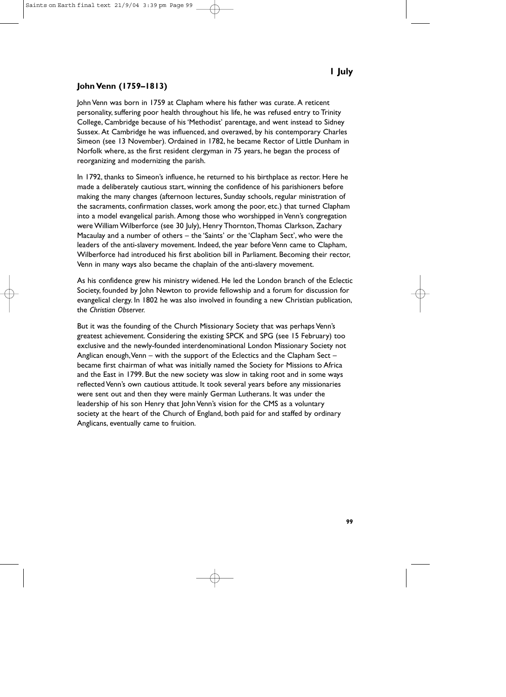# **John Venn (1759–1813)**

John Venn was born in 1759 at Clapham where his father was curate. A reticent personality, suffering poor health throughout his life, he was refused entry to Trinity College, Cambridge because of his 'Methodist' parentage, and went instead to Sidney Sussex. At Cambridge he was influenced, and overawed, by his contemporary Charles Simeon (see 13 November). Ordained in 1782, he became Rector of Little Dunham in Norfolk where, as the first resident clergyman in 75 years, he began the process of reorganizing and modernizing the parish.

In 1792, thanks to Simeon's influence, he returned to his birthplace as rector. Here he made a deliberately cautious start, winning the confidence of his parishioners before making the many changes (afternoon lectures, Sunday schools, regular ministration of the sacraments, confirmation classes, work among the poor, etc.) that turned Clapham into a model evangelical parish. Among those who worshipped in Venn's congregation were William Wilberforce (see 30 July), Henry Thornton, Thomas Clarkson, Zachary Macaulay and a number of others – the 'Saints' or the 'Clapham Sect', who were the leaders of the anti-slavery movement. Indeed, the year before Venn came to Clapham, Wilberforce had introduced his first abolition bill in Parliament. Becoming their rector, Venn in many ways also became the chaplain of the anti-slavery movement.

As his confidence grew his ministry widened. He led the London branch of the Eclectic Society, founded by John Newton to provide fellowship and a forum for discussion for evangelical clergy. In 1802 he was also involved in founding a new Christian publication, the *Christian Observer.*

But it was the founding of the Church Missionary Society that was perhaps Venn's greatest achievement. Considering the existing SPCK and SPG (see 15 February) too exclusive and the newly-founded interdenominational London Missionary Society not Anglican enough,Venn – with the support of the Eclectics and the Clapham Sect – became first chairman of what was initially named the Society for Missions to Africa and the East in 1799. But the new society was slow in taking root and in some ways reflected Venn's own cautious attitude. It took several years before any missionaries were sent out and then they were mainly German Lutherans. It was under the leadership of his son Henry that John Venn's vision for the CMS as a voluntary society at the heart of the Church of England, both paid for and staffed by ordinary Anglicans, eventually came to fruition.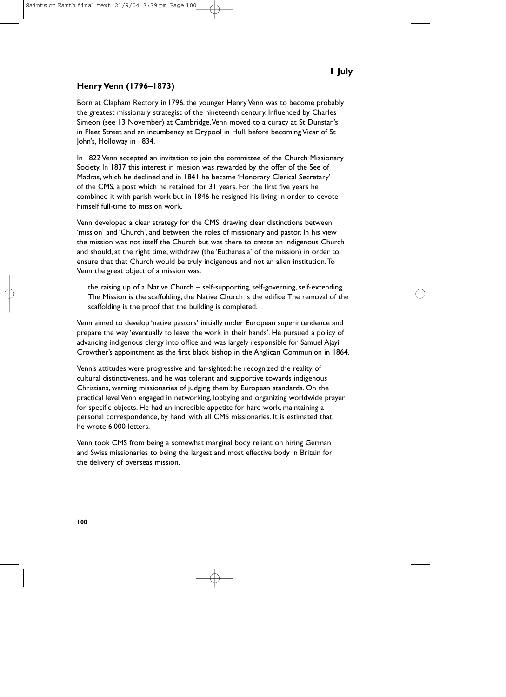# **1 July**

# **Henry Venn (1796–1873)**

Born at Clapham Rectory in 1796, the younger Henry Venn was to become probably the greatest missionary strategist of the nineteenth century. Influenced by Charles Simeon (see 13 November) at Cambridge,Venn moved to a curacy at St Dunstan's in Fleet Street and an incumbency at Drypool in Hull, before becoming Vicar of St John's, Holloway in 1834.

In 1822 Venn accepted an invitation to join the committee of the Church Missionary Society. In 1837 this interest in mission was rewarded by the offer of the See of Madras, which he declined and in 1841 he became 'Honorary Clerical Secretary' of the CMS, a post which he retained for 31 years. For the first five years he combined it with parish work but in 1846 he resigned his living in order to devote himself full-time to mission work.

Venn developed a clear strategy for the CMS, drawing clear distinctions between 'mission' and 'Church', and between the roles of missionary and pastor. In his view the mission was not itself the Church but was there to create an indigenous Church and should, at the right time, withdraw (the 'Euthanasia' of the mission) in order to ensure that that Church would be truly indigenous and not an alien institution.To Venn the great object of a mission was:

the raising up of a Native Church – self-supporting, self-governing, self-extending. The Mission is the scaffolding; the Native Church is the edifice.The removal of the scaffolding is the proof that the building is completed.

Venn aimed to develop 'native pastors' initially under European superintendence and prepare the way 'eventually to leave the work in their hands'. He pursued a policy of advancing indigenous clergy into office and was largely responsible for Samuel Ajayi Crowther's appointment as the first black bishop in the Anglican Communion in 1864.

Venn's attitudes were progressive and far-sighted: he recognized the reality of cultural distinctiveness, and he was tolerant and supportive towards indigenous Christians, warning missionaries of judging them by European standards. On the practical level Venn engaged in networking, lobbying and organizing worldwide prayer for specific objects. He had an incredible appetite for hard work, maintaining a personal correspondence, by hand, with all CMS missionaries. It is estimated that he wrote 6,000 letters.

Venn took CMS from being a somewhat marginal body reliant on hiring German and Swiss missionaries to being the largest and most effective body in Britain for the delivery of overseas mission.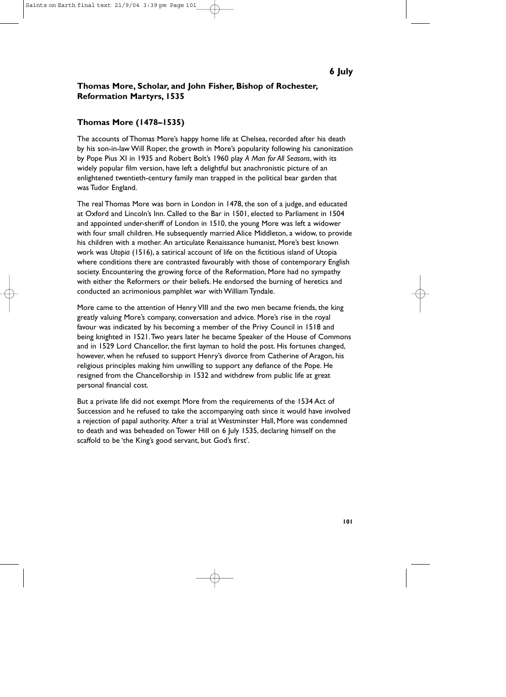# **Thomas More, Scholar, and John Fisher, Bishop of Rochester, Reformation Martyrs, 1535**

# **Thomas More (1478–1535)**

The accounts of Thomas More's happy home life at Chelsea, recorded after his death by his son-in-law Will Roper, the growth in More's popularity following his canonization by Pope Pius XI in 1935 and Robert Bolt's 1960 play *A Man for All Seasons*, with its widely popular film version, have left a delightful but anachronistic picture of an enlightened twentieth-century family man trapped in the political bear garden that was Tudor England.

The real Thomas More was born in London in 1478, the son of a judge, and educated at Oxford and Lincoln's Inn. Called to the Bar in 1501, elected to Parliament in 1504 and appointed under-sheriff of London in 1510, the young More was left a widower with four small children. He subsequently married Alice Middleton, a widow, to provide his children with a mother. An articulate Renaissance humanist, More's best known work was *Utopia* (1516), a satirical account of life on the fictitious island of Utopia where conditions there are contrasted favourably with those of contemporary English society. Encountering the growing force of the Reformation, More had no sympathy with either the Reformers or their beliefs. He endorsed the burning of heretics and conducted an acrimonious pamphlet war with William Tyndale.

More came to the attention of Henry VIII and the two men became friends, the king greatly valuing More's company, conversation and advice. More's rise in the royal favour was indicated by his becoming a member of the Privy Council in 1518 and being knighted in 1521.Two years later he became Speaker of the House of Commons and in 1529 Lord Chancellor, the first layman to hold the post. His fortunes changed, however, when he refused to support Henry's divorce from Catherine of Aragon, his religious principles making him unwilling to support any defiance of the Pope. He resigned from the Chancellorship in 1532 and withdrew from public life at great personal financial cost.

But a private life did not exempt More from the requirements of the 1534 Act of Succession and he refused to take the accompanying oath since it would have involved a rejection of papal authority. After a trial at Westminster Hall, More was condemned to death and was beheaded on Tower Hill on 6 July 1535, declaring himself on the scaffold to be 'the King's good servant, but God's first'.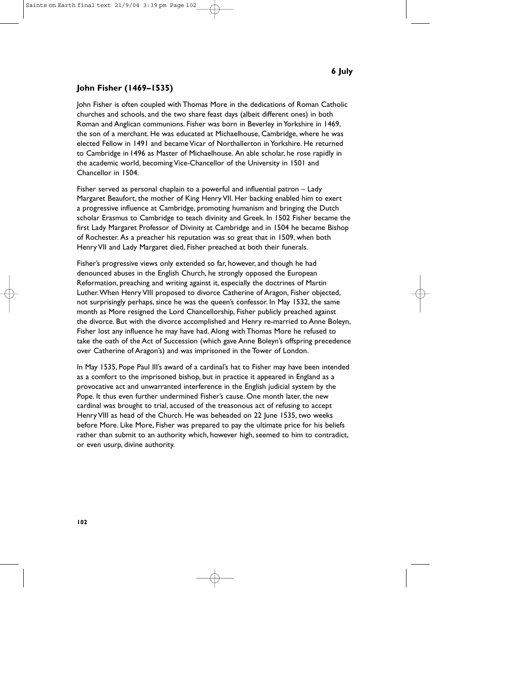# **John Fisher (1469–1535)**

John Fisher is often coupled with Thomas More in the dedications of Roman Catholic churches and schools, and the two share feast days (albeit different ones) in both Roman and Anglican communions. Fisher was born in Beverley in Yorkshire in 1469, the son of a merchant. He was educated at Michaelhouse, Cambridge, where he was elected Fellow in 1491 and became Vicar of Northallerton in Yorkshire. He returned to Cambridge in 1496 as Master of Michaelhouse. An able scholar, he rose rapidly in the academic world, becoming Vice-Chancellor of the University in 1501 and Chancellor in 1504.

Fisher served as personal chaplain to a powerful and influential patron – Lady Margaret Beaufort, the mother of King Henry VII. Her backing enabled him to exert a progressive influence at Cambridge, promoting humanism and bringing the Dutch scholar Erasmus to Cambridge to teach divinity and Greek. In 1502 Fisher became the first Lady Margaret Professor of Divinity at Cambridge and in 1504 he became Bishop of Rochester. As a preacher his reputation was so great that in 1509, when both Henry VII and Lady Margaret died, Fisher preached at both their funerals.

Fisher's progressive views only extended so far, however, and though he had denounced abuses in the English Church, he strongly opposed the European Reformation, preaching and writing against it, especially the doctrines of Martin Luther.When Henry VIII proposed to divorce Catherine of Aragon, Fisher objected, not surprisingly perhaps, since he was the queen's confessor. In May 1532, the same month as More resigned the Lord Chancellorship, Fisher publicly preached against the divorce. But with the divorce accomplished and Henry re-married to Anne Boleyn, Fisher lost any influence he may have had. Along with Thomas More he refused to take the oath of the Act of Succession (which gave Anne Boleyn's offspring precedence over Catherine of Aragon's) and was imprisoned in the Tower of London.

In May 1535, Pope Paul III's award of a cardinal's hat to Fisher may have been intended as a comfort to the imprisoned bishop, but in practice it appeared in England as a provocative act and unwarranted interference in the English judicial system by the Pope. It thus even further undermined Fisher's cause. One month later, the new cardinal was brought to trial, accused of the treasonous act of refusing to accept Henry VIII as head of the Church. He was beheaded on 22 June 1535, two weeks before More. Like More, Fisher was prepared to pay the ultimate price for his beliefs rather than submit to an authority which, however high, seemed to him to contradict, or even usurp, divine authority.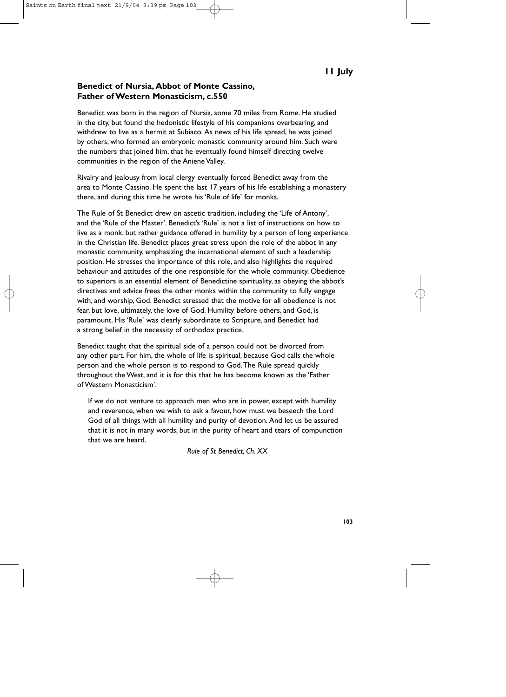#### **Benedict of Nursia, Abbot of Monte Cassino, Father of Western Monasticism, c.550**

Benedict was born in the region of Nursia, some 70 miles from Rome. He studied in the city, but found the hedonistic lifestyle of his companions overbearing, and withdrew to live as a hermit at Subiaco. As news of his life spread, he was joined by others, who formed an embryonic monastic community around him. Such were the numbers that joined him, that he eventually found himself directing twelve communities in the region of the Aniene Valley.

Rivalry and jealousy from local clergy eventually forced Benedict away from the area to Monte Cassino. He spent the last 17 years of his life establishing a monastery there, and during this time he wrote his 'Rule of life' for monks.

The Rule of St Benedict drew on ascetic tradition, including the 'Life of Antony', and the 'Rule of the Master'. Benedict's 'Rule' is not a list of instructions on how to live as a monk, but rather guidance offered in humility by a person of long experience in the Christian life. Benedict places great stress upon the role of the abbot in any monastic community, emphasizing the incarnational element of such a leadership position. He stresses the importance of this role, and also highlights the required behaviour and attitudes of the one responsible for the whole community. Obedience to superiors is an essential element of Benedictine spirituality, as obeying the abbot's directives and advice frees the other monks within the community to fully engage with, and worship, God. Benedict stressed that the motive for all obedience is not fear, but love, ultimately, the love of God. Humility before others, and God, is paramount. His 'Rule' was clearly subordinate to Scripture, and Benedict had a strong belief in the necessity of orthodox practice.

Benedict taught that the spiritual side of a person could not be divorced from any other part. For him, the whole of life is spiritual, because God calls the whole person and the whole person is to respond to God.The Rule spread quickly throughout the West, and it is for this that he has become known as the 'Father of Western Monasticism'.

If we do not venture to approach men who are in power, except with humility and reverence, when we wish to ask a favour, how must we beseech the Lord God of all things with all humility and purity of devotion. And let us be assured that it is not in many words, but in the purity of heart and tears of compunction that we are heard.

*Rule of St Benedict, Ch. XX*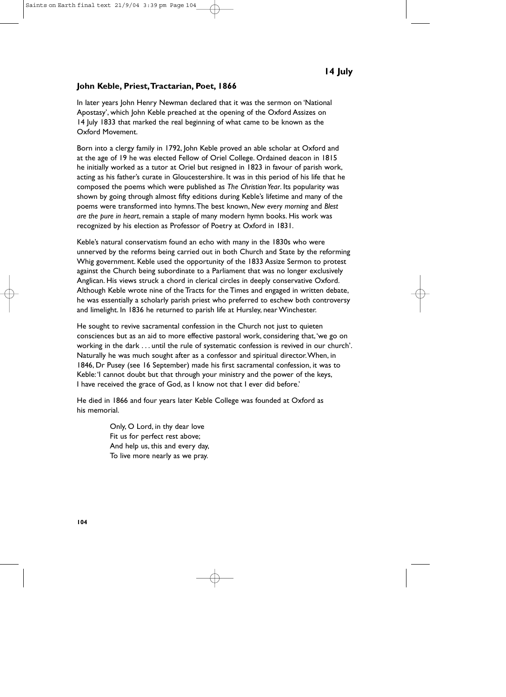#### **John Keble, Priest,Tractarian, Poet, 1866**

In later years John Henry Newman declared that it was the sermon on 'National Apostasy', which John Keble preached at the opening of the Oxford Assizes on 14 July 1833 that marked the real beginning of what came to be known as the Oxford Movement.

Born into a clergy family in 1792, John Keble proved an able scholar at Oxford and at the age of 19 he was elected Fellow of Oriel College. Ordained deacon in 1815 he initially worked as a tutor at Oriel but resigned in 1823 in favour of parish work, acting as his father's curate in Gloucestershire. It was in this period of his life that he composed the poems which were published as *The Christian Year*. Its popularity was shown by going through almost fifty editions during Keble's lifetime and many of the poems were transformed into hymns.The best known, *New every morning* and *Blest are the pure in heart*, remain a staple of many modern hymn books. His work was recognized by his election as Professor of Poetry at Oxford in 1831.

Keble's natural conservatism found an echo with many in the 1830s who were unnerved by the reforms being carried out in both Church and State by the reforming Whig government. Keble used the opportunity of the 1833 Assize Sermon to protest against the Church being subordinate to a Parliament that was no longer exclusively Anglican. His views struck a chord in clerical circles in deeply conservative Oxford. Although Keble wrote nine of the Tracts for the Times and engaged in written debate, he was essentially a scholarly parish priest who preferred to eschew both controversy and limelight. In 1836 he returned to parish life at Hursley, near Winchester.

He sought to revive sacramental confession in the Church not just to quieten consciences but as an aid to more effective pastoral work, considering that,'we go on working in the dark . . . until the rule of systematic confession is revived in our church'. Naturally he was much sought after as a confessor and spiritual director.When, in 1846, Dr Pusey (see 16 September) made his first sacramental confession, it was to Keble:'I cannot doubt but that through your ministry and the power of the keys, I have received the grace of God, as I know not that I ever did before.'

He died in 1866 and four years later Keble College was founded at Oxford as his memorial.

> Only, O Lord, in thy dear love Fit us for perfect rest above; And help us, this and every day, To live more nearly as we pray.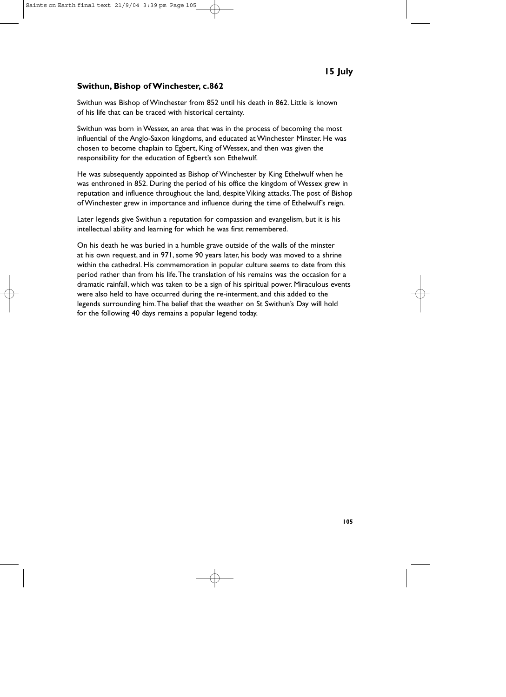# **Swithun, Bishop of Winchester, c.862**

Swithun was Bishop of Winchester from 852 until his death in 862. Little is known of his life that can be traced with historical certainty.

Swithun was born in Wessex, an area that was in the process of becoming the most influential of the Anglo-Saxon kingdoms, and educated at Winchester Minster. He was chosen to become chaplain to Egbert, King of Wessex, and then was given the responsibility for the education of Egbert's son Ethelwulf.

He was subsequently appointed as Bishop of Winchester by King Ethelwulf when he was enthroned in 852. During the period of his office the kingdom of Wessex grew in reputation and influence throughout the land, despite Viking attacks.The post of Bishop of Winchester grew in importance and influence during the time of Ethelwulf's reign.

Later legends give Swithun a reputation for compassion and evangelism, but it is his intellectual ability and learning for which he was first remembered.

On his death he was buried in a humble grave outside of the walls of the minster at his own request, and in 971, some 90 years later, his body was moved to a shrine within the cathedral. His commemoration in popular culture seems to date from this period rather than from his life.The translation of his remains was the occasion for a dramatic rainfall, which was taken to be a sign of his spiritual power. Miraculous events were also held to have occurred during the re-interment, and this added to the legends surrounding him.The belief that the weather on St Swithun's Day will hold for the following 40 days remains a popular legend today.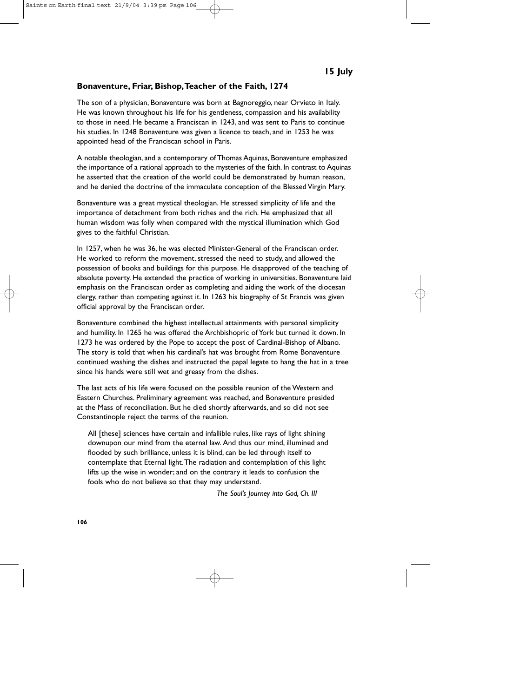#### **Bonaventure, Friar, Bishop,Teacher of the Faith, 1274**

The son of a physician, Bonaventure was born at Bagnoreggio, near Orvieto in Italy. He was known throughout his life for his gentleness, compassion and his availability to those in need. He became a Franciscan in 1243, and was sent to Paris to continue his studies. In 1248 Bonaventure was given a licence to teach, and in 1253 he was appointed head of the Franciscan school in Paris.

A notable theologian, and a contemporary of Thomas Aquinas, Bonaventure emphasized the importance of a rational approach to the mysteries of the faith. In contrast to Aquinas he asserted that the creation of the world could be demonstrated by human reason, and he denied the doctrine of the immaculate conception of the Blessed Virgin Mary.

Bonaventure was a great mystical theologian. He stressed simplicity of life and the importance of detachment from both riches and the rich. He emphasized that all human wisdom was folly when compared with the mystical illumination which God gives to the faithful Christian.

In 1257, when he was 36, he was elected Minister-General of the Franciscan order. He worked to reform the movement, stressed the need to study, and allowed the possession of books and buildings for this purpose. He disapproved of the teaching of absolute poverty. He extended the practice of working in universities. Bonaventure laid emphasis on the Franciscan order as completing and aiding the work of the diocesan clergy, rather than competing against it. In 1263 his biography of St Francis was given official approval by the Franciscan order.

Bonaventure combined the highest intellectual attainments with personal simplicity and humility. In 1265 he was offered the Archbishopric of York but turned it down. In 1273 he was ordered by the Pope to accept the post of Cardinal-Bishop of Albano. The story is told that when his cardinal's hat was brought from Rome Bonaventure continued washing the dishes and instructed the papal legate to hang the hat in a tree since his hands were still wet and greasy from the dishes.

The last acts of his life were focused on the possible reunion of the Western and Eastern Churches. Preliminary agreement was reached, and Bonaventure presided at the Mass of reconciliation. But he died shortly afterwards, and so did not see Constantinople reject the terms of the reunion.

All [these] sciences have certain and infallible rules, like rays of light shining downupon our mind from the eternal law. And thus our mind, illumined and flooded by such brilliance, unless it is blind, can be led through itself to contemplate that Eternal light.The radiation and contemplation of this light lifts up the wise in wonder; and on the contrary it leads to confusion the fools who do not believe so that they may understand.

*The Soul's Journey into God, Ch. III*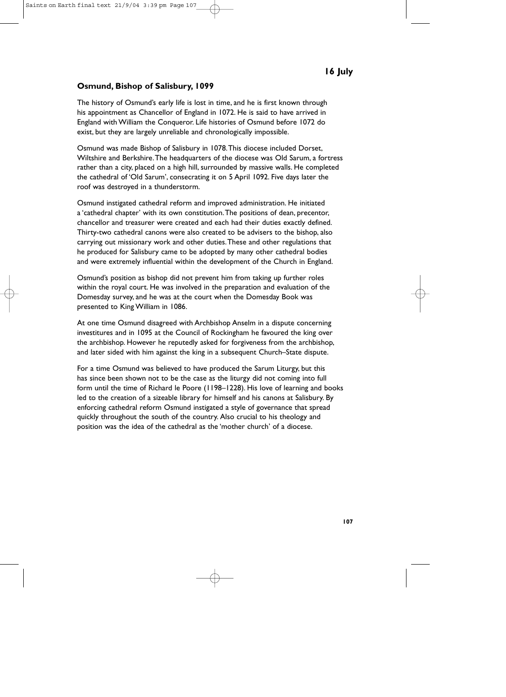# **Osmund, Bishop of Salisbury, 1099**

The history of Osmund's early life is lost in time, and he is first known through his appointment as Chancellor of England in 1072. He is said to have arrived in England with William the Conqueror. Life histories of Osmund before 1072 do exist, but they are largely unreliable and chronologically impossible.

Osmund was made Bishop of Salisbury in 1078.This diocese included Dorset, Wiltshire and Berkshire.The headquarters of the diocese was Old Sarum, a fortress rather than a city, placed on a high hill, surrounded by massive walls. He completed the cathedral of 'Old Sarum', consecrating it on 5 April 1092. Five days later the roof was destroyed in a thunderstorm.

Osmund instigated cathedral reform and improved administration. He initiated a 'cathedral chapter' with its own constitution.The positions of dean, precentor, chancellor and treasurer were created and each had their duties exactly defined. Thirty-two cathedral canons were also created to be advisers to the bishop, also carrying out missionary work and other duties.These and other regulations that he produced for Salisbury came to be adopted by many other cathedral bodies and were extremely influential within the development of the Church in England.

Osmund's position as bishop did not prevent him from taking up further roles within the royal court. He was involved in the preparation and evaluation of the Domesday survey, and he was at the court when the Domesday Book was presented to King William in 1086.

At one time Osmund disagreed with Archbishop Anselm in a dispute concerning investitures and in 1095 at the Council of Rockingham he favoured the king over the archbishop. However he reputedly asked for forgiveness from the archbishop, and later sided with him against the king in a subsequent Church–State dispute.

For a time Osmund was believed to have produced the Sarum Liturgy, but this has since been shown not to be the case as the liturgy did not coming into full form until the time of Richard le Poore (1198–1228). His love of learning and books led to the creation of a sizeable library for himself and his canons at Salisbury. By enforcing cathedral reform Osmund instigated a style of governance that spread quickly throughout the south of the country. Also crucial to his theology and position was the idea of the cathedral as the 'mother church' of a diocese.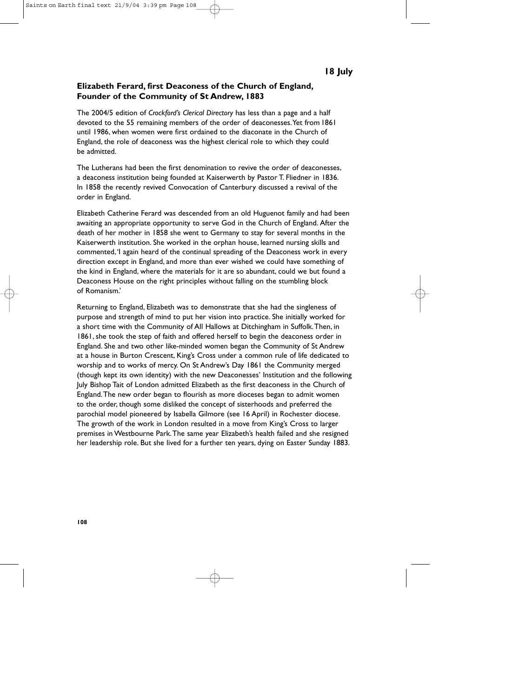## **Elizabeth Ferard, first Deaconess of the Church of England, Founder of the Community of St Andrew, 1883**

The 2004/5 edition of *Crockford's Clerical Directory* has less than a page and a half devoted to the 55 remaining members of the order of deaconesses.Yet from 1861 until 1986, when women were first ordained to the diaconate in the Church of England, the role of deaconess was the highest clerical role to which they could be admitted.

The Lutherans had been the first denomination to revive the order of deaconesses, a deaconess institution being founded at Kaiserwerth by Pastor T. Fliedner in 1836. In 1858 the recently revived Convocation of Canterbury discussed a revival of the order in England.

Elizabeth Catherine Ferard was descended from an old Huguenot family and had been awaiting an appropriate opportunity to serve God in the Church of England. After the death of her mother in 1858 she went to Germany to stay for several months in the Kaiserwerth institution. She worked in the orphan house, learned nursing skills and commented,'I again heard of the continual spreading of the Deaconess work in every direction except in England, and more than ever wished we could have something of the kind in England, where the materials for it are so abundant, could we but found a Deaconess House on the right principles without falling on the stumbling block of Romanism.'

Returning to England, Elizabeth was to demonstrate that she had the singleness of purpose and strength of mind to put her vision into practice. She initially worked for a short time with the Community of All Hallows at Ditchingham in Suffolk.Then, in 1861, she took the step of faith and offered herself to begin the deaconess order in England. She and two other like-minded women began the Community of St Andrew at a house in Burton Crescent, King's Cross under a common rule of life dedicated to worship and to works of mercy. On St Andrew's Day 1861 the Community merged (though kept its own identity) with the new Deaconesses' Institution and the following July Bishop Tait of London admitted Elizabeth as the first deaconess in the Church of England.The new order began to flourish as more dioceses began to admit women to the order, though some disliked the concept of sisterhoods and preferred the parochial model pioneered by Isabella Gilmore (see 16 April) in Rochester diocese. The growth of the work in London resulted in a move from King's Cross to larger premises in Westbourne Park.The same year Elizabeth's health failed and she resigned her leadership role. But she lived for a further ten years, dying on Easter Sunday 1883.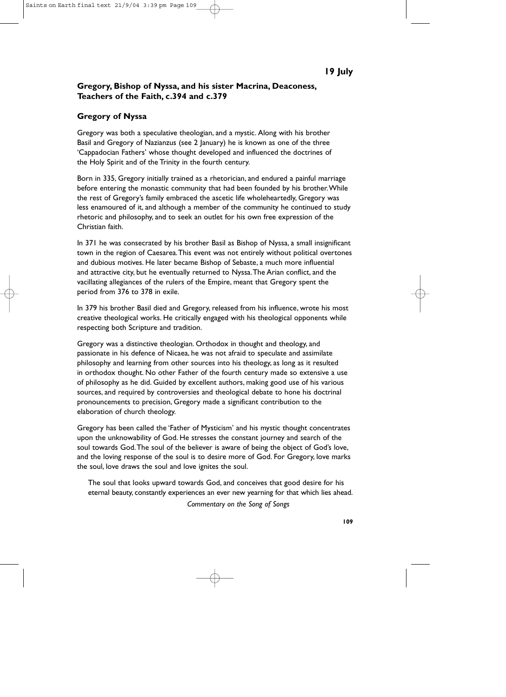# **Gregory, Bishop of Nyssa, and his sister Macrina, Deaconess, Teachers of the Faith, c.394 and c.379**

## **Gregory of Nyssa**

Gregory was both a speculative theologian, and a mystic. Along with his brother Basil and Gregory of Nazianzus (see 2 January) he is known as one of the three 'Cappadocian Fathers' whose thought developed and influenced the doctrines of the Holy Spirit and of the Trinity in the fourth century.

Born in 335, Gregory initially trained as a rhetorician, and endured a painful marriage before entering the monastic community that had been founded by his brother.While the rest of Gregory's family embraced the ascetic life wholeheartedly, Gregory was less enamoured of it, and although a member of the community he continued to study rhetoric and philosophy, and to seek an outlet for his own free expression of the Christian faith.

In 371 he was consecrated by his brother Basil as Bishop of Nyssa, a small insignificant town in the region of Caesarea.This event was not entirely without political overtones and dubious motives. He later became Bishop of Sebaste, a much more influential and attractive city, but he eventually returned to Nyssa.The Arian conflict, and the vacillating allegiances of the rulers of the Empire, meant that Gregory spent the period from 376 to 378 in exile.

In 379 his brother Basil died and Gregory, released from his influence, wrote his most creative theological works. He critically engaged with his theological opponents while respecting both Scripture and tradition.

Gregory was a distinctive theologian. Orthodox in thought and theology, and passionate in his defence of Nicaea, he was not afraid to speculate and assimilate philosophy and learning from other sources into his theology, as long as it resulted in orthodox thought. No other Father of the fourth century made so extensive a use of philosophy as he did. Guided by excellent authors, making good use of his various sources, and required by controversies and theological debate to hone his doctrinal pronouncements to precision, Gregory made a significant contribution to the elaboration of church theology.

Gregory has been called the 'Father of Mysticism' and his mystic thought concentrates upon the unknowability of God. He stresses the constant journey and search of the soul towards God.The soul of the believer is aware of being the object of God's love, and the loving response of the soul is to desire more of God. For Gregory, love marks the soul, love draws the soul and love ignites the soul.

The soul that looks upward towards God, and conceives that good desire for his eternal beauty, constantly experiences an ever new yearning for that which lies ahead.

*Commentary on the Song of Songs*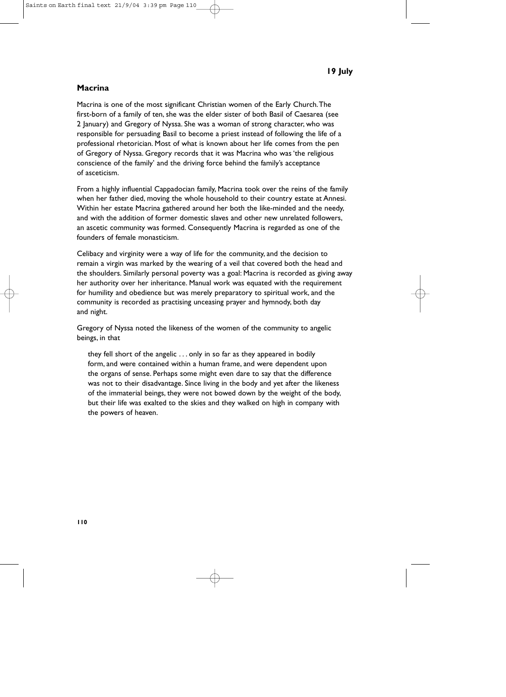# **Macrina**

Macrina is one of the most significant Christian women of the Early Church.The first-born of a family of ten, she was the elder sister of both Basil of Caesarea (see 2 January) and Gregory of Nyssa. She was a woman of strong character, who was responsible for persuading Basil to become a priest instead of following the life of a professional rhetorician. Most of what is known about her life comes from the pen of Gregory of Nyssa. Gregory records that it was Macrina who was 'the religious conscience of the family' and the driving force behind the family's acceptance of asceticism.

From a highly influential Cappadocian family, Macrina took over the reins of the family when her father died, moving the whole household to their country estate at Annesi. Within her estate Macrina gathered around her both the like-minded and the needy, and with the addition of former domestic slaves and other new unrelated followers, an ascetic community was formed. Consequently Macrina is regarded as one of the founders of female monasticism.

Celibacy and virginity were a way of life for the community, and the decision to remain a virgin was marked by the wearing of a veil that covered both the head and the shoulders. Similarly personal poverty was a goal: Macrina is recorded as giving away her authority over her inheritance. Manual work was equated with the requirement for humility and obedience but was merely preparatory to spiritual work, and the community is recorded as practising unceasing prayer and hymnody, both day and night.

Gregory of Nyssa noted the likeness of the women of the community to angelic beings, in that

they fell short of the angelic . . . only in so far as they appeared in bodily form, and were contained within a human frame, and were dependent upon the organs of sense. Perhaps some might even dare to say that the difference was not to their disadvantage. Since living in the body and yet after the likeness of the immaterial beings, they were not bowed down by the weight of the body, but their life was exalted to the skies and they walked on high in company with the powers of heaven.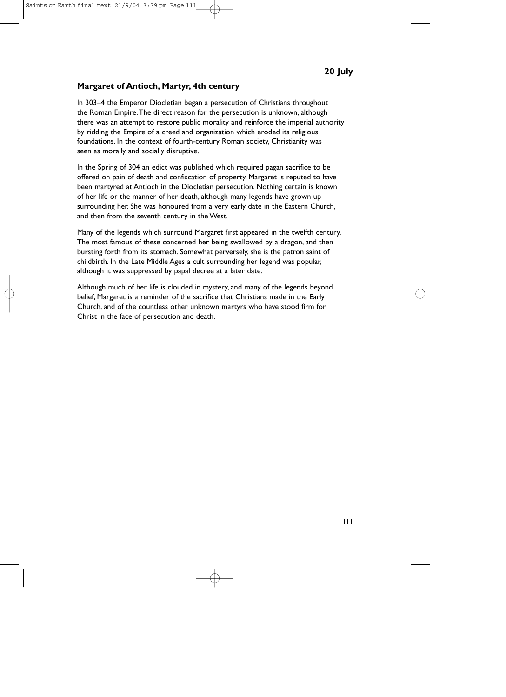#### **Margaret of Antioch, Martyr, 4th century**

In 303–4 the Emperor Diocletian began a persecution of Christians throughout the Roman Empire.The direct reason for the persecution is unknown, although there was an attempt to restore public morality and reinforce the imperial authority by ridding the Empire of a creed and organization which eroded its religious foundations. In the context of fourth-century Roman society, Christianity was seen as morally and socially disruptive.

In the Spring of 304 an edict was published which required pagan sacrifice to be offered on pain of death and confiscation of property. Margaret is reputed to have been martyred at Antioch in the Diocletian persecution. Nothing certain is known of her life or the manner of her death, although many legends have grown up surrounding her. She was honoured from a very early date in the Eastern Church, and then from the seventh century in the West.

Many of the legends which surround Margaret first appeared in the twelfth century. The most famous of these concerned her being swallowed by a dragon, and then bursting forth from its stomach. Somewhat perversely, she is the patron saint of childbirth. In the Late Middle Ages a cult surrounding her legend was popular, although it was suppressed by papal decree at a later date.

Although much of her life is clouded in mystery, and many of the legends beyond belief, Margaret is a reminder of the sacrifice that Christians made in the Early Church, and of the countless other unknown martyrs who have stood firm for Christ in the face of persecution and death.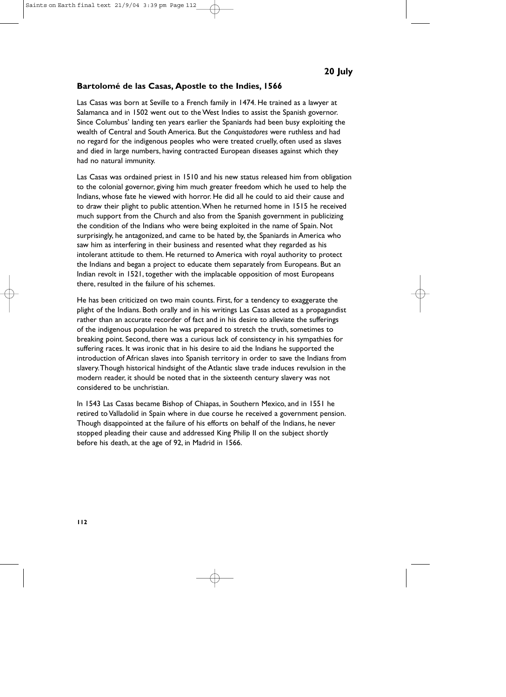#### **Bartolomé de las Casas, Apostle to the Indies, 1566**

Las Casas was born at Seville to a French family in 1474. He trained as a lawyer at Salamanca and in 1502 went out to the West Indies to assist the Spanish governor. Since Columbus' landing ten years earlier the Spaniards had been busy exploiting the wealth of Central and South America. But the *Conquistadores* were ruthless and had no regard for the indigenous peoples who were treated cruelly, often used as slaves and died in large numbers, having contracted European diseases against which they had no natural immunity.

Las Casas was ordained priest in 1510 and his new status released him from obligation to the colonial governor, giving him much greater freedom which he used to help the Indians, whose fate he viewed with horror. He did all he could to aid their cause and to draw their plight to public attention.When he returned home in 1515 he received much support from the Church and also from the Spanish government in publicizing the condition of the Indians who were being exploited in the name of Spain. Not surprisingly, he antagonized, and came to be hated by, the Spaniards in America who saw him as interfering in their business and resented what they regarded as his intolerant attitude to them. He returned to America with royal authority to protect the Indians and began a project to educate them separately from Europeans. But an Indian revolt in 1521, together with the implacable opposition of most Europeans there, resulted in the failure of his schemes.

He has been criticized on two main counts. First, for a tendency to exaggerate the plight of the Indians. Both orally and in his writings Las Casas acted as a propagandist rather than an accurate recorder of fact and in his desire to alleviate the sufferings of the indigenous population he was prepared to stretch the truth, sometimes to breaking point. Second, there was a curious lack of consistency in his sympathies for suffering races. It was ironic that in his desire to aid the Indians he supported the introduction of African slaves into Spanish territory in order to save the Indians from slavery.Though historical hindsight of the Atlantic slave trade induces revulsion in the modern reader, it should be noted that in the sixteenth century slavery was not considered to be unchristian.

In 1543 Las Casas became Bishop of Chiapas, in Southern Mexico, and in 1551 he retired to Valladolid in Spain where in due course he received a government pension. Though disappointed at the failure of his efforts on behalf of the Indians, he never stopped pleading their cause and addressed King Philip II on the subject shortly before his death, at the age of 92, in Madrid in 1566.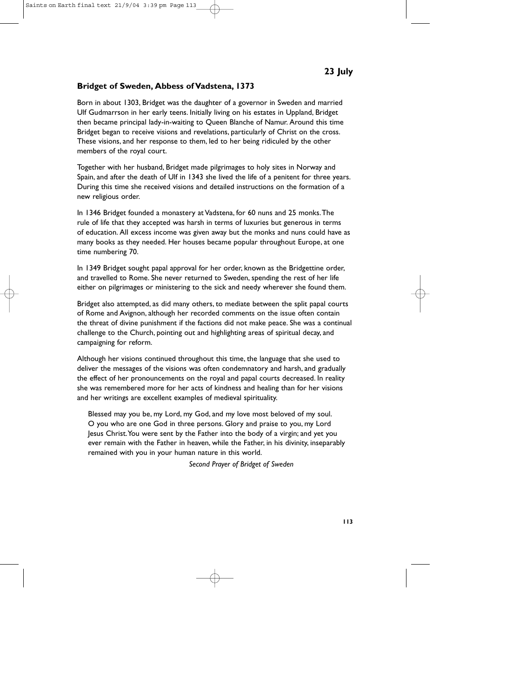## **Bridget of Sweden, Abbess of Vadstena, 1373**

Born in about 1303, Bridget was the daughter of a governor in Sweden and married Ulf Gudmarrson in her early teens. Initially living on his estates in Uppland, Bridget then became principal lady-in-waiting to Queen Blanche of Namur. Around this time Bridget began to receive visions and revelations, particularly of Christ on the cross. These visions, and her response to them, led to her being ridiculed by the other members of the royal court.

Together with her husband, Bridget made pilgrimages to holy sites in Norway and Spain, and after the death of Ulf in 1343 she lived the life of a penitent for three years. During this time she received visions and detailed instructions on the formation of a new religious order.

In 1346 Bridget founded a monastery at Vadstena, for 60 nuns and 25 monks.The rule of life that they accepted was harsh in terms of luxuries but generous in terms of education. All excess income was given away but the monks and nuns could have as many books as they needed. Her houses became popular throughout Europe, at one time numbering 70.

In 1349 Bridget sought papal approval for her order, known as the Bridgettine order, and travelled to Rome. She never returned to Sweden, spending the rest of her life either on pilgrimages or ministering to the sick and needy wherever she found them.

Bridget also attempted, as did many others, to mediate between the split papal courts of Rome and Avignon, although her recorded comments on the issue often contain the threat of divine punishment if the factions did not make peace. She was a continual challenge to the Church, pointing out and highlighting areas of spiritual decay, and campaigning for reform.

Although her visions continued throughout this time, the language that she used to deliver the messages of the visions was often condemnatory and harsh, and gradually the effect of her pronouncements on the royal and papal courts decreased. In reality she was remembered more for her acts of kindness and healing than for her visions and her writings are excellent examples of medieval spirituality.

Blessed may you be, my Lord, my God, and my love most beloved of my soul. O you who are one God in three persons. Glory and praise to you, my Lord Jesus Christ.You were sent by the Father into the body of a virgin; and yet you ever remain with the Father in heaven, while the Father, in his divinity, inseparably remained with you in your human nature in this world.

*Second Prayer of Bridget of Sweden*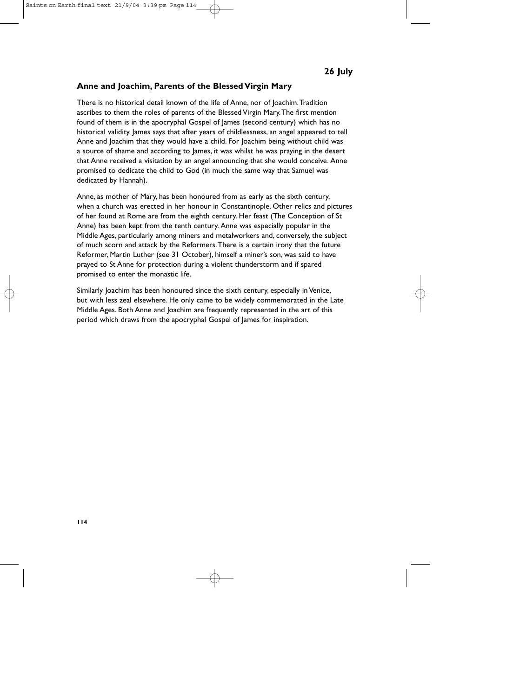#### **Anne and Joachim, Parents of the Blessed Virgin Mary**

There is no historical detail known of the life of Anne, nor of Joachim.Tradition ascribes to them the roles of parents of the Blessed Virgin Mary.The first mention found of them is in the apocryphal Gospel of James (second century) which has no historical validity. James says that after years of childlessness, an angel appeared to tell Anne and Joachim that they would have a child. For Joachim being without child was a source of shame and according to James, it was whilst he was praying in the desert that Anne received a visitation by an angel announcing that she would conceive. Anne promised to dedicate the child to God (in much the same way that Samuel was dedicated by Hannah).

Anne, as mother of Mary, has been honoured from as early as the sixth century, when a church was erected in her honour in Constantinople. Other relics and pictures of her found at Rome are from the eighth century. Her feast (The Conception of St Anne) has been kept from the tenth century. Anne was especially popular in the Middle Ages, particularly among miners and metalworkers and, conversely, the subject of much scorn and attack by the Reformers.There is a certain irony that the future Reformer, Martin Luther (see 31 October), himself a miner's son, was said to have prayed to St Anne for protection during a violent thunderstorm and if spared promised to enter the monastic life.

Similarly Joachim has been honoured since the sixth century, especially in Venice, but with less zeal elsewhere. He only came to be widely commemorated in the Late Middle Ages. Both Anne and Joachim are frequently represented in the art of this period which draws from the apocryphal Gospel of James for inspiration.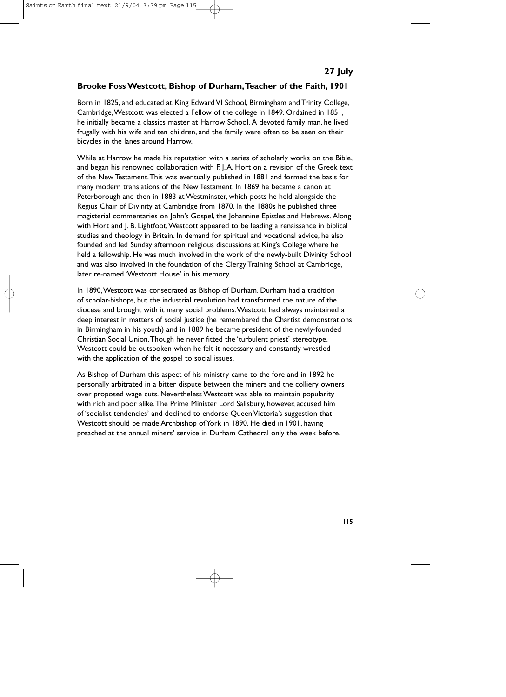# **Brooke Foss Westcott, Bishop of Durham,Teacher of the Faith, 1901**

Born in 1825, and educated at King Edward VI School, Birmingham and Trinity College, Cambridge,Westcott was elected a Fellow of the college in 1849. Ordained in 1851, he initially became a classics master at Harrow School. A devoted family man, he lived frugally with his wife and ten children, and the family were often to be seen on their bicycles in the lanes around Harrow.

While at Harrow he made his reputation with a series of scholarly works on the Bible, and began his renowned collaboration with F. J.A. Hort on a revision of the Greek text of the New Testament.This was eventually published in 1881 and formed the basis for many modern translations of the New Testament. In 1869 he became a canon at Peterborough and then in 1883 at Westminster, which posts he held alongside the Regius Chair of Divinity at Cambridge from 1870. In the 1880s he published three magisterial commentaries on John's Gospel, the Johannine Epistles and Hebrews. Along with Hort and J. B. Lightfoot, Westcott appeared to be leading a renaissance in biblical studies and theology in Britain. In demand for spiritual and vocational advice, he also founded and led Sunday afternoon religious discussions at King's College where he held a fellowship. He was much involved in the work of the newly-built Divinity School and was also involved in the foundation of the Clergy Training School at Cambridge, later re-named 'Westcott House' in his memory.

In 1890,Westcott was consecrated as Bishop of Durham. Durham had a tradition of scholar-bishops, but the industrial revolution had transformed the nature of the diocese and brought with it many social problems.Westcott had always maintained a deep interest in matters of social justice (he remembered the Chartist demonstrations in Birmingham in his youth) and in 1889 he became president of the newly-founded Christian Social Union.Though he never fitted the 'turbulent priest' stereotype, Westcott could be outspoken when he felt it necessary and constantly wrestled with the application of the gospel to social issues.

As Bishop of Durham this aspect of his ministry came to the fore and in 1892 he personally arbitrated in a bitter dispute between the miners and the colliery owners over proposed wage cuts. Nevertheless Westcott was able to maintain popularity with rich and poor alike.The Prime Minister Lord Salisbury, however, accused him of 'socialist tendencies' and declined to endorse Queen Victoria's suggestion that Westcott should be made Archbishop of York in 1890. He died in 1901, having preached at the annual miners' service in Durham Cathedral only the week before.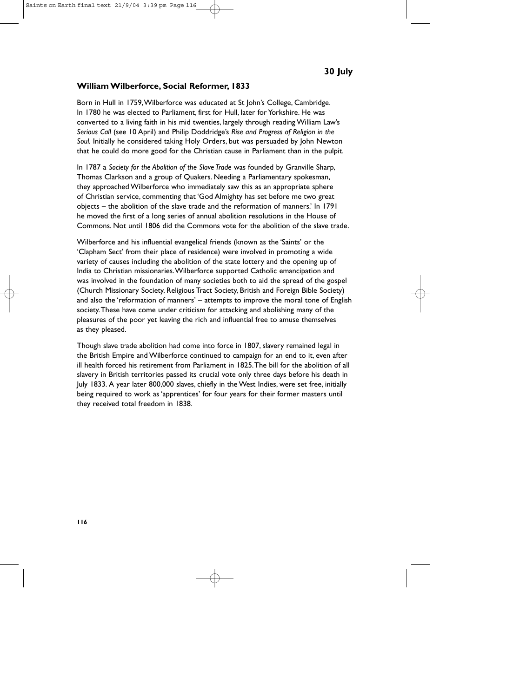#### **William Wilberforce, Social Reformer, 1833**

Born in Hull in 1759,Wilberforce was educated at St John's College, Cambridge. In 1780 he was elected to Parliament, first for Hull, later for Yorkshire. He was converted to a living faith in his mid twenties, largely through reading William Law's *Serious Call* (see 10 April) and Philip Doddridge's *Rise and Progress of Religion in the Soul.* Initially he considered taking Holy Orders, but was persuaded by John Newton that he could do more good for the Christian cause in Parliament than in the pulpit.

In 1787 a *Society for the Abolition of the Slave Trade* was founded by Granville Sharp, Thomas Clarkson and a group of Quakers. Needing a Parliamentary spokesman, they approached Wilberforce who immediately saw this as an appropriate sphere of Christian service, commenting that 'God Almighty has set before me two great objects – the abolition of the slave trade and the reformation of manners.' In 1791 he moved the first of a long series of annual abolition resolutions in the House of Commons. Not until 1806 did the Commons vote for the abolition of the slave trade.

Wilberforce and his influential evangelical friends (known as the 'Saints' or the 'Clapham Sect' from their place of residence) were involved in promoting a wide variety of causes including the abolition of the state lottery and the opening up of India to Christian missionaries.Wilberforce supported Catholic emancipation and was involved in the foundation of many societies both to aid the spread of the gospel (Church Missionary Society, Religious Tract Society, British and Foreign Bible Society) and also the 'reformation of manners' – attempts to improve the moral tone of English society.These have come under criticism for attacking and abolishing many of the pleasures of the poor yet leaving the rich and influential free to amuse themselves as they pleased.

Though slave trade abolition had come into force in 1807, slavery remained legal in the British Empire and Wilberforce continued to campaign for an end to it, even after ill health forced his retirement from Parliament in 1825.The bill for the abolition of all slavery in British territories passed its crucial vote only three days before his death in July 1833. A year later 800,000 slaves, chiefly in the West Indies, were set free, initially being required to work as 'apprentices' for four years for their former masters until they received total freedom in 1838.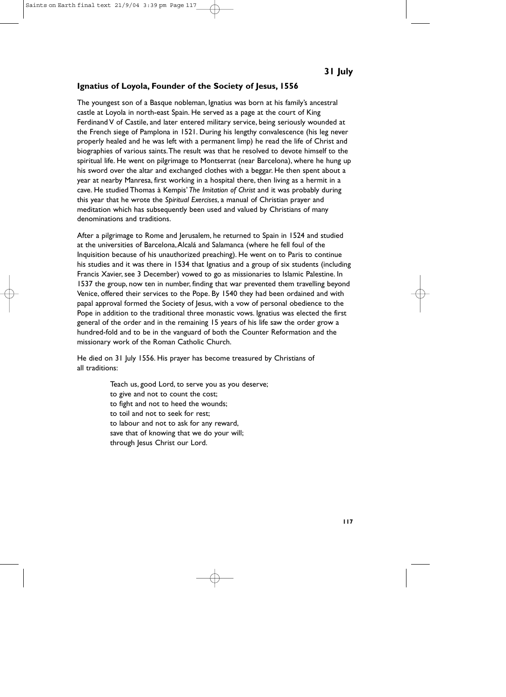#### **Ignatius of Loyola, Founder of the Society of Jesus, 1556**

The youngest son of a Basque nobleman, Ignatius was born at his family's ancestral castle at Loyola in north-east Spain. He served as a page at the court of King Ferdinand V of Castile, and later entered military service, being seriously wounded at the French siege of Pamplona in 1521. During his lengthy convalescence (his leg never properly healed and he was left with a permanent limp) he read the life of Christ and biographies of various saints.The result was that he resolved to devote himself to the spiritual life. He went on pilgrimage to Montserrat (near Barcelona), where he hung up his sword over the altar and exchanged clothes with a beggar. He then spent about a year at nearby Manresa, first working in a hospital there, then living as a hermit in a cave. He studied Thomas à Kempis' *The Imitation of Christ* and it was probably during this year that he wrote the *Spiritual Exercises*, a manual of Christian prayer and meditation which has subsequently been used and valued by Christians of many denominations and traditions.

After a pilgrimage to Rome and Jerusalem, he returned to Spain in 1524 and studied at the universities of Barcelona,Alcalá and Salamanca (where he fell foul of the Inquisition because of his unauthorized preaching). He went on to Paris to continue his studies and it was there in 1534 that Ignatius and a group of six students (including Francis Xavier, see 3 December) vowed to go as missionaries to Islamic Palestine. In 1537 the group, now ten in number, finding that war prevented them travelling beyond Venice, offered their services to the Pope. By 1540 they had been ordained and with papal approval formed the Society of Jesus, with a vow of personal obedience to the Pope in addition to the traditional three monastic vows. Ignatius was elected the first general of the order and in the remaining 15 years of his life saw the order grow a hundred-fold and to be in the vanguard of both the Counter Reformation and the missionary work of the Roman Catholic Church.

He died on 31 July 1556. His prayer has become treasured by Christians of all traditions:

> Teach us, good Lord, to serve you as you deserve; to give and not to count the cost; to fight and not to heed the wounds; to toil and not to seek for rest; to labour and not to ask for any reward, save that of knowing that we do your will; through Jesus Christ our Lord.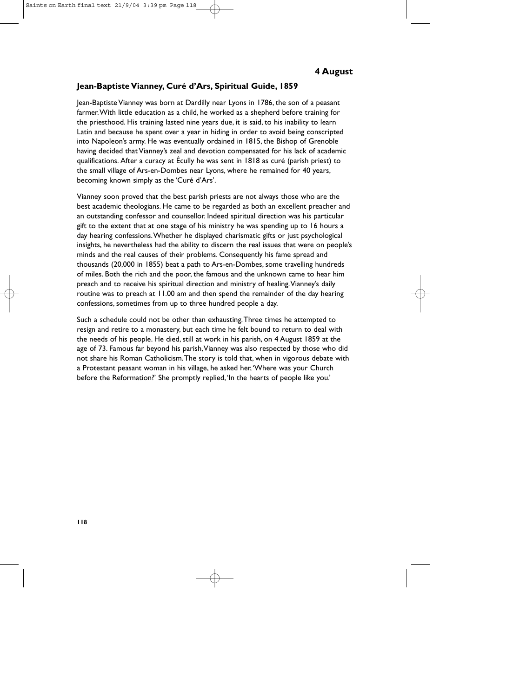## **Jean-Baptiste Vianney, Curé d'Ars, Spiritual Guide, 1859**

Jean-Baptiste Vianney was born at Dardilly near Lyons in 1786, the son of a peasant farmer.With little education as a child, he worked as a shepherd before training for the priesthood. His training lasted nine years due, it is said, to his inability to learn Latin and because he spent over a year in hiding in order to avoid being conscripted into Napoleon's army. He was eventually ordained in 1815, the Bishop of Grenoble having decided that Vianney's zeal and devotion compensated for his lack of academic qualifications. After a curacy at Écully he was sent in 1818 as curé (parish priest) to the small village of Ars-en-Dombes near Lyons, where he remained for 40 years, becoming known simply as the 'Curé d'Ars'.

Vianney soon proved that the best parish priests are not always those who are the best academic theologians. He came to be regarded as both an excellent preacher and an outstanding confessor and counsellor. Indeed spiritual direction was his particular gift to the extent that at one stage of his ministry he was spending up to 16 hours a day hearing confessions.Whether he displayed charismatic gifts or just psychological insights, he nevertheless had the ability to discern the real issues that were on people's minds and the real causes of their problems. Consequently his fame spread and thousands (20,000 in 1855) beat a path to Ars-en-Dombes, some travelling hundreds of miles. Both the rich and the poor, the famous and the unknown came to hear him preach and to receive his spiritual direction and ministry of healing.Vianney's daily routine was to preach at 11.00 am and then spend the remainder of the day hearing confessions, sometimes from up to three hundred people a day.

Such a schedule could not be other than exhausting.Three times he attempted to resign and retire to a monastery, but each time he felt bound to return to deal with the needs of his people. He died, still at work in his parish, on 4 August 1859 at the age of 73. Famous far beyond his parish,Vianney was also respected by those who did not share his Roman Catholicism.The story is told that, when in vigorous debate with a Protestant peasant woman in his village, he asked her,'Where was your Church before the Reformation?' She promptly replied,'In the hearts of people like you.'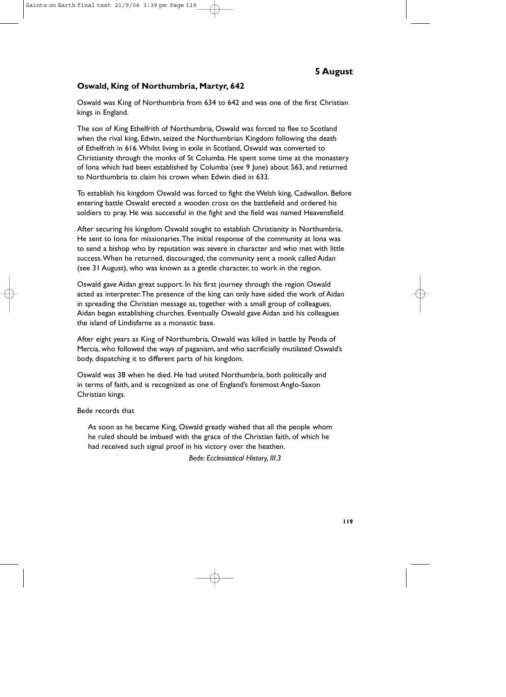#### **Oswald, King of Northumbria, Martyr, 642**

Oswald was King of Northumbria from 634 to 642 and was one of the first Christian kings in England.

The son of King Ethelfrith of Northumbria, Oswald was forced to flee to Scotland when the rival king, Edwin, seized the Northumbrian Kingdom following the death of Ethelfrith in 616.Whilst living in exile in Scotland, Oswald was converted to Christianity through the monks of St Columba. He spent some time at the monastery of Iona which had been established by Columba (see 9 June) about 563, and returned to Northumbria to claim his crown when Edwin died in 633.

To establish his kingdom Oswald was forced to fight the Welsh king, Cadwallon. Before entering battle Oswald erected a wooden cross on the battlefield and ordered his soldiers to pray. He was successful in the fight and the field was named Heavensfield.

After securing his kingdom Oswald sought to establish Christianity in Northumbria. He sent to Iona for missionaries.The initial response of the community at Iona was to send a bishop who by reputation was severe in character and who met with little success.When he returned, discouraged, the community sent a monk called Aidan (see 31 August), who was known as a gentle character, to work in the region.

Oswald gave Aidan great support. In his first journey through the region Oswald acted as interpreter.The presence of the king can only have aided the work of Aidan in spreading the Christian message as, together with a small group of colleagues, Aidan began establishing churches. Eventually Oswald gave Aidan and his colleagues the island of Lindisfarne as a monastic base.

After eight years as King of Northumbria, Oswald was killed in battle by Penda of Mercia, who followed the ways of paganism, and who sacrificially mutilated Oswald's body, dispatching it to different parts of his kingdom.

Oswald was 38 when he died. He had united Northumbria, both politically and in terms of faith, and is recognized as one of England's foremost Anglo-Saxon Christian kings.

#### Bede records that

As soon as he became King, Oswald greatly wished that all the people whom he ruled should be imbued with the grace of the Christian faith, of which he had received such signal proof in his victory over the heathen.

*Bede: Ecclesiastical History, III.3*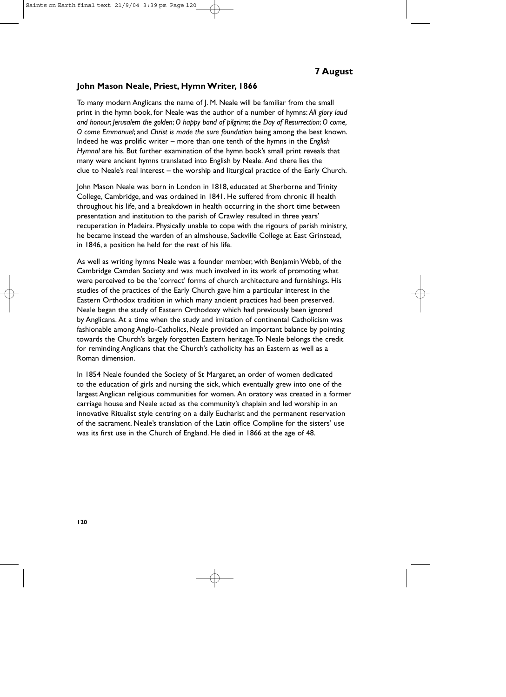#### **John Mason Neale, Priest, Hymn Writer, 1866**

To many modern Anglicans the name of J. M. Neale will be familiar from the small print in the hymn book, for Neale was the author of a number of hymns: *All glory laud and honour*; *Jerusalem the golden*; *O happy band of pilgrims*; *the Day of Resurrection*; *O come, O come Emmanuel*; and *Christ is made the sure foundation* being among the best known. Indeed he was prolific writer – more than one tenth of the hymns in the *English Hymnal* are his. But further examination of the hymn book's small print reveals that many were ancient hymns translated into English by Neale. And there lies the clue to Neale's real interest – the worship and liturgical practice of the Early Church.

John Mason Neale was born in London in 1818, educated at Sherborne and Trinity College, Cambridge, and was ordained in 1841. He suffered from chronic ill health throughout his life, and a breakdown in health occurring in the short time between presentation and institution to the parish of Crawley resulted in three years' recuperation in Madeira. Physically unable to cope with the rigours of parish ministry, he became instead the warden of an almshouse, Sackville College at East Grinstead, in 1846, a position he held for the rest of his life.

As well as writing hymns Neale was a founder member, with Benjamin Webb, of the Cambridge Camden Society and was much involved in its work of promoting what were perceived to be the 'correct' forms of church architecture and furnishings. His studies of the practices of the Early Church gave him a particular interest in the Eastern Orthodox tradition in which many ancient practices had been preserved. Neale began the study of Eastern Orthodoxy which had previously been ignored by Anglicans. At a time when the study and imitation of continental Catholicism was fashionable among Anglo-Catholics, Neale provided an important balance by pointing towards the Church's largely forgotten Eastern heritage.To Neale belongs the credit for reminding Anglicans that the Church's catholicity has an Eastern as well as a Roman dimension.

In 1854 Neale founded the Society of St Margaret, an order of women dedicated to the education of girls and nursing the sick, which eventually grew into one of the largest Anglican religious communities for women. An oratory was created in a former carriage house and Neale acted as the community's chaplain and led worship in an innovative Ritualist style centring on a daily Eucharist and the permanent reservation of the sacrament. Neale's translation of the Latin office Compline for the sisters' use was its first use in the Church of England. He died in 1866 at the age of 48.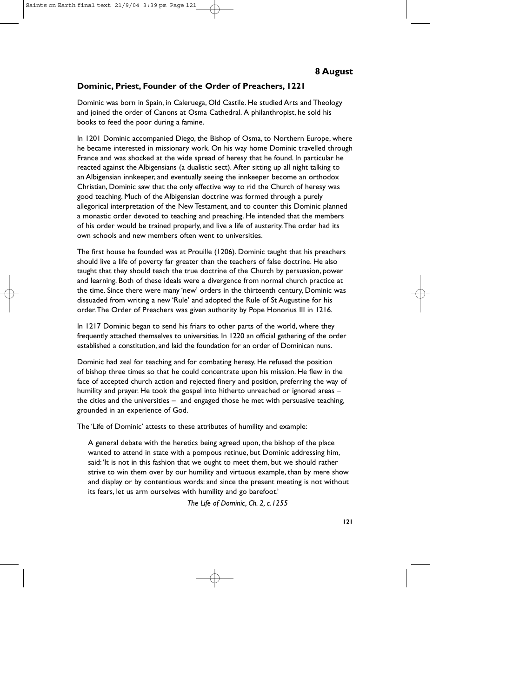#### **Dominic, Priest, Founder of the Order of Preachers, 1221**

Dominic was born in Spain, in Caleruega, Old Castile. He studied Arts and Theology and joined the order of Canons at Osma Cathedral. A philanthropist, he sold his books to feed the poor during a famine.

In 1201 Dominic accompanied Diego, the Bishop of Osma, to Northern Europe, where he became interested in missionary work. On his way home Dominic travelled through France and was shocked at the wide spread of heresy that he found. In particular he reacted against the Albigensians (a dualistic sect). After sitting up all night talking to an Albigensian innkeeper, and eventually seeing the innkeeper become an orthodox Christian, Dominic saw that the only effective way to rid the Church of heresy was good teaching. Much of the Albigensian doctrine was formed through a purely allegorical interpretation of the New Testament, and to counter this Dominic planned a monastic order devoted to teaching and preaching. He intended that the members of his order would be trained properly, and live a life of austerity.The order had its own schools and new members often went to universities.

The first house he founded was at Prouille (1206). Dominic taught that his preachers should live a life of poverty far greater than the teachers of false doctrine. He also taught that they should teach the true doctrine of the Church by persuasion, power and learning. Both of these ideals were a divergence from normal church practice at the time. Since there were many 'new' orders in the thirteenth century, Dominic was dissuaded from writing a new 'Rule' and adopted the Rule of St Augustine for his order.The Order of Preachers was given authority by Pope Honorius III in 1216.

In 1217 Dominic began to send his friars to other parts of the world, where they frequently attached themselves to universities. In 1220 an official gathering of the order established a constitution, and laid the foundation for an order of Dominican nuns.

Dominic had zeal for teaching and for combating heresy. He refused the position of bishop three times so that he could concentrate upon his mission. He flew in the face of accepted church action and rejected finery and position, preferring the way of humility and prayer. He took the gospel into hitherto unreached or ignored areas – the cities and the universities – and engaged those he met with persuasive teaching, grounded in an experience of God.

The 'Life of Dominic' attests to these attributes of humility and example:

A general debate with the heretics being agreed upon, the bishop of the place wanted to attend in state with a pompous retinue, but Dominic addressing him, said:'It is not in this fashion that we ought to meet them, but we should rather strive to win them over by our humility and virtuous example, than by mere show and display or by contentious words: and since the present meeting is not without its fears, let us arm ourselves with humility and go barefoot.'

*The Life of Dominic, Ch. 2, c.1255*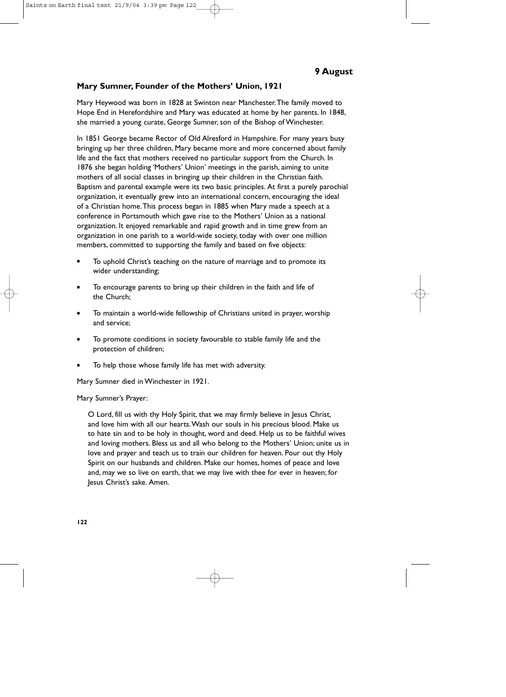#### **Mary Sumner, Founder of the Mothers' Union, 1921**

Mary Heywood was born in 1828 at Swinton near Manchester.The family moved to Hope End in Herefordshire and Mary was educated at home by her parents. In 1848, she married a young curate, George Sumner, son of the Bishop of Winchester.

In 1851 George became Rector of Old Alresford in Hampshire. For many years busy bringing up her three children, Mary became more and more concerned about family life and the fact that mothers received no particular support from the Church. In 1876 she began holding 'Mothers' Union' meetings in the parish, aiming to unite mothers of all social classes in bringing up their children in the Christian faith. Baptism and parental example were its two basic principles. At first a purely parochial organization, it eventually grew into an international concern, encouraging the ideal of a Christian home.This process began in 1885 when Mary made a speech at a conference in Portsmouth which gave rise to the Mothers' Union as a national organization. It enjoyed remarkable and rapid growth and in time grew from an organization in one parish to a world-wide society, today with over one million members, committed to supporting the family and based on five objects:

- To uphold Christ's teaching on the nature of marriage and to promote its wider understanding;
- To encourage parents to bring up their children in the faith and life of the Church;
- To maintain a world-wide fellowship of Christians united in prayer, worship and service;
- To promote conditions in society favourable to stable family life and the protection of children;
- To help those whose family life has met with adversity.

Mary Sumner died in Winchester in 1921.

#### Mary Sumner's Prayer:

O Lord, fill us with thy Holy Spirit, that we may firmly believe in Jesus Christ, and love him with all our hearts.Wash our souls in his precious blood. Make us to hate sin and to be holy in thought, word and deed. Help us to be faithful wives and loving mothers. Bless us and all who belong to the Mothers' Union; unite us in love and prayer and teach us to train our children for heaven. Pour out thy Holy Spirit on our husbands and children. Make our homes, homes of peace and love and, may we so live on earth, that we may live with thee for ever in heaven; for Jesus Christ's sake. Amen.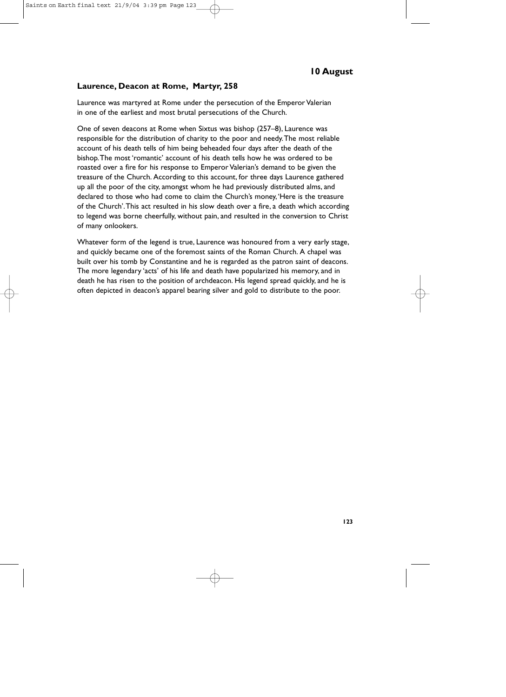# **10 August**

#### **Laurence, Deacon at Rome, Martyr, 258**

Laurence was martyred at Rome under the persecution of the Emperor Valerian in one of the earliest and most brutal persecutions of the Church.

One of seven deacons at Rome when Sixtus was bishop (257–8), Laurence was responsible for the distribution of charity to the poor and needy.The most reliable account of his death tells of him being beheaded four days after the death of the bishop.The most 'romantic' account of his death tells how he was ordered to be roasted over a fire for his response to Emperor Valerian's demand to be given the treasure of the Church. According to this account, for three days Laurence gathered up all the poor of the city, amongst whom he had previously distributed alms, and declared to those who had come to claim the Church's money,'Here is the treasure of the Church'.This act resulted in his slow death over a fire, a death which according to legend was borne cheerfully, without pain, and resulted in the conversion to Christ of many onlookers.

Whatever form of the legend is true, Laurence was honoured from a very early stage, and quickly became one of the foremost saints of the Roman Church. A chapel was built over his tomb by Constantine and he is regarded as the patron saint of deacons. The more legendary 'acts' of his life and death have popularized his memory, and in death he has risen to the position of archdeacon. His legend spread quickly, and he is often depicted in deacon's apparel bearing silver and gold to distribute to the poor.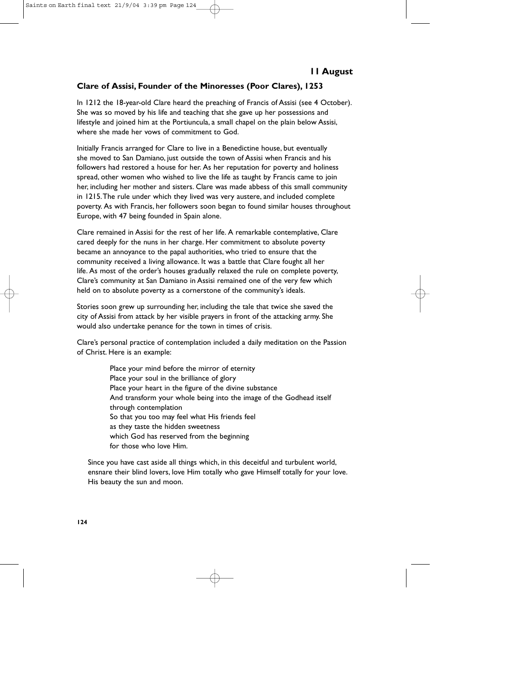## **Clare of Assisi, Founder of the Minoresses (Poor Clares), 1253**

In 1212 the 18-year-old Clare heard the preaching of Francis of Assisi (see 4 October). She was so moved by his life and teaching that she gave up her possessions and lifestyle and joined him at the Portiuncula, a small chapel on the plain below Assisi, where she made her vows of commitment to God.

Initially Francis arranged for Clare to live in a Benedictine house, but eventually she moved to San Damiano, just outside the town of Assisi when Francis and his followers had restored a house for her. As her reputation for poverty and holiness spread, other women who wished to live the life as taught by Francis came to join her, including her mother and sisters. Clare was made abbess of this small community in 1215.The rule under which they lived was very austere, and included complete poverty. As with Francis, her followers soon began to found similar houses throughout Europe, with 47 being founded in Spain alone.

Clare remained in Assisi for the rest of her life. A remarkable contemplative, Clare cared deeply for the nuns in her charge. Her commitment to absolute poverty became an annoyance to the papal authorities, who tried to ensure that the community received a living allowance. It was a battle that Clare fought all her life. As most of the order's houses gradually relaxed the rule on complete poverty, Clare's community at San Damiano in Assisi remained one of the very few which held on to absolute poverty as a cornerstone of the community's ideals.

Stories soon grew up surrounding her, including the tale that twice she saved the city of Assisi from attack by her visible prayers in front of the attacking army. She would also undertake penance for the town in times of crisis.

Clare's personal practice of contemplation included a daily meditation on the Passion of Christ. Here is an example:

> Place your mind before the mirror of eternity Place your soul in the brilliance of glory Place your heart in the figure of the divine substance And transform your whole being into the image of the Godhead itself through contemplation So that you too may feel what His friends feel as they taste the hidden sweetness which God has reserved from the beginning for those who love Him.

Since you have cast aside all things which, in this deceitful and turbulent world, ensnare their blind lovers, love Him totally who gave Himself totally for your love. His beauty the sun and moon.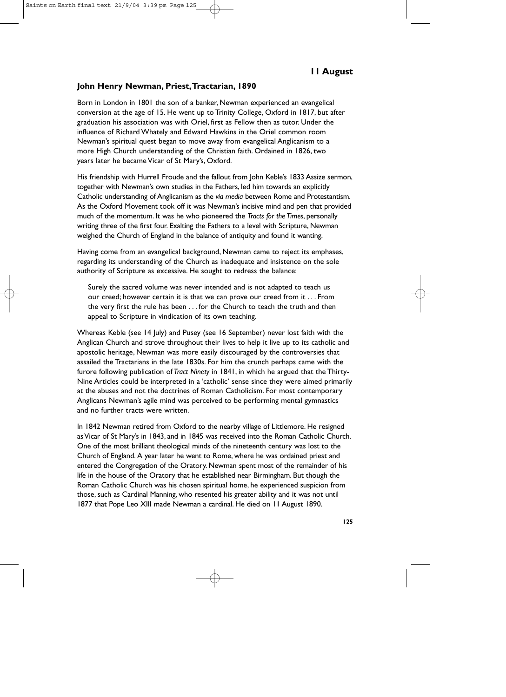#### **John Henry Newman, Priest,Tractarian, 1890**

Born in London in 1801 the son of a banker, Newman experienced an evangelical conversion at the age of 15. He went up to Trinity College, Oxford in 1817, but after graduation his association was with Oriel, first as Fellow then as tutor. Under the influence of Richard Whately and Edward Hawkins in the Oriel common room Newman's spiritual quest began to move away from evangelical Anglicanism to a more High Church understanding of the Christian faith. Ordained in 1826, two years later he became Vicar of St Mary's, Oxford.

His friendship with Hurrell Froude and the fallout from John Keble's 1833 Assize sermon, together with Newman's own studies in the Fathers, led him towards an explicitly Catholic understanding of Anglicanism as the *via media* between Rome and Protestantism. As the Oxford Movement took off it was Newman's incisive mind and pen that provided much of the momentum. It was he who pioneered the *Tracts for the Times*, personally writing three of the first four. Exalting the Fathers to a level with Scripture, Newman weighed the Church of England in the balance of antiquity and found it wanting.

Having come from an evangelical background, Newman came to reject its emphases, regarding its understanding of the Church as inadequate and insistence on the sole authority of Scripture as excessive. He sought to redress the balance:

Surely the sacred volume was never intended and is not adapted to teach us our creed; however certain it is that we can prove our creed from it . . . From the very first the rule has been . . . for the Church to teach the truth and then appeal to Scripture in vindication of its own teaching.

Whereas Keble (see 14 July) and Pusey (see 16 September) never lost faith with the Anglican Church and strove throughout their lives to help it live up to its catholic and apostolic heritage, Newman was more easily discouraged by the controversies that assailed the Tractarians in the late 1830s. For him the crunch perhaps came with the furore following publication of *Tract Ninety* in 1841, in which he argued that the Thirty-Nine Articles could be interpreted in a 'catholic' sense since they were aimed primarily at the abuses and not the doctrines of Roman Catholicism. For most contemporary Anglicans Newman's agile mind was perceived to be performing mental gymnastics and no further tracts were written.

In 1842 Newman retired from Oxford to the nearby village of Littlemore. He resigned as Vicar of St Mary's in 1843, and in 1845 was received into the Roman Catholic Church. One of the most brilliant theological minds of the nineteenth century was lost to the Church of England. A year later he went to Rome, where he was ordained priest and entered the Congregation of the Oratory. Newman spent most of the remainder of his life in the house of the Oratory that he established near Birmingham. But though the Roman Catholic Church was his chosen spiritual home, he experienced suspicion from those, such as Cardinal Manning, who resented his greater ability and it was not until 1877 that Pope Leo XIII made Newman a cardinal. He died on 11 August 1890.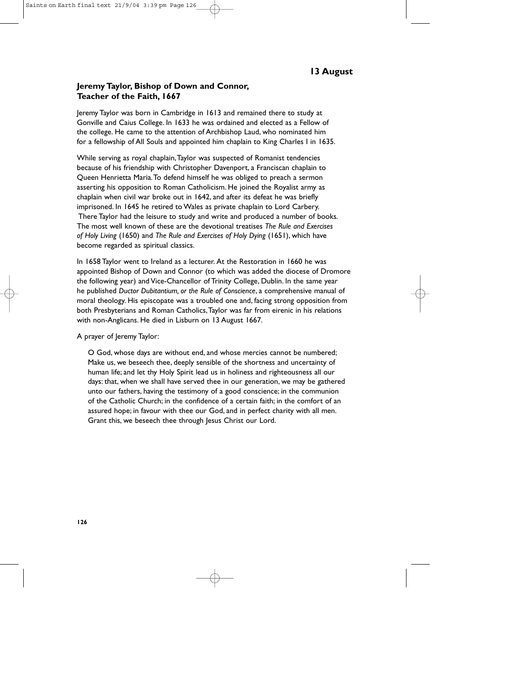#### **Jeremy Taylor, Bishop of Down and Connor, Teacher of the Faith, 1667**

Jeremy Taylor was born in Cambridge in 1613 and remained there to study at Gonville and Caius College. In 1633 he was ordained and elected as a Fellow of the college. He came to the attention of Archbishop Laud, who nominated him for a fellowship of All Souls and appointed him chaplain to King Charles I in 1635.

While serving as royal chaplain,Taylor was suspected of Romanist tendencies because of his friendship with Christopher Davenport, a Franciscan chaplain to Queen Henrietta Maria.To defend himself he was obliged to preach a sermon asserting his opposition to Roman Catholicism. He joined the Royalist army as chaplain when civil war broke out in 1642, and after its defeat he was briefly imprisoned. In 1645 he retired to Wales as private chaplain to Lord Carbery. There Taylor had the leisure to study and write and produced a number of books. The most well known of these are the devotional treatises *The Rule and Exercises of Holy Living* (1650) and *The Rule and Exercises of Holy Dying* (1651), which have become regarded as spiritual classics.

In 1658 Taylor went to Ireland as a lecturer. At the Restoration in 1660 he was appointed Bishop of Down and Connor (to which was added the diocese of Dromore the following year) and Vice-Chancellor of Trinity College, Dublin. In the same year he published *Ductor Dubitantium, or the Rule of Conscience*, a comprehensive manual of moral theology. His episcopate was a troubled one and, facing strong opposition from both Presbyterians and Roman Catholics,Taylor was far from eirenic in his relations with non-Anglicans. He died in Lisburn on 13 August 1667.

A prayer of Jeremy Taylor:

O God, whose days are without end, and whose mercies cannot be numbered; Make us, we beseech thee, deeply sensible of the shortness and uncertainty of human life; and let thy Holy Spirit lead us in holiness and righteousness all our days: that, when we shall have served thee in our generation, we may be gathered unto our fathers, having the testimony of a good conscience; in the communion of the Catholic Church; in the confidence of a certain faith; in the comfort of an assured hope; in favour with thee our God, and in perfect charity with all men. Grant this, we beseech thee through Jesus Christ our Lord.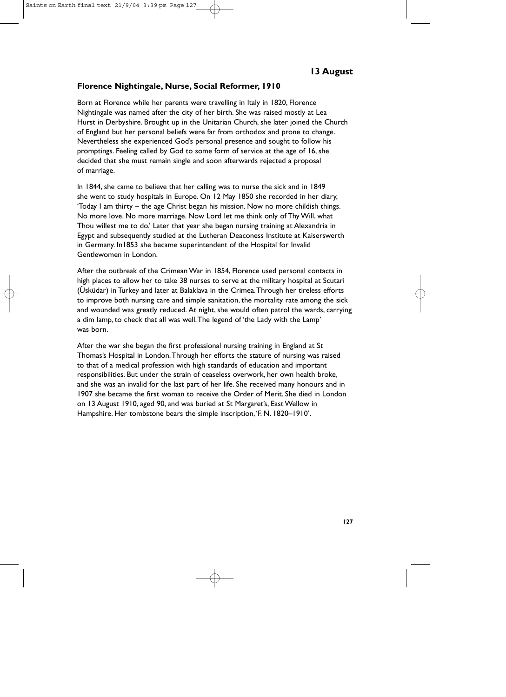#### **Florence Nightingale, Nurse, Social Reformer, 1910**

Born at Florence while her parents were travelling in Italy in 1820, Florence Nightingale was named after the city of her birth. She was raised mostly at Lea Hurst in Derbyshire. Brought up in the Unitarian Church, she later joined the Church of England but her personal beliefs were far from orthodox and prone to change. Nevertheless she experienced God's personal presence and sought to follow his promptings. Feeling called by God to some form of service at the age of 16, she decided that she must remain single and soon afterwards rejected a proposal of marriage.

In 1844, she came to believe that her calling was to nurse the sick and in 1849 she went to study hospitals in Europe. On 12 May 1850 she recorded in her diary, 'Today I am thirty – the age Christ began his mission. Now no more childish things. No more love. No more marriage. Now Lord let me think only of Thy Will, what Thou willest me to do.' Later that year she began nursing training at Alexandria in Egypt and subsequently studied at the Lutheran Deaconess Institute at Kaiserswerth in Germany. In1853 she became superintendent of the Hospital for Invalid Gentlewomen in London.

After the outbreak of the Crimean War in 1854, Florence used personal contacts in high places to allow her to take 38 nurses to serve at the military hospital at Scutari (Üsküdar) in Turkey and later at Balaklava in the Crimea.Through her tireless efforts to improve both nursing care and simple sanitation, the mortality rate among the sick and wounded was greatly reduced. At night, she would often patrol the wards, carrying a dim lamp, to check that all was well.The legend of 'the Lady with the Lamp' was born.

After the war she began the first professional nursing training in England at St Thomas's Hospital in London.Through her efforts the stature of nursing was raised to that of a medical profession with high standards of education and important responsibilities. But under the strain of ceaseless overwork, her own health broke, and she was an invalid for the last part of her life. She received many honours and in 1907 she became the first woman to receive the Order of Merit. She died in London on 13 August 1910, aged 90, and was buried at St Margaret's, East Wellow in Hampshire. Her tombstone bears the simple inscription,'F. N. 1820–1910'.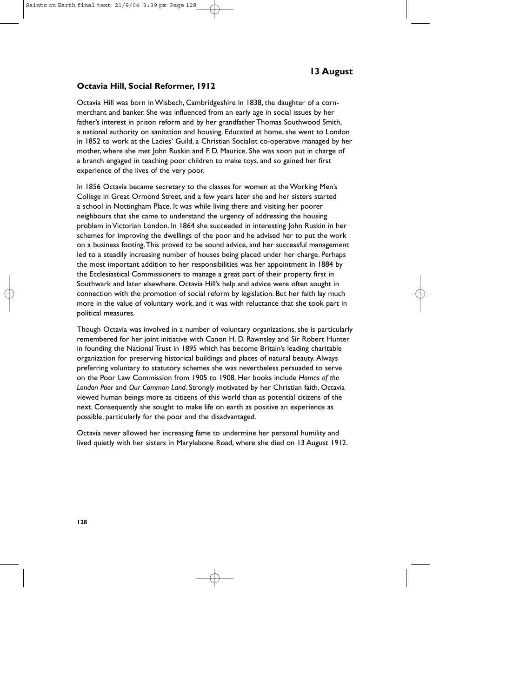#### **Octavia Hill, Social Reformer, 1912**

Octavia Hill was born in Wisbech, Cambridgeshire in 1838, the daughter of a cornmerchant and banker. She was influenced from an early age in social issues by her father's interest in prison reform and by her grandfather Thomas Southwood Smith, a national authority on sanitation and housing. Educated at home, she went to London in 1852 to work at the Ladies' Guild, a Christian Socialist co-operative managed by her mother, where she met John Ruskin and F. D. Maurice. She was soon put in charge of a branch engaged in teaching poor children to make toys, and so gained her first experience of the lives of the very poor.

In 1856 Octavia became secretary to the classes for women at the Working Men's College in Great Ormond Street, and a few years later she and her sisters started a school in Nottingham Place. It was while living there and visiting her poorer neighbours that she came to understand the urgency of addressing the housing problem in Victorian London. In 1864 she succeeded in interesting John Ruskin in her schemes for improving the dwellings of the poor and he advised her to put the work on a business footing.This proved to be sound advice, and her successful management led to a steadily increasing number of houses being placed under her charge. Perhaps the most important addition to her responsibilities was her appointment in 1884 by the Ecclesiastical Commissioners to manage a great part of their property first in Southwark and later elsewhere. Octavia Hill's help and advice were often sought in connection with the promotion of social reform by legislation. But her faith lay much more in the value of voluntary work, and it was with reluctance that she took part in political measures.

Though Octavia was involved in a number of voluntary organizations, she is particularly remembered for her joint initiative with Canon H. D. Rawnsley and Sir Robert Hunter in founding the National Trust in 1895 which has become Britain's leading charitable organization for preserving historical buildings and places of natural beauty. Always preferring voluntary to statutory schemes she was nevertheless persuaded to serve on the Poor Law Commission from 1905 to 1908. Her books include *Homes of the London Poor* and *Our Common Land*. Strongly motivated by her Christian faith, Octavia viewed human beings more as citizens of this world than as potential citizens of the next. Consequently she sought to make life on earth as positive an experience as possible, particularly for the poor and the disadvantaged.

Octavia never allowed her increasing fame to undermine her personal humility and lived quietly with her sisters in Marylebone Road, where she died on 13 August 1912.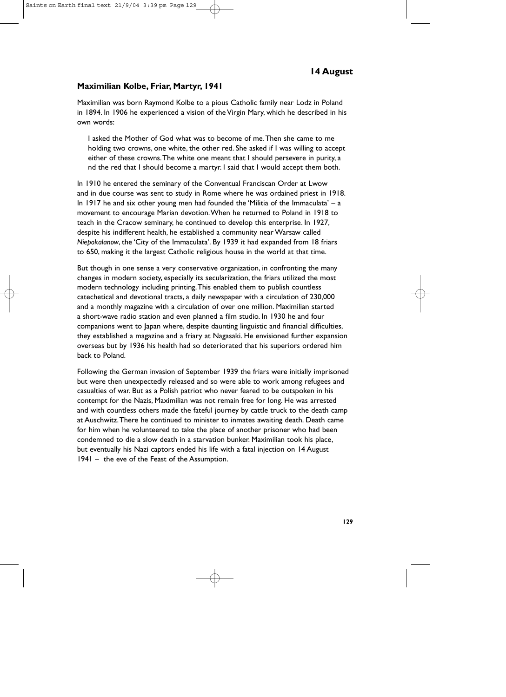# **14 August**

#### **Maximilian Kolbe, Friar, Martyr, 1941**

Maximilian was born Raymond Kolbe to a pious Catholic family near Lodz in Poland in 1894. In 1906 he experienced a vision of the Virgin Mary, which he described in his own words:

I asked the Mother of God what was to become of me.Then she came to me holding two crowns, one white, the other red. She asked if I was willing to accept either of these crowns.The white one meant that I should persevere in purity, a nd the red that I should become a martyr. I said that I would accept them both.

In 1910 he entered the seminary of the Conventual Franciscan Order at Lwow and in due course was sent to study in Rome where he was ordained priest in 1918. In 1917 he and six other young men had founded the 'Militia of the Immaculata' – a movement to encourage Marian devotion.When he returned to Poland in 1918 to teach in the Cracow seminary, he continued to develop this enterprise. In 1927, despite his indifferent health, he established a community near Warsaw called *Niepokalanow*, the 'City of the Immaculata'. By 1939 it had expanded from 18 friars to 650, making it the largest Catholic religious house in the world at that time.

But though in one sense a very conservative organization, in confronting the many changes in modern society, especially its secularization, the friars utilized the most modern technology including printing.This enabled them to publish countless catechetical and devotional tracts, a daily newspaper with a circulation of 230,000 and a monthly magazine with a circulation of over one million. Maximilian started a short-wave radio station and even planned a film studio. In 1930 he and four companions went to Japan where, despite daunting linguistic and financial difficulties, they established a magazine and a friary at Nagasaki. He envisioned further expansion overseas but by 1936 his health had so deteriorated that his superiors ordered him back to Poland.

Following the German invasion of September 1939 the friars were initially imprisoned but were then unexpectedly released and so were able to work among refugees and casualties of war. But as a Polish patriot who never feared to be outspoken in his contempt for the Nazis, Maximilian was not remain free for long. He was arrested and with countless others made the fateful journey by cattle truck to the death camp at Auschwitz.There he continued to minister to inmates awaiting death. Death came for him when he volunteered to take the place of another prisoner who had been condemned to die a slow death in a starvation bunker. Maximilian took his place, but eventually his Nazi captors ended his life with a fatal injection on 14 August 1941 – the eve of the Feast of the Assumption.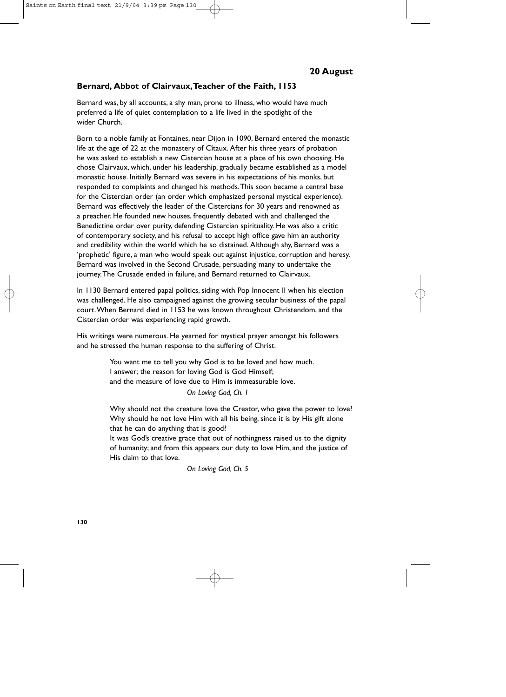#### **Bernard, Abbot of Clairvaux,Teacher of the Faith, 1153**

Bernard was, by all accounts, a shy man, prone to illness, who would have much preferred a life of quiet contemplation to a life lived in the spotlight of the wider Church.

Born to a noble family at Fontaines, near Dijon in 1090, Bernard entered the monastic life at the age of 22 at the monastery of Cîtaux. After his three years of probation he was asked to establish a new Cistercian house at a place of his own choosing. He chose Clairvaux, which, under his leadership, gradually became established as a model monastic house. Initially Bernard was severe in his expectations of his monks, but responded to complaints and changed his methods.This soon became a central base for the Cistercian order (an order which emphasized personal mystical experience). Bernard was effectively the leader of the Cistercians for 30 years and renowned as a preacher. He founded new houses, frequently debated with and challenged the Benedictine order over purity, defending Cistercian spirituality. He was also a critic of contemporary society, and his refusal to accept high office gave him an authority and credibility within the world which he so distained. Although shy, Bernard was a 'prophetic' figure, a man who would speak out against injustice, corruption and heresy. Bernard was involved in the Second Crusade, persuading many to undertake the journey.The Crusade ended in failure, and Bernard returned to Clairvaux.

In 1130 Bernard entered papal politics, siding with Pop Innocent II when his election was challenged. He also campaigned against the growing secular business of the papal court.When Bernard died in 1153 he was known throughout Christendom, and the Cistercian order was experiencing rapid growth.

His writings were numerous. He yearned for mystical prayer amongst his followers and he stressed the human response to the suffering of Christ.

> You want me to tell you why God is to be loved and how much. I answer; the reason for loving God is God Himself; and the measure of love due to Him is immeasurable love.

> > *On Loving God, Ch. 1*

Why should not the creature love the Creator, who gave the power to love? Why should he not love Him with all his being, since it is by His gift alone that he can do anything that is good?

It was God's creative grace that out of nothingness raised us to the dignity of humanity; and from this appears our duty to love Him, and the justice of His claim to that love.

*On Loving God, Ch. 5*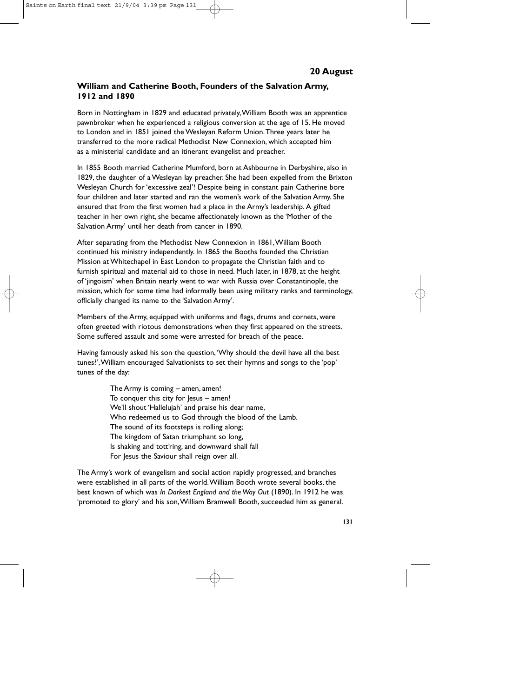# **William and Catherine Booth, Founders of the Salvation Army, 1912 and 1890**

Born in Nottingham in 1829 and educated privately,William Booth was an apprentice pawnbroker when he experienced a religious conversion at the age of 15. He moved to London and in 1851 joined the Wesleyan Reform Union.Three years later he transferred to the more radical Methodist New Connexion, which accepted him as a ministerial candidate and an itinerant evangelist and preacher.

In 1855 Booth married Catherine Mumford, born at Ashbourne in Derbyshire, also in 1829, the daughter of a Wesleyan lay preacher. She had been expelled from the Brixton Wesleyan Church for 'excessive zeal'! Despite being in constant pain Catherine bore four children and later started and ran the women's work of the Salvation Army. She ensured that from the first women had a place in the Army's leadership. A gifted teacher in her own right, she became affectionately known as the 'Mother of the Salvation Army' until her death from cancer in 1890.

After separating from the Methodist New Connexion in 1861,William Booth continued his ministry independently. In 1865 the Booths founded the Christian Mission at Whitechapel in East London to propagate the Christian faith and to furnish spiritual and material aid to those in need. Much later, in 1878, at the height of 'jingoism' when Britain nearly went to war with Russia over Constantinople, the mission, which for some time had informally been using military ranks and terminology, officially changed its name to the 'Salvation Army'.

Members of the Army, equipped with uniforms and flags, drums and cornets, were often greeted with riotous demonstrations when they first appeared on the streets. Some suffered assault and some were arrested for breach of the peace.

Having famously asked his son the question,'Why should the devil have all the best tunes?',William encouraged Salvationists to set their hymns and songs to the 'pop' tunes of the day:

> The Army is coming – amen, amen! To conquer this city for Jesus – amen! We'll shout 'Hallelujah' and praise his dear name, Who redeemed us to God through the blood of the Lamb. The sound of its footsteps is rolling along; The kingdom of Satan triumphant so long, Is shaking and tott'ring, and downward shall fall For Jesus the Saviour shall reign over all.

The Army's work of evangelism and social action rapidly progressed, and branches were established in all parts of the world.William Booth wrote several books, the best known of which was *In Darkest England and the Way Out* (1890). In 1912 he was 'promoted to glory' and his son,William Bramwell Booth, succeeded him as general.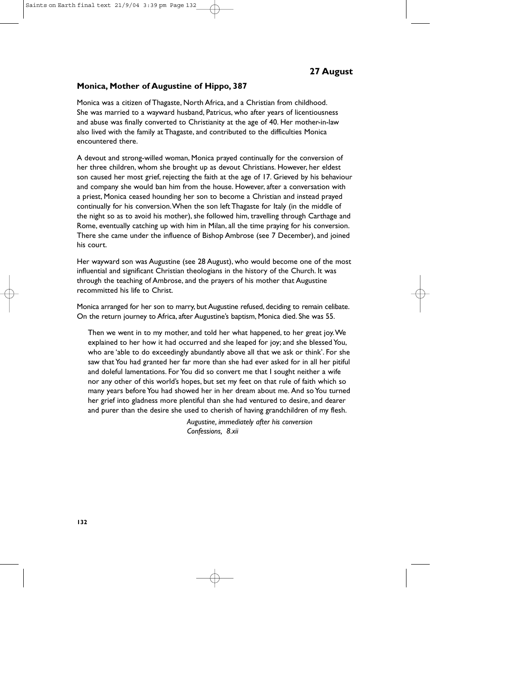#### **Monica, Mother of Augustine of Hippo, 387**

Monica was a citizen of Thagaste, North Africa, and a Christian from childhood. She was married to a wayward husband, Patricus, who after years of licentiousness and abuse was finally converted to Christianity at the age of 40. Her mother-in-law also lived with the family at Thagaste, and contributed to the difficulties Monica encountered there.

A devout and strong-willed woman, Monica prayed continually for the conversion of her three children, whom she brought up as devout Christians. However, her eldest son caused her most grief, rejecting the faith at the age of 17. Grieved by his behaviour and company she would ban him from the house. However, after a conversation with a priest, Monica ceased hounding her son to become a Christian and instead prayed continually for his conversion.When the son left Thagaste for Italy (in the middle of the night so as to avoid his mother), she followed him, travelling through Carthage and Rome, eventually catching up with him in Milan, all the time praying for his conversion. There she came under the influence of Bishop Ambrose (see 7 December), and joined his court.

Her wayward son was Augustine (see 28 August), who would become one of the most influential and significant Christian theologians in the history of the Church. It was through the teaching of Ambrose, and the prayers of his mother that Augustine recommitted his life to Christ.

Monica arranged for her son to marry, but Augustine refused, deciding to remain celibate. On the return journey to Africa, after Augustine's baptism, Monica died. She was 55.

Then we went in to my mother, and told her what happened, to her great joy.We explained to her how it had occurred and she leaped for joy; and she blessed You, who are 'able to do exceedingly abundantly above all that we ask or think'. For she saw that You had granted her far more than she had ever asked for in all her pitiful and doleful lamentations. For You did so convert me that I sought neither a wife nor any other of this world's hopes, but set my feet on that rule of faith which so many years before You had showed her in her dream about me. And so You turned her grief into gladness more plentiful than she had ventured to desire, and dearer and purer than the desire she used to cherish of having grandchildren of my flesh.

> *Augustine, immediately after his conversion Confessions, 8.xii*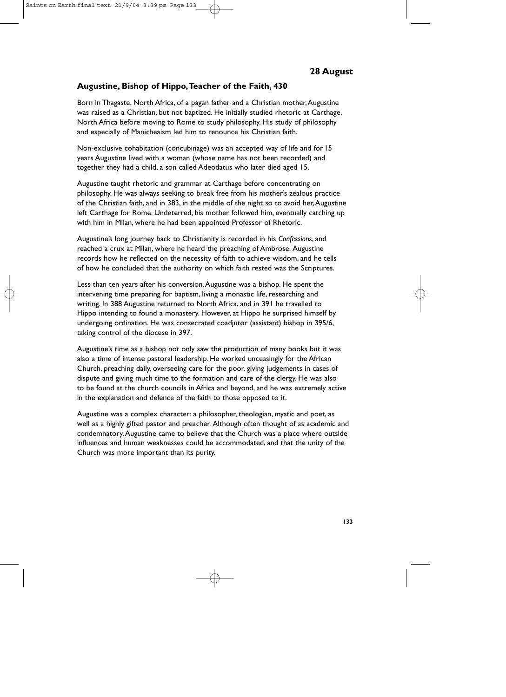#### **Augustine, Bishop of Hippo,Teacher of the Faith, 430**

Born in Thagaste, North Africa, of a pagan father and a Christian mother, Augustine was raised as a Christian, but not baptized. He initially studied rhetoric at Carthage, North Africa before moving to Rome to study philosophy. His study of philosophy and especially of Manicheaism led him to renounce his Christian faith.

Non-exclusive cohabitation (concubinage) was an accepted way of life and for 15 years Augustine lived with a woman (whose name has not been recorded) and together they had a child, a son called Adeodatus who later died aged 15.

Augustine taught rhetoric and grammar at Carthage before concentrating on philosophy. He was always seeking to break free from his mother's zealous practice of the Christian faith, and in 383, in the middle of the night so to avoid her,Augustine left Carthage for Rome. Undeterred, his mother followed him, eventually catching up with him in Milan, where he had been appointed Professor of Rhetoric.

Augustine's long journey back to Christianity is recorded in his *Confessions*, and reached a crux at Milan, where he heard the preaching of Ambrose. Augustine records how he reflected on the necessity of faith to achieve wisdom, and he tells of how he concluded that the authority on which faith rested was the Scriptures.

Less than ten years after his conversion,Augustine was a bishop. He spent the intervening time preparing for baptism, living a monastic life, researching and writing. In 388 Augustine returned to North Africa, and in 391 he travelled to Hippo intending to found a monastery. However, at Hippo he surprised himself by undergoing ordination. He was consecrated coadjutor (assistant) bishop in 395/6, taking control of the diocese in 397.

Augustine's time as a bishop not only saw the production of many books but it was also a time of intense pastoral leadership. He worked unceasingly for the African Church, preaching daily, overseeing care for the poor, giving judgements in cases of dispute and giving much time to the formation and care of the clergy. He was also to be found at the church councils in Africa and beyond, and he was extremely active in the explanation and defence of the faith to those opposed to it.

Augustine was a complex character: a philosopher, theologian, mystic and poet, as well as a highly gifted pastor and preacher. Although often thought of as academic and condemnatory,Augustine came to believe that the Church was a place where outside influences and human weaknesses could be accommodated, and that the unity of the Church was more important than its purity.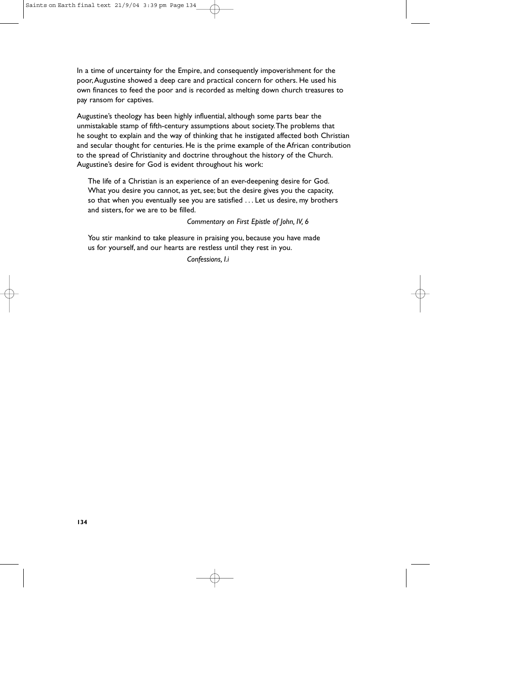In a time of uncertainty for the Empire, and consequently impoverishment for the poor,Augustine showed a deep care and practical concern for others. He used his own finances to feed the poor and is recorded as melting down church treasures to pay ransom for captives.

Augustine's theology has been highly influential, although some parts bear the unmistakable stamp of fifth-century assumptions about society.The problems that he sought to explain and the way of thinking that he instigated affected both Christian and secular thought for centuries. He is the prime example of the African contribution to the spread of Christianity and doctrine throughout the history of the Church. Augustine's desire for God is evident throughout his work:

The life of a Christian is an experience of an ever-deepening desire for God. What you desire you cannot, as yet, see; but the desire gives you the capacity, so that when you eventually see you are satisfied . . . Let us desire, my brothers and sisters, for we are to be filled.

*Commentary on First Epistle of John, IV, 6*

You stir mankind to take pleasure in praising you, because you have made us for yourself, and our hearts are restless until they rest in you.

*Confessions, I.i*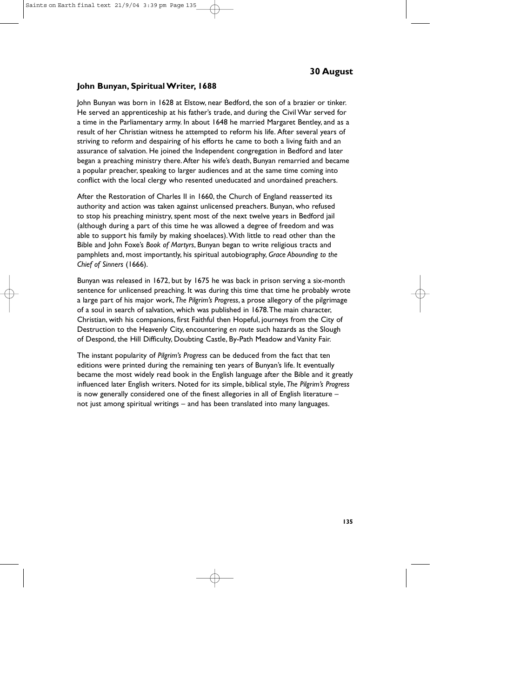### **John Bunyan, Spiritual Writer, 1688**

John Bunyan was born in 1628 at Elstow, near Bedford, the son of a brazier or tinker. He served an apprenticeship at his father's trade, and during the Civil War served for a time in the Parliamentary army. In about 1648 he married Margaret Bentley, and as a result of her Christian witness he attempted to reform his life. After several years of striving to reform and despairing of his efforts he came to both a living faith and an assurance of salvation. He joined the Independent congregation in Bedford and later began a preaching ministry there.After his wife's death, Bunyan remarried and became a popular preacher, speaking to larger audiences and at the same time coming into conflict with the local clergy who resented uneducated and unordained preachers.

After the Restoration of Charles II in 1660, the Church of England reasserted its authority and action was taken against unlicensed preachers. Bunyan, who refused to stop his preaching ministry, spent most of the next twelve years in Bedford jail (although during a part of this time he was allowed a degree of freedom and was able to support his family by making shoelaces).With little to read other than the Bible and John Foxe's *Book of Martyrs*, Bunyan began to write religious tracts and pamphlets and, most importantly, his spiritual autobiography, *Grace Abounding to the Chief of Sinners* (1666).

Bunyan was released in 1672, but by 1675 he was back in prison serving a six-month sentence for unlicensed preaching. It was during this time that time he probably wrote a large part of his major work, *The Pilgrim's Progress*, a prose allegory of the pilgrimage of a soul in search of salvation, which was published in 1678.The main character, Christian, with his companions, first Faithful then Hopeful, journeys from the City of Destruction to the Heavenly City, encountering *en route* such hazards as the Slough of Despond, the Hill Difficulty, Doubting Castle, By-Path Meadow and Vanity Fair.

The instant popularity of *Pilgrim's Progress* can be deduced from the fact that ten editions were printed during the remaining ten years of Bunyan's life. It eventually became the most widely read book in the English language after the Bible and it greatly influenced later English writers. Noted for its simple, biblical style, *The Pilgrim's Progress* is now generally considered one of the finest allegories in all of English literature – not just among spiritual writings – and has been translated into many languages.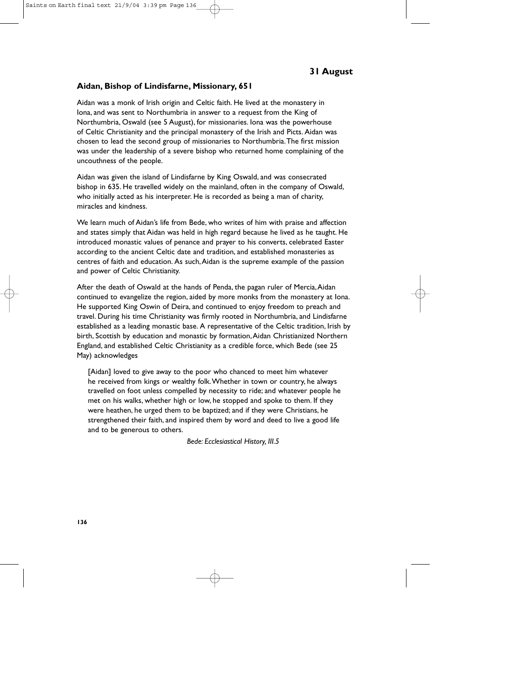#### **Aidan, Bishop of Lindisfarne, Missionary, 651**

Aidan was a monk of Irish origin and Celtic faith. He lived at the monastery in Iona, and was sent to Northumbria in answer to a request from the King of Northumbria, Oswald (see 5 August), for missionaries. Iona was the powerhouse of Celtic Christianity and the principal monastery of the Irish and Picts. Aidan was chosen to lead the second group of missionaries to Northumbria.The first mission was under the leadership of a severe bishop who returned home complaining of the uncouthness of the people.

Aidan was given the island of Lindisfarne by King Oswald, and was consecrated bishop in 635. He travelled widely on the mainland, often in the company of Oswald, who initially acted as his interpreter. He is recorded as being a man of charity, miracles and kindness.

We learn much of Aidan's life from Bede, who writes of him with praise and affection and states simply that Aidan was held in high regard because he lived as he taught. He introduced monastic values of penance and prayer to his converts, celebrated Easter according to the ancient Celtic date and tradition, and established monasteries as centres of faith and education. As such,Aidan is the supreme example of the passion and power of Celtic Christianity.

After the death of Oswald at the hands of Penda, the pagan ruler of Mercia,Aidan continued to evangelize the region, aided by more monks from the monastery at Iona. He supported King Oswin of Deira, and continued to enjoy freedom to preach and travel. During his time Christianity was firmly rooted in Northumbria, and Lindisfarne established as a leading monastic base. A representative of the Celtic tradition, Irish by birth, Scottish by education and monastic by formation, Aidan Christianized Northern England, and established Celtic Christianity as a credible force, which Bede (see 25 May) acknowledges

[Aidan] loved to give away to the poor who chanced to meet him whatever he received from kings or wealthy folk.Whether in town or country, he always travelled on foot unless compelled by necessity to ride; and whatever people he met on his walks, whether high or low, he stopped and spoke to them. If they were heathen, he urged them to be baptized; and if they were Christians, he strengthened their faith, and inspired them by word and deed to live a good life and to be generous to others.

*Bede: Ecclesiastical History, III.5*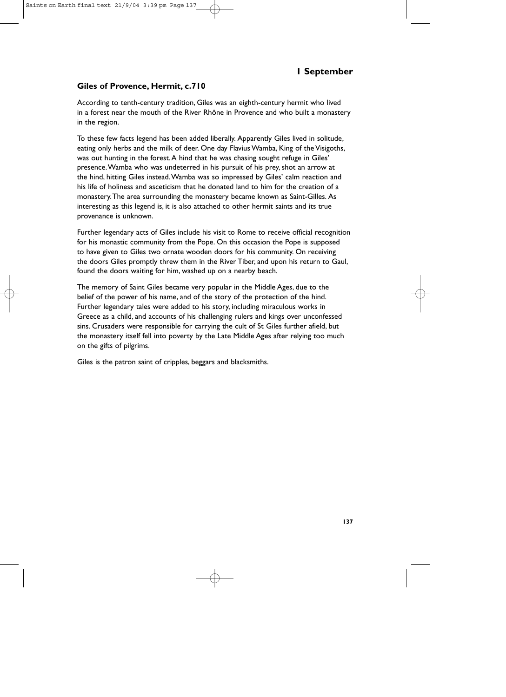# **Giles of Provence, Hermit, c.710**

According to tenth-century tradition, Giles was an eighth-century hermit who lived in a forest near the mouth of the River Rhône in Provence and who built a monastery in the region.

To these few facts legend has been added liberally. Apparently Giles lived in solitude, eating only herbs and the milk of deer. One day Flavius Wamba, King of the Visigoths, was out hunting in the forest.A hind that he was chasing sought refuge in Giles' presence.Wamba who was undeterred in his pursuit of his prey, shot an arrow at the hind, hitting Giles instead.Wamba was so impressed by Giles' calm reaction and his life of holiness and asceticism that he donated land to him for the creation of a monastery.The area surrounding the monastery became known as Saint-Gilles. As interesting as this legend is, it is also attached to other hermit saints and its true provenance is unknown.

Further legendary acts of Giles include his visit to Rome to receive official recognition for his monastic community from the Pope. On this occasion the Pope is supposed to have given to Giles two ornate wooden doors for his community. On receiving the doors Giles promptly threw them in the River Tiber, and upon his return to Gaul, found the doors waiting for him, washed up on a nearby beach.

The memory of Saint Giles became very popular in the Middle Ages, due to the belief of the power of his name, and of the story of the protection of the hind. Further legendary tales were added to his story, including miraculous works in Greece as a child, and accounts of his challenging rulers and kings over unconfessed sins. Crusaders were responsible for carrying the cult of St Giles further afield, but the monastery itself fell into poverty by the Late Middle Ages after relying too much on the gifts of pilgrims.

Giles is the patron saint of cripples, beggars and blacksmiths.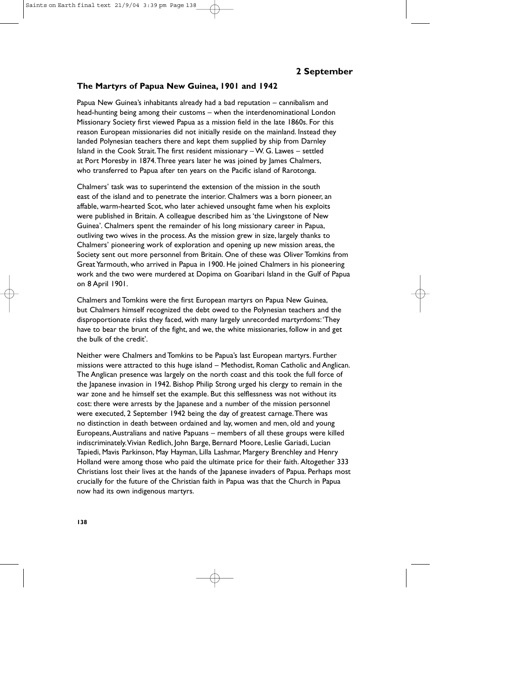#### **The Martyrs of Papua New Guinea, 1901 and 1942**

Papua New Guinea's inhabitants already had a bad reputation – cannibalism and head-hunting being among their customs – when the interdenominational London Missionary Society first viewed Papua as a mission field in the late 1860s. For this reason European missionaries did not initially reside on the mainland. Instead they landed Polynesian teachers there and kept them supplied by ship from Darnley Island in the Cook Strait.The first resident missionary – W. G. Lawes – settled at Port Moresby in 1874.Three years later he was joined by James Chalmers, who transferred to Papua after ten years on the Pacific island of Rarotonga.

Chalmers' task was to superintend the extension of the mission in the south east of the island and to penetrate the interior. Chalmers was a born pioneer, an affable, warm-hearted Scot, who later achieved unsought fame when his exploits were published in Britain. A colleague described him as 'the Livingstone of New Guinea'. Chalmers spent the remainder of his long missionary career in Papua, outliving two wives in the process. As the mission grew in size, largely thanks to Chalmers' pioneering work of exploration and opening up new mission areas, the Society sent out more personnel from Britain. One of these was Oliver Tomkins from Great Yarmouth, who arrived in Papua in 1900. He joined Chalmers in his pioneering work and the two were murdered at Dopima on Goaribari Island in the Gulf of Papua on 8 April 1901.

Chalmers and Tomkins were the first European martyrs on Papua New Guinea, but Chalmers himself recognized the debt owed to the Polynesian teachers and the disproportionate risks they faced, with many largely unrecorded martyrdoms:'They have to bear the brunt of the fight, and we, the white missionaries, follow in and get the bulk of the credit'.

Neither were Chalmers and Tomkins to be Papua's last European martyrs. Further missions were attracted to this huge island – Methodist, Roman Catholic and Anglican. The Anglican presence was largely on the north coast and this took the full force of the Japanese invasion in 1942. Bishop Philip Strong urged his clergy to remain in the war zone and he himself set the example. But this selflessness was not without its cost: there were arrests by the Japanese and a number of the mission personnel were executed, 2 September 1942 being the day of greatest carnage.There was no distinction in death between ordained and lay, women and men, old and young Europeans,Australians and native Papuans – members of all these groups were killed indiscriminately.Vivian Redlich, John Barge, Bernard Moore, Leslie Gariadi, Lucian Tapiedi, Mavis Parkinson, May Hayman, Lilla Lashmar, Margery Brenchley and Henry Holland were among those who paid the ultimate price for their faith. Altogether 333 Christians lost their lives at the hands of the Japanese invaders of Papua. Perhaps most crucially for the future of the Christian faith in Papua was that the Church in Papua now had its own indigenous martyrs.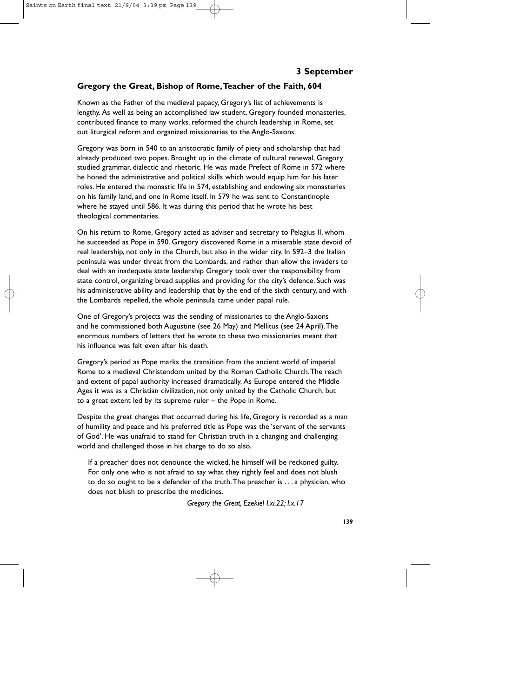# **Gregory the Great, Bishop of Rome,Teacher of the Faith, 604**

Known as the Father of the medieval papacy, Gregory's list of achievements is lengthy. As well as being an accomplished law student, Gregory founded monasteries, contributed finance to many works, reformed the church leadership in Rome, set out liturgical reform and organized missionaries to the Anglo-Saxons.

Gregory was born in 540 to an aristocratic family of piety and scholarship that had already produced two popes. Brought up in the climate of cultural renewal, Gregory studied grammar, dialectic and rhetoric. He was made Prefect of Rome in 572 where he honed the administrative and political skills which would equip him for his later roles. He entered the monastic life in 574, establishing and endowing six monasteries on his family land, and one in Rome itself. In 579 he was sent to Constantinople where he stayed until 586. It was during this period that he wrote his best theological commentaries.

On his return to Rome, Gregory acted as adviser and secretary to Pelagius II, whom he succeeded as Pope in 590. Gregory discovered Rome in a miserable state devoid of real leadership, not only in the Church, but also in the wider city. In 592–3 the Italian peninsula was under threat from the Lombards, and rather than allow the invaders to deal with an inadequate state leadership Gregory took over the responsibility from state control, organizing bread supplies and providing for the city's defence. Such was his administrative ability and leadership that by the end of the sixth century, and with the Lombards repelled, the whole peninsula came under papal rule.

One of Gregory's projects was the sending of missionaries to the Anglo-Saxons and he commissioned both Augustine (see 26 May) and Mellitus (see 24 April).The enormous numbers of letters that he wrote to these two missionaries meant that his influence was felt even after his death.

Gregory's period as Pope marks the transition from the ancient world of imperial Rome to a medieval Christendom united by the Roman Catholic Church.The reach and extent of papal authority increased dramatically. As Europe entered the Middle Ages it was as a Christian civilization, not only united by the Catholic Church, but to a great extent led by its supreme ruler – the Pope in Rome.

Despite the great changes that occurred during his life, Gregory is recorded as a man of humility and peace and his preferred title as Pope was the 'servant of the servants of God'. He was unafraid to stand for Christian truth in a changing and challenging world and challenged those in his charge to do so also.

If a preacher does not denounce the wicked, he himself will be reckoned guilty. For only one who is not afraid to say what they rightly feel and does not blush to do so ought to be a defender of the truth.The preacher is . . . a physician, who does not blush to prescribe the medicines.

*Gregory the Great, Ezekiel I.xi.22; I.x.17*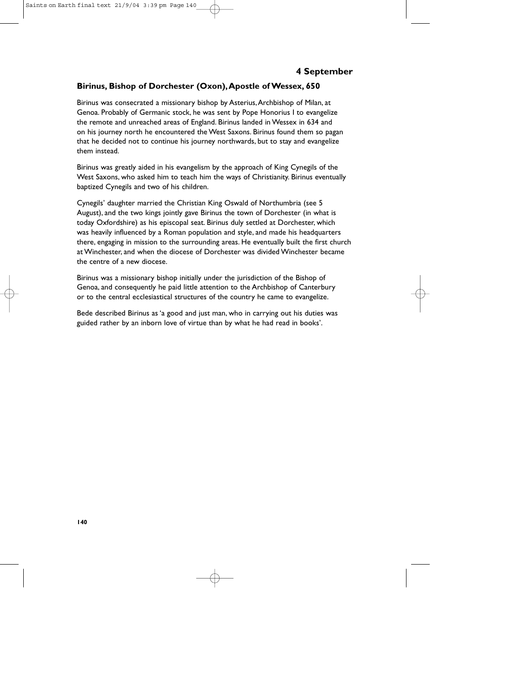## **Birinus, Bishop of Dorchester (Oxon),Apostle of Wessex, 650**

Birinus was consecrated a missionary bishop by Asterius,Archbishop of Milan, at Genoa. Probably of Germanic stock, he was sent by Pope Honorius I to evangelize the remote and unreached areas of England. Birinus landed in Wessex in 634 and on his journey north he encountered the West Saxons. Birinus found them so pagan that he decided not to continue his journey northwards, but to stay and evangelize them instead.

Birinus was greatly aided in his evangelism by the approach of King Cynegils of the West Saxons, who asked him to teach him the ways of Christianity. Birinus eventually baptized Cynegils and two of his children.

Cynegils' daughter married the Christian King Oswald of Northumbria (see 5 August), and the two kings jointly gave Birinus the town of Dorchester (in what is today Oxfordshire) as his episcopal seat. Birinus duly settled at Dorchester, which was heavily influenced by a Roman population and style, and made his headquarters there, engaging in mission to the surrounding areas. He eventually built the first church at Winchester, and when the diocese of Dorchester was divided Winchester became the centre of a new diocese.

Birinus was a missionary bishop initially under the jurisdiction of the Bishop of Genoa, and consequently he paid little attention to the Archbishop of Canterbury or to the central ecclesiastical structures of the country he came to evangelize.

Bede described Birinus as 'a good and just man, who in carrying out his duties was guided rather by an inborn love of virtue than by what he had read in books'.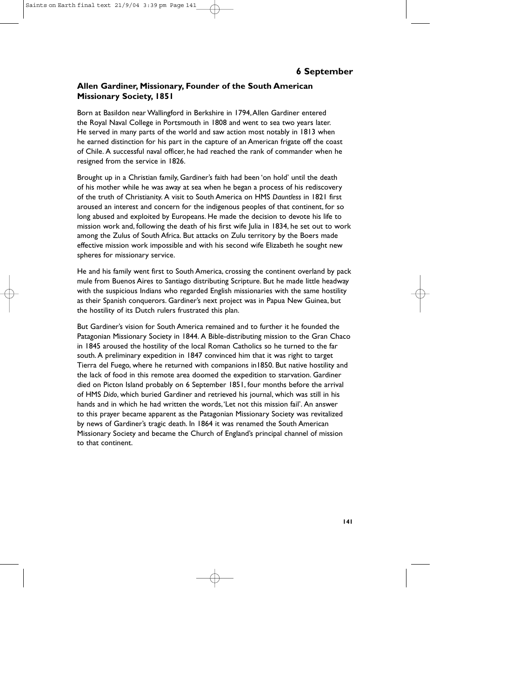# **Allen Gardiner, Missionary, Founder of the South American Missionary Society, 1851**

Born at Basildon near Wallingford in Berkshire in 1794,Allen Gardiner entered the Royal Naval College in Portsmouth in 1808 and went to sea two years later. He served in many parts of the world and saw action most notably in 1813 when he earned distinction for his part in the capture of an American frigate off the coast of Chile. A successful naval officer, he had reached the rank of commander when he resigned from the service in 1826.

Brought up in a Christian family, Gardiner's faith had been 'on hold' until the death of his mother while he was away at sea when he began a process of his rediscovery of the truth of Christianity. A visit to South America on HMS *Dauntless* in 1821 first aroused an interest and concern for the indigenous peoples of that continent, for so long abused and exploited by Europeans. He made the decision to devote his life to mission work and, following the death of his first wife Julia in 1834, he set out to work among the Zulus of South Africa. But attacks on Zulu territory by the Boers made effective mission work impossible and with his second wife Elizabeth he sought new spheres for missionary service.

He and his family went first to South America, crossing the continent overland by pack mule from Buenos Aires to Santiago distributing Scripture. But he made little headway with the suspicious Indians who regarded English missionaries with the same hostility as their Spanish conquerors. Gardiner's next project was in Papua New Guinea, but the hostility of its Dutch rulers frustrated this plan.

But Gardiner's vision for South America remained and to further it he founded the Patagonian Missionary Society in 1844. A Bible-distributing mission to the Gran Chaco in 1845 aroused the hostility of the local Roman Catholics so he turned to the far south. A preliminary expedition in 1847 convinced him that it was right to target Tierra del Fuego, where he returned with companions in1850. But native hostility and the lack of food in this remote area doomed the expedition to starvation. Gardiner died on Picton Island probably on 6 September 1851, four months before the arrival of HMS *Dido*, which buried Gardiner and retrieved his journal, which was still in his hands and in which he had written the words,'Let not this mission fail'. An answer to this prayer became apparent as the Patagonian Missionary Society was revitalized by news of Gardiner's tragic death. In 1864 it was renamed the South American Missionary Society and became the Church of England's principal channel of mission to that continent.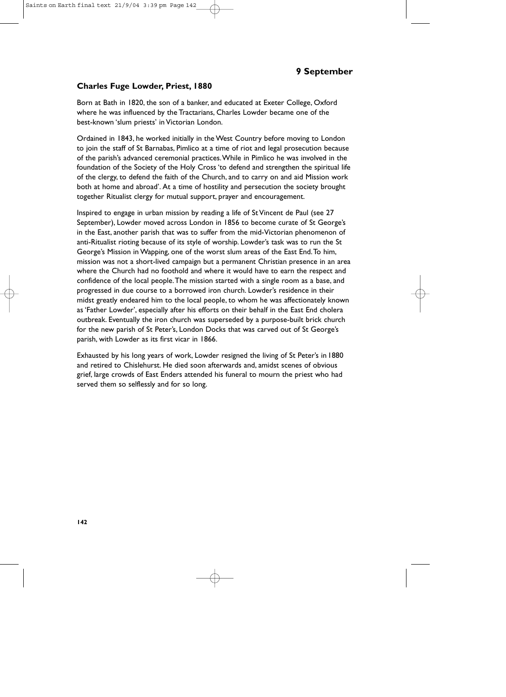### **Charles Fuge Lowder, Priest, 1880**

Born at Bath in 1820, the son of a banker, and educated at Exeter College, Oxford where he was influenced by the Tractarians, Charles Lowder became one of the best-known 'slum priests' in Victorian London.

Ordained in 1843, he worked initially in the West Country before moving to London to join the staff of St Barnabas, Pimlico at a time of riot and legal prosecution because of the parish's advanced ceremonial practices.While in Pimlico he was involved in the foundation of the Society of the Holy Cross 'to defend and strengthen the spiritual life of the clergy, to defend the faith of the Church, and to carry on and aid Mission work both at home and abroad'. At a time of hostility and persecution the society brought together Ritualist clergy for mutual support, prayer and encouragement.

Inspired to engage in urban mission by reading a life of St Vincent de Paul (see 27 September), Lowder moved across London in 1856 to become curate of St George's in the East, another parish that was to suffer from the mid-Victorian phenomenon of anti-Ritualist rioting because of its style of worship. Lowder's task was to run the St George's Mission in Wapping, one of the worst slum areas of the East End.To him, mission was not a short-lived campaign but a permanent Christian presence in an area where the Church had no foothold and where it would have to earn the respect and confidence of the local people.The mission started with a single room as a base, and progressed in due course to a borrowed iron church. Lowder's residence in their midst greatly endeared him to the local people, to whom he was affectionately known as 'Father Lowder', especially after his efforts on their behalf in the East End cholera outbreak. Eventually the iron church was superseded by a purpose-built brick church for the new parish of St Peter's, London Docks that was carved out of St George's parish, with Lowder as its first vicar in 1866.

Exhausted by his long years of work, Lowder resigned the living of St Peter's in 1880 and retired to Chislehurst. He died soon afterwards and, amidst scenes of obvious grief, large crowds of East Enders attended his funeral to mourn the priest who had served them so selflessly and for so long.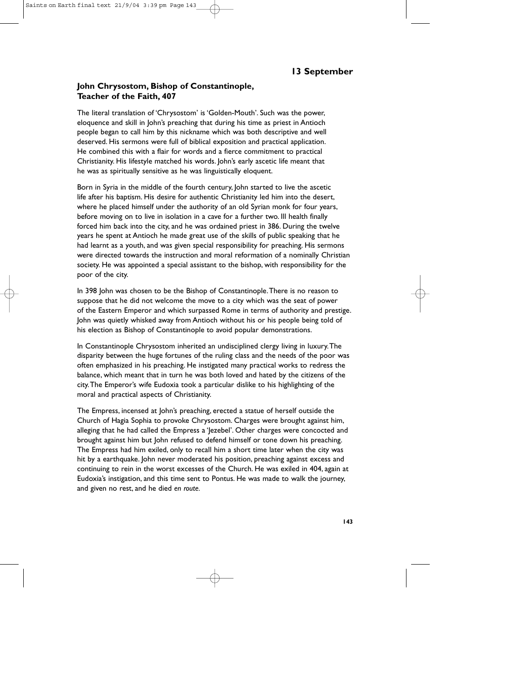### **John Chrysostom, Bishop of Constantinople, Teacher of the Faith, 407**

The literal translation of 'Chrysostom' is 'Golden-Mouth'. Such was the power, eloquence and skill in John's preaching that during his time as priest in Antioch people began to call him by this nickname which was both descriptive and well deserved. His sermons were full of biblical exposition and practical application. He combined this with a flair for words and a fierce commitment to practical Christianity. His lifestyle matched his words. John's early ascetic life meant that he was as spiritually sensitive as he was linguistically eloquent.

Born in Syria in the middle of the fourth century, John started to live the ascetic life after his baptism. His desire for authentic Christianity led him into the desert, where he placed himself under the authority of an old Syrian monk for four years, before moving on to live in isolation in a cave for a further two. Ill health finally forced him back into the city, and he was ordained priest in 386. During the twelve years he spent at Antioch he made great use of the skills of public speaking that he had learnt as a youth, and was given special responsibility for preaching. His sermons were directed towards the instruction and moral reformation of a nominally Christian society. He was appointed a special assistant to the bishop, with responsibility for the poor of the city.

In 398 John was chosen to be the Bishop of Constantinople.There is no reason to suppose that he did not welcome the move to a city which was the seat of power of the Eastern Emperor and which surpassed Rome in terms of authority and prestige. John was quietly whisked away from Antioch without his or his people being told of his election as Bishop of Constantinople to avoid popular demonstrations.

In Constantinople Chrysostom inherited an undisciplined clergy living in luxury.The disparity between the huge fortunes of the ruling class and the needs of the poor was often emphasized in his preaching. He instigated many practical works to redress the balance, which meant that in turn he was both loved and hated by the citizens of the city.The Emperor's wife Eudoxia took a particular dislike to his highlighting of the moral and practical aspects of Christianity.

The Empress, incensed at John's preaching, erected a statue of herself outside the Church of Hagia Sophia to provoke Chrysostom. Charges were brought against him, alleging that he had called the Empress a 'Jezebel'. Other charges were concocted and brought against him but John refused to defend himself or tone down his preaching. The Empress had him exiled, only to recall him a short time later when the city was hit by a earthquake. John never moderated his position, preaching against excess and continuing to rein in the worst excesses of the Church. He was exiled in 404, again at Eudoxia's instigation, and this time sent to Pontus. He was made to walk the journey, and given no rest, and he died *en route.*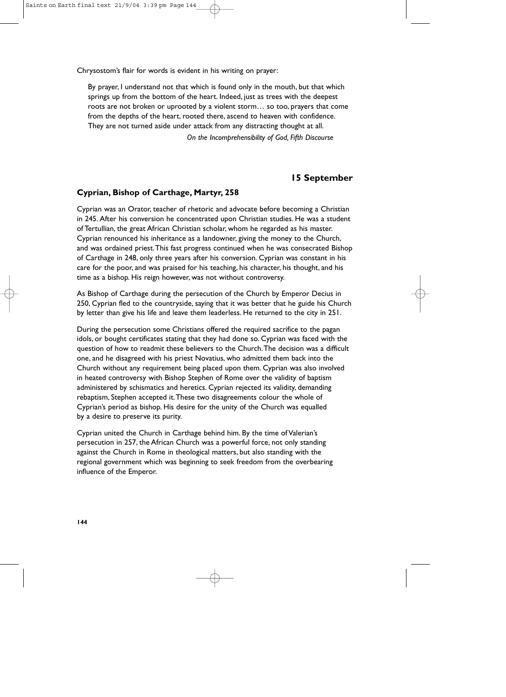Chrysostom's flair for words is evident in his writing on prayer:

By prayer, I understand not that which is found only in the mouth, but that which springs up from the bottom of the heart. Indeed, just as trees with the deepest roots are not broken or uprooted by a violent storm… so too, prayers that come from the depths of the heart, rooted there, ascend to heaven with confidence. They are not turned aside under attack from any distracting thought at all.

*On the Incomprehensibility of God, Fifth Discourse*

### **15 September**

### **Cyprian, Bishop of Carthage, Martyr, 258**

Cyprian was an Orator, teacher of rhetoric and advocate before becoming a Christian in 245. After his conversion he concentrated upon Christian studies. He was a student of Tertullian, the great African Christian scholar, whom he regarded as his master. Cyprian renounced his inheritance as a landowner, giving the money to the Church, and was ordained priest.This fast progress continued when he was consecrated Bishop of Carthage in 248, only three years after his conversion. Cyprian was constant in his care for the poor, and was praised for his teaching, his character, his thought, and his time as a bishop. His reign however, was not without controversy.

As Bishop of Carthage during the persecution of the Church by Emperor Decius in 250, Cyprian fled to the countryside, saying that it was better that he guide his Church by letter than give his life and leave them leaderless. He returned to the city in 251.

During the persecution some Christians offered the required sacrifice to the pagan idols, or bought certificates stating that they had done so. Cyprian was faced with the question of how to readmit these believers to the Church.The decision was a difficult one, and he disagreed with his priest Novatius, who admitted them back into the Church without any requirement being placed upon them. Cyprian was also involved in heated controversy with Bishop Stephen of Rome over the validity of baptism administered by schismatics and heretics. Cyprian rejected its validity, demanding rebaptism, Stephen accepted it.These two disagreements colour the whole of Cyprian's period as bishop. His desire for the unity of the Church was equalled by a desire to preserve its purity.

Cyprian united the Church in Carthage behind him. By the time of Valerian's persecution in 257, the African Church was a powerful force, not only standing against the Church in Rome in theological matters, but also standing with the regional government which was beginning to seek freedom from the overbearing influence of the Emperor.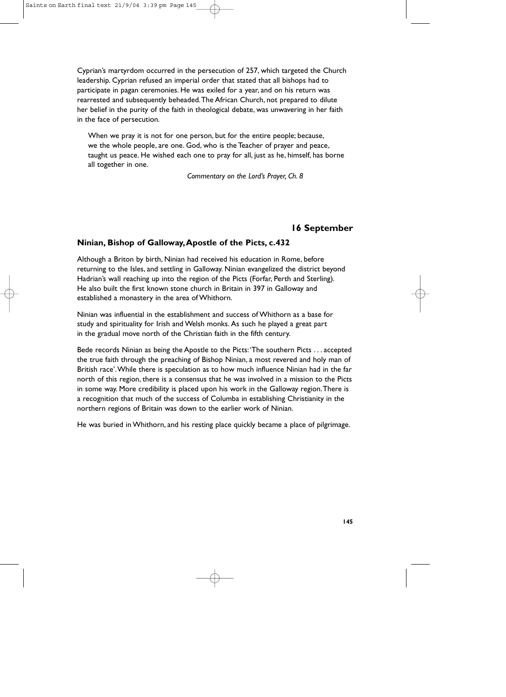Cyprian's martyrdom occurred in the persecution of 257, which targeted the Church leadership. Cyprian refused an imperial order that stated that all bishops had to participate in pagan ceremonies. He was exiled for a year, and on his return was rearrested and subsequently beheaded.The African Church, not prepared to dilute her belief in the purity of the faith in theological debate, was unwavering in her faith in the face of persecution.

When we pray it is not for one person, but for the entire people; because, we the whole people, are one. God, who is the Teacher of prayer and peace, taught us peace. He wished each one to pray for all, just as he, himself, has borne all together in one.

*Commentary on the Lord's Prayer, Ch. 8*

# **16 September**

# **Ninian, Bishop of Galloway,Apostle of the Picts, c.432**

Although a Briton by birth, Ninian had received his education in Rome, before returning to the Isles, and settling in Galloway. Ninian evangelized the district beyond Hadrian's wall reaching up into the region of the Picts (Forfar, Perth and Sterling). He also built the first known stone church in Britain in 397 in Galloway and established a monastery in the area of Whithorn.

Ninian was influential in the establishment and success of Whithorn as a base for study and spirituality for Irish and Welsh monks. As such he played a great part in the gradual move north of the Christian faith in the fifth century.

Bede records Ninian as being the Apostle to the Picts:'The southern Picts . . . accepted the true faith through the preaching of Bishop Ninian, a most revered and holy man of British race'.While there is speculation as to how much influence Ninian had in the far north of this region, there is a consensus that he was involved in a mission to the Picts in some way. More credibility is placed upon his work in the Galloway region.There is a recognition that much of the success of Columba in establishing Christianity in the northern regions of Britain was down to the earlier work of Ninian.

He was buried in Whithorn, and his resting place quickly became a place of pilgrimage.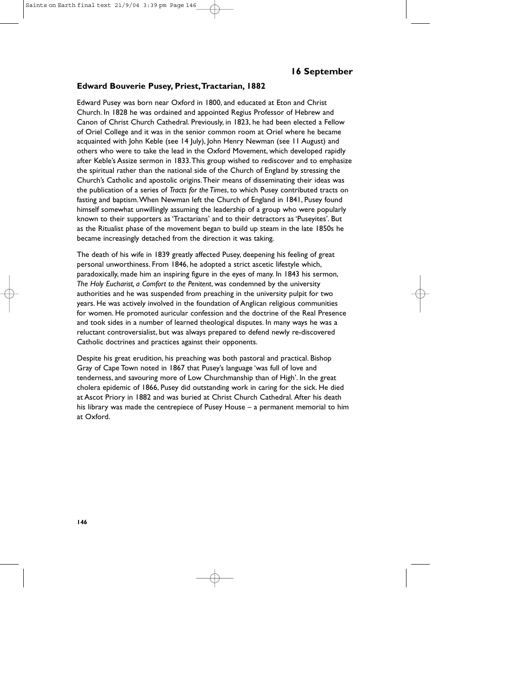# **Edward Bouverie Pusey, Priest,Tractarian, 1882**

Edward Pusey was born near Oxford in 1800, and educated at Eton and Christ Church. In 1828 he was ordained and appointed Regius Professor of Hebrew and Canon of Christ Church Cathedral. Previously, in 1823, he had been elected a Fellow of Oriel College and it was in the senior common room at Oriel where he became acquainted with John Keble (see 14 July), John Henry Newman (see 11 August) and others who were to take the lead in the Oxford Movement, which developed rapidly after Keble's Assize sermon in 1833.This group wished to rediscover and to emphasize the spiritual rather than the national side of the Church of England by stressing the Church's Catholic and apostolic origins.Their means of disseminating their ideas was the publication of a series of *Tracts for the Times*, to which Pusey contributed tracts on fasting and baptism.When Newman left the Church of England in 1841, Pusey found himself somewhat unwillingly assuming the leadership of a group who were popularly known to their supporters as 'Tractarians' and to their detractors as 'Puseyites'. But as the Ritualist phase of the movement began to build up steam in the late 1850s he became increasingly detached from the direction it was taking.

The death of his wife in 1839 greatly affected Pusey, deepening his feeling of great personal unworthiness. From 1846, he adopted a strict ascetic lifestyle which, paradoxically, made him an inspiring figure in the eyes of many. In 1843 his sermon, *The Holy Eucharist, a Comfort to the Penitent*, was condemned by the university authorities and he was suspended from preaching in the university pulpit for two years. He was actively involved in the foundation of Anglican religious communities for women. He promoted auricular confession and the doctrine of the Real Presence and took sides in a number of learned theological disputes. In many ways he was a reluctant controversialist, but was always prepared to defend newly re-discovered Catholic doctrines and practices against their opponents.

Despite his great erudition, his preaching was both pastoral and practical. Bishop Gray of Cape Town noted in 1867 that Pusey's language 'was full of love and tenderness, and savouring more of Low Churchmanship than of High'. In the great cholera epidemic of 1866, Pusey did outstanding work in caring for the sick. He died at Ascot Priory in 1882 and was buried at Christ Church Cathedral. After his death his library was made the centrepiece of Pusey House – a permanent memorial to him at Oxford.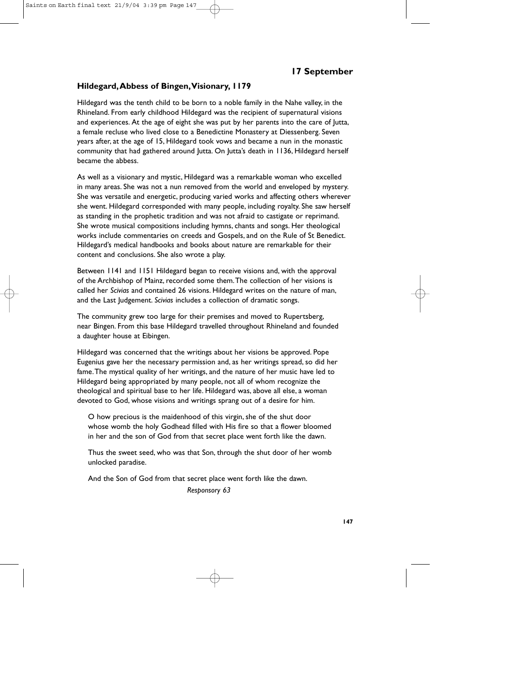#### **Hildegard,Abbess of Bingen,Visionary, 1179**

Hildegard was the tenth child to be born to a noble family in the Nahe valley, in the Rhineland. From early childhood Hildegard was the recipient of supernatural visions and experiences. At the age of eight she was put by her parents into the care of Jutta, a female recluse who lived close to a Benedictine Monastery at Diessenberg. Seven years after, at the age of 15, Hildegard took vows and became a nun in the monastic community that had gathered around Jutta. On Jutta's death in 1136, Hildegard herself became the abbess.

As well as a visionary and mystic, Hildegard was a remarkable woman who excelled in many areas. She was not a nun removed from the world and enveloped by mystery. She was versatile and energetic, producing varied works and affecting others wherever she went. Hildegard corresponded with many people, including royalty. She saw herself as standing in the prophetic tradition and was not afraid to castigate or reprimand. She wrote musical compositions including hymns, chants and songs. Her theological works include commentaries on creeds and Gospels, and on the Rule of St Benedict. Hildegard's medical handbooks and books about nature are remarkable for their content and conclusions. She also wrote a play.

Between 1141 and 1151 Hildegard began to receive visions and, with the approval of the Archbishop of Mainz, recorded some them.The collection of her visions is called her *Scivias* and contained 26 visions. Hildegard writes on the nature of man, and the Last Judgement. *Scivias* includes a collection of dramatic songs.

The community grew too large for their premises and moved to Rupertsberg, near Bingen. From this base Hildegard travelled throughout Rhineland and founded a daughter house at Eibingen.

Hildegard was concerned that the writings about her visions be approved. Pope Eugenius gave her the necessary permission and, as her writings spread, so did her fame.The mystical quality of her writings, and the nature of her music have led to Hildegard being appropriated by many people, not all of whom recognize the theological and spiritual base to her life. Hildegard was, above all else, a woman devoted to God, whose visions and writings sprang out of a desire for him.

O how precious is the maidenhood of this virgin, she of the shut door whose womb the holy Godhead filled with His fire so that a flower bloomed in her and the son of God from that secret place went forth like the dawn.

Thus the sweet seed, who was that Son, through the shut door of her womb unlocked paradise.

And the Son of God from that secret place went forth like the dawn.

*Responsory 63*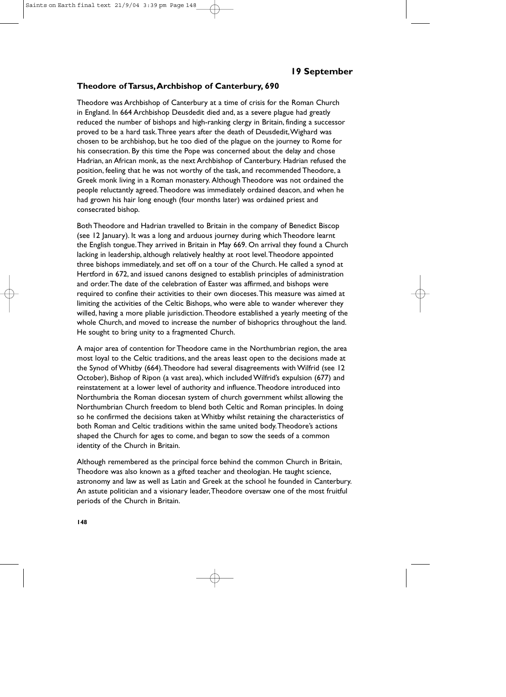### **Theodore of Tarsus,Archbishop of Canterbury, 690**

Theodore was Archbishop of Canterbury at a time of crisis for the Roman Church in England. In 664 Archbishop Deusdedit died and, as a severe plague had greatly reduced the number of bishops and high-ranking clergy in Britain, finding a successor proved to be a hard task.Three years after the death of Deusdedit,Wighard was chosen to be archbishop, but he too died of the plague on the journey to Rome for his consecration. By this time the Pope was concerned about the delay and chose Hadrian, an African monk, as the next Archbishop of Canterbury. Hadrian refused the position, feeling that he was not worthy of the task, and recommended Theodore, a Greek monk living in a Roman monastery. Although Theodore was not ordained the people reluctantly agreed.Theodore was immediately ordained deacon, and when he had grown his hair long enough (four months later) was ordained priest and consecrated bishop.

Both Theodore and Hadrian travelled to Britain in the company of Benedict Biscop (see 12 January). It was a long and arduous journey during which Theodore learnt the English tongue.They arrived in Britain in May 669. On arrival they found a Church lacking in leadership, although relatively healthy at root level.Theodore appointed three bishops immediately, and set off on a tour of the Church. He called a synod at Hertford in 672, and issued canons designed to establish principles of administration and order.The date of the celebration of Easter was affirmed, and bishops were required to confine their activities to their own dioceses.This measure was aimed at limiting the activities of the Celtic Bishops, who were able to wander wherever they willed, having a more pliable jurisdiction.Theodore established a yearly meeting of the whole Church, and moved to increase the number of bishoprics throughout the land. He sought to bring unity to a fragmented Church.

A major area of contention for Theodore came in the Northumbrian region, the area most loyal to the Celtic traditions, and the areas least open to the decisions made at the Synod of Whitby (664).Theodore had several disagreements with Wilfrid (see 12 October), Bishop of Ripon (a vast area), which included Wilfrid's expulsion (677) and reinstatement at a lower level of authority and influence.Theodore introduced into Northumbria the Roman diocesan system of church government whilst allowing the Northumbrian Church freedom to blend both Celtic and Roman principles. In doing so he confirmed the decisions taken at Whitby whilst retaining the characteristics of both Roman and Celtic traditions within the same united body.Theodore's actions shaped the Church for ages to come, and began to sow the seeds of a common identity of the Church in Britain.

Although remembered as the principal force behind the common Church in Britain, Theodore was also known as a gifted teacher and theologian. He taught science, astronomy and law as well as Latin and Greek at the school he founded in Canterbury. An astute politician and a visionary leader,Theodore oversaw one of the most fruitful periods of the Church in Britain.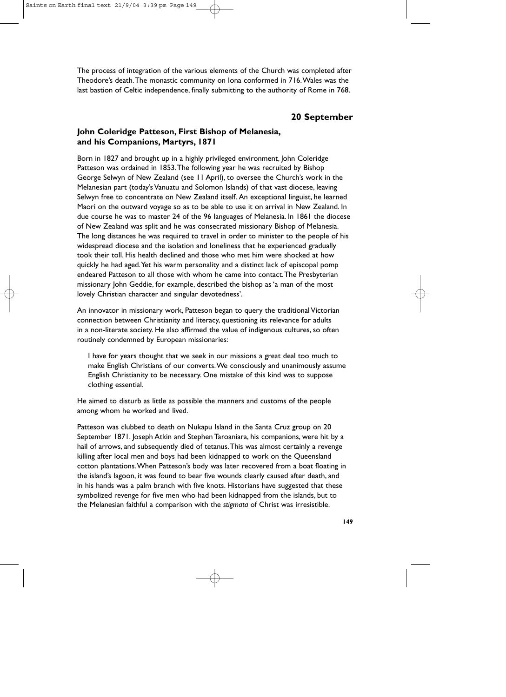The process of integration of the various elements of the Church was completed after Theodore's death.The monastic community on Iona conformed in 716.Wales was the last bastion of Celtic independence, finally submitting to the authority of Rome in 768.

# **20 September**

# **John Coleridge Patteson, First Bishop of Melanesia, and his Companions, Martyrs, 1871**

Born in 1827 and brought up in a highly privileged environment, John Coleridge Patteson was ordained in 1853.The following year he was recruited by Bishop George Selwyn of New Zealand (see 11 April), to oversee the Church's work in the Melanesian part (today's Vanuatu and Solomon Islands) of that vast diocese, leaving Selwyn free to concentrate on New Zealand itself. An exceptional linguist, he learned Maori on the outward voyage so as to be able to use it on arrival in New Zealand. In due course he was to master 24 of the 96 languages of Melanesia. In 1861 the diocese of New Zealand was split and he was consecrated missionary Bishop of Melanesia. The long distances he was required to travel in order to minister to the people of his widespread diocese and the isolation and loneliness that he experienced gradually took their toll. His health declined and those who met him were shocked at how quickly he had aged.Yet his warm personality and a distinct lack of episcopal pomp endeared Patteson to all those with whom he came into contact.The Presbyterian missionary John Geddie, for example, described the bishop as 'a man of the most lovely Christian character and singular devotedness'.

An innovator in missionary work, Patteson began to query the traditional Victorian connection between Christianity and literacy, questioning its relevance for adults in a non-literate society. He also affirmed the value of indigenous cultures, so often routinely condemned by European missionaries:

I have for years thought that we seek in our missions a great deal too much to make English Christians of our converts.We consciously and unanimously assume English Christianity to be necessary. One mistake of this kind was to suppose clothing essential.

He aimed to disturb as little as possible the manners and customs of the people among whom he worked and lived.

Patteson was clubbed to death on Nukapu Island in the Santa Cruz group on 20 September 1871. Joseph Atkin and Stephen Taroaniara, his companions, were hit by a hail of arrows, and subsequently died of tetanus. This was almost certainly a revenge killing after local men and boys had been kidnapped to work on the Queensland cotton plantations.When Patteson's body was later recovered from a boat floating in the island's lagoon, it was found to bear five wounds clearly caused after death, and in his hands was a palm branch with five knots. Historians have suggested that these symbolized revenge for five men who had been kidnapped from the islands, but to the Melanesian faithful a comparison with the *stigmata* of Christ was irresistible.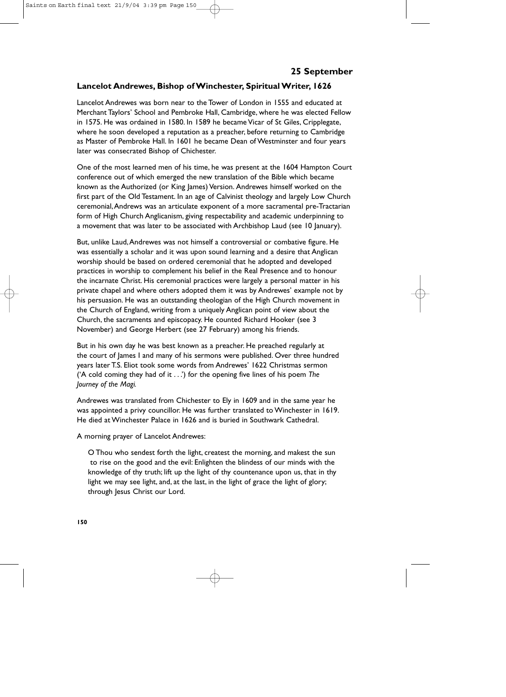# **Lancelot Andrewes, Bishop of Winchester, Spiritual Writer, 1626**

Lancelot Andrewes was born near to the Tower of London in 1555 and educated at Merchant Taylors' School and Pembroke Hall, Cambridge, where he was elected Fellow in 1575. He was ordained in 1580. In 1589 he became Vicar of St Giles, Cripplegate, where he soon developed a reputation as a preacher, before returning to Cambridge as Master of Pembroke Hall. In 1601 he became Dean of Westminster and four years later was consecrated Bishop of Chichester.

One of the most learned men of his time, he was present at the 1604 Hampton Court conference out of which emerged the new translation of the Bible which became known as the Authorized (or King James) Version. Andrewes himself worked on the first part of the Old Testament. In an age of Calvinist theology and largely Low Church ceremonial,Andrews was an articulate exponent of a more sacramental pre-Tractarian form of High Church Anglicanism, giving respectability and academic underpinning to a movement that was later to be associated with Archbishop Laud (see 10 January).

But, unlike Laud,Andrewes was not himself a controversial or combative figure. He was essentially a scholar and it was upon sound learning and a desire that Anglican worship should be based on ordered ceremonial that he adopted and developed practices in worship to complement his belief in the Real Presence and to honour the incarnate Christ. His ceremonial practices were largely a personal matter in his private chapel and where others adopted them it was by Andrewes' example not by his persuasion. He was an outstanding theologian of the High Church movement in the Church of England, writing from a uniquely Anglican point of view about the Church, the sacraments and episcopacy. He counted Richard Hooker (see 3 November) and George Herbert (see 27 February) among his friends.

But in his own day he was best known as a preacher. He preached regularly at the court of James I and many of his sermons were published. Over three hundred years later T.S. Eliot took some words from Andrewes' 1622 Christmas sermon ('A cold coming they had of it . . .') for the opening five lines of his poem *The Journey of the Magi.*

Andrewes was translated from Chichester to Ely in 1609 and in the same year he was appointed a privy councillor. He was further translated to Winchester in 1619. He died at Winchester Palace in 1626 and is buried in Southwark Cathedral.

A morning prayer of Lancelot Andrewes:

O Thou who sendest forth the light, createst the morning, and makest the sun to rise on the good and the evil: Enlighten the blindess of our minds with the knowledge of thy truth; lift up the light of thy countenance upon us, that in thy light we may see light, and, at the last, in the light of grace the light of glory; through Jesus Christ our Lord.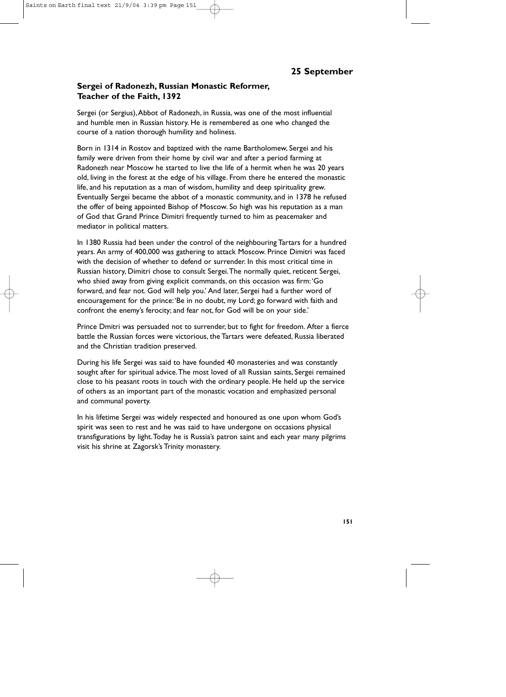# **Sergei of Radonezh, Russian Monastic Reformer, Teacher of the Faith, 1392**

Sergei (or Sergius),Abbot of Radonezh, in Russia, was one of the most influential and humble men in Russian history. He is remembered as one who changed the course of a nation thorough humility and holiness.

Born in 1314 in Rostov and baptized with the name Bartholomew, Sergei and his family were driven from their home by civil war and after a period farming at Radonezh near Moscow he started to live the life of a hermit when he was 20 years old, living in the forest at the edge of his village. From there he entered the monastic life, and his reputation as a man of wisdom, humility and deep spirituality grew. Eventually Sergei became the abbot of a monastic community, and in 1378 he refused the offer of being appointed Bishop of Moscow. So high was his reputation as a man of God that Grand Prince Dimitri frequently turned to him as peacemaker and mediator in political matters.

In 1380 Russia had been under the control of the neighbouring Tartars for a hundred years. An army of 400,000 was gathering to attack Moscow. Prince Dimitri was faced with the decision of whether to defend or surrender. In this most critical time in Russian history, Dimitri chose to consult Sergei.The normally quiet, reticent Sergei, who shied away from giving explicit commands, on this occasion was firm:'Go forward, and fear not. God will help you.' And later, Sergei had a further word of encouragement for the prince:'Be in no doubt, my Lord; go forward with faith and confront the enemy's ferocity; and fear not, for God will be on your side.'

Prince Dmitri was persuaded not to surrender, but to fight for freedom. After a fierce battle the Russian forces were victorious, the Tartars were defeated, Russia liberated and the Christian tradition preserved.

During his life Sergei was said to have founded 40 monasteries and was constantly sought after for spiritual advice.The most loved of all Russian saints, Sergei remained close to his peasant roots in touch with the ordinary people. He held up the service of others as an important part of the monastic vocation and emphasized personal and communal poverty.

In his lifetime Sergei was widely respected and honoured as one upon whom God's spirit was seen to rest and he was said to have undergone on occasions physical transfigurations by light.Today he is Russia's patron saint and each year many pilgrims visit his shrine at Zagorsk's Trinity monastery.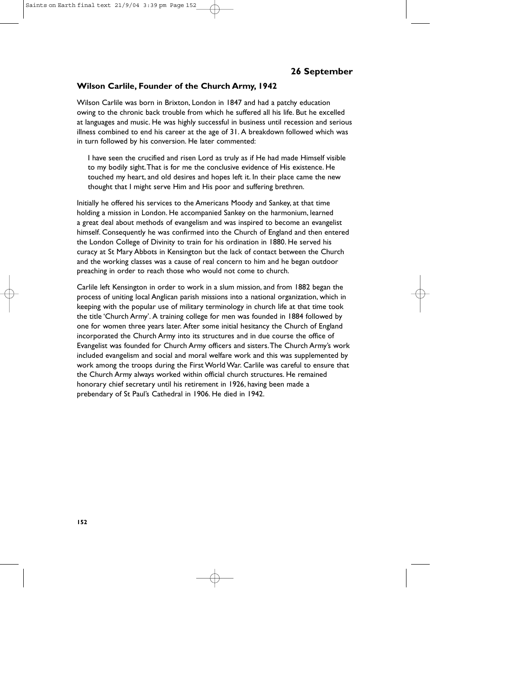### **Wilson Carlile, Founder of the Church Army, 1942**

Wilson Carlile was born in Brixton, London in 1847 and had a patchy education owing to the chronic back trouble from which he suffered all his life. But he excelled at languages and music. He was highly successful in business until recession and serious illness combined to end his career at the age of 31. A breakdown followed which was in turn followed by his conversion. He later commented:

I have seen the crucified and risen Lord as truly as if He had made Himself visible to my bodily sight.That is for me the conclusive evidence of His existence. He touched my heart, and old desires and hopes left it. In their place came the new thought that I might serve Him and His poor and suffering brethren.

Initially he offered his services to the Americans Moody and Sankey, at that time holding a mission in London. He accompanied Sankey on the harmonium, learned a great deal about methods of evangelism and was inspired to become an evangelist himself. Consequently he was confirmed into the Church of England and then entered the London College of Divinity to train for his ordination in 1880. He served his curacy at St Mary Abbots in Kensington but the lack of contact between the Church and the working classes was a cause of real concern to him and he began outdoor preaching in order to reach those who would not come to church.

Carlile left Kensington in order to work in a slum mission, and from 1882 began the process of uniting local Anglican parish missions into a national organization, which in keeping with the popular use of military terminology in church life at that time took the title 'Church Army'. A training college for men was founded in 1884 followed by one for women three years later. After some initial hesitancy the Church of England incorporated the Church Army into its structures and in due course the office of Evangelist was founded for Church Army officers and sisters.The Church Army's work included evangelism and social and moral welfare work and this was supplemented by work among the troops during the First World War. Carlile was careful to ensure that the Church Army always worked within official church structures. He remained honorary chief secretary until his retirement in 1926, having been made a prebendary of St Paul's Cathedral in 1906. He died in 1942.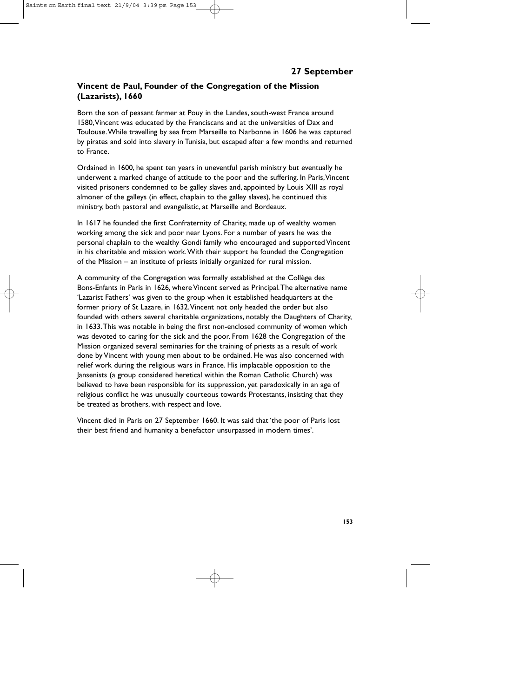# **Vincent de Paul, Founder of the Congregation of the Mission (Lazarists), 1660**

Born the son of peasant farmer at Pouy in the Landes, south-west France around 1580,Vincent was educated by the Franciscans and at the universities of Dax and Toulouse.While travelling by sea from Marseille to Narbonne in 1606 he was captured by pirates and sold into slavery in Tunisia, but escaped after a few months and returned to France.

Ordained in 1600, he spent ten years in uneventful parish ministry but eventually he underwent a marked change of attitude to the poor and the suffering. In Paris,Vincent visited prisoners condemned to be galley slaves and, appointed by Louis XIII as royal almoner of the galleys (in effect, chaplain to the galley slaves), he continued this ministry, both pastoral and evangelistic, at Marseille and Bordeaux.

In 1617 he founded the first Confraternity of Charity, made up of wealthy women working among the sick and poor near Lyons. For a number of years he was the personal chaplain to the wealthy Gondi family who encouraged and supported Vincent in his charitable and mission work.With their support he founded the Congregation of the Mission – an institute of priests initially organized for rural mission.

A community of the Congregation was formally established at the Collège des Bons-Enfants in Paris in 1626, where Vincent served as Principal.The alternative name 'Lazarist Fathers' was given to the group when it established headquarters at the former priory of St Lazare, in 1632.Vincent not only headed the order but also founded with others several charitable organizations, notably the Daughters of Charity, in 1633.This was notable in being the first non-enclosed community of women which was devoted to caring for the sick and the poor. From 1628 the Congregation of the Mission organized several seminaries for the training of priests as a result of work done by Vincent with young men about to be ordained. He was also concerned with relief work during the religious wars in France. His implacable opposition to the Jansenists (a group considered heretical within the Roman Catholic Church) was believed to have been responsible for its suppression, yet paradoxically in an age of religious conflict he was unusually courteous towards Protestants, insisting that they be treated as brothers, with respect and love.

Vincent died in Paris on 27 September 1660. It was said that 'the poor of Paris lost their best friend and humanity a benefactor unsurpassed in modern times'.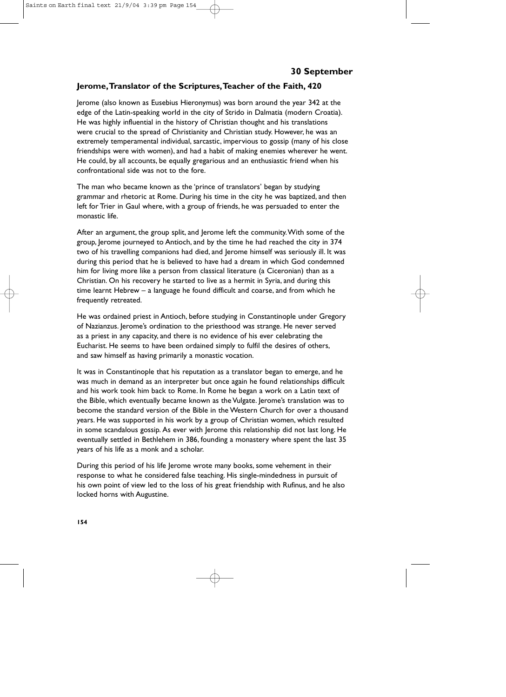### **Jerome,Translator of the Scriptures,Teacher of the Faith, 420**

Jerome (also known as Eusebius Hieronymus) was born around the year 342 at the edge of the Latin-speaking world in the city of Strido in Dalmatia (modern Croatia). He was highly influential in the history of Christian thought and his translations were crucial to the spread of Christianity and Christian study. However, he was an extremely temperamental individual, sarcastic, impervious to gossip (many of his close friendships were with women), and had a habit of making enemies wherever he went. He could, by all accounts, be equally gregarious and an enthusiastic friend when his confrontational side was not to the fore.

The man who became known as the 'prince of translators' began by studying grammar and rhetoric at Rome. During his time in the city he was baptized, and then left for Trier in Gaul where, with a group of friends, he was persuaded to enter the monastic life.

After an argument, the group split, and Jerome left the community.With some of the group, Jerome journeyed to Antioch, and by the time he had reached the city in 374 two of his travelling companions had died, and Jerome himself was seriously ill. It was during this period that he is believed to have had a dream in which God condemned him for living more like a person from classical literature (a Ciceronian) than as a Christian. On his recovery he started to live as a hermit in Syria, and during this time learnt Hebrew – a language he found difficult and coarse, and from which he frequently retreated.

He was ordained priest in Antioch, before studying in Constantinople under Gregory of Nazianzus. Jerome's ordination to the priesthood was strange. He never served as a priest in any capacity, and there is no evidence of his ever celebrating the Eucharist. He seems to have been ordained simply to fulfil the desires of others, and saw himself as having primarily a monastic vocation.

It was in Constantinople that his reputation as a translator began to emerge, and he was much in demand as an interpreter but once again he found relationships difficult and his work took him back to Rome. In Rome he began a work on a Latin text of the Bible, which eventually became known as the Vulgate. Jerome's translation was to become the standard version of the Bible in the Western Church for over a thousand years. He was supported in his work by a group of Christian women, which resulted in some scandalous gossip. As ever with Jerome this relationship did not last long. He eventually settled in Bethlehem in 386, founding a monastery where spent the last 35 years of his life as a monk and a scholar.

During this period of his life Jerome wrote many books, some vehement in their response to what he considered false teaching. His single-mindedness in pursuit of his own point of view led to the loss of his great friendship with Rufinus, and he also locked horns with Augustine.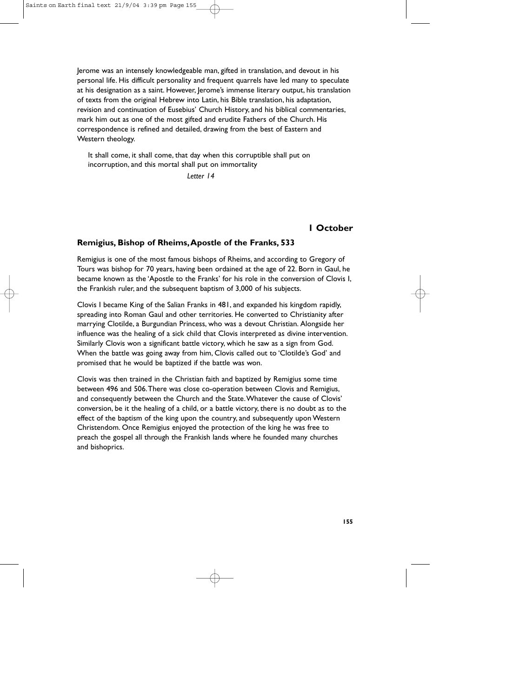Jerome was an intensely knowledgeable man, gifted in translation, and devout in his personal life. His difficult personality and frequent quarrels have led many to speculate at his designation as a saint. However, Jerome's immense literary output, his translation of texts from the original Hebrew into Latin, his Bible translation, his adaptation, revision and continuation of Eusebius' Church History, and his biblical commentaries, mark him out as one of the most gifted and erudite Fathers of the Church. His correspondence is refined and detailed, drawing from the best of Eastern and Western theology.

It shall come, it shall come, that day when this corruptible shall put on incorruption, and this mortal shall put on immortality

*Letter 14*

### **1 October**

#### **Remigius, Bishop of Rheims,Apostle of the Franks, 533**

Remigius is one of the most famous bishops of Rheims, and according to Gregory of Tours was bishop for 70 years, having been ordained at the age of 22. Born in Gaul, he became known as the 'Apostle to the Franks' for his role in the conversion of Clovis I, the Frankish ruler, and the subsequent baptism of 3,000 of his subjects.

Clovis I became King of the Salian Franks in 481, and expanded his kingdom rapidly, spreading into Roman Gaul and other territories. He converted to Christianity after marrying Clotilde, a Burgundian Princess, who was a devout Christian. Alongside her influence was the healing of a sick child that Clovis interpreted as divine intervention. Similarly Clovis won a significant battle victory, which he saw as a sign from God. When the battle was going away from him, Clovis called out to 'Clotilde's God' and promised that he would be baptized if the battle was won.

Clovis was then trained in the Christian faith and baptized by Remigius some time between 496 and 506.There was close co-operation between Clovis and Remigius, and consequently between the Church and the State.Whatever the cause of Clovis' conversion, be it the healing of a child, or a battle victory, there is no doubt as to the effect of the baptism of the king upon the country, and subsequently upon Western Christendom. Once Remigius enjoyed the protection of the king he was free to preach the gospel all through the Frankish lands where he founded many churches and bishoprics.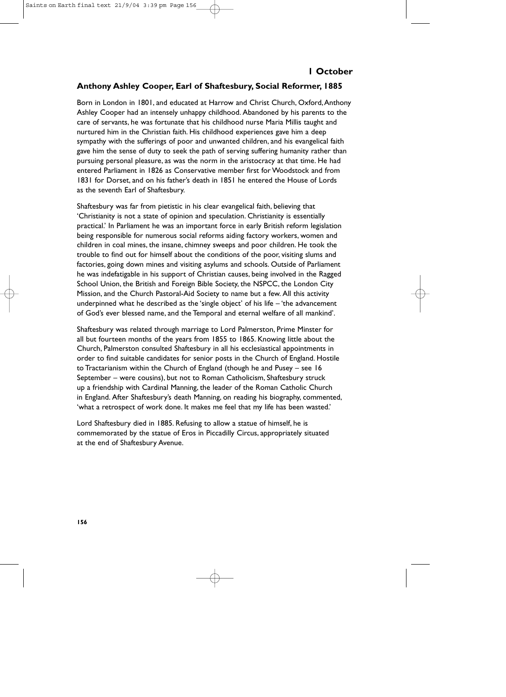### **Anthony Ashley Cooper, Earl of Shaftesbury, Social Reformer, 1885**

Born in London in 1801, and educated at Harrow and Christ Church, Oxford,Anthony Ashley Cooper had an intensely unhappy childhood. Abandoned by his parents to the care of servants, he was fortunate that his childhood nurse Maria Millis taught and nurtured him in the Christian faith. His childhood experiences gave him a deep sympathy with the sufferings of poor and unwanted children, and his evangelical faith gave him the sense of duty to seek the path of serving suffering humanity rather than pursuing personal pleasure, as was the norm in the aristocracy at that time. He had entered Parliament in 1826 as Conservative member first for Woodstock and from 1831 for Dorset, and on his father's death in 1851 he entered the House of Lords as the seventh Earl of Shaftesbury.

Shaftesbury was far from pietistic in his clear evangelical faith, believing that 'Christianity is not a state of opinion and speculation. Christianity is essentially practical.' In Parliament he was an important force in early British reform legislation being responsible for numerous social reforms aiding factory workers, women and children in coal mines, the insane, chimney sweeps and poor children. He took the trouble to find out for himself about the conditions of the poor, visiting slums and factories, going down mines and visiting asylums and schools. Outside of Parliament he was indefatigable in his support of Christian causes, being involved in the Ragged School Union, the British and Foreign Bible Society, the NSPCC, the London City Mission, and the Church Pastoral-Aid Society to name but a few. All this activity underpinned what he described as the 'single object' of his life – 'the advancement of God's ever blessed name, and the Temporal and eternal welfare of all mankind'.

Shaftesbury was related through marriage to Lord Palmerston, Prime Minster for all but fourteen months of the years from 1855 to 1865. Knowing little about the Church, Palmerston consulted Shaftesbury in all his ecclesiastical appointments in order to find suitable candidates for senior posts in the Church of England. Hostile to Tractarianism within the Church of England (though he and Pusey – see 16 September – were cousins), but not to Roman Catholicism, Shaftesbury struck up a friendship with Cardinal Manning, the leader of the Roman Catholic Church in England. After Shaftesbury's death Manning, on reading his biography, commented, 'what a retrospect of work done. It makes me feel that my life has been wasted.'

Lord Shaftesbury died in 1885. Refusing to allow a statue of himself, he is commemorated by the statue of Eros in Piccadilly Circus, appropriately situated at the end of Shaftesbury Avenue.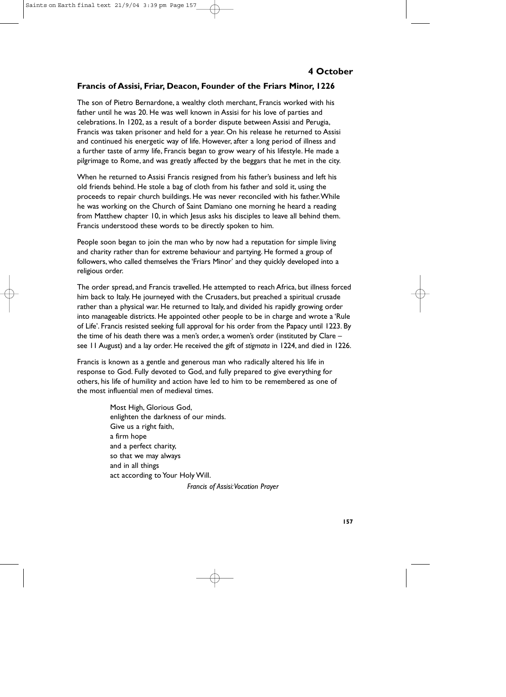## **Francis of Assisi, Friar, Deacon, Founder of the Friars Minor, 1226**

The son of Pietro Bernardone, a wealthy cloth merchant, Francis worked with his father until he was 20. He was well known in Assisi for his love of parties and celebrations. In 1202, as a result of a border dispute between Assisi and Perugia, Francis was taken prisoner and held for a year. On his release he returned to Assisi and continued his energetic way of life. However, after a long period of illness and a further taste of army life, Francis began to grow weary of his lifestyle. He made a pilgrimage to Rome, and was greatly affected by the beggars that he met in the city.

When he returned to Assisi Francis resigned from his father's business and left his old friends behind. He stole a bag of cloth from his father and sold it, using the proceeds to repair church buildings. He was never reconciled with his father.While he was working on the Church of Saint Damiano one morning he heard a reading from Matthew chapter 10, in which Jesus asks his disciples to leave all behind them. Francis understood these words to be directly spoken to him.

People soon began to join the man who by now had a reputation for simple living and charity rather than for extreme behaviour and partying. He formed a group of followers, who called themselves the 'Friars Minor' and they quickly developed into a religious order.

The order spread, and Francis travelled. He attempted to reach Africa, but illness forced him back to Italy. He journeyed with the Crusaders, but preached a spiritual crusade rather than a physical war. He returned to Italy, and divided his rapidly growing order into manageable districts. He appointed other people to be in charge and wrote a 'Rule of Life'. Francis resisted seeking full approval for his order from the Papacy until 1223. By the time of his death there was a men's order, a women's order (instituted by Clare – see 11 August) and a lay order. He received the gift of *stigmata* in 1224, and died in 1226.

Francis is known as a gentle and generous man who radically altered his life in response to God. Fully devoted to God, and fully prepared to give everything for others, his life of humility and action have led to him to be remembered as one of the most influential men of medieval times.

> Most High, Glorious God, enlighten the darkness of our minds. Give us a right faith, a firm hope and a perfect charity, so that we may always and in all things act according to Your Holy Will.

> > *Francis of Assisi:Vocation Prayer*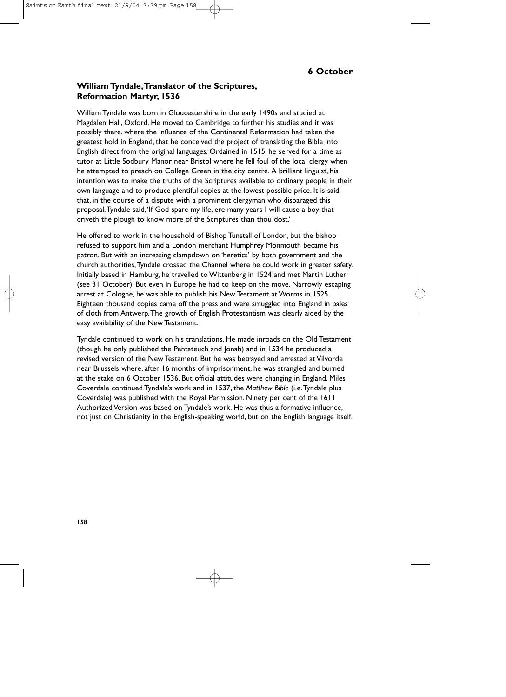# **William Tyndale,Translator of the Scriptures, Reformation Martyr, 1536**

William Tyndale was born in Gloucestershire in the early 1490s and studied at Magdalen Hall, Oxford. He moved to Cambridge to further his studies and it was possibly there, where the influence of the Continental Reformation had taken the greatest hold in England, that he conceived the project of translating the Bible into English direct from the original languages. Ordained in 1515, he served for a time as tutor at Little Sodbury Manor near Bristol where he fell foul of the local clergy when he attempted to preach on College Green in the city centre. A brilliant linguist, his intention was to make the truths of the Scriptures available to ordinary people in their own language and to produce plentiful copies at the lowest possible price. It is said that, in the course of a dispute with a prominent clergyman who disparaged this proposal,Tyndale said,'If God spare my life, ere many years I will cause a boy that driveth the plough to know more of the Scriptures than thou dost.'

He offered to work in the household of Bishop Tunstall of London, but the bishop refused to support him and a London merchant Humphrey Monmouth became his patron. But with an increasing clampdown on 'heretics' by both government and the church authorities,Tyndale crossed the Channel where he could work in greater safety. Initially based in Hamburg, he travelled to Wittenberg in 1524 and met Martin Luther (see 31 October). But even in Europe he had to keep on the move. Narrowly escaping arrest at Cologne, he was able to publish his New Testament at Worms in 1525. Eighteen thousand copies came off the press and were smuggled into England in bales of cloth from Antwerp.The growth of English Protestantism was clearly aided by the easy availability of the New Testament.

Tyndale continued to work on his translations. He made inroads on the Old Testament (though he only published the Pentateuch and Jonah) and in 1534 he produced a revised version of the New Testament. But he was betrayed and arrested at Vilvorde near Brussels where, after 16 months of imprisonment, he was strangled and burned at the stake on 6 October 1536. But official attitudes were changing in England. Miles Coverdale continued Tyndale's work and in 1537, the *Matthew Bible* (i.e.Tyndale plus Coverdale) was published with the Royal Permission. Ninety per cent of the 1611 Authorized Version was based on Tyndale's work. He was thus a formative influence, not just on Christianity in the English-speaking world, but on the English language itself.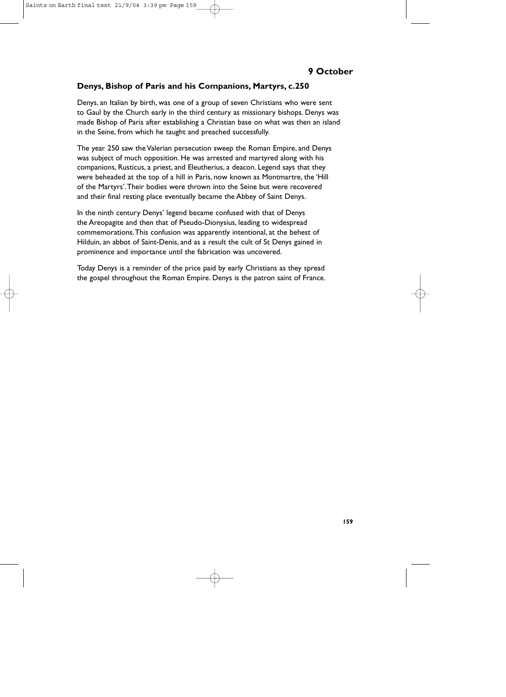# **Denys, Bishop of Paris and his Companions, Martyrs, c.250**

Denys, an Italian by birth, was one of a group of seven Christians who were sent to Gaul by the Church early in the third century as missionary bishops. Denys was made Bishop of Paris after establishing a Christian base on what was then an island in the Seine, from which he taught and preached successfully.

The year 250 saw the Valerian persecution sweep the Roman Empire, and Denys was subject of much opposition. He was arrested and martyred along with his companions, Rusticus, a priest, and Eleutherius, a deacon. Legend says that they were beheaded at the top of a hill in Paris, now known as Montmartre, the 'Hill of the Martyrs'.Their bodies were thrown into the Seine but were recovered and their final resting place eventually became the Abbey of Saint Denys.

In the ninth century Denys' legend became confused with that of Denys the Areopagite and then that of Pseudo-Dionysius, leading to widespread commemorations.This confusion was apparently intentional, at the behest of Hilduin, an abbot of Saint-Denis, and as a result the cult of St Denys gained in prominence and importance until the fabrication was uncovered.

Today Denys is a reminder of the price paid by early Christians as they spread the gospel throughout the Roman Empire. Denys is the patron saint of France.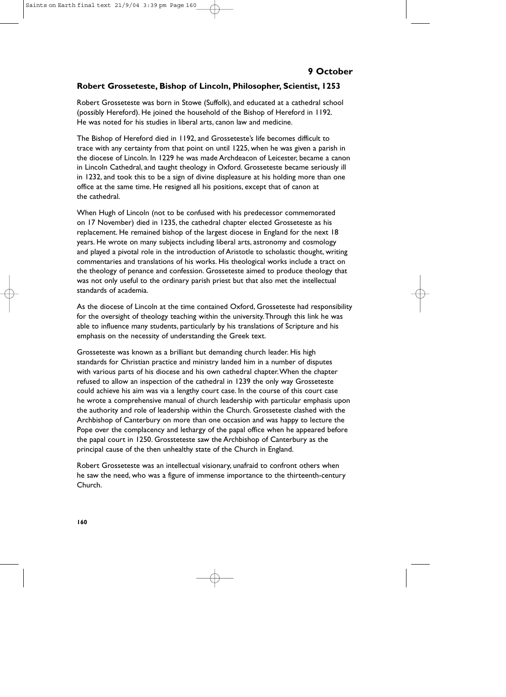## **Robert Grosseteste, Bishop of Lincoln, Philosopher, Scientist, 1253**

Robert Grosseteste was born in Stowe (Suffolk), and educated at a cathedral school (possibly Hereford). He joined the household of the Bishop of Hereford in 1192. He was noted for his studies in liberal arts, canon law and medicine.

The Bishop of Hereford died in 1192, and Grosseteste's life becomes difficult to trace with any certainty from that point on until 1225, when he was given a parish in the diocese of Lincoln. In 1229 he was made Archdeacon of Leicester, became a canon in Lincoln Cathedral, and taught theology in Oxford. Grosseteste became seriously ill in 1232, and took this to be a sign of divine displeasure at his holding more than one office at the same time. He resigned all his positions, except that of canon at the cathedral.

When Hugh of Lincoln (not to be confused with his predecessor commemorated on 17 November) died in 1235, the cathedral chapter elected Grosseteste as his replacement. He remained bishop of the largest diocese in England for the next 18 years. He wrote on many subjects including liberal arts, astronomy and cosmology and played a pivotal role in the introduction of Aristotle to scholastic thought, writing commentaries and translations of his works. His theological works include a tract on the theology of penance and confession. Grosseteste aimed to produce theology that was not only useful to the ordinary parish priest but that also met the intellectual standards of academia.

As the diocese of Lincoln at the time contained Oxford, Grosseteste had responsibility for the oversight of theology teaching within the university.Through this link he was able to influence many students, particularly by his translations of Scripture and his emphasis on the necessity of understanding the Greek text.

Grosseteste was known as a brilliant but demanding church leader. His high standards for Christian practice and ministry landed him in a number of disputes with various parts of his diocese and his own cathedral chapter.When the chapter refused to allow an inspection of the cathedral in 1239 the only way Grosseteste could achieve his aim was via a lengthy court case. In the course of this court case he wrote a comprehensive manual of church leadership with particular emphasis upon the authority and role of leadership within the Church. Grosseteste clashed with the Archbishop of Canterbury on more than one occasion and was happy to lecture the Pope over the complacency and lethargy of the papal office when he appeared before the papal court in 1250. Grossteteste saw the Archbishop of Canterbury as the principal cause of the then unhealthy state of the Church in England.

Robert Grosseteste was an intellectual visionary, unafraid to confront others when he saw the need, who was a figure of immense importance to the thirteenth-century Church.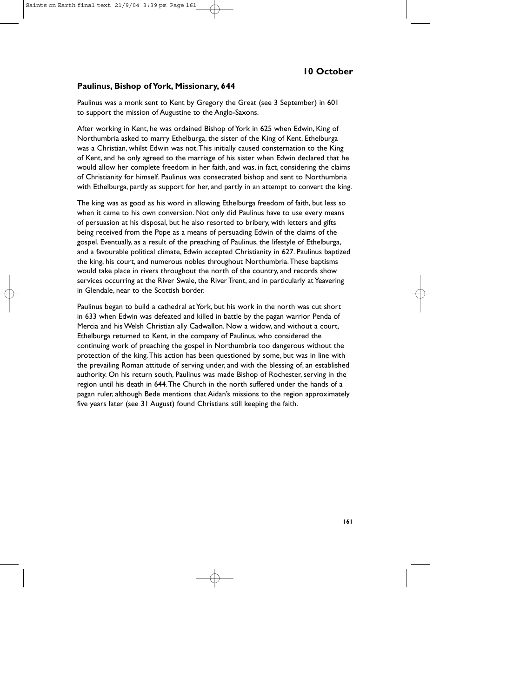# **10 October**

#### **Paulinus, Bishop of York, Missionary, 644**

Paulinus was a monk sent to Kent by Gregory the Great (see 3 September) in 601 to support the mission of Augustine to the Anglo-Saxons.

After working in Kent, he was ordained Bishop of York in 625 when Edwin, King of Northumbria asked to marry Ethelburga, the sister of the King of Kent. Ethelburga was a Christian, whilst Edwin was not.This initially caused consternation to the King of Kent, and he only agreed to the marriage of his sister when Edwin declared that he would allow her complete freedom in her faith, and was, in fact, considering the claims of Christianity for himself. Paulinus was consecrated bishop and sent to Northumbria with Ethelburga, partly as support for her, and partly in an attempt to convert the king.

The king was as good as his word in allowing Ethelburga freedom of faith, but less so when it came to his own conversion. Not only did Paulinus have to use every means of persuasion at his disposal, but he also resorted to bribery, with letters and gifts being received from the Pope as a means of persuading Edwin of the claims of the gospel. Eventually, as a result of the preaching of Paulinus, the lifestyle of Ethelburga, and a favourable political climate, Edwin accepted Christianity in 627. Paulinus baptized the king, his court, and numerous nobles throughout Northumbria.These baptisms would take place in rivers throughout the north of the country, and records show services occurring at the River Swale, the River Trent, and in particularly at Yeavering in Glendale, near to the Scottish border.

Paulinus began to build a cathedral at York, but his work in the north was cut short in 633 when Edwin was defeated and killed in battle by the pagan warrior Penda of Mercia and his Welsh Christian ally Cadwallon. Now a widow, and without a court, Ethelburga returned to Kent, in the company of Paulinus, who considered the continuing work of preaching the gospel in Northumbria too dangerous without the protection of the king.This action has been questioned by some, but was in line with the prevailing Roman attitude of serving under, and with the blessing of, an established authority. On his return south, Paulinus was made Bishop of Rochester, serving in the region until his death in 644.The Church in the north suffered under the hands of a pagan ruler, although Bede mentions that Aidan's missions to the region approximately five years later (see 31 August) found Christians still keeping the faith.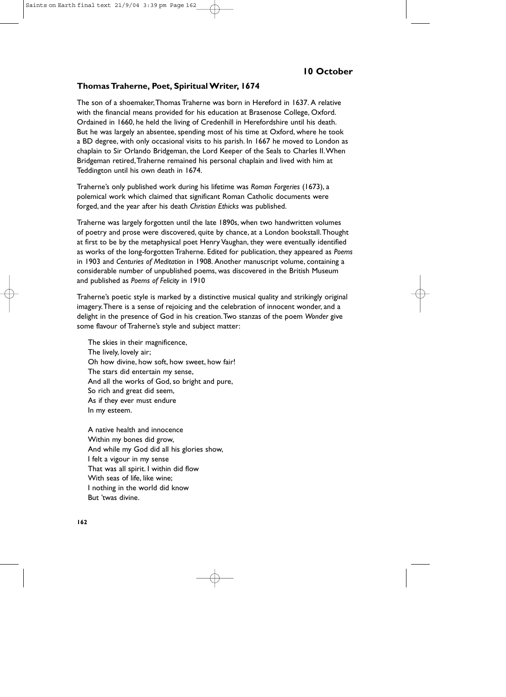### **Thomas Traherne, Poet, Spiritual Writer, 1674**

The son of a shoemaker,Thomas Traherne was born in Hereford in 1637. A relative with the financial means provided for his education at Brasenose College, Oxford. Ordained in 1660, he held the living of Credenhill in Herefordshire until his death. But he was largely an absentee, spending most of his time at Oxford, where he took a BD degree, with only occasional visits to his parish. In 1667 he moved to London as chaplain to Sir Orlando Bridgeman, the Lord Keeper of the Seals to Charles II.When Bridgeman retired,Traherne remained his personal chaplain and lived with him at Teddington until his own death in 1674.

Traherne's only published work during his lifetime was *Roman Forgeries* (1673), a polemical work which claimed that significant Roman Catholic documents were forged, and the year after his death *Christian Ethicks* was published.

Traherne was largely forgotten until the late 1890s, when two handwritten volumes of poetry and prose were discovered, quite by chance, at a London bookstall.Thought at first to be by the metaphysical poet Henry Vaughan, they were eventually identified as works of the long-forgotten Traherne. Edited for publication, they appeared as *Poems*  in 1903 and *Centuries of Meditation* in 1908. Another manuscript volume, containing a considerable number of unpublished poems, was discovered in the British Museum and published as *Poems of Felicity* in 1910

Traherne's poetic style is marked by a distinctive musical quality and strikingly original imagery.There is a sense of rejoicing and the celebration of innocent wonder, and a delight in the presence of God in his creation.Two stanzas of the poem *Wonder* give some flavour of Traherne's style and subject matter:

The skies in their magnificence, The lively, lovely air; Oh how divine, how soft, how sweet, how fair! The stars did entertain my sense, And all the works of God, so bright and pure, So rich and great did seem, As if they ever must endure In my esteem.

A native health and innocence Within my bones did grow, And while my God did all his glories show, I felt a vigour in my sense That was all spirit. I within did flow With seas of life, like wine; I nothing in the world did know But 'twas divine.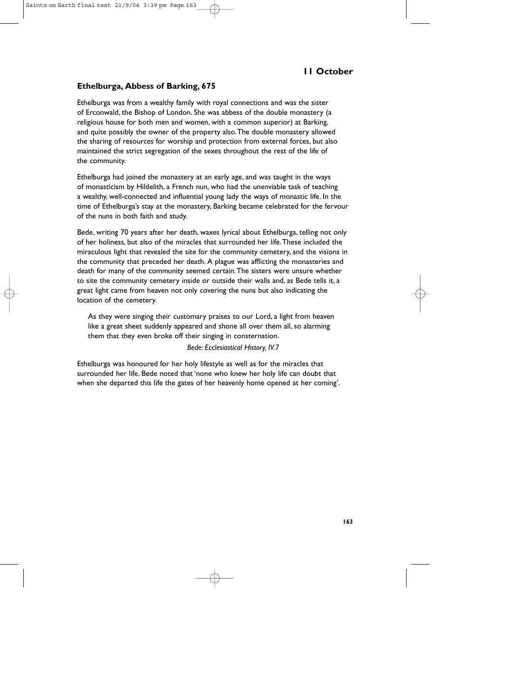# **11 October**

### **Ethelburga, Abbess of Barking, 675**

Ethelburga was from a wealthy family with royal connections and was the sister of Erconwald, the Bishop of London. She was abbess of the double monastery (a religious house for both men and women, with a common superior) at Barking, and quite possibly the owner of the property also.The double monastery allowed the sharing of resources for worship and protection from external forces, but also maintained the strict segregation of the sexes throughout the rest of the life of the community.

Ethelburga had joined the monastery at an early age, and was taught in the ways of monasticism by Hildelith, a French nun, who had the unenviable task of teaching a wealthy, well-connected and influential young lady the ways of monastic life. In the time of Ethelburga's stay at the monastery, Barking became celebrated for the fervour of the nuns in both faith and study.

Bede, writing 70 years after her death, waxes lyrical about Ethelburga, telling not only of her holiness, but also of the miracles that surrounded her life.These included the miraculous light that revealed the site for the community cemetery, and the visions in the community that preceded her death. A plague was afflicting the monasteries and death for many of the community seemed certain.The sisters were unsure whether to site the community cemetery inside or outside their walls and, as Bede tells it, a great light came from heaven not only covering the nuns but also indicating the location of the cemetery.

As they were singing their customary praises to our Lord, a light from heaven like a great sheet suddenly appeared and shone all over them all, so alarming them that they even broke off their singing in consternation.

#### *Bede: Ecclesiastical History, IV.7*

Ethelburga was honoured for her holy lifestyle as well as for the miracles that surrounded her life. Bede noted that 'none who knew her holy life can doubt that when she departed this life the gates of her heavenly home opened at her coming'.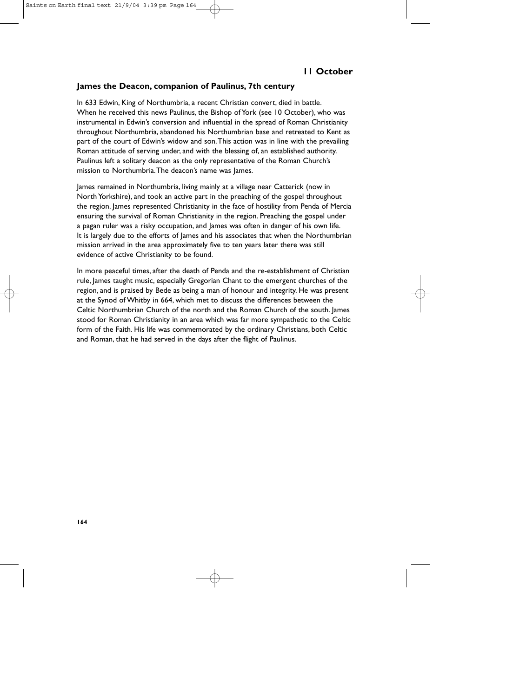### **James the Deacon, companion of Paulinus, 7th century**

In 633 Edwin, King of Northumbria, a recent Christian convert, died in battle. When he received this news Paulinus, the Bishop of York (see 10 October), who was instrumental in Edwin's conversion and influential in the spread of Roman Christianity throughout Northumbria, abandoned his Northumbrian base and retreated to Kent as part of the court of Edwin's widow and son.This action was in line with the prevailing Roman attitude of serving under, and with the blessing of, an established authority. Paulinus left a solitary deacon as the only representative of the Roman Church's mission to Northumbria.The deacon's name was James.

James remained in Northumbria, living mainly at a village near Catterick (now in North Yorkshire), and took an active part in the preaching of the gospel throughout the region. James represented Christianity in the face of hostility from Penda of Mercia ensuring the survival of Roman Christianity in the region. Preaching the gospel under a pagan ruler was a risky occupation, and James was often in danger of his own life. It is largely due to the efforts of James and his associates that when the Northumbrian mission arrived in the area approximately five to ten years later there was still evidence of active Christianity to be found.

In more peaceful times, after the death of Penda and the re-establishment of Christian rule, James taught music, especially Gregorian Chant to the emergent churches of the region, and is praised by Bede as being a man of honour and integrity. He was present at the Synod of Whitby in 664, which met to discuss the differences between the Celtic Northumbrian Church of the north and the Roman Church of the south. James stood for Roman Christianity in an area which was far more sympathetic to the Celtic form of the Faith. His life was commemorated by the ordinary Christians, both Celtic and Roman, that he had served in the days after the flight of Paulinus.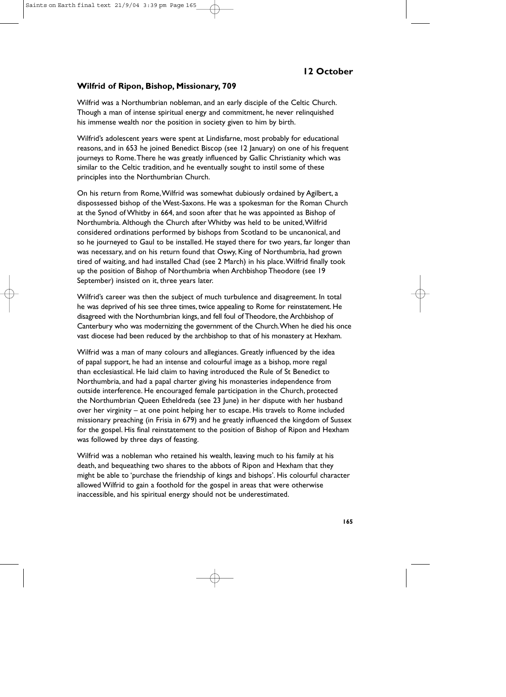### **Wilfrid of Ripon, Bishop, Missionary, 709**

Wilfrid was a Northumbrian nobleman, and an early disciple of the Celtic Church. Though a man of intense spiritual energy and commitment, he never relinquished his immense wealth nor the position in society given to him by birth.

Wilfrid's adolescent years were spent at Lindisfarne, most probably for educational reasons, and in 653 he joined Benedict Biscop (see 12 January) on one of his frequent journeys to Rome.There he was greatly influenced by Gallic Christianity which was similar to the Celtic tradition, and he eventually sought to instil some of these principles into the Northumbrian Church.

On his return from Rome,Wilfrid was somewhat dubiously ordained by Agilbert, a dispossessed bishop of the West-Saxons. He was a spokesman for the Roman Church at the Synod of Whitby in 664, and soon after that he was appointed as Bishop of Northumbria. Although the Church after Whitby was held to be united,Wilfrid considered ordinations performed by bishops from Scotland to be uncanonical, and so he journeyed to Gaul to be installed. He stayed there for two years, far longer than was necessary, and on his return found that Oswy, King of Northumbria, had grown tired of waiting, and had installed Chad (see 2 March) in his place.Wilfrid finally took up the position of Bishop of Northumbria when Archbishop Theodore (see 19 September) insisted on it, three years later.

Wilfrid's career was then the subject of much turbulence and disagreement. In total he was deprived of his see three times, twice appealing to Rome for reinstatement. He disagreed with the Northumbrian kings, and fell foul of Theodore, the Archbishop of Canterbury who was modernizing the government of the Church.When he died his once vast diocese had been reduced by the archbishop to that of his monastery at Hexham.

Wilfrid was a man of many colours and allegiances. Greatly influenced by the idea of papal support, he had an intense and colourful image as a bishop, more regal than ecclesiastical. He laid claim to having introduced the Rule of St Benedict to Northumbria, and had a papal charter giving his monasteries independence from outside interference. He encouraged female participation in the Church, protected the Northumbrian Queen Etheldreda (see 23 June) in her dispute with her husband over her virginity – at one point helping her to escape. His travels to Rome included missionary preaching (in Frisia in 679) and he greatly influenced the kingdom of Sussex for the gospel. His final reinstatement to the position of Bishop of Ripon and Hexham was followed by three days of feasting.

Wilfrid was a nobleman who retained his wealth, leaving much to his family at his death, and bequeathing two shares to the abbots of Ripon and Hexham that they might be able to 'purchase the friendship of kings and bishops'. His colourful character allowed Wilfrid to gain a foothold for the gospel in areas that were otherwise inaccessible, and his spiritual energy should not be underestimated.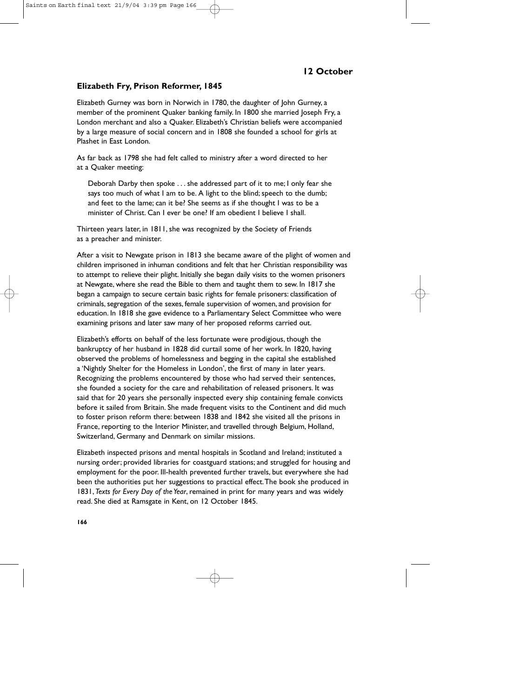# **Elizabeth Fry, Prison Reformer, 1845**

Elizabeth Gurney was born in Norwich in 1780, the daughter of John Gurney, a member of the prominent Quaker banking family. In 1800 she married Joseph Fry, a London merchant and also a Quaker. Elizabeth's Christian beliefs were accompanied by a large measure of social concern and in 1808 she founded a school for girls at Plashet in East London.

As far back as 1798 she had felt called to ministry after a word directed to her at a Quaker meeting:

Deborah Darby then spoke . . . she addressed part of it to me; I only fear she says too much of what I am to be. A light to the blind; speech to the dumb; and feet to the lame; can it be? She seems as if she thought I was to be a minister of Christ. Can Lever be one? If am obedient I believe Lshall.

Thirteen years later, in 1811, she was recognized by the Society of Friends as a preacher and minister.

After a visit to Newgate prison in 1813 she became aware of the plight of women and children imprisoned in inhuman conditions and felt that her Christian responsibility was to attempt to relieve their plight. Initially she began daily visits to the women prisoners at Newgate, where she read the Bible to them and taught them to sew. In 1817 she began a campaign to secure certain basic rights for female prisoners: classification of criminals, segregation of the sexes, female supervision of women, and provision for education. In 1818 she gave evidence to a Parliamentary Select Committee who were examining prisons and later saw many of her proposed reforms carried out.

Elizabeth's efforts on behalf of the less fortunate were prodigious, though the bankruptcy of her husband in 1828 did curtail some of her work. In 1820, having observed the problems of homelessness and begging in the capital she established a 'Nightly Shelter for the Homeless in London', the first of many in later years. Recognizing the problems encountered by those who had served their sentences, she founded a society for the care and rehabilitation of released prisoners. It was said that for 20 years she personally inspected every ship containing female convicts before it sailed from Britain. She made frequent visits to the Continent and did much to foster prison reform there: between 1838 and 1842 she visited all the prisons in France, reporting to the Interior Minister, and travelled through Belgium, Holland, Switzerland, Germany and Denmark on similar missions.

Elizabeth inspected prisons and mental hospitals in Scotland and Ireland; instituted a nursing order; provided libraries for coastguard stations; and struggled for housing and employment for the poor. Ill-health prevented further travels, but everywhere she had been the authorities put her suggestions to practical effect.The book she produced in 1831, *Texts for Every Day of the Year*, remained in print for many years and was widely read. She died at Ramsgate in Kent, on 12 October 1845.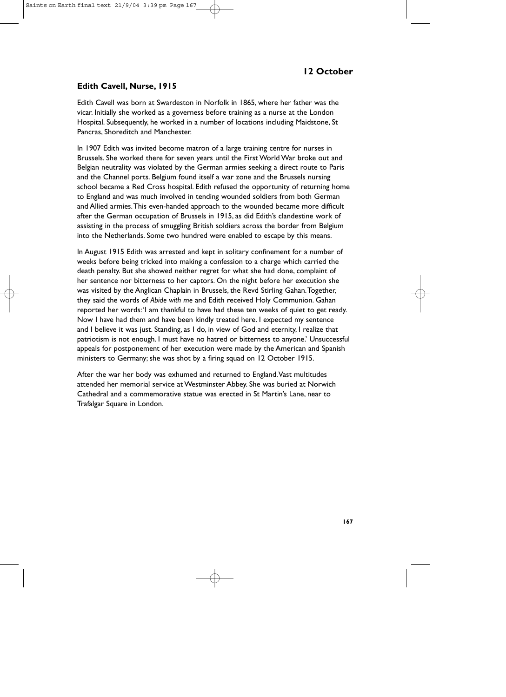# **Edith Cavell, Nurse, 1915**

Edith Cavell was born at Swardeston in Norfolk in 1865, where her father was the vicar. Initially she worked as a governess before training as a nurse at the London Hospital. Subsequently, he worked in a number of locations including Maidstone, St Pancras, Shoreditch and Manchester.

In 1907 Edith was invited become matron of a large training centre for nurses in Brussels. She worked there for seven years until the First World War broke out and Belgian neutrality was violated by the German armies seeking a direct route to Paris and the Channel ports. Belgium found itself a war zone and the Brussels nursing school became a Red Cross hospital. Edith refused the opportunity of returning home to England and was much involved in tending wounded soldiers from both German and Allied armies.This even-handed approach to the wounded became more difficult after the German occupation of Brussels in 1915, as did Edith's clandestine work of assisting in the process of smuggling British soldiers across the border from Belgium into the Netherlands. Some two hundred were enabled to escape by this means.

In August 1915 Edith was arrested and kept in solitary confinement for a number of weeks before being tricked into making a confession to a charge which carried the death penalty. But she showed neither regret for what she had done, complaint of her sentence nor bitterness to her captors. On the night before her execution she was visited by the Anglican Chaplain in Brussels, the Revd Stirling Gahan.Together, they said the words of *Abide with me* and Edith received Holy Communion. Gahan reported her words:'I am thankful to have had these ten weeks of quiet to get ready. Now I have had them and have been kindly treated here. I expected my sentence and I believe it was just. Standing, as I do, in view of God and eternity, I realize that patriotism is not enough. I must have no hatred or bitterness to anyone.' Unsuccessful appeals for postponement of her execution were made by the American and Spanish ministers to Germany; she was shot by a firing squad on 12 October 1915.

After the war her body was exhumed and returned to England.Vast multitudes attended her memorial service at Westminster Abbey. She was buried at Norwich Cathedral and a commemorative statue was erected in St Martin's Lane, near to Trafalgar Square in London.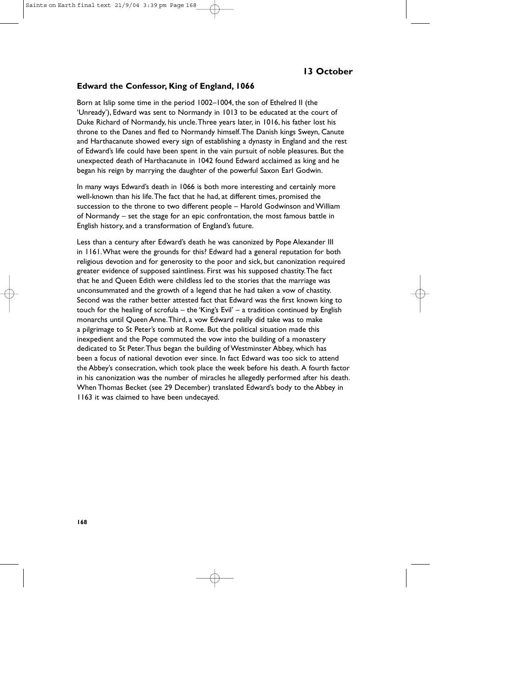# **13 October**

#### **Edward the Confessor, King of England, 1066**

Born at Islip some time in the period 1002–1004, the son of Ethelred II (the 'Unready'), Edward was sent to Normandy in 1013 to be educated at the court of Duke Richard of Normandy, his uncle.Three years later, in 1016, his father lost his throne to the Danes and fled to Normandy himself.The Danish kings Sweyn, Canute and Harthacanute showed every sign of establishing a dynasty in England and the rest of Edward's life could have been spent in the vain pursuit of noble pleasures. But the unexpected death of Harthacanute in 1042 found Edward acclaimed as king and he began his reign by marrying the daughter of the powerful Saxon Earl Godwin.

In many ways Edward's death in 1066 is both more interesting and certainly more well-known than his life.The fact that he had, at different times, promised the succession to the throne to two different people – Harold Godwinson and William of Normandy – set the stage for an epic confrontation, the most famous battle in English history, and a transformation of England's future.

Less than a century after Edward's death he was canonized by Pope Alexander III in 1161.What were the grounds for this? Edward had a general reputation for both religious devotion and for generosity to the poor and sick, but canonization required greater evidence of supposed saintliness. First was his supposed chastity.The fact that he and Queen Edith were childless led to the stories that the marriage was unconsummated and the growth of a legend that he had taken a vow of chastity. Second was the rather better attested fact that Edward was the first known king to touch for the healing of scrofula – the 'King's Evil' – a tradition continued by English monarchs until Queen Anne.Third, a vow Edward really did take was to make a pilgrimage to St Peter's tomb at Rome. But the political situation made this inexpedient and the Pope commuted the vow into the building of a monastery dedicated to St Peter.Thus began the building of Westminster Abbey, which has been a focus of national devotion ever since. In fact Edward was too sick to attend the Abbey's consecration, which took place the week before his death. A fourth factor in his canonization was the number of miracles he allegedly performed after his death. When Thomas Becket (see 29 December) translated Edward's body to the Abbey in 1163 it was claimed to have been undecayed.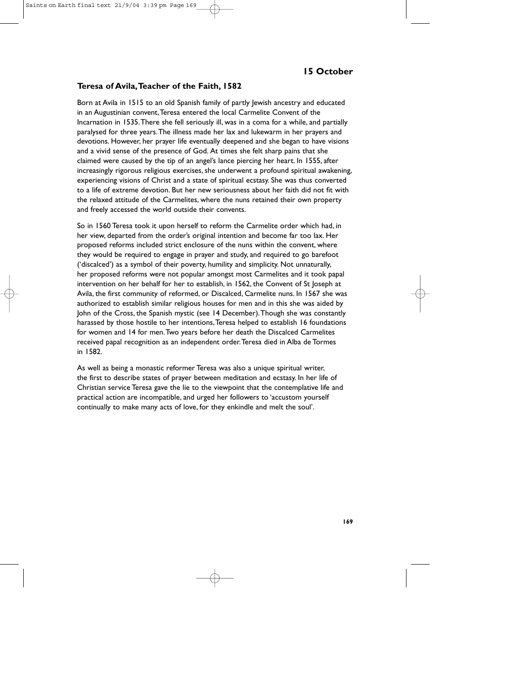### **Teresa of Avila,Teacher of the Faith, 1582**

Born at Avila in 1515 to an old Spanish family of partly lewish ancestry and educated in an Augustinian convent,Teresa entered the local Carmelite Convent of the Incarnation in 1535.There she fell seriously ill, was in a coma for a while, and partially paralysed for three years.The illness made her lax and lukewarm in her prayers and devotions. However, her prayer life eventually deepened and she began to have visions and a vivid sense of the presence of God. At times she felt sharp pains that she claimed were caused by the tip of an angel's lance piercing her heart. In 1555, after increasingly rigorous religious exercises, she underwent a profound spiritual awakening, experiencing visions of Christ and a state of spiritual ecstasy. She was thus converted to a life of extreme devotion. But her new seriousness about her faith did not fit with the relaxed attitude of the Carmelites, where the nuns retained their own property and freely accessed the world outside their convents.

So in 1560 Teresa took it upon herself to reform the Carmelite order which had, in her view, departed from the order's original intention and become far too lax. Her proposed reforms included strict enclosure of the nuns within the convent, where they would be required to engage in prayer and study, and required to go barefoot ('discalced') as a symbol of their poverty, humility and simplicity. Not unnaturally, her proposed reforms were not popular amongst most Carmelites and it took papal intervention on her behalf for her to establish, in 1562, the Convent of St Joseph at Avila, the first community of reformed, or Discalced, Carmelite nuns. In 1567 she was authorized to establish similar religious houses for men and in this she was aided by John of the Cross, the Spanish mystic (see 14 December).Though she was constantly harassed by those hostile to her intentions, Teresa helped to establish 16 foundations for women and 14 for men.Two years before her death the Discalced Carmelites received papal recognition as an independent order.Teresa died in Alba de Tormes in 1582.

As well as being a monastic reformer Teresa was also a unique spiritual writer, the first to describe states of prayer between meditation and ecstasy. In her life of Christian service Teresa gave the lie to the viewpoint that the contemplative life and practical action are incompatible, and urged her followers to 'accustom yourself continually to make many acts of love, for they enkindle and melt the soul'.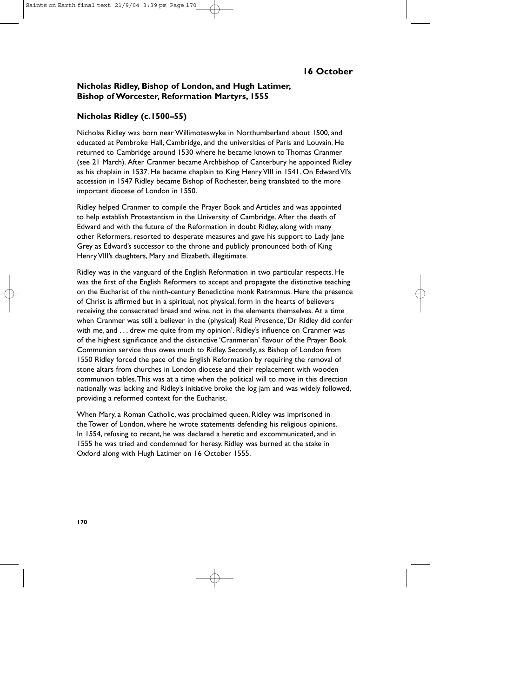# **Nicholas Ridley, Bishop of London, and Hugh Latimer, Bishop of Worcester, Reformation Martyrs, 1555**

## **Nicholas Ridley (c.1500–55)**

Nicholas Ridley was born near Willimoteswyke in Northumberland about 1500, and educated at Pembroke Hall, Cambridge, and the universities of Paris and Louvain. He returned to Cambridge around 1530 where he became known to Thomas Cranmer (see 21 March). After Cranmer became Archbishop of Canterbury he appointed Ridley as his chaplain in 1537. He became chaplain to King Henry VIII in 1541. On Edward VI's accession in 1547 Ridley became Bishop of Rochester, being translated to the more important diocese of London in 1550.

Ridley helped Cranmer to compile the Prayer Book and Articles and was appointed to help establish Protestantism in the University of Cambridge. After the death of Edward and with the future of the Reformation in doubt Ridley, along with many other Reformers, resorted to desperate measures and gave his support to Lady Jane Grey as Edward's successor to the throne and publicly pronounced both of King Henry VIII's daughters, Mary and Elizabeth, illegitimate.

Ridley was in the vanguard of the English Reformation in two particular respects. He was the first of the English Reformers to accept and propagate the distinctive teaching on the Eucharist of the ninth-century Benedictine monk Ratramnus. Here the presence of Christ is affirmed but in a spiritual, not physical, form in the hearts of believers receiving the consecrated bread and wine, not in the elements themselves. At a time when Cranmer was still a believer in the (physical) Real Presence,'Dr Ridley did confer with me, and . . . drew me quite from my opinion'. Ridley's influence on Cranmer was of the highest significance and the distinctive 'Cranmerian' flavour of the Prayer Book Communion service thus owes much to Ridley. Secondly, as Bishop of London from 1550 Ridley forced the pace of the English Reformation by requiring the removal of stone altars from churches in London diocese and their replacement with wooden communion tables.This was at a time when the political will to move in this direction nationally was lacking and Ridley's initiative broke the log jam and was widely followed, providing a reformed context for the Eucharist.

When Mary, a Roman Catholic, was proclaimed queen, Ridley was imprisoned in the Tower of London, where he wrote statements defending his religious opinions. In 1554, refusing to recant, he was declared a heretic and excommunicated, and in 1555 he was tried and condemned for heresy. Ridley was burned at the stake in Oxford along with Hugh Latimer on 16 October 1555.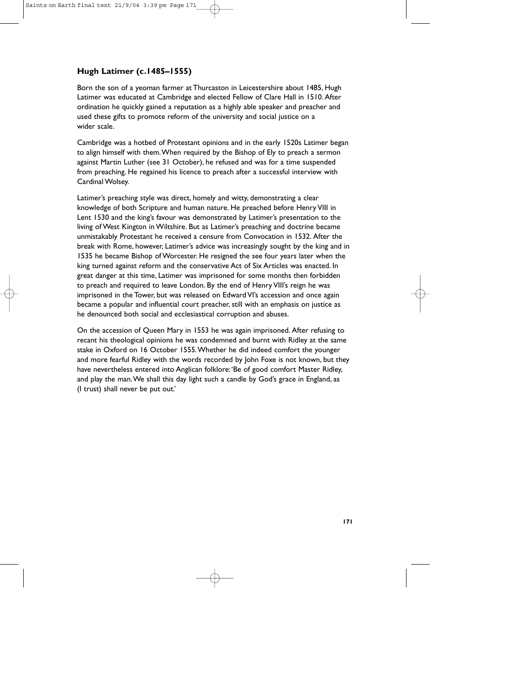# **Hugh Latimer (c.1485–1555)**

Born the son of a yeoman farmer at Thurcaston in Leicestershire about 1485, Hugh Latimer was educated at Cambridge and elected Fellow of Clare Hall in 1510. After ordination he quickly gained a reputation as a highly able speaker and preacher and used these gifts to promote reform of the university and social justice on a wider scale.

Cambridge was a hotbed of Protestant opinions and in the early 1520s Latimer began to align himself with them.When required by the Bishop of Ely to preach a sermon against Martin Luther (see 31 October), he refused and was for a time suspended from preaching. He regained his licence to preach after a successful interview with Cardinal Wolsey.

Latimer's preaching style was direct, homely and witty, demonstrating a clear knowledge of both Scripture and human nature. He preached before Henry VIII in Lent 1530 and the king's favour was demonstrated by Latimer's presentation to the living of West Kington in Wiltshire. But as Latimer's preaching and doctrine became unmistakably Protestant he received a censure from Convocation in 1532. After the break with Rome, however, Latimer's advice was increasingly sought by the king and in 1535 he became Bishop of Worcester. He resigned the see four years later when the king turned against reform and the conservative Act of Six Articles was enacted. In great danger at this time, Latimer was imprisoned for some months then forbidden to preach and required to leave London. By the end of Henry VIII's reign he was imprisoned in the Tower, but was released on Edward VI's accession and once again became a popular and influential court preacher, still with an emphasis on justice as he denounced both social and ecclesiastical corruption and abuses.

On the accession of Queen Mary in 1553 he was again imprisoned. After refusing to recant his theological opinions he was condemned and burnt with Ridley at the same stake in Oxford on 16 October 1555.Whether he did indeed comfort the younger and more fearful Ridley with the words recorded by John Foxe is not known, but they have nevertheless entered into Anglican folklore:'Be of good comfort Master Ridley, and play the man.We shall this day light such a candle by God's grace in England, as (I trust) shall never be put out.'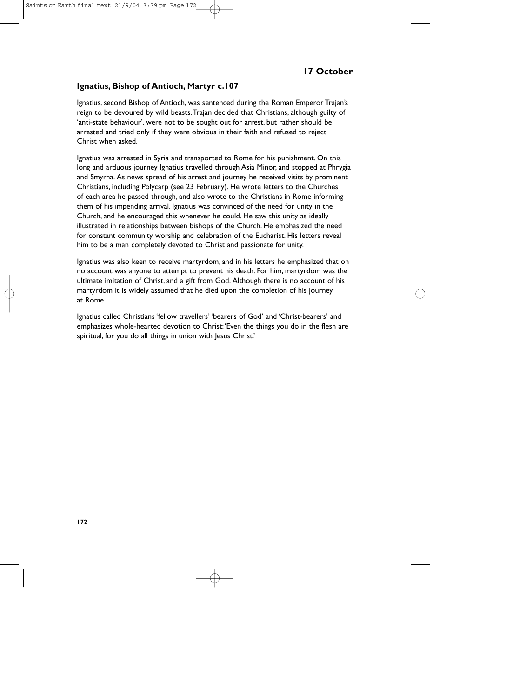# **17 October**

#### **Ignatius, Bishop of Antioch, Martyr c.107**

Ignatius, second Bishop of Antioch, was sentenced during the Roman Emperor Trajan's reign to be devoured by wild beasts.Trajan decided that Christians, although guilty of 'anti-state behaviour', were not to be sought out for arrest, but rather should be arrested and tried only if they were obvious in their faith and refused to reject Christ when asked.

Ignatius was arrested in Syria and transported to Rome for his punishment. On this long and arduous journey Ignatius travelled through Asia Minor, and stopped at Phrygia and Smyrna. As news spread of his arrest and journey he received visits by prominent Christians, including Polycarp (see 23 February). He wrote letters to the Churches of each area he passed through, and also wrote to the Christians in Rome informing them of his impending arrival. Ignatius was convinced of the need for unity in the Church, and he encouraged this whenever he could. He saw this unity as ideally illustrated in relationships between bishops of the Church. He emphasized the need for constant community worship and celebration of the Eucharist. His letters reveal him to be a man completely devoted to Christ and passionate for unity.

Ignatius was also keen to receive martyrdom, and in his letters he emphasized that on no account was anyone to attempt to prevent his death. For him, martyrdom was the ultimate imitation of Christ, and a gift from God. Although there is no account of his martyrdom it is widely assumed that he died upon the completion of his journey at Rome.

Ignatius called Christians 'fellow travellers' 'bearers of God' and 'Christ-bearers' and emphasizes whole-hearted devotion to Christ:'Even the things you do in the flesh are spiritual, for you do all things in union with lesus Christ.'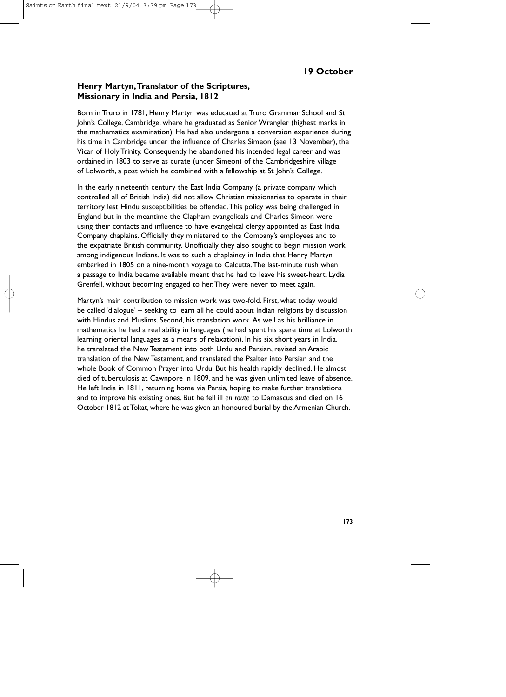### **Henry Martyn,Translator of the Scriptures, Missionary in India and Persia, 1812**

Born in Truro in 1781, Henry Martyn was educated at Truro Grammar School and St John's College, Cambridge, where he graduated as Senior Wrangler (highest marks in the mathematics examination). He had also undergone a conversion experience during his time in Cambridge under the influence of Charles Simeon (see 13 November), the Vicar of Holy Trinity. Consequently he abandoned his intended legal career and was ordained in 1803 to serve as curate (under Simeon) of the Cambridgeshire village of Lolworth, a post which he combined with a fellowship at St John's College.

In the early nineteenth century the East India Company (a private company which controlled all of British India) did not allow Christian missionaries to operate in their territory lest Hindu susceptibilities be offended.This policy was being challenged in England but in the meantime the Clapham evangelicals and Charles Simeon were using their contacts and influence to have evangelical clergy appointed as East India Company chaplains. Officially they ministered to the Company's employees and to the expatriate British community. Unofficially they also sought to begin mission work among indigenous Indians. It was to such a chaplaincy in India that Henry Martyn embarked in 1805 on a nine-month voyage to Calcutta.The last-minute rush when a passage to India became available meant that he had to leave his sweet-heart, Lydia Grenfell, without becoming engaged to her.They were never to meet again.

Martyn's main contribution to mission work was two-fold. First, what today would be called 'dialogue' – seeking to learn all he could about Indian religions by discussion with Hindus and Muslims. Second, his translation work. As well as his brilliance in mathematics he had a real ability in languages (he had spent his spare time at Lolworth learning oriental languages as a means of relaxation). In his six short years in India, he translated the New Testament into both Urdu and Persian, revised an Arabic translation of the New Testament, and translated the Psalter into Persian and the whole Book of Common Prayer into Urdu. But his health rapidly declined. He almost died of tuberculosis at Cawnpore in 1809, and he was given unlimited leave of absence. He left India in 1811, returning home via Persia, hoping to make further translations and to improve his existing ones. But he fell ill *en route* to Damascus and died on 16 October 1812 at Tokat, where he was given an honoured burial by the Armenian Church.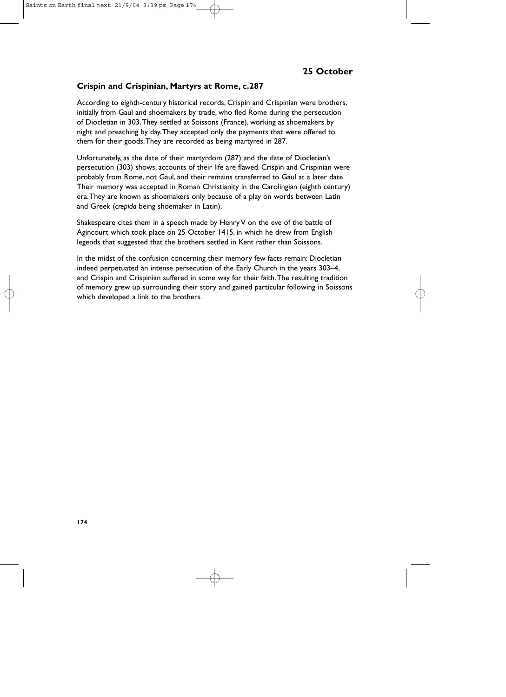### **Crispin and Crispinian, Martyrs at Rome, c.287**

According to eighth-century historical records, Crispin and Crispinian were brothers, initially from Gaul and shoemakers by trade, who fled Rome during the persecution of Diocletian in 303.They settled at Soissons (France), working as shoemakers by night and preaching by day.They accepted only the payments that were offered to them for their goods.They are recorded as being martyred in 287.

Unfortunately, as the date of their martyrdom (287) and the date of Diocletian's persecution (303) shows, accounts of their life are flawed. Crispin and Crispinian were probably from Rome, not Gaul, and their remains transferred to Gaul at a later date. Their memory was accepted in Roman Christianity in the Carolingian (eighth century) era.They are known as shoemakers only because of a play on words between Latin and Greek (*crepida* being shoemaker in Latin).

Shakespeare cites them in a speech made by Henry V on the eve of the battle of Agincourt which took place on 25 October 1415, in which he drew from English legends that suggested that the brothers settled in Kent rather than Soissons.

In the midst of the confusion concerning their memory few facts remain: Diocletian indeed perpetuated an intense persecution of the Early Church in the years 303–4, and Crispin and Crispinian suffered in some way for their faith.The resulting tradition of memory grew up surrounding their story and gained particular following in Soissons which developed a link to the brothers.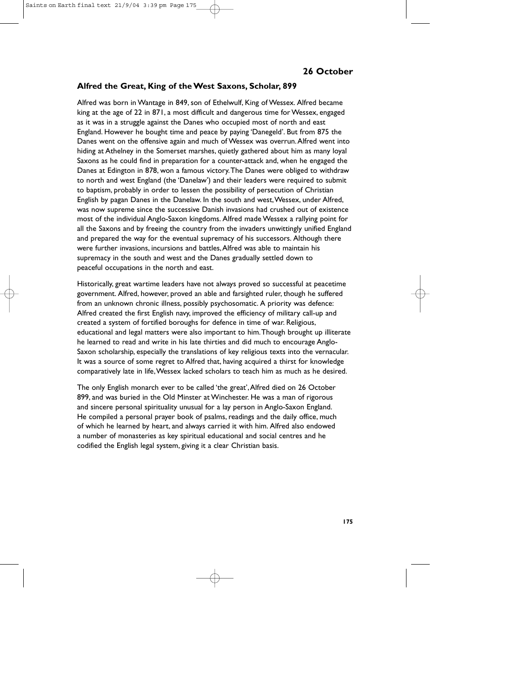#### **Alfred the Great, King of the West Saxons, Scholar, 899**

Alfred was born in Wantage in 849, son of Ethelwulf, King of Wessex. Alfred became king at the age of 22 in 871, a most difficult and dangerous time for Wessex, engaged as it was in a struggle against the Danes who occupied most of north and east England. However he bought time and peace by paying 'Danegeld'. But from 875 the Danes went on the offensive again and much of Wessex was overrun.Alfred went into hiding at Athelney in the Somerset marshes, quietly gathered about him as many loyal Saxons as he could find in preparation for a counter-attack and, when he engaged the Danes at Edington in 878, won a famous victory.The Danes were obliged to withdraw to north and west England (the 'Danelaw') and their leaders were required to submit to baptism, probably in order to lessen the possibility of persecution of Christian English by pagan Danes in the Danelaw. In the south and west,Wessex, under Alfred, was now supreme since the successive Danish invasions had crushed out of existence most of the individual Anglo-Saxon kingdoms. Alfred made Wessex a rallying point for all the Saxons and by freeing the country from the invaders unwittingly unified England and prepared the way for the eventual supremacy of his successors. Although there were further invasions, incursions and battles,Alfred was able to maintain his supremacy in the south and west and the Danes gradually settled down to peaceful occupations in the north and east.

Historically, great wartime leaders have not always proved so successful at peacetime government. Alfred, however, proved an able and farsighted ruler, though he suffered from an unknown chronic illness, possibly psychosomatic. A priority was defence: Alfred created the first English navy, improved the efficiency of military call-up and created a system of fortified boroughs for defence in time of war. Religious, educational and legal matters were also important to him.Though brought up illiterate he learned to read and write in his late thirties and did much to encourage Anglo-Saxon scholarship, especially the translations of key religious texts into the vernacular. It was a source of some regret to Alfred that, having acquired a thirst for knowledge comparatively late in life,Wessex lacked scholars to teach him as much as he desired.

The only English monarch ever to be called 'the great',Alfred died on 26 October 899, and was buried in the Old Minster at Winchester. He was a man of rigorous and sincere personal spirituality unusual for a lay person in Anglo-Saxon England. He compiled a personal prayer book of psalms, readings and the daily office, much of which he learned by heart, and always carried it with him. Alfred also endowed a number of monasteries as key spiritual educational and social centres and he codified the English legal system, giving it a clear Christian basis.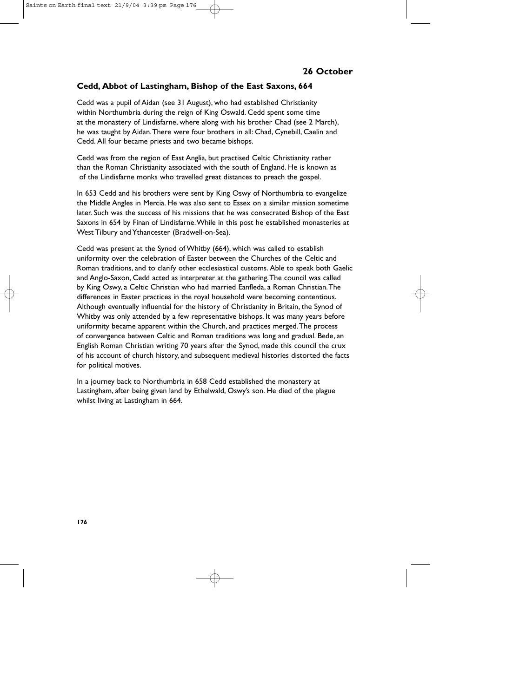## **Cedd, Abbot of Lastingham, Bishop of the East Saxons, 664**

Cedd was a pupil of Aidan (see 31 August), who had established Christianity within Northumbria during the reign of King Oswald. Cedd spent some time at the monastery of Lindisfarne, where along with his brother Chad (see 2 March), he was taught by Aidan.There were four brothers in all: Chad, Cynebill, Caelin and Cedd. All four became priests and two became bishops.

Cedd was from the region of East Anglia, but practised Celtic Christianity rather than the Roman Christianity associated with the south of England. He is known as of the Lindisfarne monks who travelled great distances to preach the gospel.

In 653 Cedd and his brothers were sent by King Oswy of Northumbria to evangelize the Middle Angles in Mercia. He was also sent to Essex on a similar mission sometime later. Such was the success of his missions that he was consecrated Bishop of the East Saxons in 654 by Finan of Lindisfarne.While in this post he established monasteries at West Tilbury and Ythancester (Bradwell-on-Sea).

Cedd was present at the Synod of Whitby (664), which was called to establish uniformity over the celebration of Easter between the Churches of the Celtic and Roman traditions, and to clarify other ecclesiastical customs. Able to speak both Gaelic and Anglo-Saxon, Cedd acted as interpreter at the gathering.The council was called by King Oswy, a Celtic Christian who had married Eanfleda, a Roman Christian.The differences in Easter practices in the royal household were becoming contentious. Although eventually influential for the history of Christianity in Britain, the Synod of Whitby was only attended by a few representative bishops. It was many years before uniformity became apparent within the Church, and practices merged.The process of convergence between Celtic and Roman traditions was long and gradual. Bede, an English Roman Christian writing 70 years after the Synod, made this council the crux of his account of church history, and subsequent medieval histories distorted the facts for political motives.

In a journey back to Northumbria in 658 Cedd established the monastery at Lastingham, after being given land by Ethelwald, Oswy's son. He died of the plague whilst living at Lastingham in 664.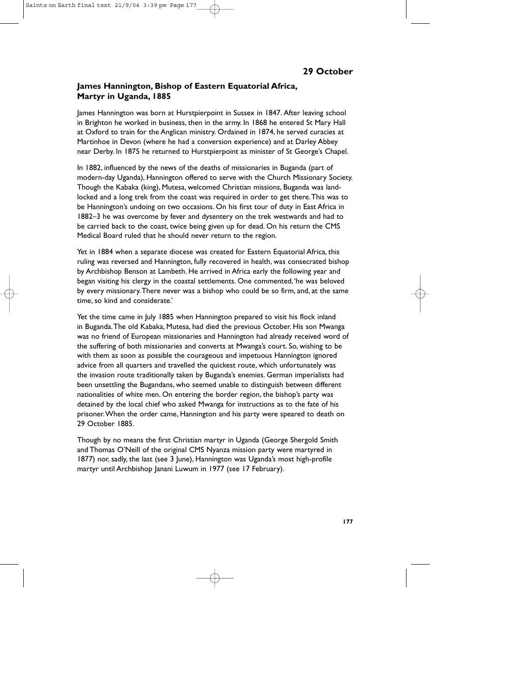## **James Hannington, Bishop of Eastern Equatorial Africa, Martyr in Uganda, 1885**

James Hannington was born at Hurstpierpoint in Sussex in 1847. After leaving school in Brighton he worked in business, then in the army. In 1868 he entered St Mary Hall at Oxford to train for the Anglican ministry. Ordained in 1874, he served curacies at Martinhoe in Devon (where he had a conversion experience) and at Darley Abbey near Derby. In 1875 he returned to Hurstpierpoint as minister of St George's Chapel.

In 1882, influenced by the news of the deaths of missionaries in Buganda (part of modern-day Uganda), Hannington offered to serve with the Church Missionary Society. Though the Kabaka (king), Mutesa, welcomed Christian missions, Buganda was landlocked and a long trek from the coast was required in order to get there.This was to be Hannington's undoing on two occasions. On his first tour of duty in East Africa in 1882–3 he was overcome by fever and dysentery on the trek westwards and had to be carried back to the coast, twice being given up for dead. On his return the CMS Medical Board ruled that he should never return to the region.

Yet in 1884 when a separate diocese was created for Eastern Equatorial Africa, this ruling was reversed and Hannington, fully recovered in health, was consecrated bishop by Archbishop Benson at Lambeth. He arrived in Africa early the following year and began visiting his clergy in the coastal settlements. One commented,'he was beloved by every missionary.There never was a bishop who could be so firm, and, at the same time, so kind and considerate.'

Yet the time came in July 1885 when Hannington prepared to visit his flock inland in Buganda.The old Kabaka, Mutesa, had died the previous October. His son Mwanga was no friend of European missionaries and Hannington had already received word of the suffering of both missionaries and converts at Mwanga's court. So, wishing to be with them as soon as possible the courageous and impetuous Hannington ignored advice from all quarters and travelled the quickest route, which unfortunately was the invasion route traditionally taken by Buganda's enemies. German imperialists had been unsettling the Bugandans, who seemed unable to distinguish between different nationalities of white men. On entering the border region, the bishop's party was detained by the local chief who asked Mwanga for instructions as to the fate of his prisoner.When the order came, Hannington and his party were speared to death on 29 October 1885.

Though by no means the first Christian martyr in Uganda (George Shergold Smith and Thomas O'Neill of the original CMS Nyanza mission party were martyred in 1877) nor, sadly, the last (see 3 June), Hannington was Uganda's most high-profile martyr until Archbishop Janani Luwum in 1977 (see 17 February).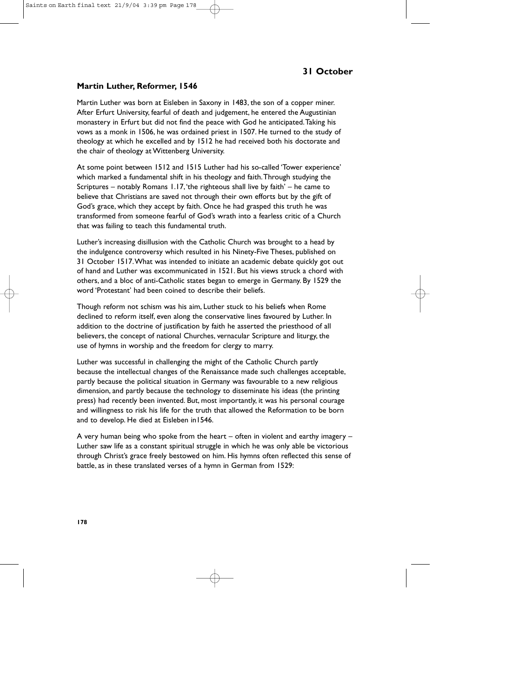# **31 October**

#### **Martin Luther, Reformer, 1546**

Martin Luther was born at Eisleben in Saxony in 1483, the son of a copper miner. After Erfurt University, fearful of death and judgement, he entered the Augustinian monastery in Erfurt but did not find the peace with God he anticipated.Taking his vows as a monk in 1506, he was ordained priest in 1507. He turned to the study of theology at which he excelled and by 1512 he had received both his doctorate and the chair of theology at Wittenberg University.

At some point between 1512 and 1515 Luther had his so-called 'Tower experience' which marked a fundamental shift in his theology and faith.Through studying the Scriptures – notably Romans 1.17,'the righteous shall live by faith' – he came to believe that Christians are saved not through their own efforts but by the gift of God's grace, which they accept by faith. Once he had grasped this truth he was transformed from someone fearful of God's wrath into a fearless critic of a Church that was failing to teach this fundamental truth.

Luther's increasing disillusion with the Catholic Church was brought to a head by the indulgence controversy which resulted in his Ninety-Five Theses, published on 31 October 1517.What was intended to initiate an academic debate quickly got out of hand and Luther was excommunicated in 1521. But his views struck a chord with others, and a bloc of anti-Catholic states began to emerge in Germany. By 1529 the word 'Protestant' had been coined to describe their beliefs.

Though reform not schism was his aim, Luther stuck to his beliefs when Rome declined to reform itself, even along the conservative lines favoured by Luther. In addition to the doctrine of justification by faith he asserted the priesthood of all believers, the concept of national Churches, vernacular Scripture and liturgy, the use of hymns in worship and the freedom for clergy to marry.

Luther was successful in challenging the might of the Catholic Church partly because the intellectual changes of the Renaissance made such challenges acceptable, partly because the political situation in Germany was favourable to a new religious dimension, and partly because the technology to disseminate his ideas (the printing press) had recently been invented. But, most importantly, it was his personal courage and willingness to risk his life for the truth that allowed the Reformation to be born and to develop. He died at Eisleben in1546.

A very human being who spoke from the heart – often in violent and earthy imagery – Luther saw life as a constant spiritual struggle in which he was only able be victorious through Christ's grace freely bestowed on him. His hymns often reflected this sense of battle, as in these translated verses of a hymn in German from 1529: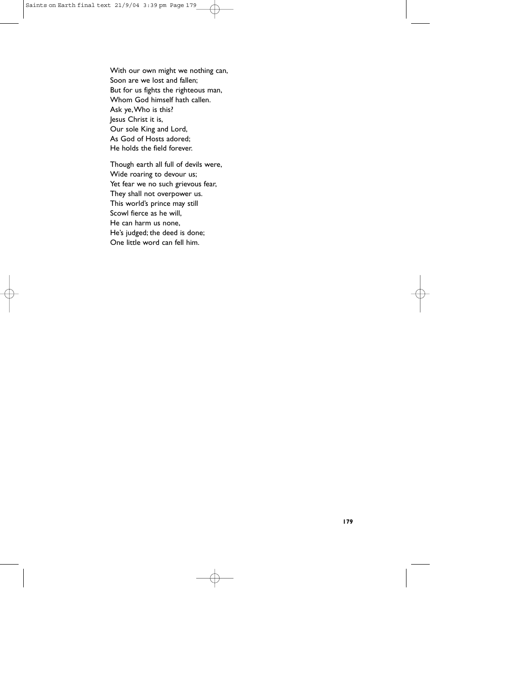With our own might we nothing can, Soon are we lost and fallen; But for us fights the righteous man, Whom God himself hath callen. Ask ye,Who is this? Jesus Christ it is, Our sole King and Lord, As God of Hosts adored; He holds the field forever.

Though earth all full of devils were, Wide roaring to devour us; Yet fear we no such grievous fear, They shall not overpower us. This world's prince may still Scowl fierce as he will, He can harm us none, He's judged; the deed is done; One little word can fell him.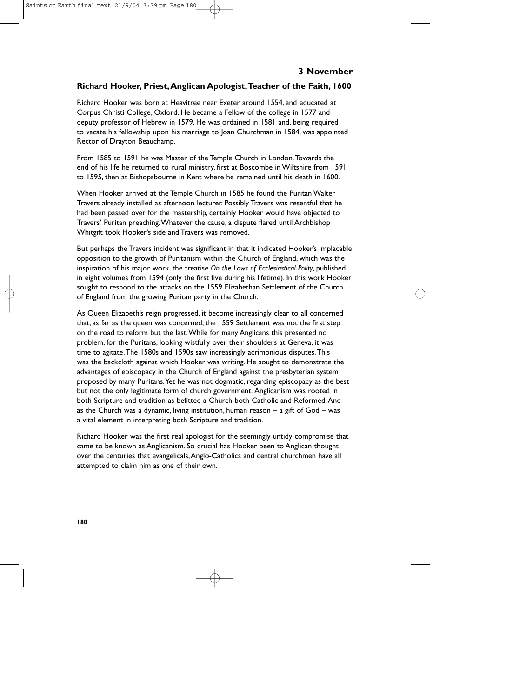## **Richard Hooker, Priest,Anglican Apologist,Teacher of the Faith, 1600**

Richard Hooker was born at Heavitree near Exeter around 1554, and educated at Corpus Christi College, Oxford. He became a Fellow of the college in 1577 and deputy professor of Hebrew in 1579. He was ordained in 1581 and, being required to vacate his fellowship upon his marriage to Joan Churchman in 1584, was appointed Rector of Drayton Beauchamp.

From 1585 to 1591 he was Master of the Temple Church in London.Towards the end of his life he returned to rural ministry, first at Boscombe in Wiltshire from 1591 to 1595, then at Bishopsbourne in Kent where he remained until his death in 1600.

When Hooker arrived at the Temple Church in 1585 he found the Puritan Walter Travers already installed as afternoon lecturer. Possibly Travers was resentful that he had been passed over for the mastership, certainly Hooker would have objected to Travers' Puritan preaching.Whatever the cause, a dispute flared until Archbishop Whitgift took Hooker's side and Travers was removed.

But perhaps the Travers incident was significant in that it indicated Hooker's implacable opposition to the growth of Puritanism within the Church of England, which was the inspiration of his major work, the treatise *On the Laws of Ecclesiastical Polity*, published in eight volumes from 1594 (only the first five during his lifetime). In this work Hooker sought to respond to the attacks on the 1559 Elizabethan Settlement of the Church of England from the growing Puritan party in the Church.

As Queen Elizabeth's reign progressed, it become increasingly clear to all concerned that, as far as the queen was concerned, the 1559 Settlement was not the first step on the road to reform but the last.While for many Anglicans this presented no problem, for the Puritans, looking wistfully over their shoulders at Geneva, it was time to agitate.The 1580s and 1590s saw increasingly acrimonious disputes.This was the backcloth against which Hooker was writing. He sought to demonstrate the advantages of episcopacy in the Church of England against the presbyterian system proposed by many Puritans.Yet he was not dogmatic, regarding episcopacy as the best but not the only legitimate form of church government. Anglicanism was rooted in both Scripture and tradition as befitted a Church both Catholic and Reformed.And as the Church was a dynamic, living institution, human reason  $-$  a gift of God  $-$  was a vital element in interpreting both Scripture and tradition.

Richard Hooker was the first real apologist for the seemingly untidy compromise that came to be known as Anglicanism. So crucial has Hooker been to Anglican thought over the centuries that evangelicals,Anglo-Catholics and central churchmen have all attempted to claim him as one of their own.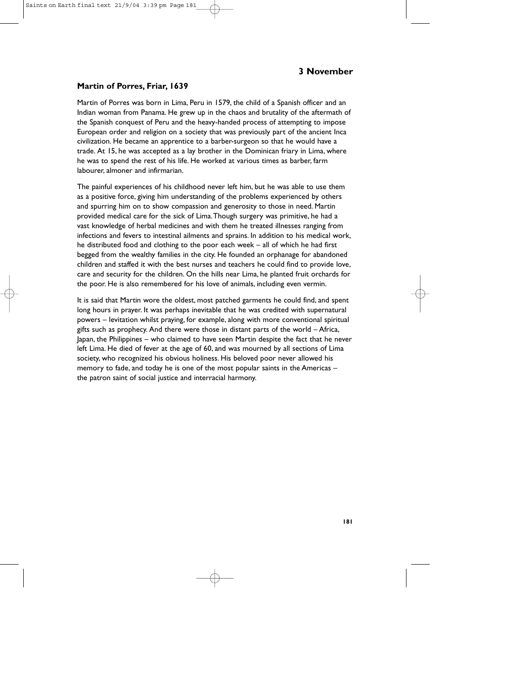### **Martin of Porres, Friar, 1639**

Martin of Porres was born in Lima, Peru in 1579, the child of a Spanish officer and an Indian woman from Panama. He grew up in the chaos and brutality of the aftermath of the Spanish conquest of Peru and the heavy-handed process of attempting to impose European order and religion on a society that was previously part of the ancient Inca civilization. He became an apprentice to a barber-surgeon so that he would have a trade. At 15, he was accepted as a lay brother in the Dominican friary in Lima, where he was to spend the rest of his life. He worked at various times as barber, farm labourer, almoner and infirmarian.

The painful experiences of his childhood never left him, but he was able to use them as a positive force, giving him understanding of the problems experienced by others and spurring him on to show compassion and generosity to those in need. Martin provided medical care for the sick of Lima.Though surgery was primitive, he had a vast knowledge of herbal medicines and with them he treated illnesses ranging from infections and fevers to intestinal ailments and sprains. In addition to his medical work, he distributed food and clothing to the poor each week – all of which he had first begged from the wealthy families in the city. He founded an orphanage for abandoned children and staffed it with the best nurses and teachers he could find to provide love, care and security for the children. On the hills near Lima, he planted fruit orchards for the poor. He is also remembered for his love of animals, including even vermin.

It is said that Martin wore the oldest, most patched garments he could find, and spent long hours in prayer. It was perhaps inevitable that he was credited with supernatural powers – levitation whilst praying, for example, along with more conventional spiritual gifts such as prophecy. And there were those in distant parts of the world – Africa, Japan, the Philippines – who claimed to have seen Martin despite the fact that he never left Lima. He died of fever at the age of 60, and was mourned by all sections of Lima society, who recognized his obvious holiness. His beloved poor never allowed his memory to fade, and today he is one of the most popular saints in the Americas – the patron saint of social justice and interracial harmony.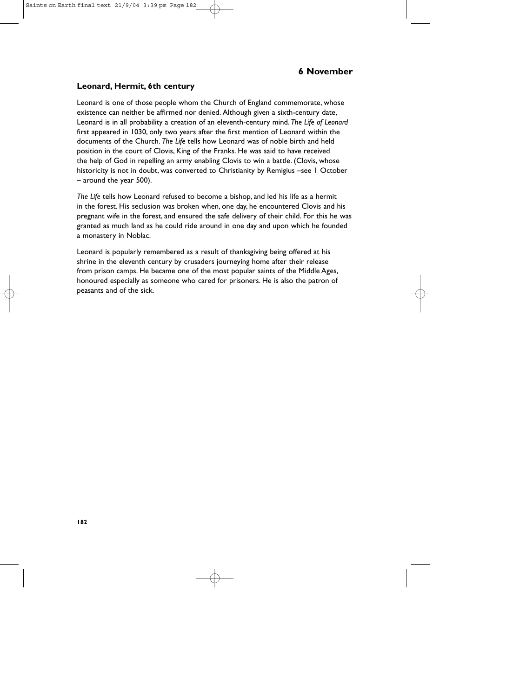#### **Leonard, Hermit, 6th century**

Leonard is one of those people whom the Church of England commemorate, whose existence can neither be affirmed nor denied. Although given a sixth-century date, Leonard is in all probability a creation of an eleventh-century mind. *The Life of Leonard* first appeared in 1030, only two years after the first mention of Leonard within the documents of the Church. *The Life* tells how Leonard was of noble birth and held position in the court of Clovis, King of the Franks. He was said to have received the help of God in repelling an army enabling Clovis to win a battle. (Clovis, whose historicity is not in doubt, was converted to Christianity by Remigius –see 1 October – around the year 500).

*The Life* tells how Leonard refused to become a bishop, and led his life as a hermit in the forest. His seclusion was broken when, one day, he encountered Clovis and his pregnant wife in the forest, and ensured the safe delivery of their child. For this he was granted as much land as he could ride around in one day and upon which he founded a monastery in Noblac.

Leonard is popularly remembered as a result of thanksgiving being offered at his shrine in the eleventh century by crusaders journeying home after their release from prison camps. He became one of the most popular saints of the Middle Ages, honoured especially as someone who cared for prisoners. He is also the patron of peasants and of the sick.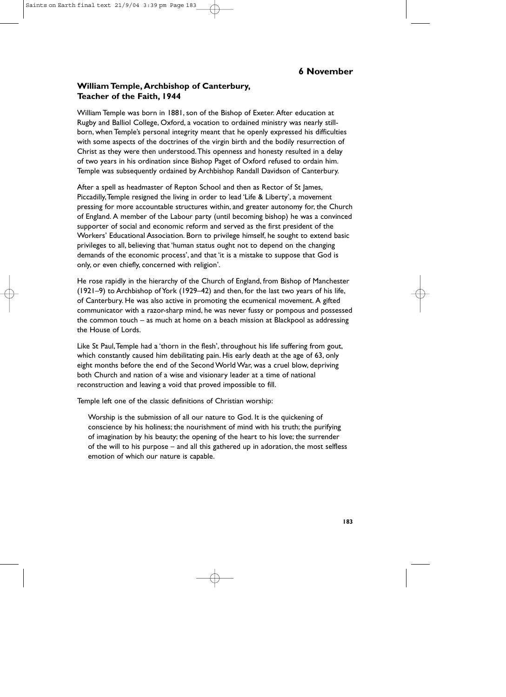## **William Temple, Archbishop of Canterbury, Teacher of the Faith, 1944**

William Temple was born in 1881, son of the Bishop of Exeter. After education at Rugby and Balliol College, Oxford, a vocation to ordained ministry was nearly stillborn, when Temple's personal integrity meant that he openly expressed his difficulties with some aspects of the doctrines of the virgin birth and the bodily resurrection of Christ as they were then understood.This openness and honesty resulted in a delay of two years in his ordination since Bishop Paget of Oxford refused to ordain him. Temple was subsequently ordained by Archbishop Randall Davidson of Canterbury.

After a spell as headmaster of Repton School and then as Rector of St James, Piccadilly,Temple resigned the living in order to lead 'Life & Liberty', a movement pressing for more accountable structures within, and greater autonomy for, the Church of England. A member of the Labour party (until becoming bishop) he was a convinced supporter of social and economic reform and served as the first president of the Workers' Educational Association. Born to privilege himself, he sought to extend basic privileges to all, believing that 'human status ought not to depend on the changing demands of the economic process', and that 'it is a mistake to suppose that God is only, or even chiefly, concerned with religion'.

He rose rapidly in the hierarchy of the Church of England, from Bishop of Manchester (1921–9) to Archbishop of York (1929–42) and then, for the last two years of his life, of Canterbury. He was also active in promoting the ecumenical movement. A gifted communicator with a razor-sharp mind, he was never fussy or pompous and possessed the common touch – as much at home on a beach mission at Blackpool as addressing the House of Lords.

Like St Paul,Temple had a 'thorn in the flesh', throughout his life suffering from gout, which constantly caused him debilitating pain. His early death at the age of 63, only eight months before the end of the Second World War, was a cruel blow, depriving both Church and nation of a wise and visionary leader at a time of national reconstruction and leaving a void that proved impossible to fill.

Temple left one of the classic definitions of Christian worship:

Worship is the submission of all our nature to God. It is the quickening of conscience by his holiness; the nourishment of mind with his truth; the purifying of imagination by his beauty; the opening of the heart to his love; the surrender of the will to his purpose – and all this gathered up in adoration, the most selfless emotion of which our nature is capable.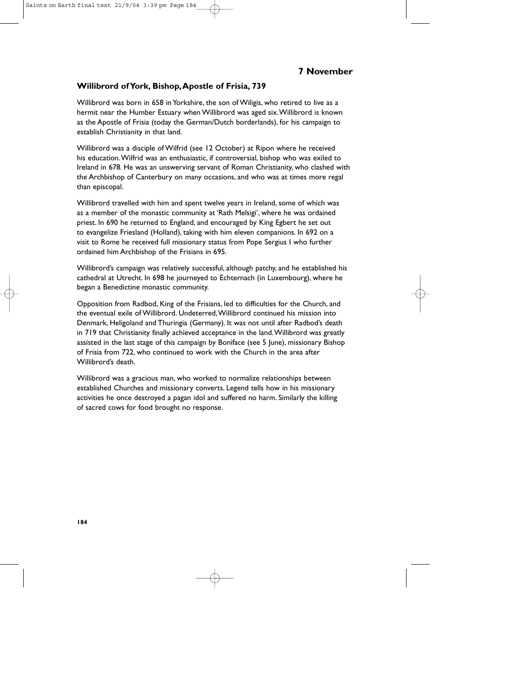### **Willibrord of York, Bishop,Apostle of Frisia, 739**

Willibrord was born in 658 in Yorkshire, the son of Wiligis, who retired to live as a hermit near the Humber Estuary when Willibrord was aged six.Willibrord is known as the Apostle of Frisia (today the German/Dutch borderlands), for his campaign to establish Christianity in that land.

Willibrord was a disciple of Wilfrid (see 12 October) at Ripon where he received his education.Wilfrid was an enthusiastic, if controversial, bishop who was exiled to Ireland in 678. He was an unswerving servant of Roman Christianity, who clashed with the Archbishop of Canterbury on many occasions, and who was at times more regal than episcopal.

Willibrord travelled with him and spent twelve years in Ireland, some of which was as a member of the monastic community at 'Rath Melsigi', where he was ordained priest. In 690 he returned to England, and encouraged by King Egbert he set out to evangelize Friesland (Holland), taking with him eleven companions. In 692 on a visit to Rome he received full missionary status from Pope Sergius I who further ordained him Archbishop of the Frisians in 695.

Willibrord's campaign was relatively successful, although patchy, and he established his cathedral at Utrecht. In 698 he journeyed to Echternach (in Luxembourg), where he began a Benedictine monastic community.

Opposition from Radbod, King of the Frisians, led to difficulties for the Church, and the eventual exile of Willibrord. Undeterred,Willibrord continued his mission into Denmark, Heligoland and Thuringia (Germany). It was not until after Radbod's death in 719 that Christianity finally achieved acceptance in the land.Willibrord was greatly assisted in the last stage of this campaign by Boniface (see 5 June), missionary Bishop of Frisia from 722, who continued to work with the Church in the area after Willibrord's death.

Willibrord was a gracious man, who worked to normalize relationships between established Churches and missionary converts. Legend tells how in his missionary activities he once destroyed a pagan idol and suffered no harm. Similarly the killing of sacred cows for food brought no response.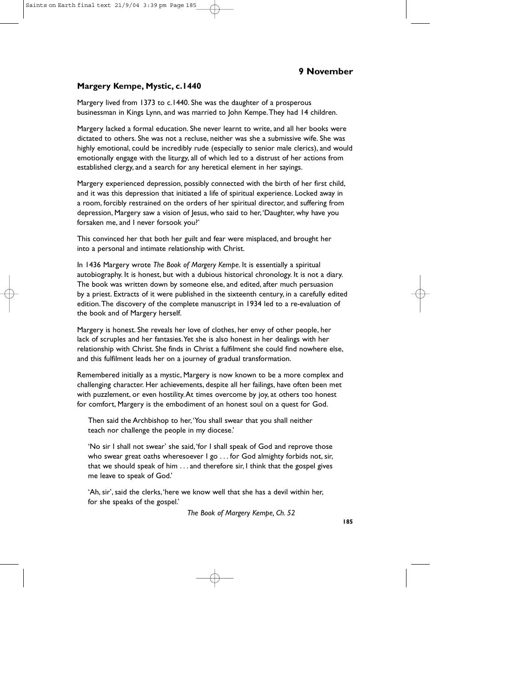### **Margery Kempe, Mystic, c.1440**

Margery lived from 1373 to c.1440. She was the daughter of a prosperous businessman in Kings Lynn, and was married to John Kempe.They had 14 children.

Margery lacked a formal education. She never learnt to write, and all her books were dictated to others. She was not a recluse, neither was she a submissive wife. She was highly emotional, could be incredibly rude (especially to senior male clerics), and would emotionally engage with the liturgy, all of which led to a distrust of her actions from established clergy, and a search for any heretical element in her sayings.

Margery experienced depression, possibly connected with the birth of her first child, and it was this depression that initiated a life of spiritual experience. Locked away in a room, forcibly restrained on the orders of her spiritual director, and suffering from depression, Margery saw a vision of Jesus, who said to her,'Daughter, why have you forsaken me, and I never forsook you?'

This convinced her that both her guilt and fear were misplaced, and brought her into a personal and intimate relationship with Christ.

In 1436 Margery wrote *The Book of Margery Kempe*. It is essentially a spiritual autobiography. It is honest, but with a dubious historical chronology. It is not a diary. The book was written down by someone else, and edited, after much persuasion by a priest. Extracts of it were published in the sixteenth century, in a carefully edited edition.The discovery of the complete manuscript in 1934 led to a re-evaluation of the book and of Margery herself.

Margery is honest. She reveals her love of clothes, her envy of other people, her lack of scruples and her fantasies.Yet she is also honest in her dealings with her relationship with Christ. She finds in Christ a fulfilment she could find nowhere else, and this fulfilment leads her on a journey of gradual transformation.

Remembered initially as a mystic, Margery is now known to be a more complex and challenging character. Her achievements, despite all her failings, have often been met with puzzlement, or even hostility.At times overcome by joy, at others too honest for comfort, Margery is the embodiment of an honest soul on a quest for God.

Then said the Archbishop to her,'You shall swear that you shall neither teach nor challenge the people in my diocese.'

'No sir I shall not swear' she said,'for I shall speak of God and reprove those who swear great oaths wheresoever I go . . . for God almighty forbids not, sir, that we should speak of him . . . and therefore sir, I think that the gospel gives me leave to speak of God.'

'Ah, sir', said the clerks,'here we know well that she has a devil within her, for she speaks of the gospel.'

*The Book of Margery Kempe, Ch. 52*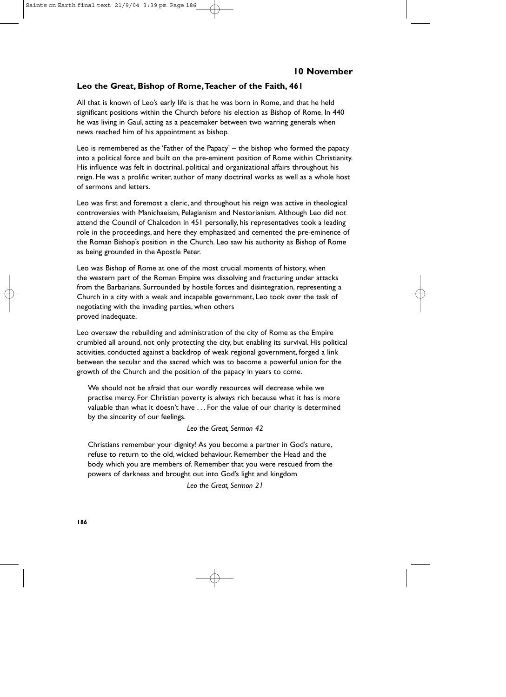### **Leo the Great, Bishop of Rome,Teacher of the Faith, 461**

All that is known of Leo's early life is that he was born in Rome, and that he held significant positions within the Church before his election as Bishop of Rome. In 440 he was living in Gaul, acting as a peacemaker between two warring generals when news reached him of his appointment as bishop.

Leo is remembered as the 'Father of the Papacy' – the bishop who formed the papacy into a political force and built on the pre-eminent position of Rome within Christianity. His influence was felt in doctrinal, political and organizational affairs throughout his reign. He was a prolific writer, author of many doctrinal works as well as a whole host of sermons and letters.

Leo was first and foremost a cleric, and throughout his reign was active in theological controversies with Manichaeism, Pelagianism and Nestorianism. Although Leo did not attend the Council of Chalcedon in 451 personally, his representatives took a leading role in the proceedings, and here they emphasized and cemented the pre-eminence of the Roman Bishop's position in the Church. Leo saw his authority as Bishop of Rome as being grounded in the Apostle Peter.

Leo was Bishop of Rome at one of the most crucial moments of history, when the western part of the Roman Empire was dissolving and fracturing under attacks from the Barbarians. Surrounded by hostile forces and disintegration, representing a Church in a city with a weak and incapable government, Leo took over the task of negotiating with the invading parties, when others proved inadequate.

Leo oversaw the rebuilding and administration of the city of Rome as the Empire crumbled all around, not only protecting the city, but enabling its survival. His political activities, conducted against a backdrop of weak regional government, forged a link between the secular and the sacred which was to become a powerful union for the growth of the Church and the position of the papacy in years to come.

We should not be afraid that our wordly resources will decrease while we practise mercy. For Christian poverty is always rich because what it has is more valuable than what it doesn't have . . . For the value of our charity is determined by the sincerity of our feelings.

*Leo the Great, Sermon 42*

Christians remember your dignity! As you become a partner in God's nature, refuse to return to the old, wicked behaviour. Remember the Head and the body which you are members of. Remember that you were rescued from the powers of darkness and brought out into God's light and kingdom

*Leo the Great, Sermon 21*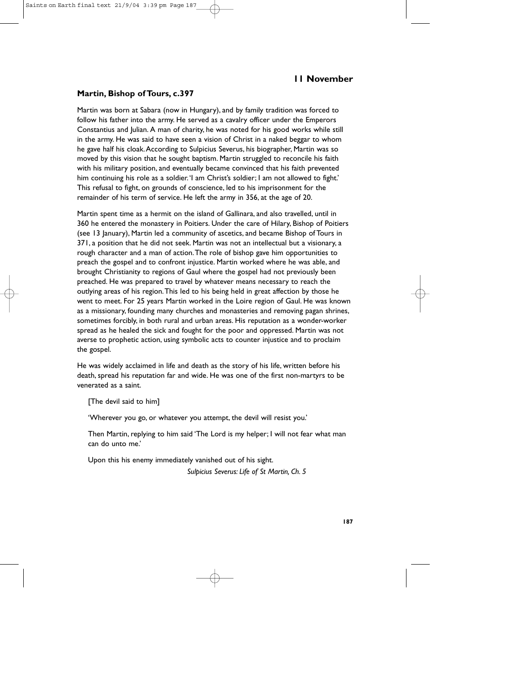#### **Martin, Bishop of Tours, c.397**

Martin was born at Sabara (now in Hungary), and by family tradition was forced to follow his father into the army. He served as a cavalry officer under the Emperors Constantius and Julian. A man of charity, he was noted for his good works while still in the army. He was said to have seen a vision of Christ in a naked beggar to whom he gave half his cloak.According to Sulpicius Severus, his biographer, Martin was so moved by this vision that he sought baptism. Martin struggled to reconcile his faith with his military position, and eventually became convinced that his faith prevented him continuing his role as a soldier.'I am Christ's soldier; I am not allowed to fight.' This refusal to fight, on grounds of conscience, led to his imprisonment for the remainder of his term of service. He left the army in 356, at the age of 20.

Martin spent time as a hermit on the island of Gallinara, and also travelled, until in 360 he entered the monastery in Poitiers. Under the care of Hilary, Bishop of Poitiers (see 13 January), Martin led a community of ascetics, and became Bishop of Tours in 371, a position that he did not seek. Martin was not an intellectual but a visionary, a rough character and a man of action.The role of bishop gave him opportunities to preach the gospel and to confront injustice. Martin worked where he was able, and brought Christianity to regions of Gaul where the gospel had not previously been preached. He was prepared to travel by whatever means necessary to reach the outlying areas of his region.This led to his being held in great affection by those he went to meet. For 25 years Martin worked in the Loire region of Gaul. He was known as a missionary, founding many churches and monasteries and removing pagan shrines, sometimes forcibly, in both rural and urban areas. His reputation as a wonder-worker spread as he healed the sick and fought for the poor and oppressed. Martin was not averse to prophetic action, using symbolic acts to counter injustice and to proclaim the gospel.

He was widely acclaimed in life and death as the story of his life, written before his death, spread his reputation far and wide. He was one of the first non-martyrs to be venerated as a saint.

[The devil said to him]

'Wherever you go, or whatever you attempt, the devil will resist you.'

Then Martin, replying to him said 'The Lord is my helper; I will not fear what man can do unto me.'

Upon this his enemy immediately vanished out of his sight.

*Sulpicius Severus: Life of St Martin, Ch. 5*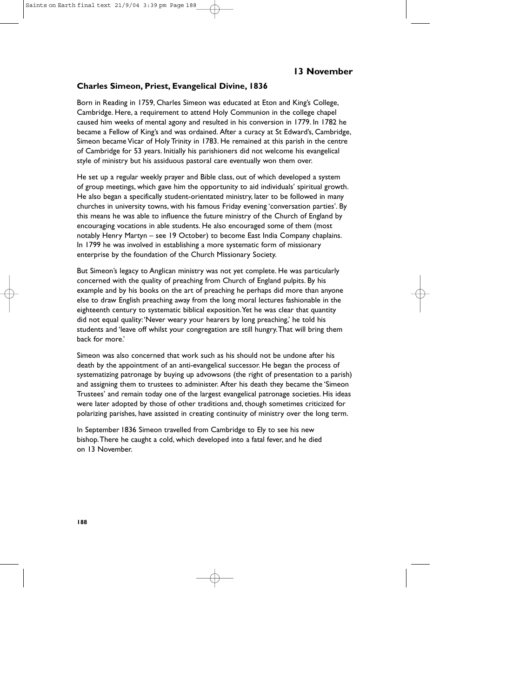### **Charles Simeon, Priest, Evangelical Divine, 1836**

Born in Reading in 1759, Charles Simeon was educated at Eton and King's College, Cambridge. Here, a requirement to attend Holy Communion in the college chapel caused him weeks of mental agony and resulted in his conversion in 1779. In 1782 he became a Fellow of King's and was ordained. After a curacy at St Edward's, Cambridge, Simeon became Vicar of Holy Trinity in 1783. He remained at this parish in the centre of Cambridge for 53 years. Initially his parishioners did not welcome his evangelical style of ministry but his assiduous pastoral care eventually won them over.

He set up a regular weekly prayer and Bible class, out of which developed a system of group meetings, which gave him the opportunity to aid individuals' spiritual growth. He also began a specifically student-orientated ministry, later to be followed in many churches in university towns, with his famous Friday evening 'conversation parties'. By this means he was able to influence the future ministry of the Church of England by encouraging vocations in able students. He also encouraged some of them (most notably Henry Martyn – see 19 October) to become East India Company chaplains. In 1799 he was involved in establishing a more systematic form of missionary enterprise by the foundation of the Church Missionary Society.

But Simeon's legacy to Anglican ministry was not yet complete. He was particularly concerned with the quality of preaching from Church of England pulpits. By his example and by his books on the art of preaching he perhaps did more than anyone else to draw English preaching away from the long moral lectures fashionable in the eighteenth century to systematic biblical exposition. Yet he was clear that quantity did not equal quality:'Never weary your hearers by long preaching,' he told his students and 'leave off whilst your congregation are still hungry.That will bring them back for more.'

Simeon was also concerned that work such as his should not be undone after his death by the appointment of an anti-evangelical successor. He began the process of systematizing patronage by buying up advowsons (the right of presentation to a parish) and assigning them to trustees to administer. After his death they became the 'Simeon Trustees' and remain today one of the largest evangelical patronage societies. His ideas were later adopted by those of other traditions and, though sometimes criticized for polarizing parishes, have assisted in creating continuity of ministry over the long term.

In September 1836 Simeon travelled from Cambridge to Ely to see his new bishop.There he caught a cold, which developed into a fatal fever, and he died on 13 November.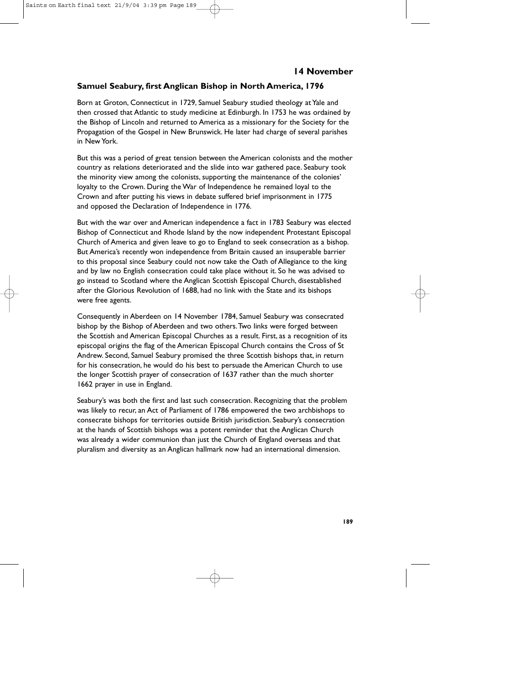### **Samuel Seabury, first Anglican Bishop in North America, 1796**

Born at Groton, Connecticut in 1729, Samuel Seabury studied theology at Yale and then crossed that Atlantic to study medicine at Edinburgh. In 1753 he was ordained by the Bishop of Lincoln and returned to America as a missionary for the Society for the Propagation of the Gospel in New Brunswick. He later had charge of several parishes in New York.

But this was a period of great tension between the American colonists and the mother country as relations deteriorated and the slide into war gathered pace. Seabury took the minority view among the colonists, supporting the maintenance of the colonies' loyalty to the Crown. During the War of Independence he remained loyal to the Crown and after putting his views in debate suffered brief imprisonment in 1775 and opposed the Declaration of Independence in 1776.

But with the war over and American independence a fact in 1783 Seabury was elected Bishop of Connecticut and Rhode Island by the now independent Protestant Episcopal Church of America and given leave to go to England to seek consecration as a bishop. But America's recently won independence from Britain caused an insuperable barrier to this proposal since Seabury could not now take the Oath of Allegiance to the king and by law no English consecration could take place without it. So he was advised to go instead to Scotland where the Anglican Scottish Episcopal Church, disestablished after the Glorious Revolution of 1688, had no link with the State and its bishops were free agents.

Consequently in Aberdeen on 14 November 1784, Samuel Seabury was consecrated bishop by the Bishop of Aberdeen and two others.Two links were forged between the Scottish and American Episcopal Churches as a result. First, as a recognition of its episcopal origins the flag of the American Episcopal Church contains the Cross of St Andrew. Second, Samuel Seabury promised the three Scottish bishops that, in return for his consecration, he would do his best to persuade the American Church to use the longer Scottish prayer of consecration of 1637 rather than the much shorter 1662 prayer in use in England.

Seabury's was both the first and last such consecration. Recognizing that the problem was likely to recur, an Act of Parliament of 1786 empowered the two archbishops to consecrate bishops for territories outside British jurisdiction. Seabury's consecration at the hands of Scottish bishops was a potent reminder that the Anglican Church was already a wider communion than just the Church of England overseas and that pluralism and diversity as an Anglican hallmark now had an international dimension.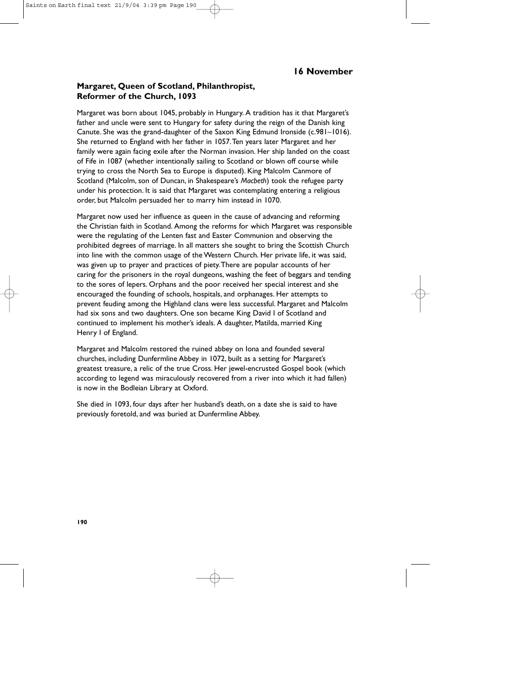## **Margaret, Queen of Scotland, Philanthropist, Reformer of the Church, 1093**

Margaret was born about 1045, probably in Hungary. A tradition has it that Margaret's father and uncle were sent to Hungary for safety during the reign of the Danish king Canute. She was the grand-daughter of the Saxon King Edmund Ironside (c.981–1016). She returned to England with her father in 1057.Ten years later Margaret and her family were again facing exile after the Norman invasion. Her ship landed on the coast of Fife in 1087 (whether intentionally sailing to Scotland or blown off course while trying to cross the North Sea to Europe is disputed). King Malcolm Canmore of Scotland (Malcolm, son of Duncan, in Shakespeare's *Macbeth*) took the refugee party under his protection. It is said that Margaret was contemplating entering a religious order, but Malcolm persuaded her to marry him instead in 1070.

Margaret now used her influence as queen in the cause of advancing and reforming the Christian faith in Scotland. Among the reforms for which Margaret was responsible were the regulating of the Lenten fast and Easter Communion and observing the prohibited degrees of marriage. In all matters she sought to bring the Scottish Church into line with the common usage of the Western Church. Her private life, it was said, was given up to prayer and practices of piety.There are popular accounts of her caring for the prisoners in the royal dungeons, washing the feet of beggars and tending to the sores of lepers. Orphans and the poor received her special interest and she encouraged the founding of schools, hospitals, and orphanages. Her attempts to prevent feuding among the Highland clans were less successful. Margaret and Malcolm had six sons and two daughters. One son became King David I of Scotland and continued to implement his mother's ideals. A daughter, Matilda, married King Henry I of England.

Margaret and Malcolm restored the ruined abbey on Iona and founded several churches, including Dunfermline Abbey in 1072, built as a setting for Margaret's greatest treasure, a relic of the true Cross. Her jewel-encrusted Gospel book (which according to legend was miraculously recovered from a river into which it had fallen) is now in the Bodleian Library at Oxford.

She died in 1093, four days after her husband's death, on a date she is said to have previously foretold, and was buried at Dunfermline Abbey.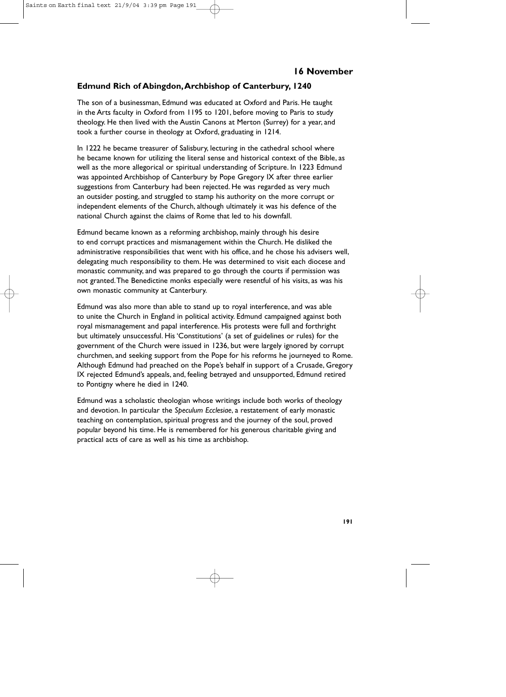### **Edmund Rich of Abingdon,Archbishop of Canterbury, 1240**

The son of a businessman, Edmund was educated at Oxford and Paris. He taught in the Arts faculty in Oxford from 1195 to 1201, before moving to Paris to study theology. He then lived with the Austin Canons at Merton (Surrey) for a year, and took a further course in theology at Oxford, graduating in 1214.

In 1222 he became treasurer of Salisbury, lecturing in the cathedral school where he became known for utilizing the literal sense and historical context of the Bible, as well as the more allegorical or spiritual understanding of Scripture. In 1223 Edmund was appointed Archbishop of Canterbury by Pope Gregory IX after three earlier suggestions from Canterbury had been rejected. He was regarded as very much an outsider posting, and struggled to stamp his authority on the more corrupt or independent elements of the Church, although ultimately it was his defence of the national Church against the claims of Rome that led to his downfall.

Edmund became known as a reforming archbishop, mainly through his desire to end corrupt practices and mismanagement within the Church. He disliked the administrative responsibilities that went with his office, and he chose his advisers well, delegating much responsibility to them. He was determined to visit each diocese and monastic community, and was prepared to go through the courts if permission was not granted.The Benedictine monks especially were resentful of his visits, as was his own monastic community at Canterbury.

Edmund was also more than able to stand up to royal interference, and was able to unite the Church in England in political activity. Edmund campaigned against both royal mismanagement and papal interference. His protests were full and forthright but ultimately unsuccessful. His 'Constitutions' (a set of guidelines or rules) for the government of the Church were issued in 1236, but were largely ignored by corrupt churchmen, and seeking support from the Pope for his reforms he journeyed to Rome. Although Edmund had preached on the Pope's behalf in support of a Crusade, Gregory IX rejected Edmund's appeals, and, feeling betrayed and unsupported, Edmund retired to Pontigny where he died in 1240.

Edmund was a scholastic theologian whose writings include both works of theology and devotion. In particular the *Speculum Ecclesiae*, a restatement of early monastic teaching on contemplation, spiritual progress and the journey of the soul, proved popular beyond his time. He is remembered for his generous charitable giving and practical acts of care as well as his time as archbishop.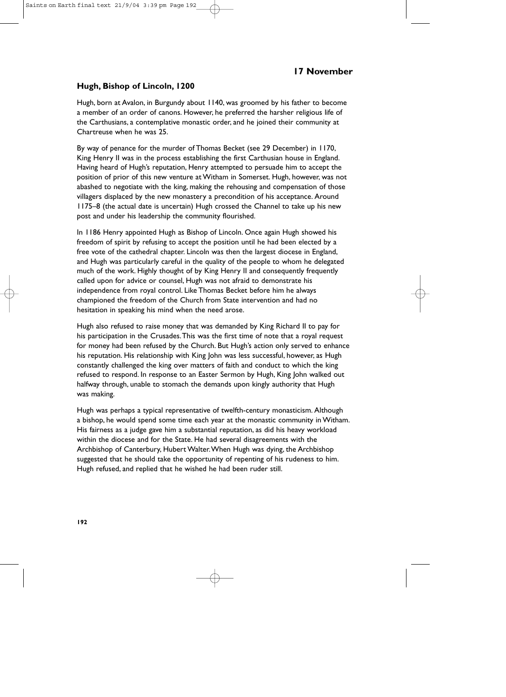### **Hugh, Bishop of Lincoln, 1200**

Hugh, born at Avalon, in Burgundy about 1140, was groomed by his father to become a member of an order of canons. However, he preferred the harsher religious life of the Carthusians, a contemplative monastic order, and he joined their community at Chartreuse when he was 25.

By way of penance for the murder of Thomas Becket (see 29 December) in 1170, King Henry II was in the process establishing the first Carthusian house in England. Having heard of Hugh's reputation, Henry attempted to persuade him to accept the position of prior of this new venture at Witham in Somerset. Hugh, however, was not abashed to negotiate with the king, making the rehousing and compensation of those villagers displaced by the new monastery a precondition of his acceptance. Around 1175–8 (the actual date is uncertain) Hugh crossed the Channel to take up his new post and under his leadership the community flourished.

In 1186 Henry appointed Hugh as Bishop of Lincoln. Once again Hugh showed his freedom of spirit by refusing to accept the position until he had been elected by a free vote of the cathedral chapter. Lincoln was then the largest diocese in England, and Hugh was particularly careful in the quality of the people to whom he delegated much of the work. Highly thought of by King Henry II and consequently frequently called upon for advice or counsel, Hugh was not afraid to demonstrate his independence from royal control. Like Thomas Becket before him he always championed the freedom of the Church from State intervention and had no hesitation in speaking his mind when the need arose.

Hugh also refused to raise money that was demanded by King Richard II to pay for his participation in the Crusades.This was the first time of note that a royal request for money had been refused by the Church. But Hugh's action only served to enhance his reputation. His relationship with King John was less successful, however, as Hugh constantly challenged the king over matters of faith and conduct to which the king refused to respond. In response to an Easter Sermon by Hugh, King John walked out halfway through, unable to stomach the demands upon kingly authority that Hugh was making.

Hugh was perhaps a typical representative of twelfth-century monasticism. Although a bishop, he would spend some time each year at the monastic community in Witham. His fairness as a judge gave him a substantial reputation, as did his heavy workload within the diocese and for the State. He had several disagreements with the Archbishop of Canterbury, Hubert Walter.When Hugh was dying, the Archbishop suggested that he should take the opportunity of repenting of his rudeness to him. Hugh refused, and replied that he wished he had been ruder still.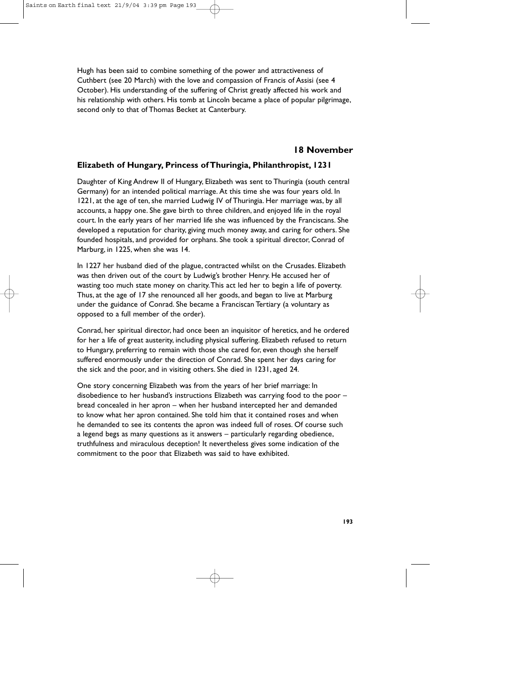Hugh has been said to combine something of the power and attractiveness of Cuthbert (see 20 March) with the love and compassion of Francis of Assisi (see 4 October). His understanding of the suffering of Christ greatly affected his work and his relationship with others. His tomb at Lincoln became a place of popular pilgrimage, second only to that of Thomas Becket at Canterbury.

### **18 November**

#### **Elizabeth of Hungary, Princess of Thuringia, Philanthropist, 1231**

Daughter of King Andrew II of Hungary, Elizabeth was sent to Thuringia (south central Germany) for an intended political marriage. At this time she was four years old. In 1221, at the age of ten, she married Ludwig IV of Thuringia. Her marriage was, by all accounts, a happy one. She gave birth to three children, and enjoyed life in the royal court. In the early years of her married life she was influenced by the Franciscans. She developed a reputation for charity, giving much money away, and caring for others. She founded hospitals, and provided for orphans. She took a spiritual director, Conrad of Marburg, in 1225, when she was 14.

In 1227 her husband died of the plague, contracted whilst on the Crusades. Elizabeth was then driven out of the court by Ludwig's brother Henry. He accused her of wasting too much state money on charity.This act led her to begin a life of poverty. Thus, at the age of 17 she renounced all her goods, and began to live at Marburg under the guidance of Conrad. She became a Franciscan Tertiary (a voluntary as opposed to a full member of the order).

Conrad, her spiritual director, had once been an inquisitor of heretics, and he ordered for her a life of great austerity, including physical suffering. Elizabeth refused to return to Hungary, preferring to remain with those she cared for, even though she herself suffered enormously under the direction of Conrad. She spent her days caring for the sick and the poor, and in visiting others. She died in 1231, aged 24.

One story concerning Elizabeth was from the years of her brief marriage: In disobedience to her husband's instructions Elizabeth was carrying food to the poor – bread concealed in her apron – when her husband intercepted her and demanded to know what her apron contained. She told him that it contained roses and when he demanded to see its contents the apron was indeed full of roses. Of course such a legend begs as many questions as it answers – particularly regarding obedience, truthfulness and miraculous deception! It nevertheless gives some indication of the commitment to the poor that Elizabeth was said to have exhibited.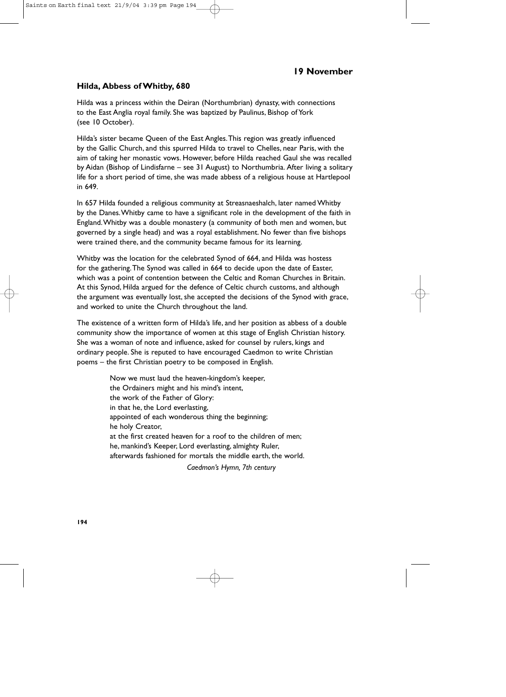#### **Hilda, Abbess of Whitby, 680**

Hilda was a princess within the Deiran (Northumbrian) dynasty, with connections to the East Anglia royal family. She was baptized by Paulinus, Bishop of York (see 10 October).

Hilda's sister became Queen of the East Angles.This region was greatly influenced by the Gallic Church, and this spurred Hilda to travel to Chelles, near Paris, with the aim of taking her monastic vows. However, before Hilda reached Gaul she was recalled by Aidan (Bishop of Lindisfarne – see 31 August) to Northumbria. After living a solitary life for a short period of time, she was made abbess of a religious house at Hartlepool in 649.

In 657 Hilda founded a religious community at Streasnaeshalch, later named Whitby by the Danes.Whitby came to have a significant role in the development of the faith in England.Whitby was a double monastery (a community of both men and women, but governed by a single head) and was a royal establishment. No fewer than five bishops were trained there, and the community became famous for its learning.

Whitby was the location for the celebrated Synod of 664, and Hilda was hostess for the gathering.The Synod was called in 664 to decide upon the date of Easter, which was a point of contention between the Celtic and Roman Churches in Britain. At this Synod, Hilda argued for the defence of Celtic church customs, and although the argument was eventually lost, she accepted the decisions of the Synod with grace, and worked to unite the Church throughout the land.

The existence of a written form of Hilda's life, and her position as abbess of a double community show the importance of women at this stage of English Christian history. She was a woman of note and influence, asked for counsel by rulers, kings and ordinary people. She is reputed to have encouraged Caedmon to write Christian poems – the first Christian poetry to be composed in English.

> Now we must laud the heaven-kingdom's keeper, the Ordainers might and his mind's intent, the work of the Father of Glory: in that he, the Lord everlasting, appointed of each wonderous thing the beginning; he holy Creator, at the first created heaven for a roof to the children of men; he, mankind's Keeper, Lord everlasting, almighty Ruler, afterwards fashioned for mortals the middle earth, the world. *Caedmon's Hymn, 7th century*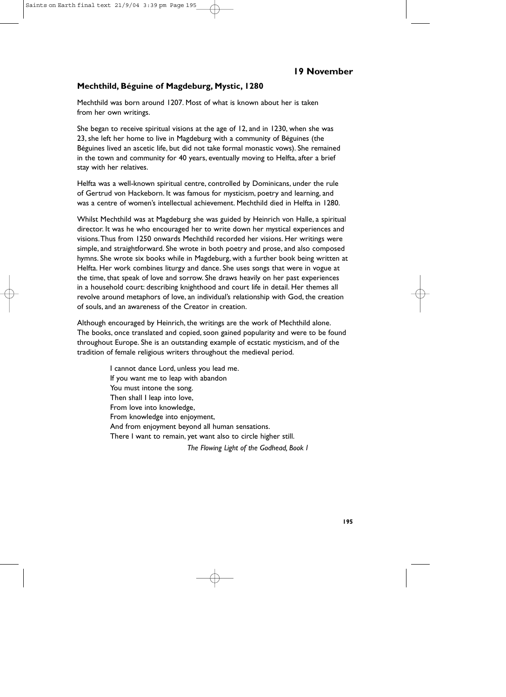### **Mechthild, Béguine of Magdeburg, Mystic, 1280**

Mechthild was born around 1207. Most of what is known about her is taken from her own writings.

She began to receive spiritual visions at the age of 12, and in 1230, when she was 23, she left her home to live in Magdeburg with a community of Béguines (the Béguines lived an ascetic life, but did not take formal monastic vows). She remained in the town and community for 40 years, eventually moving to Helfta, after a brief stay with her relatives.

Helfta was a well-known spiritual centre, controlled by Dominicans, under the rule of Gertrud von Hackeborn. It was famous for mysticism, poetry and learning, and was a centre of women's intellectual achievement. Mechthild died in Helfta in 1280.

Whilst Mechthild was at Magdeburg she was guided by Heinrich von Halle, a spiritual director. It was he who encouraged her to write down her mystical experiences and visions.Thus from 1250 onwards Mechthild recorded her visions. Her writings were simple, and straightforward. She wrote in both poetry and prose, and also composed hymns. She wrote six books while in Magdeburg, with a further book being written at Helfta. Her work combines liturgy and dance. She uses songs that were in vogue at the time, that speak of love and sorrow. She draws heavily on her past experiences in a household court: describing knighthood and court life in detail. Her themes all revolve around metaphors of love, an individual's relationship with God, the creation of souls, and an awareness of the Creator in creation.

Although encouraged by Heinrich, the writings are the work of Mechthild alone. The books, once translated and copied, soon gained popularity and were to be found throughout Europe. She is an outstanding example of ecstatic mysticism, and of the tradition of female religious writers throughout the medieval period.

> I cannot dance Lord, unless you lead me. If you want me to leap with abandon You must intone the song. Then shall I leap into love, From love into knowledge, From knowledge into enjoyment, And from enjoyment beyond all human sensations. There I want to remain, yet want also to circle higher still.

*The Flowing Light of the Godhead, Book 1*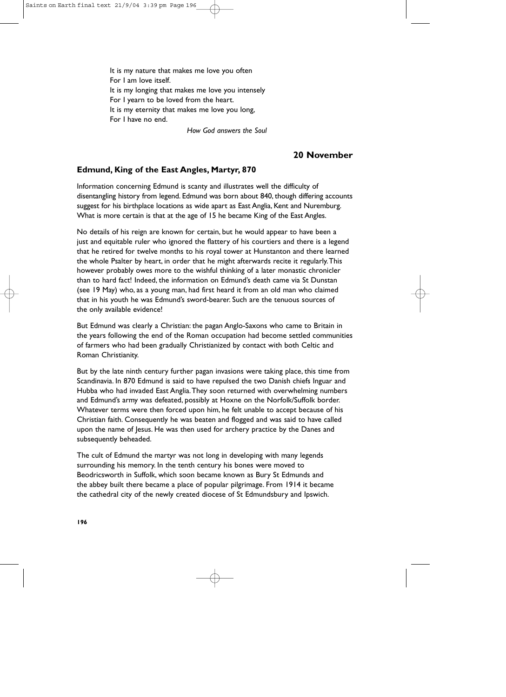It is my nature that makes me love you often For I am love itself. It is my longing that makes me love you intensely For I yearn to be loved from the heart. It is my eternity that makes me love you long, For I have no end.

*How God answers the Soul*

### **20 November**

## **Edmund, King of the East Angles, Martyr, 870**

Information concerning Edmund is scanty and illustrates well the difficulty of disentangling history from legend. Edmund was born about 840, though differing accounts suggest for his birthplace locations as wide apart as East Anglia, Kent and Nuremburg. What is more certain is that at the age of 15 he became King of the East Angles.

No details of his reign are known for certain, but he would appear to have been a just and equitable ruler who ignored the flattery of his courtiers and there is a legend that he retired for twelve months to his royal tower at Hunstanton and there learned the whole Psalter by heart, in order that he might afterwards recite it regularly.This however probably owes more to the wishful thinking of a later monastic chronicler than to hard fact! Indeed, the information on Edmund's death came via St Dunstan (see 19 May) who, as a young man, had first heard it from an old man who claimed that in his youth he was Edmund's sword-bearer. Such are the tenuous sources of the only available evidence!

But Edmund was clearly a Christian: the pagan Anglo-Saxons who came to Britain in the years following the end of the Roman occupation had become settled communities of farmers who had been gradually Christianized by contact with both Celtic and Roman Christianity.

But by the late ninth century further pagan invasions were taking place, this time from Scandinavia. In 870 Edmund is said to have repulsed the two Danish chiefs Inguar and Hubba who had invaded East Anglia.They soon returned with overwhelming numbers and Edmund's army was defeated, possibly at Hoxne on the Norfolk/Suffolk border. Whatever terms were then forced upon him, he felt unable to accept because of his Christian faith. Consequently he was beaten and flogged and was said to have called upon the name of Jesus. He was then used for archery practice by the Danes and subsequently beheaded.

The cult of Edmund the martyr was not long in developing with many legends surrounding his memory. In the tenth century his bones were moved to Beodricsworth in Suffolk, which soon became known as Bury St Edmunds and the abbey built there became a place of popular pilgrimage. From 1914 it became the cathedral city of the newly created diocese of St Edmundsbury and Ipswich.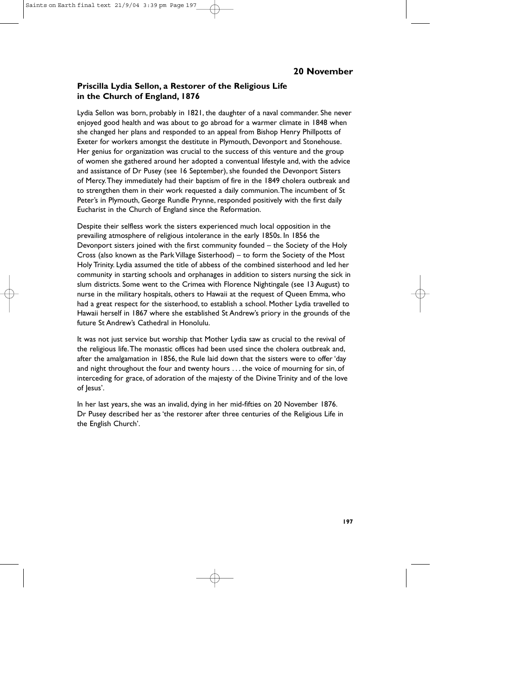## **Priscilla Lydia Sellon, a Restorer of the Religious Life in the Church of England, 1876**

Lydia Sellon was born, probably in 1821, the daughter of a naval commander. She never enjoyed good health and was about to go abroad for a warmer climate in 1848 when she changed her plans and responded to an appeal from Bishop Henry Phillpotts of Exeter for workers amongst the destitute in Plymouth, Devonport and Stonehouse. Her genius for organization was crucial to the success of this venture and the group of women she gathered around her adopted a conventual lifestyle and, with the advice and assistance of Dr Pusey (see 16 September), she founded the Devonport Sisters of Mercy.They immediately had their baptism of fire in the 1849 cholera outbreak and to strengthen them in their work requested a daily communion.The incumbent of St Peter's in Plymouth, George Rundle Prynne, responded positively with the first daily Eucharist in the Church of England since the Reformation.

Despite their selfless work the sisters experienced much local opposition in the prevailing atmosphere of religious intolerance in the early 1850s. In 1856 the Devonport sisters joined with the first community founded – the Society of the Holy Cross (also known as the Park Village Sisterhood) – to form the Society of the Most Holy Trinity. Lydia assumed the title of abbess of the combined sisterhood and led her community in starting schools and orphanages in addition to sisters nursing the sick in slum districts. Some went to the Crimea with Florence Nightingale (see 13 August) to nurse in the military hospitals, others to Hawaii at the request of Queen Emma, who had a great respect for the sisterhood, to establish a school. Mother Lydia travelled to Hawaii herself in 1867 where she established St Andrew's priory in the grounds of the future St Andrew's Cathedral in Honolulu.

It was not just service but worship that Mother Lydia saw as crucial to the revival of the religious life.The monastic offices had been used since the cholera outbreak and, after the amalgamation in 1856, the Rule laid down that the sisters were to offer 'day and night throughout the four and twenty hours . . . the voice of mourning for sin, of interceding for grace, of adoration of the majesty of the Divine Trinity and of the love of Jesus'.

In her last years, she was an invalid, dying in her mid-fifties on 20 November 1876. Dr Pusey described her as 'the restorer after three centuries of the Religious Life in the English Church'.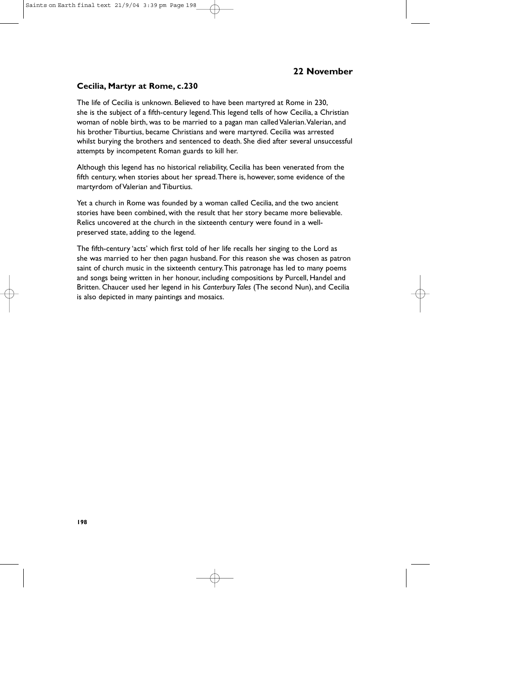#### **Cecilia, Martyr at Rome, c.230**

The life of Cecilia is unknown. Believed to have been martyred at Rome in 230, she is the subject of a fifth-century legend.This legend tells of how Cecilia, a Christian woman of noble birth, was to be married to a pagan man called Valerian. Valerian, and his brother Tiburtius, became Christians and were martyred. Cecilia was arrested whilst burying the brothers and sentenced to death. She died after several unsuccessful attempts by incompetent Roman guards to kill her.

Although this legend has no historical reliability, Cecilia has been venerated from the fifth century, when stories about her spread.There is, however, some evidence of the martyrdom of Valerian and Tiburtius.

Yet a church in Rome was founded by a woman called Cecilia, and the two ancient stories have been combined, with the result that her story became more believable. Relics uncovered at the church in the sixteenth century were found in a wellpreserved state, adding to the legend.

The fifth-century 'acts' which first told of her life recalls her singing to the Lord as she was married to her then pagan husband. For this reason she was chosen as patron saint of church music in the sixteenth century.This patronage has led to many poems and songs being written in her honour, including compositions by Purcell, Handel and Britten. Chaucer used her legend in his *Canterbury Tales* (The second Nun), and Cecilia is also depicted in many paintings and mosaics.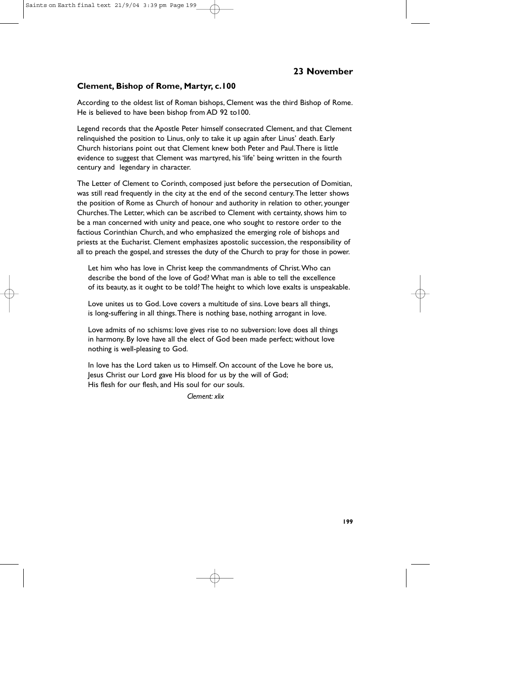### **Clement, Bishop of Rome, Martyr, c.100**

According to the oldest list of Roman bishops, Clement was the third Bishop of Rome. He is believed to have been bishop from AD 92 to100.

Legend records that the Apostle Peter himself consecrated Clement, and that Clement relinquished the position to Linus, only to take it up again after Linus' death. Early Church historians point out that Clement knew both Peter and Paul.There is little evidence to suggest that Clement was martyred, his 'life' being written in the fourth century and legendary in character.

The Letter of Clement to Corinth, composed just before the persecution of Domitian, was still read frequently in the city at the end of the second century.The letter shows the position of Rome as Church of honour and authority in relation to other, younger Churches.The Letter, which can be ascribed to Clement with certainty, shows him to be a man concerned with unity and peace, one who sought to restore order to the factious Corinthian Church, and who emphasized the emerging role of bishops and priests at the Eucharist. Clement emphasizes apostolic succession, the responsibility of all to preach the gospel, and stresses the duty of the Church to pray for those in power.

Let him who has love in Christ keep the commandments of Christ.Who can describe the bond of the love of God? What man is able to tell the excellence of its beauty, as it ought to be told? The height to which love exalts is unspeakable.

Love unites us to God. Love covers a multitude of sins. Love bears all things, is long-suffering in all things.There is nothing base, nothing arrogant in love.

Love admits of no schisms: love gives rise to no subversion: love does all things in harmony. By love have all the elect of God been made perfect; without love nothing is well-pleasing to God.

In love has the Lord taken us to Himself. On account of the Love he bore us, Jesus Christ our Lord gave His blood for us by the will of God; His flesh for our flesh, and His soul for our souls.

*Clement: xlix*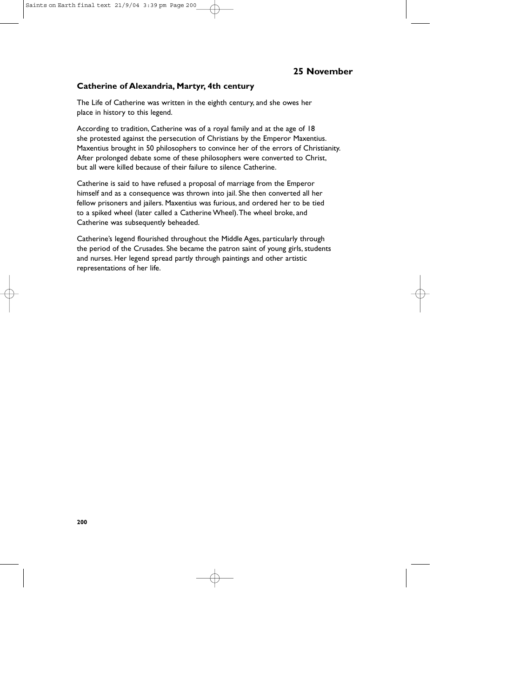#### **Catherine of Alexandria, Martyr, 4th century**

The Life of Catherine was written in the eighth century, and she owes her place in history to this legend.

According to tradition, Catherine was of a royal family and at the age of 18 she protested against the persecution of Christians by the Emperor Maxentius. Maxentius brought in 50 philosophers to convince her of the errors of Christianity. After prolonged debate some of these philosophers were converted to Christ, but all were killed because of their failure to silence Catherine.

Catherine is said to have refused a proposal of marriage from the Emperor himself and as a consequence was thrown into jail. She then converted all her fellow prisoners and jailers. Maxentius was furious, and ordered her to be tied to a spiked wheel (later called a Catherine Wheel).The wheel broke, and Catherine was subsequently beheaded.

Catherine's legend flourished throughout the Middle Ages, particularly through the period of the Crusades. She became the patron saint of young girls, students and nurses. Her legend spread partly through paintings and other artistic representations of her life.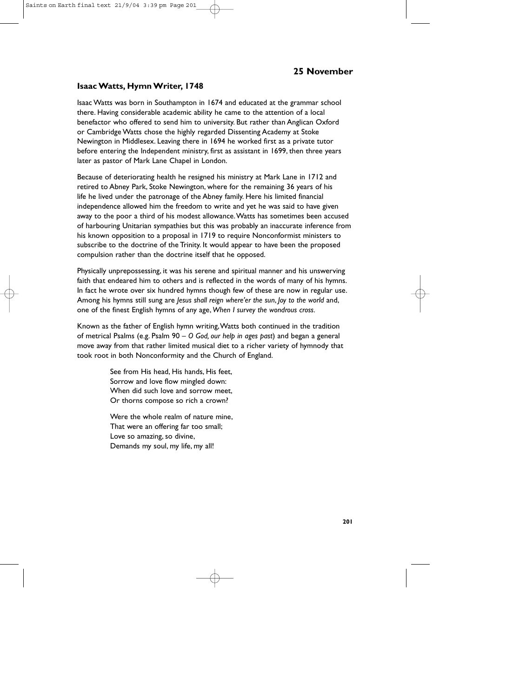#### **Isaac Watts, Hymn Writer, 1748**

Isaac Watts was born in Southampton in 1674 and educated at the grammar school there. Having considerable academic ability he came to the attention of a local benefactor who offered to send him to university. But rather than Anglican Oxford or Cambridge Watts chose the highly regarded Dissenting Academy at Stoke Newington in Middlesex. Leaving there in 1694 he worked first as a private tutor before entering the Independent ministry, first as assistant in 1699, then three years later as pastor of Mark Lane Chapel in London.

Because of deteriorating health he resigned his ministry at Mark Lane in 1712 and retired to Abney Park, Stoke Newington, where for the remaining 36 years of his life he lived under the patronage of the Abney family. Here his limited financial independence allowed him the freedom to write and yet he was said to have given away to the poor a third of his modest allowance.Watts has sometimes been accused of harbouring Unitarian sympathies but this was probably an inaccurate inference from his known opposition to a proposal in 1719 to require Nonconformist ministers to subscribe to the doctrine of the Trinity. It would appear to have been the proposed compulsion rather than the doctrine itself that he opposed.

Physically unprepossessing, it was his serene and spiritual manner and his unswerving faith that endeared him to others and is reflected in the words of many of his hymns. In fact he wrote over six hundred hymns though few of these are now in regular use. Among his hymns still sung are *Jesus shall reign where'er the sun*, *Joy to the world* and, one of the finest English hymns of any age, *When I survey the wondrous cross.*

Known as the father of English hymn writing,Watts both continued in the tradition of metrical Psalms (e.g. Psalm 90 – *O God, our help in ages past*) and began a general move away from that rather limited musical diet to a richer variety of hymnody that took root in both Nonconformity and the Church of England.

> See from His head, His hands, His feet, Sorrow and love flow mingled down: When did such love and sorrow meet, Or thorns compose so rich a crown?

> Were the whole realm of nature mine, That were an offering far too small; Love so amazing, so divine, Demands my soul, my life, my all!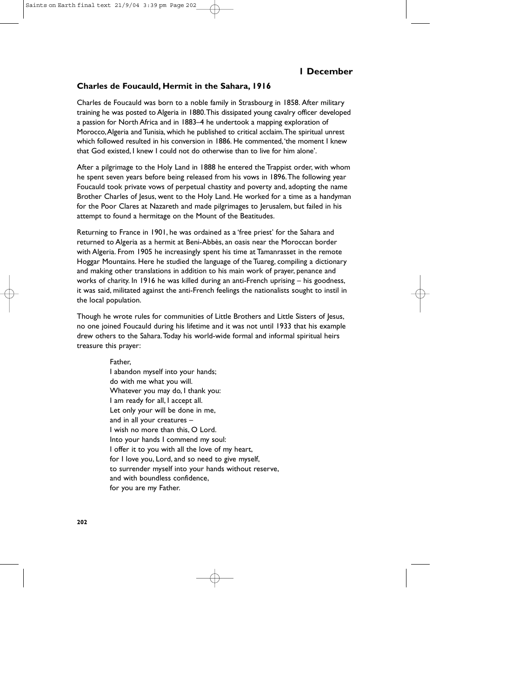#### **Charles de Foucauld, Hermit in the Sahara, 1916**

Charles de Foucauld was born to a noble family in Strasbourg in 1858. After military training he was posted to Algeria in 1880.This dissipated young cavalry officer developed a passion for North Africa and in 1883–4 he undertook a mapping exploration of Morocco,Algeria and Tunisia, which he published to critical acclaim.The spiritual unrest which followed resulted in his conversion in 1886. He commented,'the moment I knew that God existed, I knew I could not do otherwise than to live for him alone'.

After a pilgrimage to the Holy Land in 1888 he entered the Trappist order, with whom he spent seven years before being released from his vows in 1896.The following year Foucauld took private vows of perpetual chastity and poverty and, adopting the name Brother Charles of Jesus, went to the Holy Land. He worked for a time as a handyman for the Poor Clares at Nazareth and made pilgrimages to Jerusalem, but failed in his attempt to found a hermitage on the Mount of the Beatitudes.

Returning to France in 1901, he was ordained as a 'free priest' for the Sahara and returned to Algeria as a hermit at Beni-Abbès, an oasis near the Moroccan border with Algeria. From 1905 he increasingly spent his time at Tamanrasset in the remote Hoggar Mountains. Here he studied the language of the Tuareg, compiling a dictionary and making other translations in addition to his main work of prayer, penance and works of charity. In 1916 he was killed during an anti-French uprising – his goodness, it was said, militated against the anti-French feelings the nationalists sought to instil in the local population.

Though he wrote rules for communities of Little Brothers and Little Sisters of Jesus, no one joined Foucauld during his lifetime and it was not until 1933 that his example drew others to the Sahara.Today his world-wide formal and informal spiritual heirs treasure this prayer:

> Father, I abandon myself into your hands; do with me what you will. Whatever you may do, I thank you: I am ready for all, I accept all. Let only your will be done in me, and in all your creatures – I wish no more than this, O Lord. Into your hands I commend my soul: I offer it to you with all the love of my heart, for I love you, Lord, and so need to give myself, to surrender myself into your hands without reserve, and with boundless confidence, for you are my Father.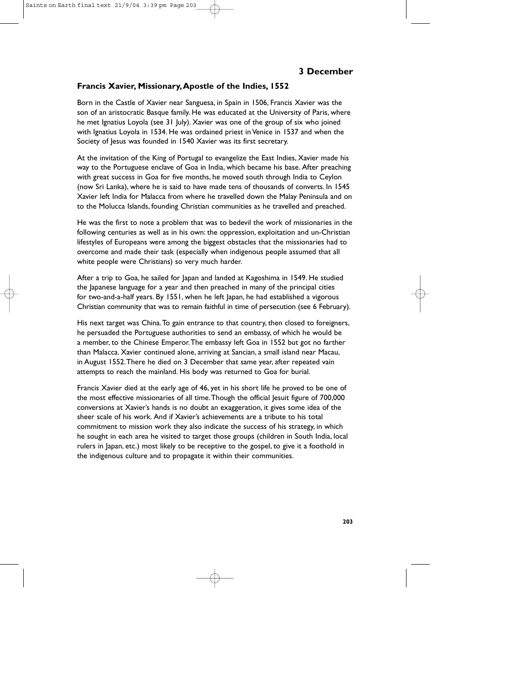#### **Francis Xavier, Missionary,Apostle of the Indies, 1552**

Born in the Castle of Xavier near Sanguesa, in Spain in 1506, Francis Xavier was the son of an aristocratic Basque family. He was educated at the University of Paris, where he met Ignatius Loyola (see 31 July). Xavier was one of the group of six who joined with Ignatius Loyola in 1534. He was ordained priest in Venice in 1537 and when the Society of Jesus was founded in 1540 Xavier was its first secretary.

At the invitation of the King of Portugal to evangelize the East Indies, Xavier made his way to the Portuguese enclave of Goa in India, which became his base. After preaching with great success in Goa for five months, he moved south through India to Ceylon (now Sri Lanka), where he is said to have made tens of thousands of converts. In 1545 Xavier left India for Malacca from where he travelled down the Malay Peninsula and on to the Molucca Islands, founding Christian communities as he travelled and preached.

He was the first to note a problem that was to bedevil the work of missionaries in the following centuries as well as in his own: the oppression, exploitation and un-Christian lifestyles of Europeans were among the biggest obstacles that the missionaries had to overcome and made their task (especially when indigenous people assumed that all white people were Christians) so very much harder.

After a trip to Goa, he sailed for Japan and landed at Kagoshima in 1549. He studied the Japanese language for a year and then preached in many of the principal cities for two-and-a-half years. By 1551, when he left Japan, he had established a vigorous Christian community that was to remain faithful in time of persecution (see 6 February).

His next target was China.To gain entrance to that country, then closed to foreigners, he persuaded the Portuguese authorities to send an embassy, of which he would be a member, to the Chinese Emperor.The embassy left Goa in 1552 but got no farther than Malacca. Xavier continued alone, arriving at Sancian, a small island near Macau, in August 1552.There he died on 3 December that same year, after repeated vain attempts to reach the mainland. His body was returned to Goa for burial.

Francis Xavier died at the early age of 46, yet in his short life he proved to be one of the most effective missionaries of all time.Though the official Jesuit figure of 700,000 conversions at Xavier's hands is no doubt an exaggeration, it gives some idea of the sheer scale of his work. And if Xavier's achievements are a tribute to his total commitment to mission work they also indicate the success of his strategy, in which he sought in each area he visited to target those groups (children in South India, local rulers in Japan, etc.) most likely to be receptive to the gospel, to give it a foothold in the indigenous culture and to propagate it within their communities.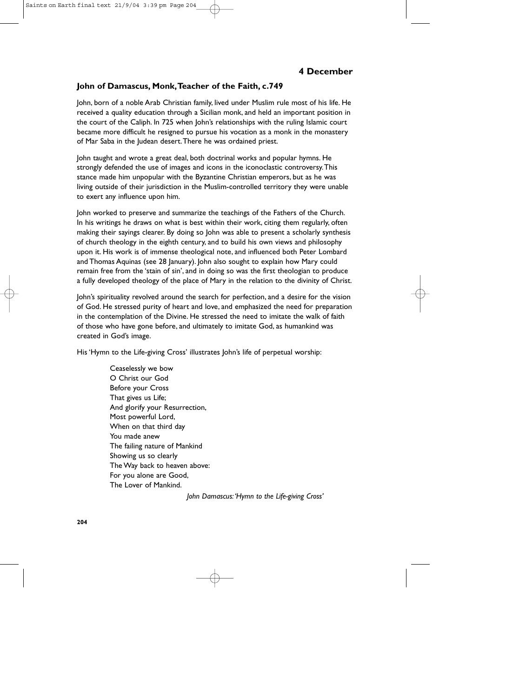#### **John of Damascus, Monk,Teacher of the Faith, c.749**

John, born of a noble Arab Christian family, lived under Muslim rule most of his life. He received a quality education through a Sicilian monk, and held an important position in the court of the Caliph. In 725 when John's relationships with the ruling Islamic court became more difficult he resigned to pursue his vocation as a monk in the monastery of Mar Saba in the Judean desert.There he was ordained priest.

John taught and wrote a great deal, both doctrinal works and popular hymns. He strongly defended the use of images and icons in the iconoclastic controversy.This stance made him unpopular with the Byzantine Christian emperors, but as he was living outside of their jurisdiction in the Muslim-controlled territory they were unable to exert any influence upon him.

John worked to preserve and summarize the teachings of the Fathers of the Church. In his writings he draws on what is best within their work, citing them regularly, often making their sayings clearer. By doing so John was able to present a scholarly synthesis of church theology in the eighth century, and to build his own views and philosophy upon it. His work is of immense theological note, and influenced both Peter Lombard and Thomas Aquinas (see 28 January). John also sought to explain how Mary could remain free from the 'stain of sin', and in doing so was the first theologian to produce a fully developed theology of the place of Mary in the relation to the divinity of Christ.

John's spirituality revolved around the search for perfection, and a desire for the vision of God. He stressed purity of heart and love, and emphasized the need for preparation in the contemplation of the Divine. He stressed the need to imitate the walk of faith of those who have gone before, and ultimately to imitate God, as humankind was created in God's image.

His 'Hymn to the Life-giving Cross' illustrates John's life of perpetual worship:

Ceaselessly we bow O Christ our God Before your Cross That gives us Life; And glorify your Resurrection, Most powerful Lord, When on that third day You made anew The failing nature of Mankind Showing us so clearly The Way back to heaven above: For you alone are Good, The Lover of Mankind.

*John Damascus:'Hymn to the Life-giving Cross'*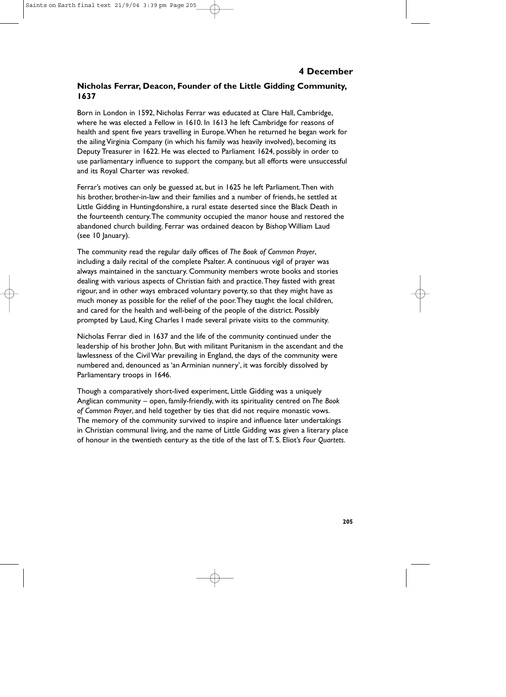# **Nicholas Ferrar, Deacon, Founder of the Little Gidding Community, 1637**

Born in London in 1592, Nicholas Ferrar was educated at Clare Hall, Cambridge, where he was elected a Fellow in 1610. In 1613 he left Cambridge for reasons of health and spent five years travelling in Europe.When he returned he began work for the ailing Virginia Company (in which his family was heavily involved), becoming its Deputy Treasurer in 1622. He was elected to Parliament 1624, possibly in order to use parliamentary influence to support the company, but all efforts were unsuccessful and its Royal Charter was revoked.

Ferrar's motives can only be guessed at, but in 1625 he left Parliament.Then with his brother, brother-in-law and their families and a number of friends, he settled at Little Gidding in Huntingdonshire, a rural estate deserted since the Black Death in the fourteenth century.The community occupied the manor house and restored the abandoned church building. Ferrar was ordained deacon by Bishop William Laud (see 10 January).

The community read the regular daily offices of *The Book of Common Prayer*, including a daily recital of the complete Psalter. A continuous vigil of prayer was always maintained in the sanctuary. Community members wrote books and stories dealing with various aspects of Christian faith and practice.They fasted with great rigour, and in other ways embraced voluntary poverty, so that they might have as much money as possible for the relief of the poor.They taught the local children, and cared for the health and well-being of the people of the district. Possibly prompted by Laud, King Charles I made several private visits to the community.

Nicholas Ferrar died in 1637 and the life of the community continued under the leadership of his brother John. But with militant Puritanism in the ascendant and the lawlessness of the Civil War prevailing in England, the days of the community were numbered and, denounced as 'an Arminian nunnery', it was forcibly dissolved by Parliamentary troops in 1646.

Though a comparatively short-lived experiment, Little Gidding was a uniquely Anglican community – open, family-friendly, with its spirituality centred on *The Book of Common Prayer*, and held together by ties that did not require monastic vows. The memory of the community survived to inspire and influence later undertakings in Christian communal living, and the name of Little Gidding was given a literary place of honour in the twentieth century as the title of the last of T. S. Eliot's *Four Quartets.*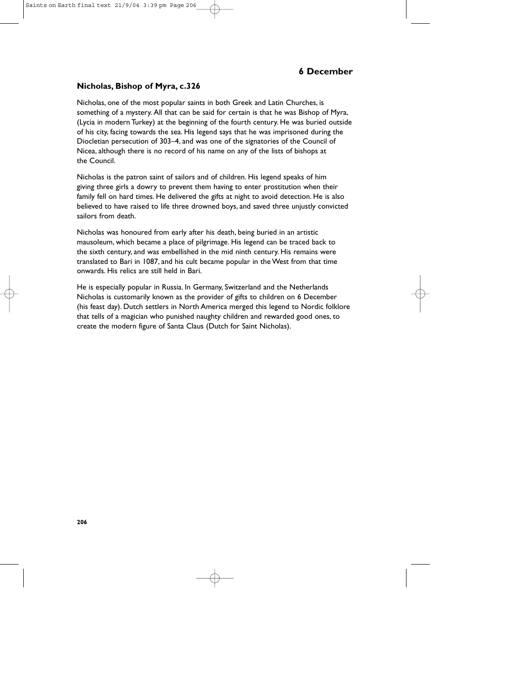# **6 December**

#### **Nicholas, Bishop of Myra, c.326**

Nicholas, one of the most popular saints in both Greek and Latin Churches, is something of a mystery. All that can be said for certain is that he was Bishop of Myra, (Lycia in modern Turkey) at the beginning of the fourth century. He was buried outside of his city, facing towards the sea. His legend says that he was imprisoned during the Diocletian persecution of 303–4, and was one of the signatories of the Council of Nicea, although there is no record of his name on any of the lists of bishops at the Council.

Nicholas is the patron saint of sailors and of children. His legend speaks of him giving three girls a dowry to prevent them having to enter prostitution when their family fell on hard times. He delivered the gifts at night to avoid detection. He is also believed to have raised to life three drowned boys, and saved three unjustly convicted sailors from death.

Nicholas was honoured from early after his death, being buried in an artistic mausoleum, which became a place of pilgrimage. His legend can be traced back to the sixth century, and was embellished in the mid ninth century. His remains were translated to Bari in 1087, and his cult became popular in the West from that time onwards. His relics are still held in Bari.

He is especially popular in Russia. In Germany, Switzerland and the Netherlands Nicholas is customarily known as the provider of gifts to children on 6 December (his feast day). Dutch settlers in North America merged this legend to Nordic folklore that tells of a magician who punished naughty children and rewarded good ones, to create the modern figure of Santa Claus (Dutch for Saint Nicholas).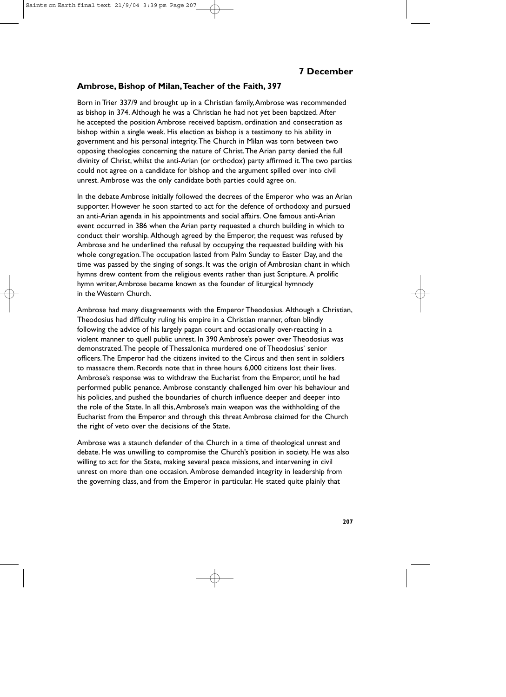### **Ambrose, Bishop of Milan,Teacher of the Faith, 397**

Born in Trier 337/9 and brought up in a Christian family,Ambrose was recommended as bishop in 374. Although he was a Christian he had not yet been baptized. After he accepted the position Ambrose received baptism, ordination and consecration as bishop within a single week. His election as bishop is a testimony to his ability in government and his personal integrity.The Church in Milan was torn between two opposing theologies concerning the nature of Christ.The Arian party denied the full divinity of Christ, whilst the anti-Arian (or orthodox) party affirmed it.The two parties could not agree on a candidate for bishop and the argument spilled over into civil unrest. Ambrose was the only candidate both parties could agree on.

In the debate Ambrose initially followed the decrees of the Emperor who was an Arian supporter. However he soon started to act for the defence of orthodoxy and pursued an anti-Arian agenda in his appointments and social affairs. One famous anti-Arian event occurred in 386 when the Arian party requested a church building in which to conduct their worship. Although agreed by the Emperor, the request was refused by Ambrose and he underlined the refusal by occupying the requested building with his whole congregation.The occupation lasted from Palm Sunday to Easter Day, and the time was passed by the singing of songs. It was the origin of Ambrosian chant in which hymns drew content from the religious events rather than just Scripture. A prolific hymn writer,Ambrose became known as the founder of liturgical hymnody in the Western Church.

Ambrose had many disagreements with the Emperor Theodosius. Although a Christian, Theodosius had difficulty ruling his empire in a Christian manner, often blindly following the advice of his largely pagan court and occasionally over-reacting in a violent manner to quell public unrest. In 390 Ambrose's power over Theodosius was demonstrated.The people of Thessalonica murdered one of Theodosius' senior officers.The Emperor had the citizens invited to the Circus and then sent in soldiers to massacre them. Records note that in three hours 6,000 citizens lost their lives. Ambrose's response was to withdraw the Eucharist from the Emperor, until he had performed public penance. Ambrose constantly challenged him over his behaviour and his policies, and pushed the boundaries of church influence deeper and deeper into the role of the State. In all this,Ambrose's main weapon was the withholding of the Eucharist from the Emperor and through this threat Ambrose claimed for the Church the right of veto over the decisions of the State.

Ambrose was a staunch defender of the Church in a time of theological unrest and debate. He was unwilling to compromise the Church's position in society. He was also willing to act for the State, making several peace missions, and intervening in civil unrest on more than one occasion. Ambrose demanded integrity in leadership from the governing class, and from the Emperor in particular. He stated quite plainly that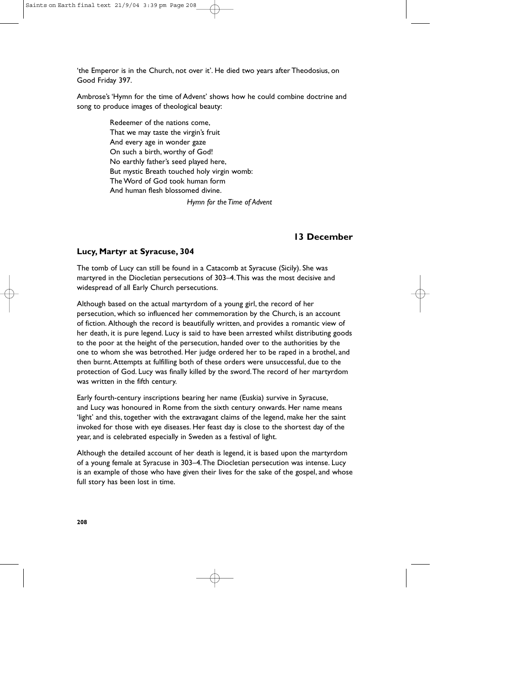'the Emperor is in the Church, not over it'. He died two years after Theodosius, on Good Friday 397.

Ambrose's 'Hymn for the time of Advent' shows how he could combine doctrine and song to produce images of theological beauty:

> Redeemer of the nations come, That we may taste the virgin's fruit And every age in wonder gaze On such a birth, worthy of God! No earthly father's seed played here, But mystic Breath touched holy virgin womb: The Word of God took human form And human flesh blossomed divine.

> > *Hymn for the Time of Advent*

## **13 December**

### **Lucy, Martyr at Syracuse, 304**

The tomb of Lucy can still be found in a Catacomb at Syracuse (Sicily). She was martyred in the Diocletian persecutions of 303–4.This was the most decisive and widespread of all Early Church persecutions.

Although based on the actual martyrdom of a young girl, the record of her persecution, which so influenced her commemoration by the Church, is an account of fiction. Although the record is beautifully written, and provides a romantic view of her death, it is pure legend. Lucy is said to have been arrested whilst distributing goods to the poor at the height of the persecution, handed over to the authorities by the one to whom she was betrothed. Her judge ordered her to be raped in a brothel, and then burnt.Attempts at fulfilling both of these orders were unsuccessful, due to the protection of God. Lucy was finally killed by the sword.The record of her martyrdom was written in the fifth century.

Early fourth-century inscriptions bearing her name (Euskia) survive in Syracuse, and Lucy was honoured in Rome from the sixth century onwards. Her name means 'light' and this, together with the extravagant claims of the legend, make her the saint invoked for those with eye diseases. Her feast day is close to the shortest day of the year, and is celebrated especially in Sweden as a festival of light.

Although the detailed account of her death is legend, it is based upon the martyrdom of a young female at Syracuse in 303–4.The Diocletian persecution was intense. Lucy is an example of those who have given their lives for the sake of the gospel, and whose full story has been lost in time.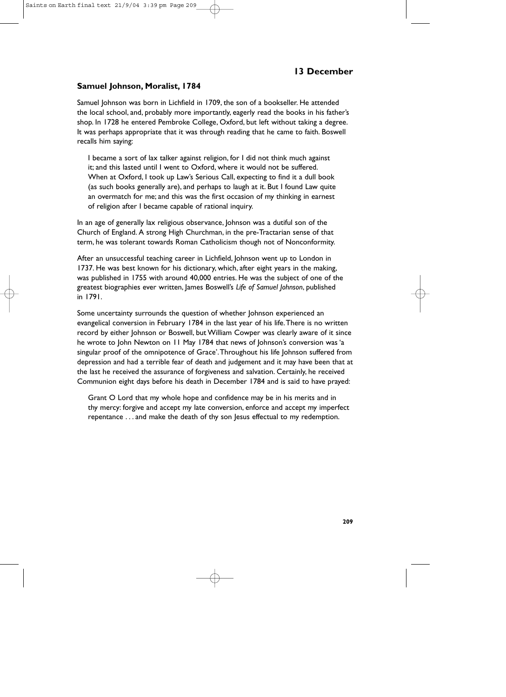### **Samuel Johnson, Moralist, 1784**

Samuel Johnson was born in Lichfield in 1709, the son of a bookseller. He attended the local school, and, probably more importantly, eagerly read the books in his father's shop. In 1728 he entered Pembroke College, Oxford, but left without taking a degree. It was perhaps appropriate that it was through reading that he came to faith. Boswell recalls him saying:

I became a sort of lax talker against religion, for I did not think much against it; and this lasted until I went to Oxford, where it would not be suffered. When at Oxford, I took up Law's Serious Call, expecting to find it a dull book (as such books generally are), and perhaps to laugh at it. But I found Law quite an overmatch for me; and this was the first occasion of my thinking in earnest of religion after I became capable of rational inquiry.

In an age of generally lax religious observance, Johnson was a dutiful son of the Church of England. A strong High Churchman, in the pre-Tractarian sense of that term, he was tolerant towards Roman Catholicism though not of Nonconformity.

After an unsuccessful teaching career in Lichfield, Johnson went up to London in 1737. He was best known for his dictionary, which, after eight years in the making, was published in 1755 with around 40,000 entries. He was the subject of one of the greatest biographies ever written, James Boswell's *Life of Samuel Johnson*, published in 1791.

Some uncertainty surrounds the question of whether Johnson experienced an evangelical conversion in February 1784 in the last year of his life.There is no written record by either Johnson or Boswell, but William Cowper was clearly aware of it since he wrote to John Newton on 11 May 1784 that news of Johnson's conversion was 'a singular proof of the omnipotence of Grace'.Throughout his life Johnson suffered from depression and had a terrible fear of death and judgement and it may have been that at the last he received the assurance of forgiveness and salvation. Certainly, he received Communion eight days before his death in December 1784 and is said to have prayed:

Grant O Lord that my whole hope and confidence may be in his merits and in thy mercy: forgive and accept my late conversion, enforce and accept my imperfect repentance . . . and make the death of thy son Jesus effectual to my redemption.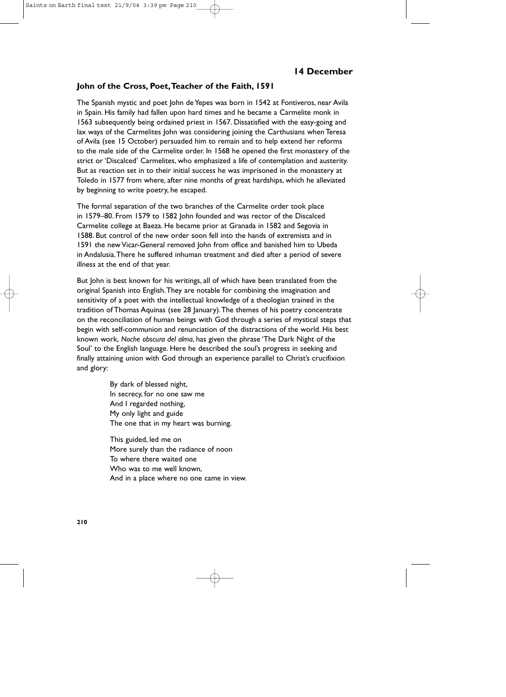### **John of the Cross, Poet,Teacher of the Faith, 1591**

The Spanish mystic and poet John de Yepes was born in 1542 at Fontiveros, near Avila in Spain. His family had fallen upon hard times and he became a Carmelite monk in 1563 subsequently being ordained priest in 1567. Dissatisfied with the easy-going and lax ways of the Carmelites John was considering joining the Carthusians when Teresa of Avila (see 15 October) persuaded him to remain and to help extend her reforms to the male side of the Carmelite order. In 1568 he opened the first monastery of the strict or 'Discalced' Carmelites, who emphasized a life of contemplation and austerity. But as reaction set in to their initial success he was imprisoned in the monastery at Toledo in 1577 from where, after nine months of great hardships, which he alleviated by beginning to write poetry, he escaped.

The formal separation of the two branches of the Carmelite order took place in 1579–80. From 1579 to 1582 John founded and was rector of the Discalced Carmelite college at Baeza. He became prior at Granada in 1582 and Segovia in 1588. But control of the new order soon fell into the hands of extremists and in 1591 the new Vicar-General removed John from office and banished him to Ubeda in Andalusia.There he suffered inhuman treatment and died after a period of severe illness at the end of that year.

But John is best known for his writings, all of which have been translated from the original Spanish into English.They are notable for combining the imagination and sensitivity of a poet with the intellectual knowledge of a theologian trained in the tradition of Thomas Aquinas (see 28 January).The themes of his poetry concentrate on the reconciliation of human beings with God through a series of mystical steps that begin with self-communion and renunciation of the distractions of the world. His best known work, *Noche obscura del alma*, has given the phrase 'The Dark Night of the Soul' to the English language. Here he described the soul's progress in seeking and finally attaining union with God through an experience parallel to Christ's crucifixion and glory:

> By dark of blessed night, In secrecy, for no one saw me And I regarded nothing, My only light and guide The one that in my heart was burning.

This guided, led me on More surely than the radiance of noon To where there waited one Who was to me well known. And in a place where no one came in view.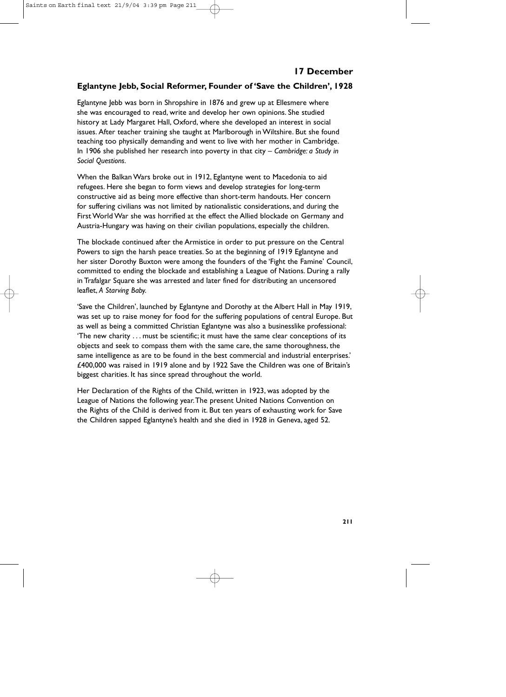### **Eglantyne Jebb, Social Reformer, Founder of 'Save the Children', 1928**

Eglantyne Jebb was born in Shropshire in 1876 and grew up at Ellesmere where she was encouraged to read, write and develop her own opinions. She studied history at Lady Margaret Hall, Oxford, where she developed an interest in social issues. After teacher training she taught at Marlborough in Wiltshire. But she found teaching too physically demanding and went to live with her mother in Cambridge. In 1906 she published her research into poverty in that city – *Cambridge: a Study in Social Questions.*

When the Balkan Wars broke out in 1912, Eglantyne went to Macedonia to aid refugees. Here she began to form views and develop strategies for long-term constructive aid as being more effective than short-term handouts. Her concern for suffering civilians was not limited by nationalistic considerations, and during the First World War she was horrified at the effect the Allied blockade on Germany and Austria-Hungary was having on their civilian populations, especially the children.

The blockade continued after the Armistice in order to put pressure on the Central Powers to sign the harsh peace treaties. So at the beginning of 1919 Eglantyne and her sister Dorothy Buxton were among the founders of the 'Fight the Famine' Council, committed to ending the blockade and establishing a League of Nations. During a rally in Trafalgar Square she was arrested and later fined for distributing an uncensored leaflet, *A Starving Baby.*

'Save the Children', launched by Eglantyne and Dorothy at the Albert Hall in May 1919, was set up to raise money for food for the suffering populations of central Europe. But as well as being a committed Christian Eglantyne was also a businesslike professional: 'The new charity  $\dots$  must be scientific; it must have the same clear conceptions of its objects and seek to compass them with the same care, the same thoroughness, the same intelligence as are to be found in the best commercial and industrial enterprises.' £400,000 was raised in 1919 alone and by 1922 Save the Children was one of Britain's biggest charities. It has since spread throughout the world.

Her Declaration of the Rights of the Child, written in 1923, was adopted by the League of Nations the following year.The present United Nations Convention on the Rights of the Child is derived from it. But ten years of exhausting work for Save the Children sapped Eglantyne's health and she died in 1928 in Geneva, aged 52.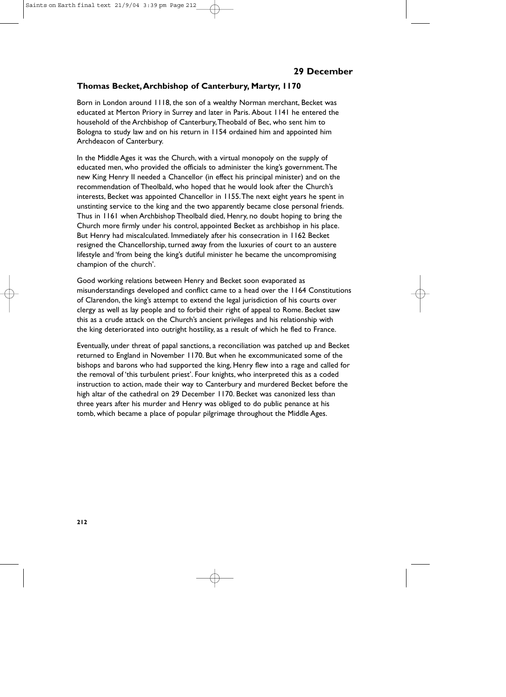### **Thomas Becket,Archbishop of Canterbury, Martyr, 1170**

Born in London around 1118, the son of a wealthy Norman merchant, Becket was educated at Merton Priory in Surrey and later in Paris. About 1141 he entered the household of the Archbishop of Canterbury,Theobald of Bec, who sent him to Bologna to study law and on his return in 1154 ordained him and appointed him Archdeacon of Canterbury.

In the Middle Ages it was the Church, with a virtual monopoly on the supply of educated men, who provided the officials to administer the king's government.The new King Henry II needed a Chancellor (in effect his principal minister) and on the recommendation of Theolbald, who hoped that he would look after the Church's interests, Becket was appointed Chancellor in 1155.The next eight years he spent in unstinting service to the king and the two apparently became close personal friends. Thus in 1161 when Archbishop Theolbald died, Henry, no doubt hoping to bring the Church more firmly under his control, appointed Becket as archbishop in his place. But Henry had miscalculated. Immediately after his consecration in 1162 Becket resigned the Chancellorship, turned away from the luxuries of court to an austere lifestyle and 'from being the king's dutiful minister he became the uncompromising champion of the church'.

Good working relations between Henry and Becket soon evaporated as misunderstandings developed and conflict came to a head over the 1164 Constitutions of Clarendon, the king's attempt to extend the legal jurisdiction of his courts over clergy as well as lay people and to forbid their right of appeal to Rome. Becket saw this as a crude attack on the Church's ancient privileges and his relationship with the king deteriorated into outright hostility, as a result of which he fled to France.

Eventually, under threat of papal sanctions, a reconciliation was patched up and Becket returned to England in November 1170. But when he excommunicated some of the bishops and barons who had supported the king, Henry flew into a rage and called for the removal of 'this turbulent priest'. Four knights, who interpreted this as a coded instruction to action, made their way to Canterbury and murdered Becket before the high altar of the cathedral on 29 December 1170. Becket was canonized less than three years after his murder and Henry was obliged to do public penance at his tomb, which became a place of popular pilgrimage throughout the Middle Ages.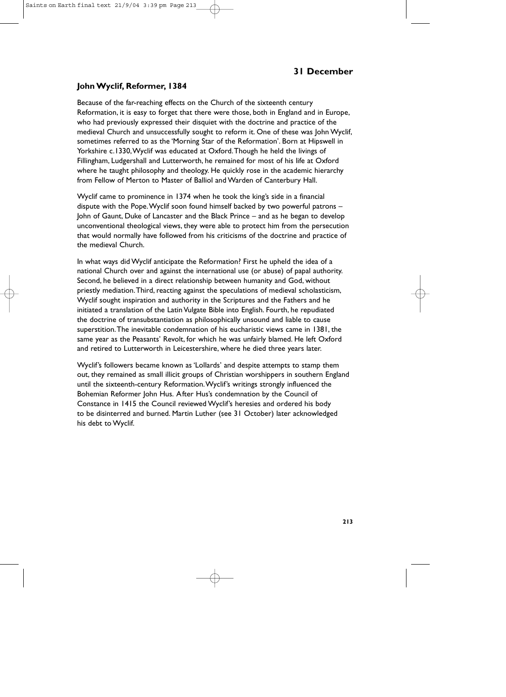### **John Wyclif, Reformer, 1384**

Because of the far-reaching effects on the Church of the sixteenth century Reformation, it is easy to forget that there were those, both in England and in Europe, who had previously expressed their disquiet with the doctrine and practice of the medieval Church and unsuccessfully sought to reform it. One of these was John Wyclif, sometimes referred to as the 'Morning Star of the Reformation'. Born at Hipswell in Yorkshire c.1330,Wyclif was educated at Oxford.Though he held the livings of Fillingham, Ludgershall and Lutterworth, he remained for most of his life at Oxford where he taught philosophy and theology. He quickly rose in the academic hierarchy from Fellow of Merton to Master of Balliol and Warden of Canterbury Hall.

Wyclif came to prominence in 1374 when he took the king's side in a financial dispute with the Pope.Wyclif soon found himself backed by two powerful patrons – John of Gaunt, Duke of Lancaster and the Black Prince – and as he began to develop unconventional theological views, they were able to protect him from the persecution that would normally have followed from his criticisms of the doctrine and practice of the medieval Church.

In what ways did Wyclif anticipate the Reformation? First he upheld the idea of a national Church over and against the international use (or abuse) of papal authority. Second, he believed in a direct relationship between humanity and God, without priestly mediation.Third, reacting against the speculations of medieval scholasticism, Wyclif sought inspiration and authority in the Scriptures and the Fathers and he initiated a translation of the Latin Vulgate Bible into English. Fourth, he repudiated the doctrine of transubstantiation as philosophically unsound and liable to cause superstition.The inevitable condemnation of his eucharistic views came in 1381, the same year as the Peasants' Revolt, for which he was unfairly blamed. He left Oxford and retired to Lutterworth in Leicestershire, where he died three years later.

Wyclif's followers became known as 'Lollards' and despite attempts to stamp them out, they remained as small illicit groups of Christian worshippers in southern England until the sixteenth-century Reformation.Wyclif's writings strongly influenced the Bohemian Reformer John Hus. After Hus's condemnation by the Council of Constance in 1415 the Council reviewed Wyclif's heresies and ordered his body to be disinterred and burned. Martin Luther (see 31 October) later acknowledged his debt to Wyclif.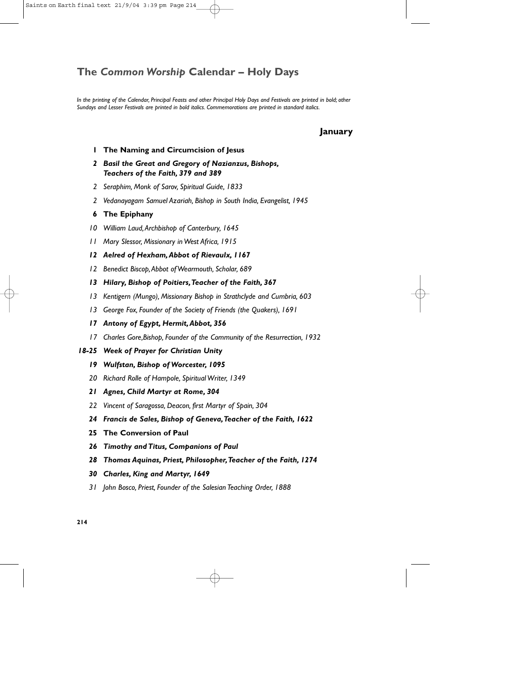# **The** *Common Worship* **Calendar – Holy Days**

*In the printing of the Calendar, Principal Feasts and other Principal Holy Days and Festivals are printed in bold; other Sundays and Lesser Festivals are printed in bold italics. Commemorations are printed in standard italics.*

### **January**

- **1 The Naming and Circumcision of Jesus**
- *2 Basil the Great and Gregory of Nazianzus, Bishops, Teachers of the Faith, 379 and 389*
- *2 Seraphim, Monk of Sarov, Spiritual Guide, 1833*
- *2 Vedanayagam Samuel Azariah, Bishop in South India, Evangelist, 1945*
- **6 The Epiphany**
- *10 William Laud,Archbishop of Canterbury, 1645*
- *11 Mary Slessor, Missionary in West Africa, 1915*
- *12 Aelred of Hexham,Abbot of Rievaulx, 1167*
- *12 Benedict Biscop,Abbot of Wearmouth, Scholar, 689*
- *13 Hilary, Bishop of Poitiers,Teacher of the Faith, 367*
- *13 Kentigern (Mungo), Missionary Bishop in Strathclyde and Cumbria, 603*
- *13 George Fox, Founder of the Society of Friends (the Quakers), 1691*
- *17 Antony of Egypt, Hermit,Abbot, 356*
- *17 Charles Gore,Bishop, Founder of the Community of the Resurrection, 1932*
- *18-25 Week of Prayer for Christian Unity*
	- *19 Wulfstan, Bishop of Worcester, 1095*
	- *20 Richard Rolle of Hampole, Spiritual Writer, 1349*
	- *21 Agnes, Child Martyr at Rome, 304*
	- *22 Vincent of Saragossa, Deacon, first Martyr of Spain, 304*
	- *24 Francis de Sales, Bishop of Geneva,Teacher of the Faith, 1622*
	- **25 The Conversion of Paul**
	- *26 Timothy and Titus, Companions of Paul*
	- *28 Thomas Aquinas, Priest, Philosopher,Teacher of the Faith, 1274*
	- *30 Charles, King and Martyr, 1649*
	- *31 John Bosco, Priest, Founder of the Salesian Teaching Order, 1888*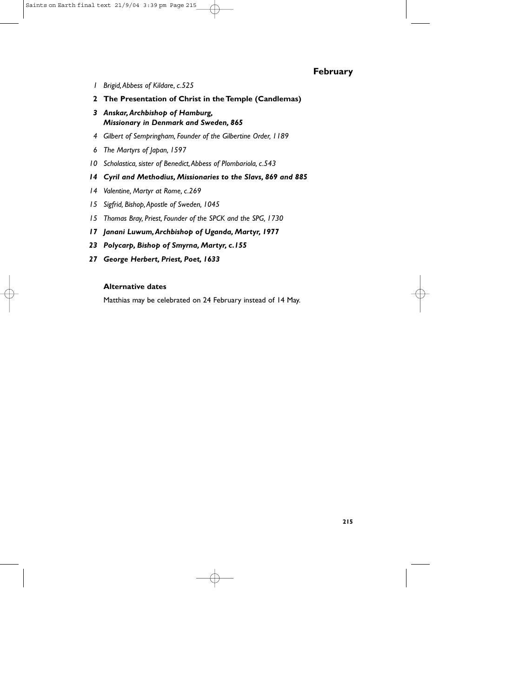### **February**

- *1 Brigid,Abbess of Kildare, c.525*
- **2 The Presentation of Christ in the Temple (Candlemas)**
- *3 Anskar,Archbishop of Hamburg, Missionary in Denmark and Sweden, 865*
- *4 Gilbert of Sempringham, Founder of the Gilbertine Order, 1189*
- *6 The Martyrs of Japan, 1597*
- *10 Scholastica, sister of Benedict,Abbess of Plombariola, c.543*
- *14 Cyril and Methodius, Missionaries to the Slavs, 869 and 885*
- *14 Valentine, Martyr at Rome, c.269*
- *15 Sigfrid, Bishop,Apostle of Sweden, 1045*
- *15 Thomas Bray, Priest, Founder of the SPCK and the SPG, 1730*
- *17 Janani Luwum,Archbishop of Uganda, Martyr, 1977*
- *23 Polycarp, Bishop of Smyrna, Martyr, c.155*
- *27 George Herbert, Priest, Poet, 1633*

### **Alternative dates**

Matthias may be celebrated on 24 February instead of 14 May.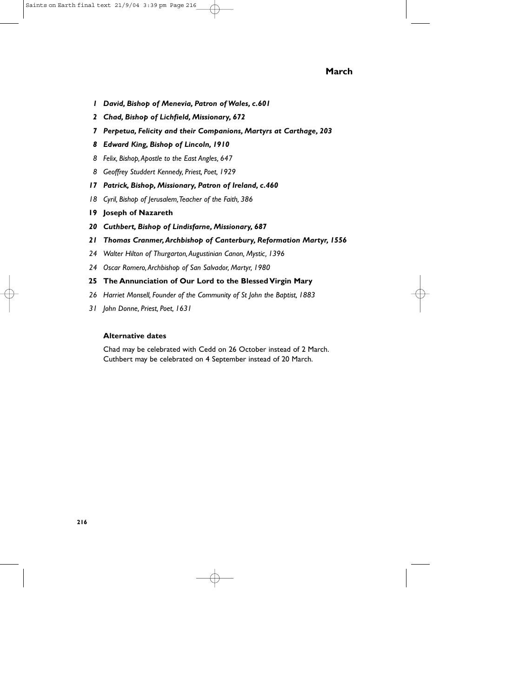### **March**

- *1 David, Bishop of Menevia, Patron of Wales, c.601*
- *2 Chad, Bishop of Lichfield, Missionary, 672*
- *7 Perpetua, Felicity and their Companions, Martyrs at Carthage, 203*
- *8 Edward King, Bishop of Lincoln, 1910*
- *8 Felix, Bishop,Apostle to the East Angles, 647*
- *8 Geoffrey Studdert Kennedy, Priest, Poet, 1929*
- *17 Patrick, Bishop, Missionary, Patron of Ireland, c.460*
- *18 Cyril, Bishop of Jerusalem,Teacher of the Faith, 386*
- **19 Joseph of Nazareth**
- *20 Cuthbert, Bishop of Lindisfarne, Missionary, 687*
- *21 Thomas Cranmer,Archbishop of Canterbury, Reformation Martyr, 1556*
- *24 Walter Hilton of Thurgarton,Augustinian Canon, Mystic, 1396*
- *24 Oscar Romero,Archbishop of San Salvador, Martyr, 1980*
- **25 The Annunciation of Our Lord to the Blessed Virgin Mary**
- *26 Harriet Monsell, Founder of the Community of St John the Baptist, 1883*
- *31 John Donne, Priest, Poet, 1631*

### **Alternative dates**

Chad may be celebrated with Cedd on 26 October instead of 2 March. Cuthbert may be celebrated on 4 September instead of 20 March.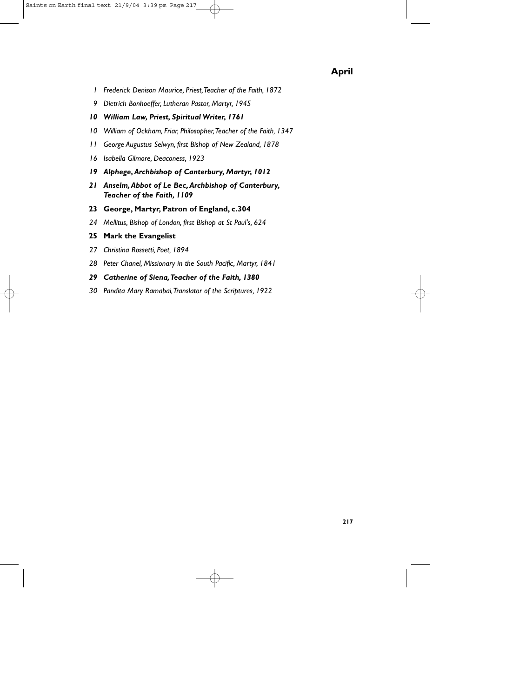## **April**

- *1 Frederick Denison Maurice, Priest,Teacher of the Faith, 1872*
- *9 Dietrich Bonhoeffer, Lutheran Pastor, Martyr, 1945*
- *10 William Law, Priest, Spiritual Writer, 1761*
- *10 William of Ockham, Friar, Philosopher,Teacher of the Faith, 1347*
- *11 George Augustus Selwyn, first Bishop of New Zealand, 1878*
- *16 Isabella Gilmore, Deaconess, 1923*
- *19 Alphege,Archbishop of Canterbury, Martyr, 1012*
- *21 Anselm,Abbot of Le Bec,Archbishop of Canterbury, Teacher of the Faith, 1109*
- **23 George, Martyr, Patron of England, c.304**
- *24 Mellitus, Bishop of London, first Bishop at St Paul's, 624*

### **25 Mark the Evangelist**

- *27 Christina Rossetti, Poet, 1894*
- *28 Peter Chanel, Missionary in the South Pacific, Martyr, 1841*
- *29 Catherine of Siena,Teacher of the Faith, 1380*
- *30 Pandita Mary Ramabai,Translator of the Scriptures, 1922*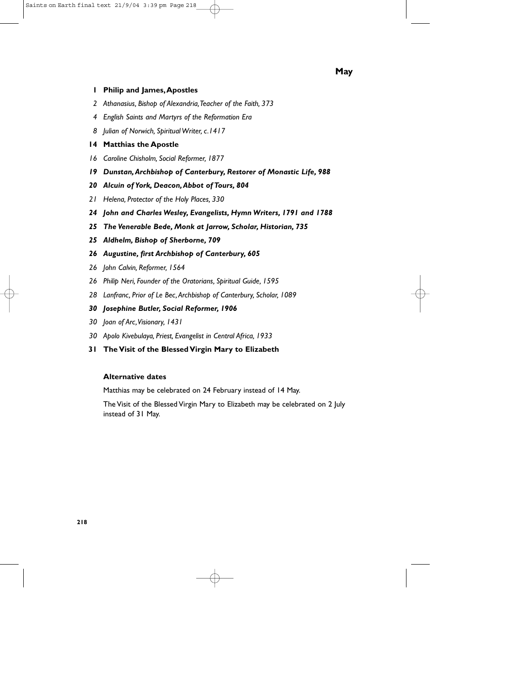#### **1 Philip and James,Apostles**

- *2 Athanasius, Bishop of Alexandria,Teacher of the Faith, 373*
- *4 English Saints and Martyrs of the Reformation Era*
- *8 Julian of Norwich, Spiritual Writer, c.1417*

#### **14 Matthias the Apostle**

- *16 Caroline Chisholm, Social Reformer, 1877*
- *19 Dunstan,Archbishop of Canterbury, Restorer of Monastic Life, 988*
- *20 Alcuin of York, Deacon,Abbot of Tours, 804*
- *21 Helena, Protector of the Holy Places, 330*
- *24 John and Charles Wesley, Evangelists, Hymn Writers, 1791 and 1788*
- *25 The Venerable Bede, Monk at Jarrow, Scholar, Historian, 735*
- *25 Aldhelm, Bishop of Sherborne, 709*
- *26 Augustine, first Archbishop of Canterbury, 605*
- *26 John Calvin, Reformer, 1564*
- *26 Philip Neri, Founder of the Oratorians, Spiritual Guide, 1595*
- *28 Lanfranc, Prior of Le Bec,Archbishop of Canterbury, Scholar, 1089*

#### *30 Josephine Butler, Social Reformer, 1906*

- *30 Joan of Arc,Visionary, 1431*
- *30 Apolo Kivebulaya, Priest, Evangelist in Central Africa, 1933*
- **31 The Visit of the Blessed Virgin Mary to Elizabeth**

#### **Alternative dates**

Matthias may be celebrated on 24 February instead of 14 May.

The Visit of the Blessed Virgin Mary to Elizabeth may be celebrated on 2 July instead of 31 May.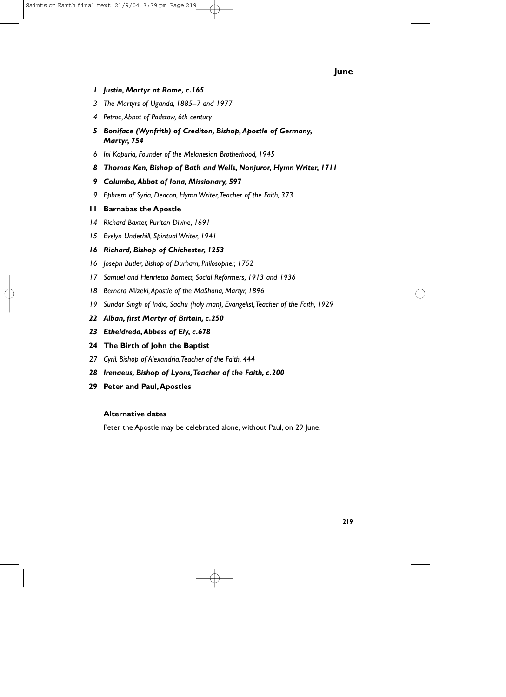### **June**

- *1 Justin, Martyr at Rome, c.165*
- *3 The Martyrs of Uganda, 1885–7 and 1977*
- *4 Petroc,Abbot of Padstow, 6th century*
- *5 Boniface (Wynfrith) of Crediton, Bishop,Apostle of Germany, Martyr, 754*
- *6 Ini Kopuria, Founder of the Melanesian Brotherhood, 1945*
- *8 Thomas Ken, Bishop of Bath and Wells, Nonjuror, Hymn Writer, 1711*
- *9 Columba,Abbot of Iona, Missionary, 597*
- *9 Ephrem of Syria, Deacon, Hymn Writer,Teacher of the Faith, 373*

#### **11 Barnabas the Apostle**

- *14 Richard Baxter, Puritan Divine, 1691*
- *15 Evelyn Underhill, Spiritual Writer, 1941*
- *16 Richard, Bishop of Chichester, 1253*
- *16 Joseph Butler, Bishop of Durham, Philosopher, 1752*
- *17 Samuel and Henrietta Barnett, Social Reformers, 1913 and 1936*
- *18 Bernard Mizeki,Apostle of the MaShona, Martyr, 1896*
- *19 Sundar Singh of India, Sadhu (holy man), Evangelist,Teacher of the Faith, 1929*
- *22 Alban, first Martyr of Britain, c.250*
- *23 Etheldreda,Abbess of Ely, c.678*
- **24 The Birth of John the Baptist**
- *27 Cyril, Bishop of Alexandria,Teacher of the Faith, 444*
- *28 Irenaeus, Bishop of Lyons,Teacher of the Faith, c.200*
- **29 Peter and Paul,Apostles**

#### **Alternative dates**

Peter the Apostle may be celebrated alone, without Paul, on 29 June.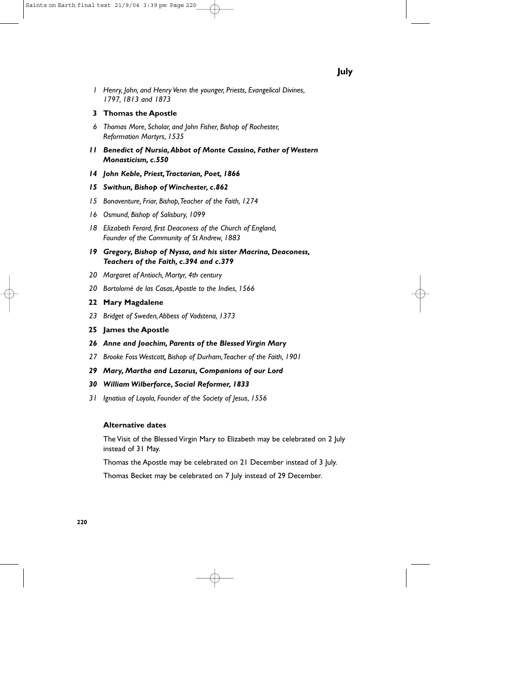#### **3 Thomas the Apostle**

- *6 Thomas More, Scholar, and John Fisher, Bishop of Rochester, Reformation Martyrs, 1535*
- *11 Benedict of Nursia,Abbot of Monte Cassino, Father of Western Monasticism, c.550*
- *14 John Keble, Priest,Tractarian, Poet, 1866*

#### *15 Swithun, Bishop of Winchester, c.862*

- *15 Bonaventure, Friar, Bishop,Teacher of the Faith, 1274*
- *16 Osmund, Bishop of Salisbury, 1099*
- *18 Elizabeth Ferard, first Deaconess of the Church of England, Founder of the Community of St Andrew, 1883*
- *19 Gregory, Bishop of Nyssa, and his sister Macrina, Deaconess, Teachers of the Faith, c.394 and c.379*
- *20 Margaret of Antioch, Martyr, 4th century*
- *20 Bartolomé de las Casas,Apostle to the Indies, 1566*
- **22 Mary Magdalene**
- *23 Bridget of Sweden,Abbess of Vadstena, 1373*
- **25 James the Apostle**
- *26 Anne and Joachim, Parents of the Blessed Virgin Mary*
- *27 Brooke Foss Westcott, Bishop of Durham,Teacher of the Faith, 1901*
- *29 Mary, Martha and Lazarus, Companions of our Lord*

#### *30 William Wilberforce, Social Reformer, 1833*

*31 Ignatius of Loyola, Founder of the Society of Jesus, 1556*

#### **Alternative dates**

The Visit of the Blessed Virgin Mary to Elizabeth may be celebrated on 2 July instead of 31 May.

Thomas the Apostle may be celebrated on 21 December instead of 3 July.

Thomas Becket may be celebrated on 7 July instead of 29 December.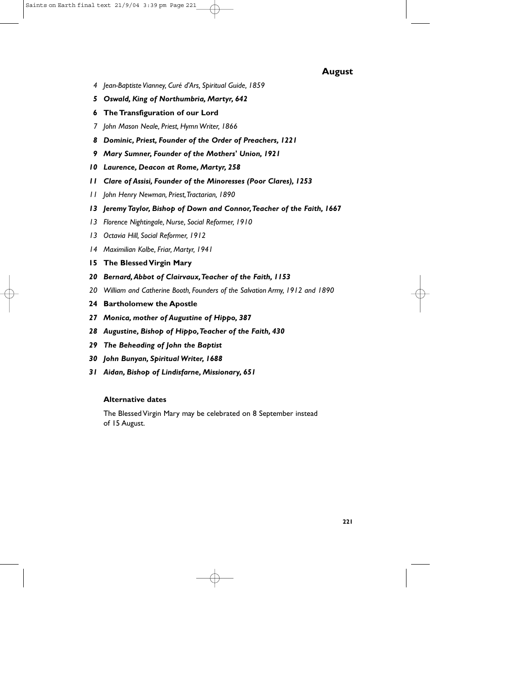### **August**

- *4 Jean-Baptiste Vianney, Curé d'Ars, Spiritual Guide, 1859*
- *5 Oswald, King of Northumbria, Martyr, 642*
- **6 The Transfiguration of our Lord**
- *7 John Mason Neale, Priest, Hymn Writer, 1866*
- *8 Dominic, Priest, Founder of the Order of Preachers, 1221*
- *9 Mary Sumner, Founder of the Mothers' Union, 1921*
- *10 Laurence, Deacon at Rome, Martyr, 258*
- *11 Clare of Assisi, Founder of the Minoresses (Poor Clares), 1253*
- *11 John Henry Newman, Priest,Tractarian, 1890*
- *13 Jeremy Taylor, Bishop of Down and Connor,Teacher of the Faith, 1667*
- *13 Florence Nightingale, Nurse, Social Reformer, 1910*
- *13 Octavia Hill, Social Reformer, 1912*
- *14 Maximilian Kolbe, Friar, Martyr, 1941*
- **15 The Blessed Virgin Mary**
- *20 Bernard,Abbot of Clairvaux,Teacher of the Faith, 1153*
- *20 William and Catherine Booth, Founders of the Salvation Army, 1912 and 1890*
- **24 Bartholomew the Apostle**
- *27 Monica, mother of Augustine of Hippo, 387*
- *28 Augustine, Bishop of Hippo,Teacher of the Faith, 430*
- *29 The Beheading of John the Baptist*
- *30 John Bunyan, Spiritual Writer, 1688*
- *31 Aidan, Bishop of Lindisfarne, Missionary, 651*

#### **Alternative dates**

The Blessed Virgin Mary may be celebrated on 8 September instead of 15 August.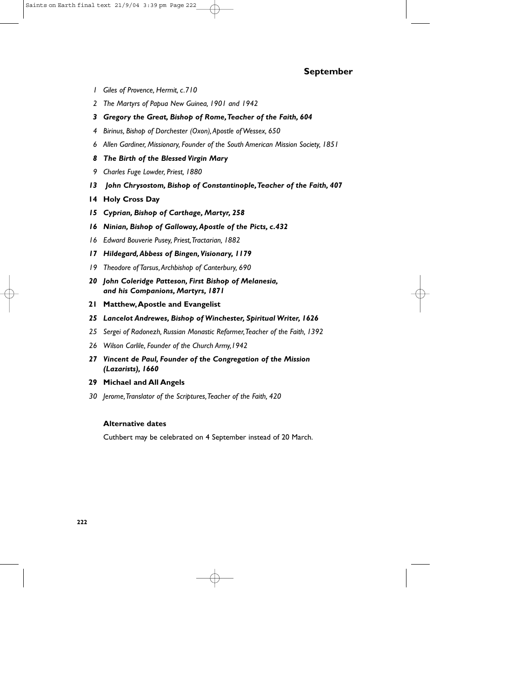### **September**

- *1 Giles of Provence, Hermit, c.710*
- *2 The Martyrs of Papua New Guinea, 1901 and 1942*
- *3 Gregory the Great, Bishop of Rome,Teacher of the Faith, 604*
- *4 Birinus, Bishop of Dorchester (Oxon),Apostle of Wessex, 650*
- *6 Allen Gardiner, Missionary, Founder of the South American Mission Society, 1851*
- *8 The Birth of the Blessed Virgin Mary*
- *9 Charles Fuge Lowder, Priest, 1880*
- *13 John Chrysostom, Bishop of Constantinople,Teacher of the Faith, 407*
- **14 Holy Cross Day**
- *15 Cyprian, Bishop of Carthage, Martyr, 258*
- *16 Ninian, Bishop of Galloway,Apostle of the Picts, c.432*
- *16 Edward Bouverie Pusey, Priest,Tractarian, 1882*
- *17 Hildegard,Abbess of Bingen,Visionary, 1179*
- *19 Theodore of Tarsus,Archbishop of Canterbury, 690*
- *20 John Coleridge Patteson, First Bishop of Melanesia, and his Companions, Martyrs, 1871*
- **21 Matthew,Apostle and Evangelist**
- *25 Lancelot Andrewes, Bishop of Winchester, Spiritual Writer, 1626*
- *25 Sergei of Radonezh, Russian Monastic Reformer,Teacher of the Faith, 1392*
- *26 Wilson Carlile, Founder of the Church Army,1942*
- *27 Vincent de Paul, Founder of the Congregation of the Mission (Lazarists), 1660*
- **29 Michael and All Angels**
- *30 Jerome,Translator of the Scriptures,Teacher of the Faith, 420*

### **Alternative dates**

Cuthbert may be celebrated on 4 September instead of 20 March.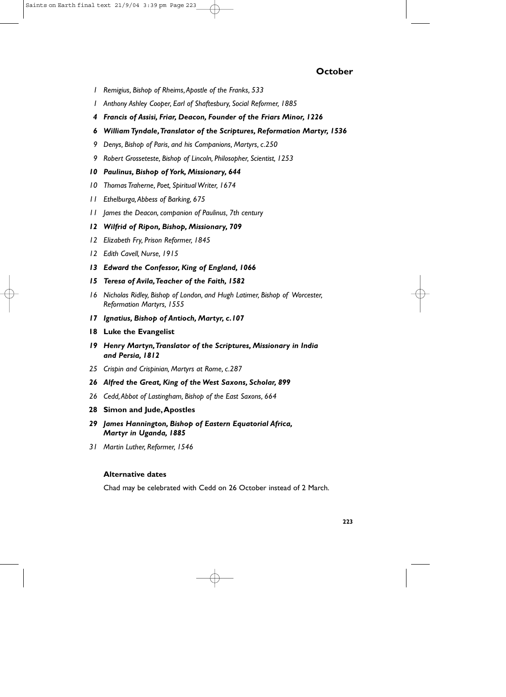### **October**

- *1 Remigius, Bishop of Rheims,Apostle of the Franks, 533*
- *1 Anthony Ashley Cooper, Earl of Shaftesbury, Social Reformer, 1885*
- *4 Francis of Assisi, Friar, Deacon, Founder of the Friars Minor, 1226*
- *6 William Tyndale,Translator of the Scriptures, Reformation Martyr, 1536*
- *9 Denys, Bishop of Paris, and his Companions, Martyrs, c.250*
- *9 Robert Grosseteste, Bishop of Lincoln, Philosopher, Scientist, 1253*

#### *10 Paulinus, Bishop of York, Missionary, 644*

- *10 Thomas Traherne, Poet, Spiritual Writer, 1674*
- *11 Ethelburga,Abbess of Barking, 675*
- *11 James the Deacon, companion of Paulinus, 7th century*

#### *12 Wilfrid of Ripon, Bishop, Missionary, 709*

- *12 Elizabeth Fry, Prison Reformer, 1845*
- *12 Edith Cavell, Nurse, 1915*
- *13 Edward the Confessor, King of England, 1066*
- *15 Teresa of Avila,Teacher of the Faith, 1582*
- *16 Nicholas Ridley, Bishop of London, and Hugh Latimer, Bishop of Worcester, Reformation Martyrs, 1555*
- *17 Ignatius, Bishop of Antioch, Martyr, c.107*
- **18 Luke the Evangelist**
- *19 Henry Martyn,Translator of the Scriptures, Missionary in India and Persia, 1812*
- *25 Crispin and Crispinian, Martyrs at Rome, c.287*
- *26 Alfred the Great, King of the West Saxons, Scholar, 899*
- *26 Cedd,Abbot of Lastingham, Bishop of the East Saxons, 664*
- **28 Simon and Jude,Apostles**
- *29 James Hannington, Bishop of Eastern Equatorial Africa, Martyr in Uganda, 1885*
- *31 Martin Luther, Reformer, 1546*

#### **Alternative dates**

Chad may be celebrated with Cedd on 26 October instead of 2 March.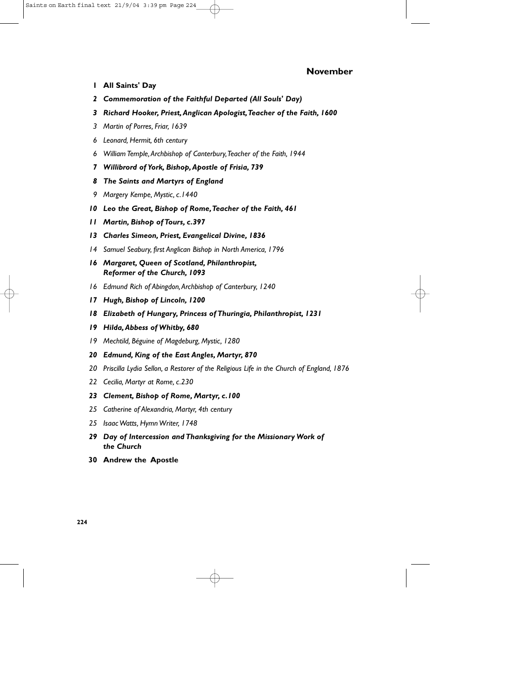### **November**

- **1 All Saints' Day**
- *2 Commemoration of the Faithful Departed (All Souls' Day)*
- *3 Richard Hooker, Priest,Anglican Apologist,Teacher of the Faith, 1600*
- *3 Martin of Porres, Friar, 1639*
- *6 Leonard, Hermit, 6th century*
- *6 William Temple,Archbishop of Canterbury,Teacher of the Faith, 1944*
- *7 Willibrord of York, Bishop,Apostle of Frisia, 739*
- *8 The Saints and Martyrs of England*
- *9 Margery Kempe, Mystic, c.1440*
- *10 Leo the Great, Bishop of Rome,Teacher of the Faith, 461*
- *11 Martin, Bishop of Tours, c.397*
- *13 Charles Simeon, Priest, Evangelical Divine, 1836*
- *14 Samuel Seabury, first Anglican Bishop in North America, 1796*
- *16 Margaret, Queen of Scotland, Philanthropist, Reformer of the Church, 1093*
- *16 Edmund Rich of Abingdon,Archbishop of Canterbury, 1240*
- *17 Hugh, Bishop of Lincoln, 1200*
- *18 Elizabeth of Hungary, Princess of Thuringia, Philanthropist, 1231*
- *19 Hilda,Abbess of Whitby, 680*
- *19 Mechtild, Béguine of Magdeburg, Mystic, 1280*
- *20 Edmund, King of the East Angles, Martyr, 870*
- *20 Priscilla Lydia Sellon, a Restorer of the Religious Life in the Church of England, 1876*
- *22 Cecilia, Martyr at Rome, c.230*
- *23 Clement, Bishop of Rome, Martyr, c.100*
- *25 Catherine of Alexandria, Martyr, 4th century*
- *25 Isaac Watts, Hymn Writer, 1748*
- *29 Day of Intercession and Thanksgiving for the Missionary Work of the Church*
- **30 Andrew the Apostle**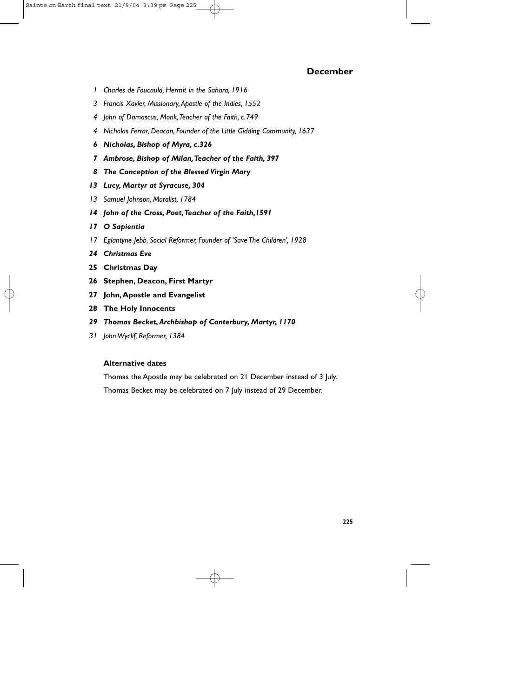- *1 Charles de Foucauld, Hermit in the Sahara, 1916*
- *3 Francis Xavier, Missionary,Apostle of the Indies, 1552*
- *4 John of Damascus, Monk,Teacher of the Faith, c.749*
- *4 Nicholas Ferrar, Deacon, Founder of the Little Gidding Community, 1637*
- *6 Nicholas, Bishop of Myra, c.326*
- *7 Ambrose, Bishop of Milan,Teacher of the Faith, 397*
- *8 The Conception of the Blessed Virgin Mary*
- *13 Lucy, Martyr at Syracuse, 304*
- *13 Samuel Johnson, Moralist, 1784*
- *14 John of the Cross, Poet,Teacher of the Faith,1591*
- *17 O Sapientia*
- *17 Eglantyne Jebb, Social Reformer, Founder of 'Save The Children', 1928*
- *24 Christmas Eve*
- **25 Christmas Day**
- **26 Stephen, Deacon, First Martyr**
- **27 John,Apostle and Evangelist**
- **28 The Holy Innocents**
- *29 Thomas Becket,Archbishop of Canterbury, Martyr, 1170*
- *31 John Wyclif, Reformer, 1384*

#### **Alternative dates**

Thomas the Apostle may be celebrated on 21 December instead of 3 July. Thomas Becket may be celebrated on 7 July instead of 29 December.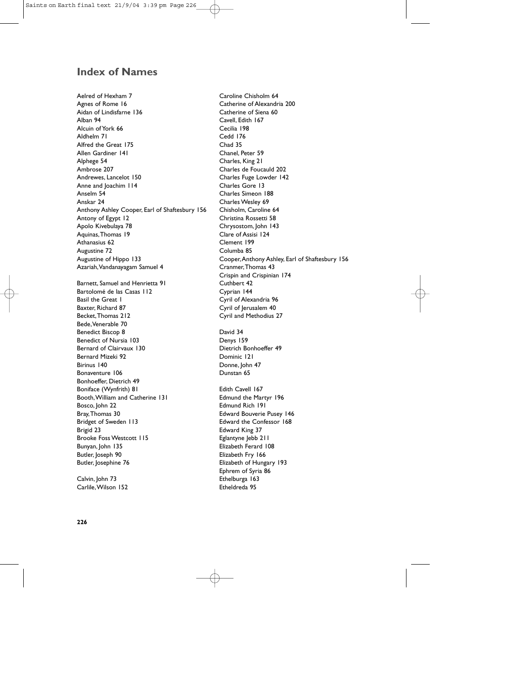# **Index of Names**

Aelred of Hexham 7 Agnes of Rome 16 Aidan of Lindisfarne 136 Alban 94 Alcuin of York 66 Aldhelm 71 Alfred the Great 175 Allen Gardiner 141 Alphege 54 Ambrose 207 Andrewes, Lancelot 150 Anne and Joachim 114 Anselm 54 Anskar 24 Anthony Ashley Cooper, Earl of Shaftesbury 156 Antony of Egypt 12 Apolo Kivebulaya 78 Aquinas,Thomas 19 Athanasius 62 Augustine 72 Augustine of Hippo 133 Azariah,Vandanayagam Samuel 4 Barnett, Samuel and Henrietta 91 Bartolomé de las Casas 112 Basil the Great 1 Baxter, Richard 87 Becket,Thomas 212 Bede,Venerable 70 Benedict Biscop 8 Benedict of Nursia 103 Bernard of Clairvaux 130 Bernard Mizeki 92 Birinus 140 Bonaventure 106 Bonhoeffer, Dietrich 49 Boniface (Wynfrith) 81 Booth,William and Catherine 131 Bosco, John 22 Bray,Thomas 30 Bridget of Sweden 113 Brigid 23 Brooke Foss Westcott 115 Bunyan, John 135 Butler, Joseph 90 Butler, Josephine 76

Calvin, John 73 Carlile,Wilson 152 Caroline Chisholm 64 Catherine of Alexandria 200 Catherine of Siena 60 Cavell, Edith 167 Cecilia 198 Cedd 176 Chad 35 Chanel, Peter 59 Charles, King 21 Charles de Foucauld 202 Charles Fuge Lowder 142 Charles Gore 13 Charles Simeon 188 Charles Wesley 69 Chisholm, Caroline 64 Christina Rossetti 58 Chrysostom, John 143 Clare of Assisi 124 Clement 199 Columba 85 Cooper,Anthony Ashley, Earl of Shaftesbury 156 Cranmer,Thomas 43 Crispin and Crispinian 174 Cuthbert 42 Cyprian 144 Cyril of Alexandria 96 Cyril of Jerusalem 40 Cyril and Methodius 27

David 34 Denys 159 Dietrich Bonhoeffer 49 Dominic 121 Donne, John 47 Dunstan 65

Edith Cavell 167 Edmund the Martyr 196 Edmund Rich 191 Edward Bouverie Pusey 146 Edward the Confessor 168 Edward King 37 Eglantyne Jebb 211 Elizabeth Ferard 108 Elizabeth Fry 166 Elizabeth of Hungary 193 Ephrem of Syria 86 Ethelburga 163 Etheldreda 95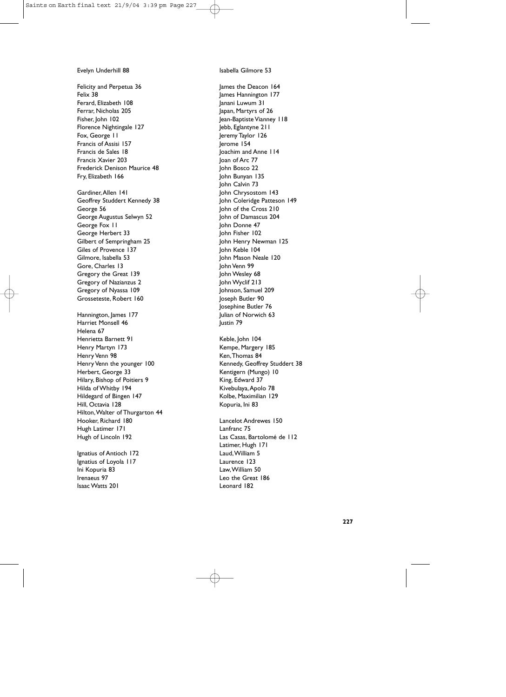#### Evelyn Underhill 88

Felicity and Perpetua 36 Felix 38 Ferard, Elizabeth 108 Ferrar, Nicholas 205 Fisher, John 102 Florence Nightingale 127 Fox, George 11 Francis of Assisi 157 Francis de Sales 18 Francis Xavier 203 Frederick Denison Maurice 48 Fry, Elizabeth 166

Gardiner,Allen 141 Geoffrey Studdert Kennedy 38 George 56 George Augustus Selwyn 52 George Fox 11 George Herbert 33 Gilbert of Sempringham 25 Giles of Provence 137 Gilmore, Isabella 53 Gore, Charles 13 Gregory the Great 139 Gregory of Nazianzus 2 Gregory of Nyassa 109 Grosseteste, Robert 160

Hannington, James 177 Harriet Monsell 46 Helena 67 Henrietta Barnett 91 Henry Martyn 173 Henry Venn 98 Henry Venn the younger 100 Herbert, George 33 Hilary, Bishop of Poitiers 9 Hilda of Whitby 194 Hildegard of Bingen 147 Hill, Octavia 128 Hilton,Walter of Thurgarton 44 Hooker, Richard 180 Hugh Latimer 171 Hugh of Lincoln 192

Ignatius of Antioch 172 Ignatius of Loyola 117 Ini Kopuria 83 Irenaeus 97 Isaac Watts 201

Isabella Gilmore 53

James the Deacon 164 James Hannington 177 Janani Luwum 31 lapan, Martyrs of 26 Jean-Baptiste Vianney 118 Jebb, Eglantyne 211 Jeremy Taylor 126 Jerome 154 Joachim and Anne 114 Joan of Arc 77 John Bosco 22 John Bunyan 135 John Calvin 73 John Chrysostom 143 John Coleridge Patteson 149 John of the Cross 210 John of Damascus 204 John Donne 47 John Fisher 102 John Henry Newman 125 John Keble 104 John Mason Neale 120 John Venn 99 John Wesley 68 John Wyclif 213 Johnson, Samuel 209 Joseph Butler 90 Josephine Butler 76 Julian of Norwich 63 Justin 79

Keble, John 104 Kempe, Margery 185 Ken,Thomas 84 Kennedy, Geoffrey Studdert 38 Kentigern (Mungo) 10 King, Edward 37 Kivebulaya,Apolo 78 Kolbe, Maximilian 129 Kopuria, Ini 83

Lancelot Andrewes 150 Lanfranc 75 Las Casas, Bartolomé de 112 Latimer, Hugh 171 Laud,William 5 Laurence 123 Law,William 50 Leo the Great 186 Leonard 182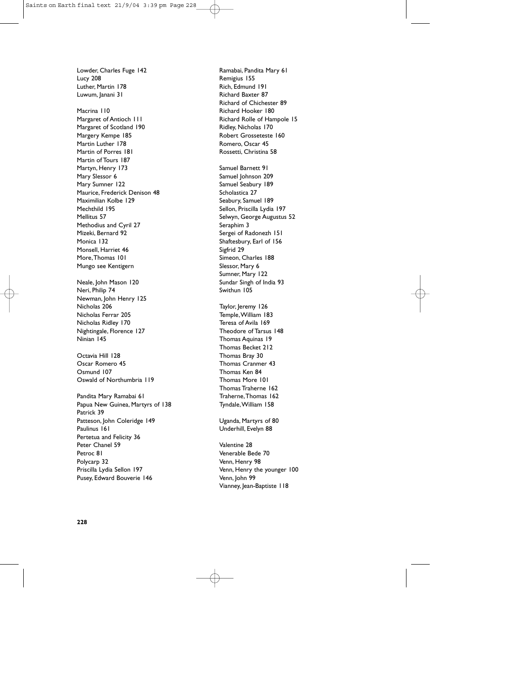Lowder, Charles Fuge 142 Lucy 208 Luther, Martin 178 Luwum, lanani 31

Macrina 110 Margaret of Antioch 111 Margaret of Scotland 190 Margery Kempe 185 Martin Luther 178 Martin of Porres 181 Martin of Tours 187 Martyn, Henry 173 Mary Slessor 6 Mary Sumner 122 Maurice, Frederick Denison 48 Maximilian Kolbe 129 Mechthild 195 Mellitus 57 Methodius and Cyril 27 Mizeki, Bernard 92 Monica 132 Monsell, Harriet 46 More,Thomas 101 Mungo see Kentigern

Neale, John Mason 120 Neri, Philip 74 Newman, John Henry 125 Nicholas 206 Nicholas Ferrar 205 Nicholas Ridley 170 Nightingale, Florence 127 Ninian 145

Octavia Hill 128 Oscar Romero 45 Osmund 107 Oswald of Northumbria 119

Pandita Mary Ramabai 61 Papua New Guinea, Martyrs of 138 Patrick 39 Patteson, John Coleridge 149 Paulinus 161 Pertetua and Felicity 36 Peter Chanel 59 Petroc 81 Polycarp 32 Priscilla Lydia Sellon 197 Pusey, Edward Bouverie 146

Ramabai, Pandita Mary 61 Remigius 155 Rich, Edmund 191 Richard Baxter 87 Richard of Chichester 89 Richard Hooker 180 Richard Rolle of Hampole 15 Ridley, Nicholas 170 Robert Grosseteste 160 Romero, Oscar 45 Rossetti, Christina 58

Samuel Barnett 91 Samuel Johnson 209 Samuel Seabury 189 Scholastica 27 Seabury, Samuel 189 Sellon, Priscilla Lydia 197 Selwyn, George Augustus 52 Seraphim 3 Sergei of Radonezh 151 Shaftesbury, Earl of 156 Sigfrid 29 Simeon, Charles 188 Slessor, Mary 6 Sumner, Mary 122 Sundar Singh of India 93 Swithun 105

Taylor, Jeremy 126 Temple,William 183 Teresa of Avila 169 Theodore of Tarsus 148 Thomas Aquinas 19 Thomas Becket 212 Thomas Bray 30 Thomas Cranmer 43 Thomas Ken 84 Thomas More 101 Thomas Traherne 162 Traherne,Thomas 162 Tyndale,William 158

Uganda, Martyrs of 80 Underhill, Evelyn 88

Valentine 28 Venerable Bede 70 Venn, Henry 98 Venn, Henry the younger 100 Venn, John 99 Vianney, Jean-Baptiste 118